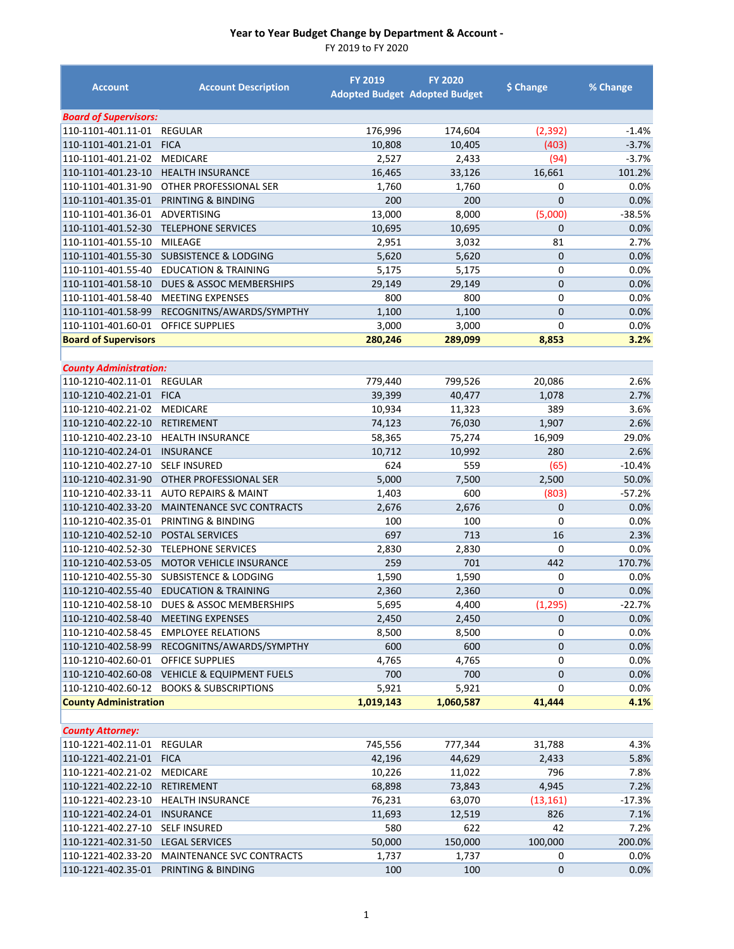| <b>Account</b>                           | <b>Account Description</b>                           | <b>FY 2019</b> | <b>FY 2020</b><br><b>Adopted Budget Adopted Budget</b> | \$ Change        | % Change     |
|------------------------------------------|------------------------------------------------------|----------------|--------------------------------------------------------|------------------|--------------|
| <b>Board of Supervisors:</b>             |                                                      |                |                                                        |                  |              |
| 110-1101-401.11-01                       | <b>REGULAR</b>                                       | 176,996        | 174,604                                                | (2, 392)         | $-1.4%$      |
| 110-1101-401.21-01                       | <b>FICA</b>                                          | 10,808         | 10,405                                                 | (403)            | $-3.7%$      |
| 110-1101-401.21-02                       | <b>MEDICARE</b>                                      | 2,527          | 2,433                                                  | (94)             | $-3.7%$      |
| 110-1101-401.23-10                       | <b>HEALTH INSURANCE</b>                              | 16,465         | 33,126                                                 | 16,661           | 101.2%       |
| 110-1101-401.31-90                       | OTHER PROFESSIONAL SER                               | 1,760          | 1,760                                                  | 0                | 0.0%         |
| 110-1101-401.35-01                       | PRINTING & BINDING                                   | 200            | 200                                                    | $\overline{0}$   | 0.0%         |
| 110-1101-401.36-01                       | ADVERTISING                                          | 13,000         | 8,000                                                  | (5,000)          | $-38.5%$     |
| 110-1101-401.52-30                       | <b>TELEPHONE SERVICES</b>                            | 10,695         | 10,695                                                 | 0                | 0.0%         |
| 110-1101-401.55-10                       | <b>MILEAGE</b>                                       | 2,951          | 3,032                                                  | 81               | 2.7%         |
| 110-1101-401.55-30                       | <b>SUBSISTENCE &amp; LODGING</b>                     | 5,620          | 5,620                                                  | $\overline{0}$   | 0.0%         |
| 110-1101-401.55-40                       | <b>EDUCATION &amp; TRAINING</b>                      | 5,175          | 5,175                                                  | 0                | 0.0%         |
| 110-1101-401.58-10                       | DUES & ASSOC MEMBERSHIPS                             | 29,149         | 29,149                                                 | $\overline{0}$   | 0.0%         |
| 110-1101-401.58-40                       | <b>MEETING EXPENSES</b>                              | 800            | 800                                                    | 0                | 0.0%         |
| 110-1101-401.58-99                       | RECOGNITNS/AWARDS/SYMPTHY                            | 1,100          | 1,100                                                  | $\overline{0}$   | 0.0%         |
| 110-1101-401.60-01                       | <b>OFFICE SUPPLIES</b>                               | 3,000          | 3,000                                                  | $\mathbf 0$      | 0.0%         |
| <b>Board of Supervisors</b>              |                                                      | 280,246        | 289,099                                                | 8,853            | 3.2%         |
|                                          |                                                      |                |                                                        |                  |              |
| <b>County Administration:</b>            |                                                      |                |                                                        |                  |              |
| 110-1210-402.11-01                       | <b>REGULAR</b>                                       | 779,440        | 799,526                                                | 20,086           | 2.6%         |
| 110-1210-402.21-01                       | <b>FICA</b>                                          | 39,399         | 40,477                                                 | 1,078            | 2.7%         |
| 110-1210-402.21-02                       | <b>MEDICARE</b>                                      | 10,934         | 11,323                                                 | 389              | 3.6%         |
| 110-1210-402.22-10                       | <b>RETIREMENT</b>                                    | 74,123         | 76,030                                                 | 1,907            | 2.6%         |
| 110-1210-402.23-10                       | <b>HEALTH INSURANCE</b>                              | 58,365         | 75,274                                                 | 16,909           | 29.0%        |
| 110-1210-402.24-01                       | <b>INSURANCE</b>                                     | 10,712         | 10,992                                                 | 280              | 2.6%         |
| 110-1210-402.27-10                       | <b>SELF INSURED</b>                                  | 624            | 559                                                    | (65)             | $-10.4%$     |
| 110-1210-402.31-90                       | OTHER PROFESSIONAL SER                               | 5,000          | 7,500                                                  | 2,500            | 50.0%        |
| 110-1210-402.33-11                       | <b>AUTO REPAIRS &amp; MAINT</b>                      | 1,403          | 600                                                    | (803)            | $-57.2%$     |
| 110-1210-402.33-20                       | <b>MAINTENANCE SVC CONTRACTS</b>                     | 2,676          | 2,676                                                  | $\mathbf 0$      | 0.0%         |
| 110-1210-402.35-01                       | PRINTING & BINDING                                   | 100            | 100                                                    | 0                | 0.0%         |
| 110-1210-402.52-10                       | <b>POSTAL SERVICES</b>                               | 697            | 713                                                    | 16               | 2.3%         |
| 110-1210-402.52-30                       | <b>TELEPHONE SERVICES</b>                            | 2,830          | 2,830                                                  | 0                | 0.0%         |
| 110-1210-402.53-05                       | <b>MOTOR VEHICLE INSURANCE</b>                       | 259            | 701                                                    | 442              | 170.7%       |
| 110-1210-402.55-30                       | <b>SUBSISTENCE &amp; LODGING</b>                     | 1,590          | 1,590                                                  | 0                | $0.0\%$      |
| 110-1210-402.55-40                       | <b>EDUCATION &amp; TRAINING</b>                      | 2,360          | 2,360                                                  | $\overline{0}$   | 0.0%         |
| 110-1210-402.58-10                       | DUES & ASSOC MEMBERSHIPS                             | 5,695          | 4,400                                                  | (1, 295)         | $-22.7%$     |
| 110-1210-402.58-40<br>110-1210-402.58-45 | <b>MEETING EXPENSES</b><br><b>EMPLOYEE RELATIONS</b> | 2,450          | 2,450                                                  | $\mathbf 0$<br>0 | 0.0%<br>0.0% |
| 110-1210-402.58-99                       | RECOGNITNS/AWARDS/SYMPTHY                            | 8,500<br>600   | 8,500<br>600                                           | 0                |              |
| 110-1210-402.60-01                       | <b>OFFICE SUPPLIES</b>                               | 4,765          | 4,765                                                  | 0                | 0.0%<br>0.0% |
| 110-1210-402.60-08                       | VEHICLE & EQUIPMENT FUELS                            | 700            | 700                                                    | $\mathbf 0$      | 0.0%         |
| 110-1210-402.60-12                       | <b>BOOKS &amp; SUBSCRIPTIONS</b>                     | 5,921          | 5,921                                                  | 0                | 0.0%         |
| <b>County Administration</b>             |                                                      | 1,019,143      | 1,060,587                                              | 41,444           | 4.1%         |
|                                          |                                                      |                |                                                        |                  |              |
| <b>County Attorney:</b>                  |                                                      |                |                                                        |                  |              |
| 110-1221-402.11-01                       | <b>REGULAR</b>                                       | 745,556        | 777,344                                                | 31,788           | 4.3%         |
| 110-1221-402.21-01                       | <b>FICA</b>                                          | 42,196         | 44,629                                                 | 2,433            | 5.8%         |
| 110-1221-402.21-02                       | <b>MEDICARE</b>                                      | 10,226         | 11,022                                                 | 796              | 7.8%         |
| 110-1221-402.22-10                       | RETIREMENT                                           | 68,898         | 73,843                                                 | 4,945            | 7.2%         |
| 110-1221-402.23-10                       | <b>HEALTH INSURANCE</b>                              | 76,231         | 63,070                                                 | (13, 161)        | $-17.3%$     |
| 110-1221-402.24-01                       | <b>INSURANCE</b>                                     | 11,693         | 12,519                                                 | 826              | 7.1%         |
| 110-1221-402.27-10                       | <b>SELF INSURED</b>                                  | 580            | 622                                                    | 42               | 7.2%         |
| 110-1221-402.31-50                       | <b>LEGAL SERVICES</b>                                | 50,000         | 150,000                                                | 100,000          | 200.0%       |
| 110-1221-402.33-20                       | MAINTENANCE SVC CONTRACTS                            | 1,737          | 1,737                                                  | 0                | 0.0%         |
| 110-1221-402.35-01                       | PRINTING & BINDING                                   | 100            | 100                                                    | 0                | 0.0%         |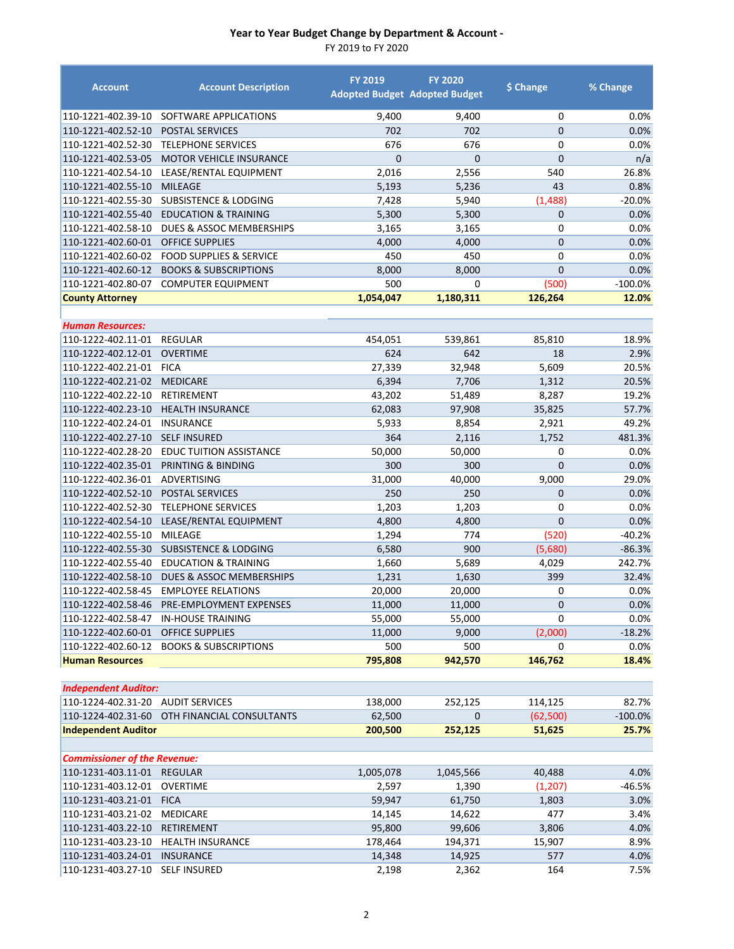| <b>Account</b>                      | <b>Account Description</b>                 | <b>FY 2019</b> | <b>FY 2020</b><br><b>Adopted Budget Adopted Budget</b> | \$ Change      | % Change   |
|-------------------------------------|--------------------------------------------|----------------|--------------------------------------------------------|----------------|------------|
| 110-1221-402.39-10                  | SOFTWARE APPLICATIONS                      | 9,400          | 9,400                                                  | 0              | 0.0%       |
| 110-1221-402.52-10                  | POSTAL SERVICES                            | 702            | 702                                                    | $\mathbf{0}$   | 0.0%       |
| 110-1221-402.52-30                  | <b>TELEPHONE SERVICES</b>                  | 676            | 676                                                    | $\mathbf 0$    | 0.0%       |
| 110-1221-402.53-05                  | <b>MOTOR VEHICLE INSURANCE</b>             | $\overline{0}$ | $\mathbf{0}$                                           | $\overline{0}$ | n/a        |
| 110-1221-402.54-10                  | LEASE/RENTAL EQUIPMENT                     | 2,016          | 2,556                                                  | 540            | 26.8%      |
| 110-1221-402.55-10                  | <b>MILEAGE</b>                             | 5,193          | 5,236                                                  | 43             | 0.8%       |
| 110-1221-402.55-30                  | <b>SUBSISTENCE &amp; LODGING</b>           | 7,428          | 5,940                                                  | (1,488)        | -20.0%     |
| 110-1221-402.55-40                  | <b>EDUCATION &amp; TRAINING</b>            | 5,300          | 5,300                                                  | $\mathbf{0}$   | 0.0%       |
| 110-1221-402.58-10                  | DUES & ASSOC MEMBERSHIPS                   | 3,165          | 3,165                                                  | $\mathbf 0$    | 0.0%       |
| 110-1221-402.60-01                  | <b>OFFICE SUPPLIES</b>                     | 4,000          | 4,000                                                  | $\mathbf{0}$   | 0.0%       |
| 110-1221-402.60-02                  | <b>FOOD SUPPLIES &amp; SERVICE</b>         | 450            | 450                                                    | $\mathbf 0$    | 0.0%       |
| 110-1221-402.60-12                  | <b>BOOKS &amp; SUBSCRIPTIONS</b>           | 8,000          | 8,000                                                  | $\overline{0}$ | 0.0%       |
| 110-1221-402.80-07                  | <b>COMPUTER EQUIPMENT</b>                  | 500            | 0                                                      | (500)          | $-100.0%$  |
| <b>County Attorney</b>              |                                            | 1,054,047      | 1,180,311                                              | 126,264        | 12.0%      |
| <b>Human Resources:</b>             |                                            |                |                                                        |                |            |
| 110-1222-402.11-01                  | <b>REGULAR</b>                             | 454,051        | 539,861                                                | 85,810         | 18.9%      |
| 110-1222-402.12-01                  | <b>OVERTIME</b>                            | 624            | 642                                                    | 18             | 2.9%       |
| 110-1222-402.21-01                  | <b>FICA</b>                                | 27,339         | 32,948                                                 | 5,609          | 20.5%      |
| 110-1222-402.21-02                  | <b>MEDICARE</b>                            | 6,394          | 7,706                                                  | 1,312          | 20.5%      |
| 110-1222-402.22-10                  | RETIREMENT                                 | 43,202         | 51,489                                                 | 8,287          | 19.2%      |
| 110-1222-402.23-10                  | <b>HEALTH INSURANCE</b>                    | 62,083         | 97,908                                                 | 35,825         | 57.7%      |
| 110-1222-402.24-01                  | <b>INSURANCE</b>                           | 5,933          | 8,854                                                  | 2,921          | 49.2%      |
| 110-1222-402.27-10                  | <b>SELF INSURED</b>                        | 364            | 2,116                                                  | 1,752          | 481.3%     |
| 110-1222-402.28-20                  | <b>EDUC TUITION ASSISTANCE</b>             | 50,000         | 50,000                                                 | 0              | 0.0%       |
| 110-1222-402.35-01                  | PRINTING & BINDING                         | 300            | 300                                                    | $\mathbf 0$    | 0.0%       |
| 110-1222-402.36-01                  | ADVERTISING                                | 31,000         | 40,000                                                 | 9,000          | 29.0%      |
| 110-1222-402.52-10                  | <b>POSTAL SERVICES</b>                     | 250            | 250                                                    | $\mathbf{0}$   | 0.0%       |
| 110-1222-402.52-30                  | <b>TELEPHONE SERVICES</b>                  | 1,203          | 1,203                                                  | 0              | 0.0%       |
| 110-1222-402.54-10                  | LEASE/RENTAL EQUIPMENT                     | 4,800          | 4,800                                                  | $\mathbf{0}$   | 0.0%       |
| 110-1222-402.55-10                  | MILEAGE                                    | 1,294          | 774                                                    | (520)          | $-40.2%$   |
| 110-1222-402.55-30                  | <b>SUBSISTENCE &amp; LODGING</b>           | 6,580          | 900                                                    | (5,680)        | $-86.3%$   |
| 110-1222-402.55-40                  | <b>EDUCATION &amp; TRAINING</b>            | 1,660          | 5,689                                                  | 4,029          | 242.7%     |
| 110-1222-402.58-10                  | DUES & ASSOC MEMBERSHIPS                   | 1,231          | 1,630                                                  | 399            | 32.4%      |
| 110-1222-402.58-45                  | <b>EMPLOYEE RELATIONS</b>                  | 20,000         | 20,000                                                 | 0              | 0.0%       |
|                                     | 110-1222-402.58-46 PRE-EMPLOYMENT EXPENSES | 11,000         | 11,000                                                 | $\pmb{0}$      | $0.0\%$    |
| 110-1222-402.58-47                  | <b>IN-HOUSE TRAINING</b>                   | 55,000         | 55,000                                                 | $\Omega$       | 0.0%       |
| 110-1222-402.60-01                  | <b>OFFICE SUPPLIES</b>                     | 11,000         | 9,000                                                  | (2,000)        | $-18.2%$   |
| 110-1222-402.60-12                  | <b>BOOKS &amp; SUBSCRIPTIONS</b>           | 500            | 500                                                    | 0              | 0.0%       |
| <b>Human Resources</b>              |                                            | 795,808        | 942,570                                                | 146,762        | 18.4%      |
| <b>Independent Auditor:</b>         |                                            |                |                                                        |                |            |
| 110-1224-402.31-20                  | <b>AUDIT SERVICES</b>                      | 138,000        | 252,125                                                | 114,125        | 82.7%      |
| 110-1224-402.31-60                  | OTH FINANCIAL CONSULTANTS                  | 62,500         | 0                                                      | (62,500)       | $-100.0\%$ |
| <b>Independent Auditor</b>          |                                            | 200,500        | 252,125                                                | 51,625         | 25.7%      |
|                                     |                                            |                |                                                        |                |            |
| <b>Commissioner of the Revenue:</b> |                                            |                |                                                        |                |            |
| 110-1231-403.11-01                  | <b>REGULAR</b>                             | 1,005,078      | 1,045,566                                              | 40,488         | 4.0%       |
| 110-1231-403.12-01                  | <b>OVERTIME</b>                            | 2,597          | 1,390                                                  | (1, 207)       | -46.5%     |
| 110-1231-403.21-01                  | <b>FICA</b>                                | 59,947         | 61,750                                                 | 1,803          | 3.0%       |
| 110-1231-403.21-02                  | MEDICARE                                   | 14,145         | 14,622                                                 | 477            | 3.4%       |
| 110-1231-403.22-10                  | RETIREMENT                                 | 95,800         | 99,606                                                 | 3,806          | 4.0%       |
| 110-1231-403.23-10                  | <b>HEALTH INSURANCE</b>                    | 178,464        | 194,371                                                | 15,907         | 8.9%       |
| 110-1231-403.24-01                  | <b>INSURANCE</b>                           | 14,348         | 14,925                                                 | 577            | 4.0%       |
| 110-1231-403.27-10                  | <b>SELF INSURED</b>                        | 2,198          | 2,362                                                  | 164            | 7.5%       |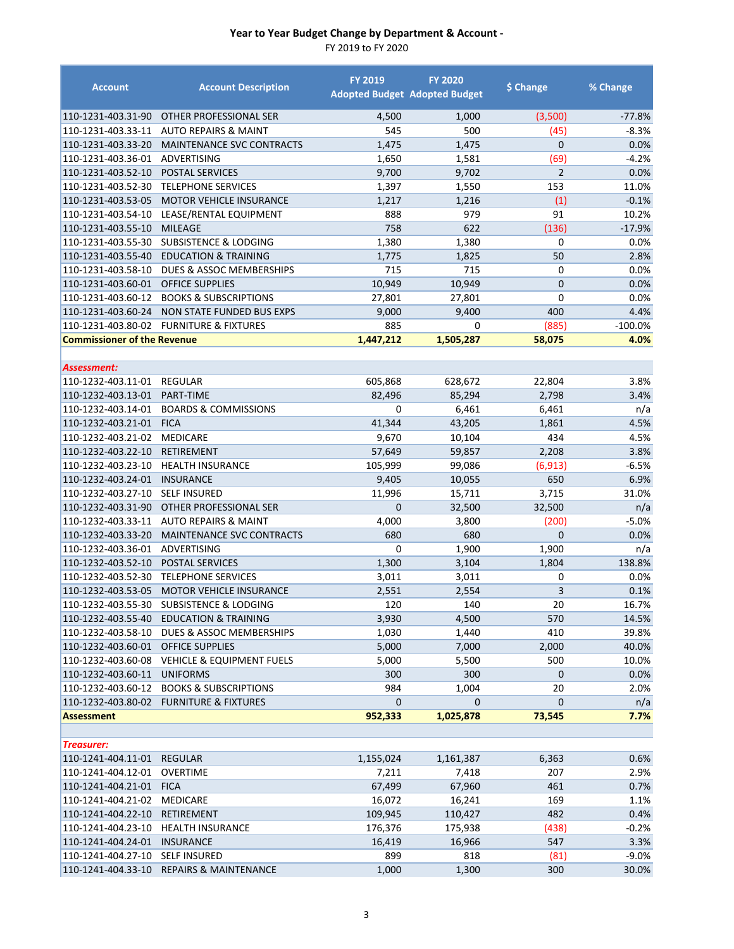| <b>Account</b>                     | <b>Account Description</b>               | <b>FY 2019</b>    | <b>FY 2020</b><br><b>Adopted Budget Adopted Budget</b> | \$ Change       | % Change  |
|------------------------------------|------------------------------------------|-------------------|--------------------------------------------------------|-----------------|-----------|
| 110-1231-403.31-90                 | OTHER PROFESSIONAL SER                   | 4,500             | 1,000                                                  | (3,500)         | $-77.8%$  |
| 110-1231-403.33-11                 | <b>AUTO REPAIRS &amp; MAINT</b>          | 545               | 500                                                    | (45)            | $-8.3%$   |
| 110-1231-403.33-20                 | <b>MAINTENANCE SVC CONTRACTS</b>         | 1,475             | 1,475                                                  | $\overline{0}$  | 0.0%      |
| 110-1231-403.36-01                 | ADVERTISING                              | 1,650             | 1,581                                                  | (69)            | $-4.2%$   |
| 110-1231-403.52-10                 | <b>POSTAL SERVICES</b>                   | 9,700             | 9,702                                                  | $\overline{2}$  | 0.0%      |
| 110-1231-403.52-30                 | <b>TELEPHONE SERVICES</b>                | 1,397             | 1,550                                                  | 153             | 11.0%     |
| 110-1231-403.53-05                 | <b>MOTOR VEHICLE INSURANCE</b>           | 1,217             | 1,216                                                  | (1)             | $-0.1%$   |
| 110-1231-403.54-10                 | LEASE/RENTAL EQUIPMENT                   | 888               | 979                                                    | 91              | 10.2%     |
| 110-1231-403.55-10                 | <b>MILEAGE</b>                           | 758               | 622                                                    | (136)           | $-17.9%$  |
| 110-1231-403.55-30                 | <b>SUBSISTENCE &amp; LODGING</b>         | 1,380             | 1,380                                                  | 0               | 0.0%      |
| 110-1231-403.55-40                 | <b>EDUCATION &amp; TRAINING</b>          | 1,775             | 1,825                                                  | 50              | 2.8%      |
| 110-1231-403.58-10                 | DUES & ASSOC MEMBERSHIPS                 | 715               | 715                                                    | 0               | 0.0%      |
| 110-1231-403.60-01                 | <b>OFFICE SUPPLIES</b>                   | 10,949            | 10,949                                                 | $\mathbf{0}$    | 0.0%      |
| 110-1231-403.60-12                 | <b>BOOKS &amp; SUBSCRIPTIONS</b>         | 27,801            | 27,801                                                 | $\mathbf 0$     | 0.0%      |
| 110-1231-403.60-24                 | NON STATE FUNDED BUS EXPS                | 9,000             | 9,400                                                  | 400             | 4.4%      |
|                                    | 110-1231-403.80-02 FURNITURE & FIXTURES  | 885               | 0                                                      | (885)           | $-100.0%$ |
| <b>Commissioner of the Revenue</b> |                                          | 1,447,212         | 1,505,287                                              | 58,075          | 4.0%      |
|                                    |                                          |                   |                                                        |                 |           |
| Assessment:<br>110-1232-403.11-01  | <b>REGULAR</b>                           |                   | 628,672                                                |                 | 3.8%      |
| 110-1232-403.13-01                 | PART-TIME                                | 605,868<br>82,496 | 85,294                                                 | 22,804<br>2,798 | 3.4%      |
| 110-1232-403.14-01                 | <b>BOARDS &amp; COMMISSIONS</b>          | 0                 | 6,461                                                  | 6,461           | n/a       |
| 110-1232-403.21-01                 | <b>FICA</b>                              | 41,344            | 43,205                                                 | 1,861           | 4.5%      |
| 110-1232-403.21-02                 | <b>MEDICARE</b>                          | 9,670             | 10,104                                                 | 434             | 4.5%      |
| 110-1232-403.22-10                 | <b>RETIREMENT</b>                        | 57,649            | 59,857                                                 | 2,208           | 3.8%      |
| 110-1232-403.23-10                 | <b>HEALTH INSURANCE</b>                  | 105,999           | 99,086                                                 | (6, 913)        | $-6.5%$   |
| 110-1232-403.24-01                 | <b>INSURANCE</b>                         | 9,405             | 10,055                                                 | 650             | 6.9%      |
| 110-1232-403.27-10                 | <b>SELF INSURED</b>                      | 11,996            | 15,711                                                 | 3,715           | 31.0%     |
| 110-1232-403.31-90                 | OTHER PROFESSIONAL SER                   | $\Omega$          | 32,500                                                 | 32,500          | n/a       |
| 110-1232-403.33-11                 | <b>AUTO REPAIRS &amp; MAINT</b>          | 4,000             | 3,800                                                  | (200)           | $-5.0%$   |
| 110-1232-403.33-20                 | MAINTENANCE SVC CONTRACTS                | 680               | 680                                                    | $\mathbf{0}$    | 0.0%      |
| 110-1232-403.36-01                 | ADVERTISING                              | 0                 | 1,900                                                  | 1,900           | n/a       |
| 110-1232-403.52-10                 | POSTAL SERVICES                          | 1,300             | 3,104                                                  | 1,804           | 138.8%    |
| 110-1232-403.52-30                 | <b>TELEPHONE SERVICES</b>                | 3,011             | 3,011                                                  | 0               | 0.0%      |
| 110-1232-403.53-05                 | <b>MOTOR VEHICLE INSURANCE</b>           | 2,551             | 2,554                                                  | 3               | 0.1%      |
|                                    | 110-1232-403.55-30 SUBSISTENCE & LODGING | 120               | 140                                                    | 20              | 16.7%     |
| 110-1232-403.55-40                 | <b>EDUCATION &amp; TRAINING</b>          | 3,930             | 4,500                                                  | 570             | 14.5%     |
| 110-1232-403.58-10                 | DUES & ASSOC MEMBERSHIPS                 | 1,030             | 1,440                                                  | 410             | 39.8%     |
| 110-1232-403.60-01                 | <b>OFFICE SUPPLIES</b>                   | 5,000             | 7,000                                                  | 2,000           | 40.0%     |
| 110-1232-403.60-08                 | <b>VEHICLE &amp; EQUIPMENT FUELS</b>     | 5,000             | 5,500                                                  | 500             | 10.0%     |
| 110-1232-403.60-11                 | <b>UNIFORMS</b>                          | 300               | 300                                                    | 0               | 0.0%      |
| 110-1232-403.60-12                 | <b>BOOKS &amp; SUBSCRIPTIONS</b>         | 984               | 1,004                                                  | 20              | 2.0%      |
| 110-1232-403.80-02                 | <b>FURNITURE &amp; FIXTURES</b>          | 0                 | $\mathbf{0}$                                           | 0               | n/a       |
| <b>Assessment</b>                  |                                          | 952,333           | 1,025,878                                              | 73,545          | 7.7%      |
| <b>Treasurer:</b>                  |                                          |                   |                                                        |                 |           |
| 110-1241-404.11-01                 | <b>REGULAR</b>                           | 1,155,024         | 1,161,387                                              | 6,363           | 0.6%      |
| 110-1241-404.12-01                 | <b>OVERTIME</b>                          | 7,211             | 7,418                                                  | 207             | 2.9%      |
| 110-1241-404.21-01                 | <b>FICA</b>                              | 67,499            | 67,960                                                 | 461             | 0.7%      |
| 110-1241-404.21-02                 | MEDICARE                                 | 16,072            | 16,241                                                 | 169             | 1.1%      |
| 110-1241-404.22-10                 | RETIREMENT                               | 109,945           | 110,427                                                | 482             | 0.4%      |
| 110-1241-404.23-10                 | <b>HEALTH INSURANCE</b>                  | 176,376           | 175,938                                                | (438)           | $-0.2%$   |
| 110-1241-404.24-01                 | <b>INSURANCE</b>                         | 16,419            | 16,966                                                 | 547             | 3.3%      |
| 110-1241-404.27-10                 | <b>SELF INSURED</b>                      | 899               | 818                                                    | (81)            | $-9.0%$   |
| 110-1241-404.33-10                 | <b>REPAIRS &amp; MAINTENANCE</b>         | 1,000             | 1,300                                                  | 300             | 30.0%     |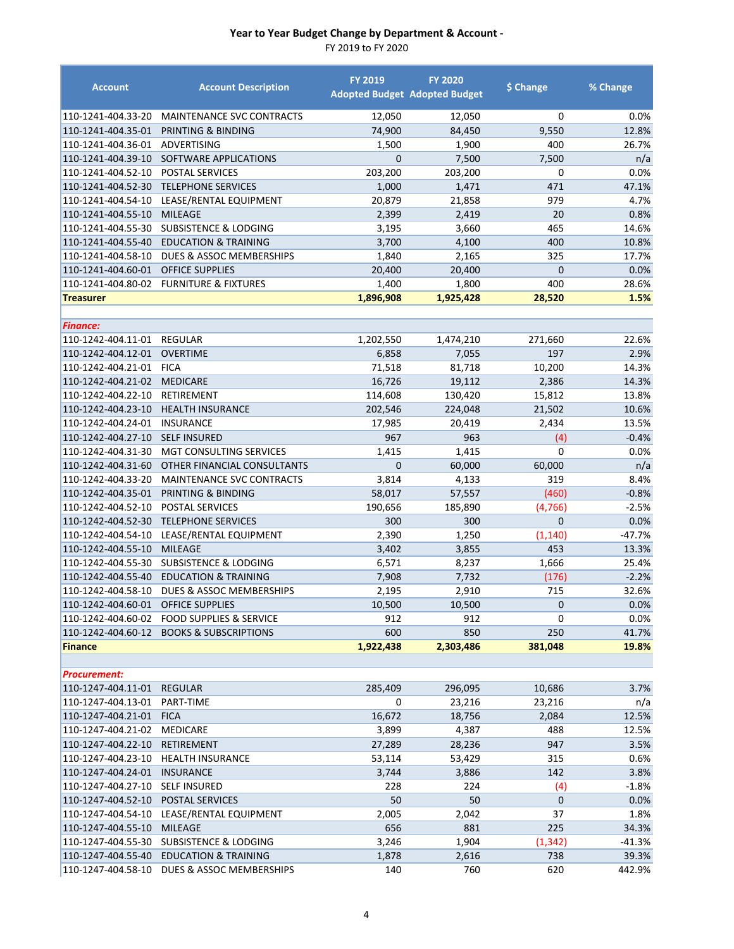| <b>Account</b>                     | <b>Account Description</b>                    | <b>FY 2019</b><br><b>Adopted Budget Adopted Budget</b> | <b>FY 2020</b> | \$ Change      | % Change |
|------------------------------------|-----------------------------------------------|--------------------------------------------------------|----------------|----------------|----------|
| 110-1241-404.33-20                 | MAINTENANCE SVC CONTRACTS                     | 12,050                                                 | 12,050         | 0              | 0.0%     |
| 110-1241-404.35-01                 | PRINTING & BINDING                            | 74,900                                                 | 84,450         | 9,550          | 12.8%    |
| 110-1241-404.36-01                 | ADVERTISING                                   | 1,500                                                  | 1,900          | 400            | 26.7%    |
| 110-1241-404.39-10                 | SOFTWARE APPLICATIONS                         | $\Omega$                                               | 7,500          | 7,500          | n/a      |
| 110-1241-404.52-10                 | <b>POSTAL SERVICES</b>                        | 203,200                                                | 203,200        | 0              | 0.0%     |
| 110-1241-404.52-30                 | <b>TELEPHONE SERVICES</b>                     | 1,000                                                  | 1,471          | 471            | 47.1%    |
| 110-1241-404.54-10                 | LEASE/RENTAL EQUIPMENT                        | 20,879                                                 | 21,858         | 979            | 4.7%     |
| 110-1241-404.55-10                 | <b>MILEAGE</b>                                | 2,399                                                  | 2,419          | 20             | 0.8%     |
| 110-1241-404.55-30                 | <b>SUBSISTENCE &amp; LODGING</b>              | 3,195                                                  | 3,660          | 465            | 14.6%    |
| 110-1241-404.55-40                 | <b>EDUCATION &amp; TRAINING</b>               | 3,700                                                  | 4,100          | 400            | 10.8%    |
| 110-1241-404.58-10                 | DUES & ASSOC MEMBERSHIPS                      | 1,840                                                  | 2,165          | 325            | 17.7%    |
| 110-1241-404.60-01 OFFICE SUPPLIES |                                               | 20,400                                                 | 20,400         | $\overline{0}$ | 0.0%     |
|                                    | 110-1241-404.80-02 FURNITURE & FIXTURES       | 1,400                                                  | 1,800          | 400            | 28.6%    |
| <b>Treasurer</b>                   |                                               | 1,896,908                                              | 1,925,428      | 28,520         | 1.5%     |
| <b>Finance:</b>                    |                                               |                                                        |                |                |          |
| 110-1242-404.11-01                 | <b>REGULAR</b>                                | 1,202,550                                              | 1,474,210      | 271,660        | 22.6%    |
| 110-1242-404.12-01                 | <b>OVERTIME</b>                               | 6,858                                                  | 7,055          | 197            | 2.9%     |
| 110-1242-404.21-01                 | <b>FICA</b>                                   | 71,518                                                 | 81,718         | 10,200         | 14.3%    |
| 110-1242-404.21-02                 | <b>MEDICARE</b>                               | 16,726                                                 | 19,112         | 2,386          | 14.3%    |
| 110-1242-404.22-10                 | RETIREMENT                                    | 114,608                                                | 130,420        | 15,812         | 13.8%    |
| 110-1242-404.23-10                 | <b>HEALTH INSURANCE</b>                       | 202,546                                                | 224,048        | 21,502         | 10.6%    |
| 110-1242-404.24-01                 | <b>INSURANCE</b>                              | 17,985                                                 | 20,419         | 2,434          | 13.5%    |
| 110-1242-404.27-10                 | <b>SELF INSURED</b>                           | 967                                                    | 963            | (4)            | $-0.4%$  |
| 110-1242-404.31-30                 | MGT CONSULTING SERVICES                       | 1,415                                                  | 1,415          | 0              | 0.0%     |
| 110-1242-404.31-60                 | OTHER FINANCIAL CONSULTANTS                   | $\overline{0}$                                         | 60,000         | 60,000         | n/a      |
| 110-1242-404.33-20                 | MAINTENANCE SVC CONTRACTS                     | 3,814                                                  | 4,133          | 319            | 8.4%     |
|                                    | 110-1242-404.35-01 PRINTING & BINDING         | 58,017                                                 | 57,557         | (460)          | $-0.8%$  |
| 110-1242-404.52-10                 | POSTAL SERVICES                               | 190,656                                                | 185,890        | (4, 766)       | $-2.5%$  |
| 110-1242-404.52-30                 | <b>TELEPHONE SERVICES</b>                     | 300                                                    | 300            | $\overline{0}$ | 0.0%     |
| 110-1242-404.54-10                 | LEASE/RENTAL EQUIPMENT                        | 2,390                                                  | 1,250          | (1, 140)       | $-47.7%$ |
| 110-1242-404.55-10                 | <b>MILEAGE</b>                                | 3,402                                                  | 3,855          | 453            | 13.3%    |
| 110-1242-404.55-30                 | <b>SUBSISTENCE &amp; LODGING</b>              | 6,571                                                  | 8,237          | 1,666          | 25.4%    |
| 110-1242-404.55-40                 | <b>EDUCATION &amp; TRAINING</b>               | 7,908                                                  | 7,732          | (176)          | $-2.2%$  |
| 110-1242-404.58-10                 | <b>DUES &amp; ASSOC MEMBERSHIPS</b>           | 2,195                                                  | 2,910          | 715            | 32.6%    |
| 110-1242-404.60-01                 | <b>OFFICE SUPPLIES</b>                        | 10,500                                                 | 10,500         | $\mathbf{0}$   | 0.0%     |
|                                    | 110-1242-404.60-02    FOOD SUPPLIES & SERVICE | 912                                                    | 912            | 0              | 0.0%     |
|                                    | 110-1242-404.60-12 BOOKS & SUBSCRIPTIONS      | 600                                                    | 850            | 250            | 41.7%    |
| <b>Finance</b>                     |                                               | 1,922,438                                              | 2,303,486      | 381,048        | 19.8%    |
|                                    |                                               |                                                        |                |                |          |
| <b>Procurement:</b>                |                                               |                                                        |                |                |          |
| 110-1247-404.11-01 REGULAR         |                                               | 285,409                                                | 296,095        | 10,686         | 3.7%     |
| 110-1247-404.13-01 PART-TIME       |                                               | 0                                                      | 23,216         | 23,216         | n/a      |
| 110-1247-404.21-01 FICA            |                                               | 16,672                                                 | 18,756         | 2,084          | 12.5%    |
| 110-1247-404.21-02 MEDICARE        |                                               | 3,899                                                  | 4,387          | 488            | 12.5%    |
| 110-1247-404.22-10                 | <b>RETIREMENT</b>                             | 27,289                                                 | 28,236         | 947            | 3.5%     |
| 110-1247-404.23-10                 | <b>HEALTH INSURANCE</b>                       | 53,114                                                 | 53,429         | 315            | 0.6%     |
| 110-1247-404.24-01                 | <b>INSURANCE</b>                              | 3,744                                                  | 3,886          | 142            | 3.8%     |
| 110-1247-404.27-10                 | <b>SELF INSURED</b>                           | 228                                                    | 224            | (4)            | $-1.8%$  |
| 110-1247-404.52-10                 | POSTAL SERVICES                               | 50                                                     | 50             | 0              | 0.0%     |
| 110-1247-404.54-10                 | LEASE/RENTAL EQUIPMENT                        | 2,005                                                  | 2,042          | 37             | 1.8%     |
| 110-1247-404.55-10                 | <b>MILEAGE</b>                                | 656                                                    | 881            | 225            | 34.3%    |
| 110-1247-404.55-30                 | <b>SUBSISTENCE &amp; LODGING</b>              | 3,246                                                  | 1,904          | (1, 342)       | $-41.3%$ |
| 110-1247-404.55-40                 | <b>EDUCATION &amp; TRAINING</b>               | 1,878                                                  | 2,616          | 738            | 39.3%    |
| 110-1247-404.58-10                 | DUES & ASSOC MEMBERSHIPS                      | 140                                                    | 760            | 620            | 442.9%   |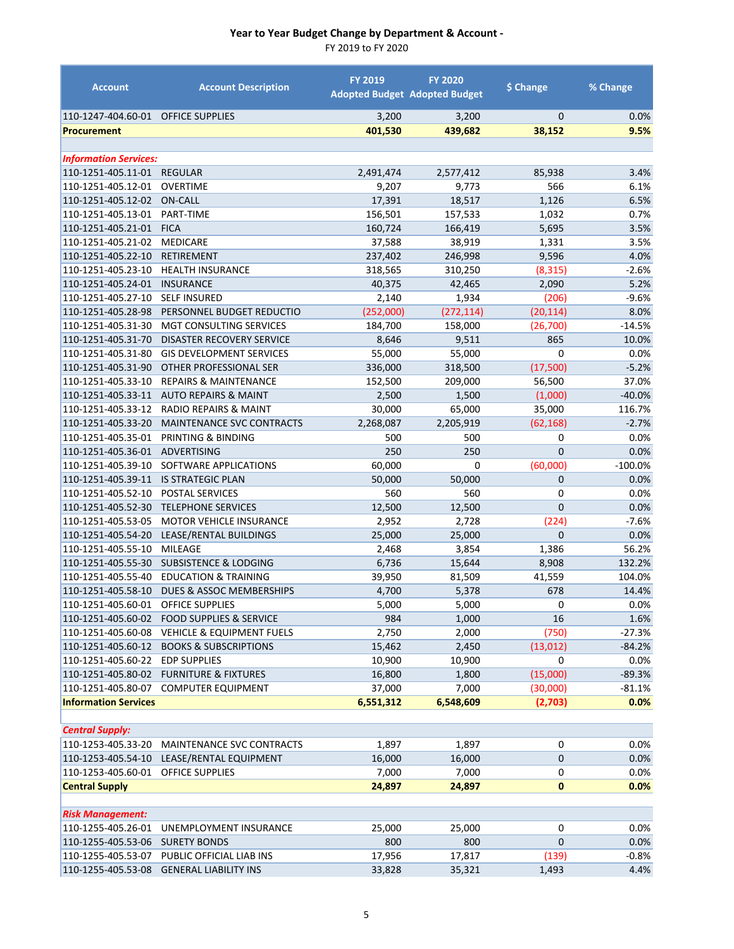| <b>Account</b>               | <b>Account Description</b>           | <b>FY 2019</b> | <b>FY 2020</b><br><b>Adopted Budget Adopted Budget</b> | \$ Change      | % Change  |
|------------------------------|--------------------------------------|----------------|--------------------------------------------------------|----------------|-----------|
| 110-1247-404.60-01           | <b>OFFICE SUPPLIES</b>               | 3,200          | 3,200                                                  | $\mathbf{0}$   | 0.0%      |
| <b>Procurement</b>           |                                      | 401,530        | 439,682                                                | 38,152         | 9.5%      |
|                              |                                      |                |                                                        |                |           |
| <b>Information Services:</b> |                                      |                |                                                        |                |           |
| 110-1251-405.11-01           | <b>REGULAR</b>                       | 2,491,474      | 2,577,412                                              | 85,938         | 3.4%      |
| 110-1251-405.12-01           | <b>OVERTIME</b>                      | 9,207          | 9,773                                                  | 566            | 6.1%      |
| 110-1251-405.12-02           | <b>ON-CALL</b>                       | 17,391         | 18,517                                                 | 1,126          | 6.5%      |
| 110-1251-405.13-01           | PART-TIME                            | 156,501        | 157,533                                                | 1,032          | 0.7%      |
| 110-1251-405.21-01           | <b>FICA</b>                          | 160,724        | 166,419                                                | 5,695          | 3.5%      |
| 110-1251-405.21-02           | <b>MEDICARE</b>                      | 37,588         | 38,919                                                 | 1,331          | 3.5%      |
| 110-1251-405.22-10           | <b>RETIREMENT</b>                    | 237,402        | 246,998                                                | 9,596          | 4.0%      |
| 110-1251-405.23-10           | <b>HEALTH INSURANCE</b>              | 318,565        | 310,250                                                | (8, 315)       | $-2.6%$   |
| 110-1251-405.24-01           | <b>INSURANCE</b>                     | 40,375         | 42,465                                                 | 2,090          | 5.2%      |
| 110-1251-405.27-10           | <b>SELF INSURED</b>                  | 2,140          | 1,934                                                  | (206)          | $-9.6%$   |
| 110-1251-405.28-98           | PERSONNEL BUDGET REDUCTIO            | (252,000)      | (272, 114)                                             | (20, 114)      | 8.0%      |
| 110-1251-405.31-30           | <b>MGT CONSULTING SERVICES</b>       | 184,700        | 158,000                                                | (26, 700)      | $-14.5%$  |
| 110-1251-405.31-70           | <b>DISASTER RECOVERY SERVICE</b>     | 8,646          | 9,511                                                  | 865            | 10.0%     |
| 110-1251-405.31-80           | <b>GIS DEVELOPMENT SERVICES</b>      | 55,000         | 55,000                                                 | 0              | 0.0%      |
| 110-1251-405.31-90           | OTHER PROFESSIONAL SER               | 336,000        | 318,500                                                | (17,500)       | $-5.2%$   |
| 110-1251-405.33-10           | <b>REPAIRS &amp; MAINTENANCE</b>     | 152,500        | 209,000                                                | 56,500         | 37.0%     |
| 110-1251-405.33-11           | <b>AUTO REPAIRS &amp; MAINT</b>      | 2,500          | 1,500                                                  | (1,000)        | $-40.0%$  |
| 110-1251-405.33-12           | <b>RADIO REPAIRS &amp; MAINT</b>     | 30,000         | 65,000                                                 | 35,000         | 116.7%    |
| 110-1251-405.33-20           | <b>MAINTENANCE SVC CONTRACTS</b>     | 2,268,087      | 2,205,919                                              | (62, 168)      | $-2.7%$   |
| 110-1251-405.35-01           | PRINTING & BINDING                   | 500            | 500                                                    | 0              | 0.0%      |
| 110-1251-405.36-01           | <b>ADVERTISING</b>                   | 250            | 250                                                    | $\overline{0}$ | 0.0%      |
| 110-1251-405.39-10           | SOFTWARE APPLICATIONS                | 60,000         | 0                                                      | (60,000)       | $-100.0%$ |
| 110-1251-405.39-11           | <b>IS STRATEGIC PLAN</b>             | 50,000         | 50,000                                                 | 0              | 0.0%      |
| 110-1251-405.52-10           | POSTAL SERVICES                      | 560            | 560                                                    | 0              | 0.0%      |
| 110-1251-405.52-30           | <b>TELEPHONE SERVICES</b>            | 12,500         | 12,500                                                 | $\mathbf{0}$   | 0.0%      |
| 110-1251-405.53-05           | MOTOR VEHICLE INSURANCE              | 2,952          | 2,728                                                  | (224)          | $-7.6%$   |
| 110-1251-405.54-20           | LEASE/RENTAL BUILDINGS               | 25,000         | 25,000                                                 | $\mathbf 0$    | 0.0%      |
| 110-1251-405.55-10           | MILEAGE                              | 2,468          | 3,854                                                  | 1,386          | 56.2%     |
| 110-1251-405.55-30           | <b>SUBSISTENCE &amp; LODGING</b>     | 6,736          | 15,644                                                 | 8,908          | 132.2%    |
| 110-1251-405.55-40           | <b>EDUCATION &amp; TRAINING</b>      | 39,950         | 81,509                                                 | 41,559         | 104.0%    |
| 110-1251-405.58-10           | DUES & ASSOC MEMBERSHIPS             | 4,700          | 5,378                                                  | 678            | 14.4%     |
| 110-1251-405.60-01           | OFFICE SUPPLIES                      | 5,000          | 5,000                                                  | 0              | 0.0%      |
| 110-1251-405.60-02           | <b>FOOD SUPPLIES &amp; SERVICE</b>   | 984            | 1,000                                                  | 16             | 1.6%      |
| 110-1251-405.60-08           | <b>VEHICLE &amp; EQUIPMENT FUELS</b> | 2,750          | 2,000                                                  | (750)          | $-27.3%$  |
| 110-1251-405.60-12           | <b>BOOKS &amp; SUBSCRIPTIONS</b>     | 15,462         | 2,450                                                  | (13, 012)      | $-84.2%$  |
| 110-1251-405.60-22           | <b>EDP SUPPLIES</b>                  | 10,900         | 10,900                                                 | 0              | 0.0%      |
| 110-1251-405.80-02           | <b>FURNITURE &amp; FIXTURES</b>      | 16,800         | 1,800                                                  | (15,000)       | $-89.3%$  |
| 110-1251-405.80-07           | <b>COMPUTER EQUIPMENT</b>            | 37,000         | 7,000                                                  | (30,000)       | $-81.1%$  |
| <b>Information Services</b>  |                                      | 6,551,312      | 6,548,609                                              | (2,703)        | 0.0%      |
| <b>Central Supply:</b>       |                                      |                |                                                        |                |           |
| 110-1253-405.33-20           | MAINTENANCE SVC CONTRACTS            | 1,897          | 1,897                                                  | 0              | 0.0%      |
| 110-1253-405.54-10           | LEASE/RENTAL EQUIPMENT               | 16,000         | 16,000                                                 | $\pmb{0}$      | 0.0%      |
| 110-1253-405.60-01           | OFFICE SUPPLIES                      | 7,000          | 7,000                                                  | 0              | 0.0%      |
| <b>Central Supply</b>        |                                      | 24,897         | 24,897                                                 | $\mathbf{0}$   | 0.0%      |
| <b>Risk Management:</b>      |                                      |                |                                                        |                |           |
| 110-1255-405.26-01           | UNEMPLOYMENT INSURANCE               | 25,000         | 25,000                                                 | 0              | 0.0%      |
| 110-1255-405.53-06           | <b>SURETY BONDS</b>                  | 800            | 800                                                    | $\mathbf 0$    | 0.0%      |
| 110-1255-405.53-07           | PUBLIC OFFICIAL LIAB INS             | 17,956         | 17,817                                                 | (139)          | $-0.8%$   |
| 110-1255-405.53-08           | <b>GENERAL LIABILITY INS</b>         | 33,828         | 35,321                                                 | 1,493          | 4.4%      |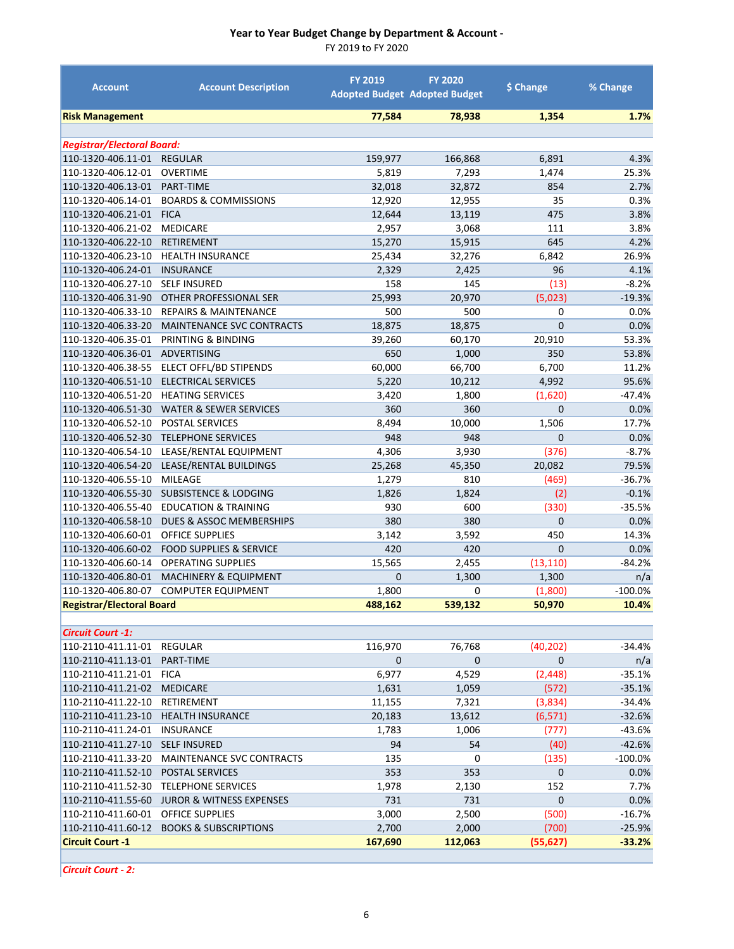FY 2019 to FY 2020

| 77,584<br>1,354<br>1.7%<br><b>Risk Management</b><br>78,938<br><b>Registrar/Electoral Board:</b><br>110-1320-406.11-01<br>159,977<br><b>REGULAR</b><br>166,868<br>6,891<br>4.3%<br>5,819<br>1,474<br>110-1320-406.12-01<br><b>OVERTIME</b><br>7,293<br>25.3%<br>110-1320-406.13-01<br>PART-TIME<br>32,018<br>32,872<br>854<br>2.7%<br>12,920<br>0.3%<br>110-1320-406.14-01<br><b>BOARDS &amp; COMMISSIONS</b><br>12,955<br>35<br>110-1320-406.21-01<br><b>FICA</b><br>12,644<br>3.8%<br>13,119<br>475<br>110-1320-406.21-02<br><b>MEDICARE</b><br>2,957<br>3,068<br>111<br>3.8%<br>110-1320-406.22-10<br>15,270<br>645<br>4.2%<br><b>RETIREMENT</b><br>15,915<br>110-1320-406.23-10<br>25,434<br>32,276<br>6,842<br>26.9%<br><b>HEALTH INSURANCE</b><br>110-1320-406.24-01<br>96<br><b>INSURANCE</b><br>2,329<br>2,425<br>4.1%<br>110-1320-406.27-10<br><b>SELF INSURED</b><br>158<br>145<br>(13)<br>$-8.2%$<br>25,993<br>20,970<br>110-1320-406.31-90<br>OTHER PROFESSIONAL SER<br>(5,023)<br>$-19.3%$<br>110-1320-406.33-10<br><b>REPAIRS &amp; MAINTENANCE</b><br>500<br>500<br>0.0%<br>0<br>$\overline{0}$<br>18,875<br>110-1320-406.33-20<br>MAINTENANCE SVC CONTRACTS<br>18,875<br>0.0%<br>PRINTING & BINDING<br>110-1320-406.35-01<br>39,260<br>60,170<br>20,910<br>53.3%<br>1,000<br>350<br>53.8%<br>110-1320-406.36-01<br>ADVERTISING<br>650<br>110-1320-406.38-55<br>ELECT OFFL/BD STIPENDS<br>60,000<br>66,700<br>6,700<br>11.2%<br>110-1320-406.51-10<br>4,992<br>95.6%<br><b>ELECTRICAL SERVICES</b><br>5,220<br>10,212<br>110-1320-406.51-20<br>$-47.4%$<br><b>HEATING SERVICES</b><br>3,420<br>1,800<br>(1,620)<br>0<br>110-1320-406.51-30<br><b>WATER &amp; SEWER SERVICES</b><br>360<br>360<br>0.0%<br>110-1320-406.52-10<br>17.7%<br>POSTAL SERVICES<br>8,494<br>10,000<br>1,506<br>948<br>110-1320-406.52-30<br><b>TELEPHONE SERVICES</b><br>948<br>0<br>0.0%<br>4,306<br>$-8.7%$<br>110-1320-406.54-10<br>LEASE/RENTAL EQUIPMENT<br>3,930<br>(376)<br>110-1320-406.54-20<br>LEASE/RENTAL BUILDINGS<br>25,268<br>20,082<br>79.5%<br>45,350<br>110-1320-406.55-10<br>MILEAGE<br>1,279<br>810<br>(469)<br>$-36.7%$<br>(2)<br>110-1320-406.55-30<br><b>SUBSISTENCE &amp; LODGING</b><br>1,826<br>1,824<br>$-0.1%$<br>110-1320-406.55-40<br><b>EDUCATION &amp; TRAINING</b><br>930<br>600<br>(330)<br>$-35.5%$<br>380<br>380<br>0<br>110-1320-406.58-10<br>DUES & ASSOC MEMBERSHIPS<br>0.0%<br>110-1320-406.60-01<br><b>OFFICE SUPPLIES</b><br>3,142<br>3,592<br>450<br>14.3%<br>0<br>110-1320-406.60-02<br><b>FOOD SUPPLIES &amp; SERVICE</b><br>420<br>420<br>0.0%<br>15,565<br>2,455<br>$-84.2%$<br>110-1320-406.60-14<br><b>OPERATING SUPPLIES</b><br>(13, 110)<br>$\overline{0}$<br>1,300<br>110-1320-406.80-01<br><b>MACHINERY &amp; EQUIPMENT</b><br>1,300<br>n/a<br>110-1320-406.80-07<br><b>COMPUTER EQUIPMENT</b><br>1,800<br>0<br>(1,800)<br>$-100.0%$<br>488,162<br>50,970<br><b>Registrar/Electoral Board</b><br>539,132<br>10.4%<br><b>Circuit Court -1:</b> |
|-------------------------------------------------------------------------------------------------------------------------------------------------------------------------------------------------------------------------------------------------------------------------------------------------------------------------------------------------------------------------------------------------------------------------------------------------------------------------------------------------------------------------------------------------------------------------------------------------------------------------------------------------------------------------------------------------------------------------------------------------------------------------------------------------------------------------------------------------------------------------------------------------------------------------------------------------------------------------------------------------------------------------------------------------------------------------------------------------------------------------------------------------------------------------------------------------------------------------------------------------------------------------------------------------------------------------------------------------------------------------------------------------------------------------------------------------------------------------------------------------------------------------------------------------------------------------------------------------------------------------------------------------------------------------------------------------------------------------------------------------------------------------------------------------------------------------------------------------------------------------------------------------------------------------------------------------------------------------------------------------------------------------------------------------------------------------------------------------------------------------------------------------------------------------------------------------------------------------------------------------------------------------------------------------------------------------------------------------------------------------------------------------------------------------------------------------------------------------------------------------------------------------------------------------------------------------------------------------------------------------------------------------------------------------------------------------------------------------------------------------------------------------------------------------------------------------------------------------------------------------------------------------------------------------------------------------------------------------------------------|
|                                                                                                                                                                                                                                                                                                                                                                                                                                                                                                                                                                                                                                                                                                                                                                                                                                                                                                                                                                                                                                                                                                                                                                                                                                                                                                                                                                                                                                                                                                                                                                                                                                                                                                                                                                                                                                                                                                                                                                                                                                                                                                                                                                                                                                                                                                                                                                                                                                                                                                                                                                                                                                                                                                                                                                                                                                                                                                                                                                                           |
|                                                                                                                                                                                                                                                                                                                                                                                                                                                                                                                                                                                                                                                                                                                                                                                                                                                                                                                                                                                                                                                                                                                                                                                                                                                                                                                                                                                                                                                                                                                                                                                                                                                                                                                                                                                                                                                                                                                                                                                                                                                                                                                                                                                                                                                                                                                                                                                                                                                                                                                                                                                                                                                                                                                                                                                                                                                                                                                                                                                           |
|                                                                                                                                                                                                                                                                                                                                                                                                                                                                                                                                                                                                                                                                                                                                                                                                                                                                                                                                                                                                                                                                                                                                                                                                                                                                                                                                                                                                                                                                                                                                                                                                                                                                                                                                                                                                                                                                                                                                                                                                                                                                                                                                                                                                                                                                                                                                                                                                                                                                                                                                                                                                                                                                                                                                                                                                                                                                                                                                                                                           |
|                                                                                                                                                                                                                                                                                                                                                                                                                                                                                                                                                                                                                                                                                                                                                                                                                                                                                                                                                                                                                                                                                                                                                                                                                                                                                                                                                                                                                                                                                                                                                                                                                                                                                                                                                                                                                                                                                                                                                                                                                                                                                                                                                                                                                                                                                                                                                                                                                                                                                                                                                                                                                                                                                                                                                                                                                                                                                                                                                                                           |
|                                                                                                                                                                                                                                                                                                                                                                                                                                                                                                                                                                                                                                                                                                                                                                                                                                                                                                                                                                                                                                                                                                                                                                                                                                                                                                                                                                                                                                                                                                                                                                                                                                                                                                                                                                                                                                                                                                                                                                                                                                                                                                                                                                                                                                                                                                                                                                                                                                                                                                                                                                                                                                                                                                                                                                                                                                                                                                                                                                                           |
|                                                                                                                                                                                                                                                                                                                                                                                                                                                                                                                                                                                                                                                                                                                                                                                                                                                                                                                                                                                                                                                                                                                                                                                                                                                                                                                                                                                                                                                                                                                                                                                                                                                                                                                                                                                                                                                                                                                                                                                                                                                                                                                                                                                                                                                                                                                                                                                                                                                                                                                                                                                                                                                                                                                                                                                                                                                                                                                                                                                           |
|                                                                                                                                                                                                                                                                                                                                                                                                                                                                                                                                                                                                                                                                                                                                                                                                                                                                                                                                                                                                                                                                                                                                                                                                                                                                                                                                                                                                                                                                                                                                                                                                                                                                                                                                                                                                                                                                                                                                                                                                                                                                                                                                                                                                                                                                                                                                                                                                                                                                                                                                                                                                                                                                                                                                                                                                                                                                                                                                                                                           |
|                                                                                                                                                                                                                                                                                                                                                                                                                                                                                                                                                                                                                                                                                                                                                                                                                                                                                                                                                                                                                                                                                                                                                                                                                                                                                                                                                                                                                                                                                                                                                                                                                                                                                                                                                                                                                                                                                                                                                                                                                                                                                                                                                                                                                                                                                                                                                                                                                                                                                                                                                                                                                                                                                                                                                                                                                                                                                                                                                                                           |
|                                                                                                                                                                                                                                                                                                                                                                                                                                                                                                                                                                                                                                                                                                                                                                                                                                                                                                                                                                                                                                                                                                                                                                                                                                                                                                                                                                                                                                                                                                                                                                                                                                                                                                                                                                                                                                                                                                                                                                                                                                                                                                                                                                                                                                                                                                                                                                                                                                                                                                                                                                                                                                                                                                                                                                                                                                                                                                                                                                                           |
|                                                                                                                                                                                                                                                                                                                                                                                                                                                                                                                                                                                                                                                                                                                                                                                                                                                                                                                                                                                                                                                                                                                                                                                                                                                                                                                                                                                                                                                                                                                                                                                                                                                                                                                                                                                                                                                                                                                                                                                                                                                                                                                                                                                                                                                                                                                                                                                                                                                                                                                                                                                                                                                                                                                                                                                                                                                                                                                                                                                           |
|                                                                                                                                                                                                                                                                                                                                                                                                                                                                                                                                                                                                                                                                                                                                                                                                                                                                                                                                                                                                                                                                                                                                                                                                                                                                                                                                                                                                                                                                                                                                                                                                                                                                                                                                                                                                                                                                                                                                                                                                                                                                                                                                                                                                                                                                                                                                                                                                                                                                                                                                                                                                                                                                                                                                                                                                                                                                                                                                                                                           |
|                                                                                                                                                                                                                                                                                                                                                                                                                                                                                                                                                                                                                                                                                                                                                                                                                                                                                                                                                                                                                                                                                                                                                                                                                                                                                                                                                                                                                                                                                                                                                                                                                                                                                                                                                                                                                                                                                                                                                                                                                                                                                                                                                                                                                                                                                                                                                                                                                                                                                                                                                                                                                                                                                                                                                                                                                                                                                                                                                                                           |
|                                                                                                                                                                                                                                                                                                                                                                                                                                                                                                                                                                                                                                                                                                                                                                                                                                                                                                                                                                                                                                                                                                                                                                                                                                                                                                                                                                                                                                                                                                                                                                                                                                                                                                                                                                                                                                                                                                                                                                                                                                                                                                                                                                                                                                                                                                                                                                                                                                                                                                                                                                                                                                                                                                                                                                                                                                                                                                                                                                                           |
|                                                                                                                                                                                                                                                                                                                                                                                                                                                                                                                                                                                                                                                                                                                                                                                                                                                                                                                                                                                                                                                                                                                                                                                                                                                                                                                                                                                                                                                                                                                                                                                                                                                                                                                                                                                                                                                                                                                                                                                                                                                                                                                                                                                                                                                                                                                                                                                                                                                                                                                                                                                                                                                                                                                                                                                                                                                                                                                                                                                           |
|                                                                                                                                                                                                                                                                                                                                                                                                                                                                                                                                                                                                                                                                                                                                                                                                                                                                                                                                                                                                                                                                                                                                                                                                                                                                                                                                                                                                                                                                                                                                                                                                                                                                                                                                                                                                                                                                                                                                                                                                                                                                                                                                                                                                                                                                                                                                                                                                                                                                                                                                                                                                                                                                                                                                                                                                                                                                                                                                                                                           |
|                                                                                                                                                                                                                                                                                                                                                                                                                                                                                                                                                                                                                                                                                                                                                                                                                                                                                                                                                                                                                                                                                                                                                                                                                                                                                                                                                                                                                                                                                                                                                                                                                                                                                                                                                                                                                                                                                                                                                                                                                                                                                                                                                                                                                                                                                                                                                                                                                                                                                                                                                                                                                                                                                                                                                                                                                                                                                                                                                                                           |
|                                                                                                                                                                                                                                                                                                                                                                                                                                                                                                                                                                                                                                                                                                                                                                                                                                                                                                                                                                                                                                                                                                                                                                                                                                                                                                                                                                                                                                                                                                                                                                                                                                                                                                                                                                                                                                                                                                                                                                                                                                                                                                                                                                                                                                                                                                                                                                                                                                                                                                                                                                                                                                                                                                                                                                                                                                                                                                                                                                                           |
|                                                                                                                                                                                                                                                                                                                                                                                                                                                                                                                                                                                                                                                                                                                                                                                                                                                                                                                                                                                                                                                                                                                                                                                                                                                                                                                                                                                                                                                                                                                                                                                                                                                                                                                                                                                                                                                                                                                                                                                                                                                                                                                                                                                                                                                                                                                                                                                                                                                                                                                                                                                                                                                                                                                                                                                                                                                                                                                                                                                           |
|                                                                                                                                                                                                                                                                                                                                                                                                                                                                                                                                                                                                                                                                                                                                                                                                                                                                                                                                                                                                                                                                                                                                                                                                                                                                                                                                                                                                                                                                                                                                                                                                                                                                                                                                                                                                                                                                                                                                                                                                                                                                                                                                                                                                                                                                                                                                                                                                                                                                                                                                                                                                                                                                                                                                                                                                                                                                                                                                                                                           |
|                                                                                                                                                                                                                                                                                                                                                                                                                                                                                                                                                                                                                                                                                                                                                                                                                                                                                                                                                                                                                                                                                                                                                                                                                                                                                                                                                                                                                                                                                                                                                                                                                                                                                                                                                                                                                                                                                                                                                                                                                                                                                                                                                                                                                                                                                                                                                                                                                                                                                                                                                                                                                                                                                                                                                                                                                                                                                                                                                                                           |
|                                                                                                                                                                                                                                                                                                                                                                                                                                                                                                                                                                                                                                                                                                                                                                                                                                                                                                                                                                                                                                                                                                                                                                                                                                                                                                                                                                                                                                                                                                                                                                                                                                                                                                                                                                                                                                                                                                                                                                                                                                                                                                                                                                                                                                                                                                                                                                                                                                                                                                                                                                                                                                                                                                                                                                                                                                                                                                                                                                                           |
|                                                                                                                                                                                                                                                                                                                                                                                                                                                                                                                                                                                                                                                                                                                                                                                                                                                                                                                                                                                                                                                                                                                                                                                                                                                                                                                                                                                                                                                                                                                                                                                                                                                                                                                                                                                                                                                                                                                                                                                                                                                                                                                                                                                                                                                                                                                                                                                                                                                                                                                                                                                                                                                                                                                                                                                                                                                                                                                                                                                           |
|                                                                                                                                                                                                                                                                                                                                                                                                                                                                                                                                                                                                                                                                                                                                                                                                                                                                                                                                                                                                                                                                                                                                                                                                                                                                                                                                                                                                                                                                                                                                                                                                                                                                                                                                                                                                                                                                                                                                                                                                                                                                                                                                                                                                                                                                                                                                                                                                                                                                                                                                                                                                                                                                                                                                                                                                                                                                                                                                                                                           |
|                                                                                                                                                                                                                                                                                                                                                                                                                                                                                                                                                                                                                                                                                                                                                                                                                                                                                                                                                                                                                                                                                                                                                                                                                                                                                                                                                                                                                                                                                                                                                                                                                                                                                                                                                                                                                                                                                                                                                                                                                                                                                                                                                                                                                                                                                                                                                                                                                                                                                                                                                                                                                                                                                                                                                                                                                                                                                                                                                                                           |
|                                                                                                                                                                                                                                                                                                                                                                                                                                                                                                                                                                                                                                                                                                                                                                                                                                                                                                                                                                                                                                                                                                                                                                                                                                                                                                                                                                                                                                                                                                                                                                                                                                                                                                                                                                                                                                                                                                                                                                                                                                                                                                                                                                                                                                                                                                                                                                                                                                                                                                                                                                                                                                                                                                                                                                                                                                                                                                                                                                                           |
|                                                                                                                                                                                                                                                                                                                                                                                                                                                                                                                                                                                                                                                                                                                                                                                                                                                                                                                                                                                                                                                                                                                                                                                                                                                                                                                                                                                                                                                                                                                                                                                                                                                                                                                                                                                                                                                                                                                                                                                                                                                                                                                                                                                                                                                                                                                                                                                                                                                                                                                                                                                                                                                                                                                                                                                                                                                                                                                                                                                           |
|                                                                                                                                                                                                                                                                                                                                                                                                                                                                                                                                                                                                                                                                                                                                                                                                                                                                                                                                                                                                                                                                                                                                                                                                                                                                                                                                                                                                                                                                                                                                                                                                                                                                                                                                                                                                                                                                                                                                                                                                                                                                                                                                                                                                                                                                                                                                                                                                                                                                                                                                                                                                                                                                                                                                                                                                                                                                                                                                                                                           |
|                                                                                                                                                                                                                                                                                                                                                                                                                                                                                                                                                                                                                                                                                                                                                                                                                                                                                                                                                                                                                                                                                                                                                                                                                                                                                                                                                                                                                                                                                                                                                                                                                                                                                                                                                                                                                                                                                                                                                                                                                                                                                                                                                                                                                                                                                                                                                                                                                                                                                                                                                                                                                                                                                                                                                                                                                                                                                                                                                                                           |
|                                                                                                                                                                                                                                                                                                                                                                                                                                                                                                                                                                                                                                                                                                                                                                                                                                                                                                                                                                                                                                                                                                                                                                                                                                                                                                                                                                                                                                                                                                                                                                                                                                                                                                                                                                                                                                                                                                                                                                                                                                                                                                                                                                                                                                                                                                                                                                                                                                                                                                                                                                                                                                                                                                                                                                                                                                                                                                                                                                                           |
|                                                                                                                                                                                                                                                                                                                                                                                                                                                                                                                                                                                                                                                                                                                                                                                                                                                                                                                                                                                                                                                                                                                                                                                                                                                                                                                                                                                                                                                                                                                                                                                                                                                                                                                                                                                                                                                                                                                                                                                                                                                                                                                                                                                                                                                                                                                                                                                                                                                                                                                                                                                                                                                                                                                                                                                                                                                                                                                                                                                           |
|                                                                                                                                                                                                                                                                                                                                                                                                                                                                                                                                                                                                                                                                                                                                                                                                                                                                                                                                                                                                                                                                                                                                                                                                                                                                                                                                                                                                                                                                                                                                                                                                                                                                                                                                                                                                                                                                                                                                                                                                                                                                                                                                                                                                                                                                                                                                                                                                                                                                                                                                                                                                                                                                                                                                                                                                                                                                                                                                                                                           |
|                                                                                                                                                                                                                                                                                                                                                                                                                                                                                                                                                                                                                                                                                                                                                                                                                                                                                                                                                                                                                                                                                                                                                                                                                                                                                                                                                                                                                                                                                                                                                                                                                                                                                                                                                                                                                                                                                                                                                                                                                                                                                                                                                                                                                                                                                                                                                                                                                                                                                                                                                                                                                                                                                                                                                                                                                                                                                                                                                                                           |
|                                                                                                                                                                                                                                                                                                                                                                                                                                                                                                                                                                                                                                                                                                                                                                                                                                                                                                                                                                                                                                                                                                                                                                                                                                                                                                                                                                                                                                                                                                                                                                                                                                                                                                                                                                                                                                                                                                                                                                                                                                                                                                                                                                                                                                                                                                                                                                                                                                                                                                                                                                                                                                                                                                                                                                                                                                                                                                                                                                                           |
|                                                                                                                                                                                                                                                                                                                                                                                                                                                                                                                                                                                                                                                                                                                                                                                                                                                                                                                                                                                                                                                                                                                                                                                                                                                                                                                                                                                                                                                                                                                                                                                                                                                                                                                                                                                                                                                                                                                                                                                                                                                                                                                                                                                                                                                                                                                                                                                                                                                                                                                                                                                                                                                                                                                                                                                                                                                                                                                                                                                           |
|                                                                                                                                                                                                                                                                                                                                                                                                                                                                                                                                                                                                                                                                                                                                                                                                                                                                                                                                                                                                                                                                                                                                                                                                                                                                                                                                                                                                                                                                                                                                                                                                                                                                                                                                                                                                                                                                                                                                                                                                                                                                                                                                                                                                                                                                                                                                                                                                                                                                                                                                                                                                                                                                                                                                                                                                                                                                                                                                                                                           |
|                                                                                                                                                                                                                                                                                                                                                                                                                                                                                                                                                                                                                                                                                                                                                                                                                                                                                                                                                                                                                                                                                                                                                                                                                                                                                                                                                                                                                                                                                                                                                                                                                                                                                                                                                                                                                                                                                                                                                                                                                                                                                                                                                                                                                                                                                                                                                                                                                                                                                                                                                                                                                                                                                                                                                                                                                                                                                                                                                                                           |
|                                                                                                                                                                                                                                                                                                                                                                                                                                                                                                                                                                                                                                                                                                                                                                                                                                                                                                                                                                                                                                                                                                                                                                                                                                                                                                                                                                                                                                                                                                                                                                                                                                                                                                                                                                                                                                                                                                                                                                                                                                                                                                                                                                                                                                                                                                                                                                                                                                                                                                                                                                                                                                                                                                                                                                                                                                                                                                                                                                                           |
| 110-2110-411.11-01<br>REGULAR<br>116,970<br>76,768<br>(40, 202)<br>$-34.4%$                                                                                                                                                                                                                                                                                                                                                                                                                                                                                                                                                                                                                                                                                                                                                                                                                                                                                                                                                                                                                                                                                                                                                                                                                                                                                                                                                                                                                                                                                                                                                                                                                                                                                                                                                                                                                                                                                                                                                                                                                                                                                                                                                                                                                                                                                                                                                                                                                                                                                                                                                                                                                                                                                                                                                                                                                                                                                                               |
| $\mathbf 0$<br>$\mathbf 0$<br>110-2110-411.13-01<br>PART-TIME<br>$\mathbf 0$<br>n/a                                                                                                                                                                                                                                                                                                                                                                                                                                                                                                                                                                                                                                                                                                                                                                                                                                                                                                                                                                                                                                                                                                                                                                                                                                                                                                                                                                                                                                                                                                                                                                                                                                                                                                                                                                                                                                                                                                                                                                                                                                                                                                                                                                                                                                                                                                                                                                                                                                                                                                                                                                                                                                                                                                                                                                                                                                                                                                       |
| 6,977<br>4,529<br>$-35.1%$<br>110-2110-411.21-01<br><b>FICA</b><br>(2, 448)                                                                                                                                                                                                                                                                                                                                                                                                                                                                                                                                                                                                                                                                                                                                                                                                                                                                                                                                                                                                                                                                                                                                                                                                                                                                                                                                                                                                                                                                                                                                                                                                                                                                                                                                                                                                                                                                                                                                                                                                                                                                                                                                                                                                                                                                                                                                                                                                                                                                                                                                                                                                                                                                                                                                                                                                                                                                                                               |
| (572)<br>110-2110-411.21-02<br><b>MEDICARE</b><br>1,631<br>1,059<br>$-35.1%$                                                                                                                                                                                                                                                                                                                                                                                                                                                                                                                                                                                                                                                                                                                                                                                                                                                                                                                                                                                                                                                                                                                                                                                                                                                                                                                                                                                                                                                                                                                                                                                                                                                                                                                                                                                                                                                                                                                                                                                                                                                                                                                                                                                                                                                                                                                                                                                                                                                                                                                                                                                                                                                                                                                                                                                                                                                                                                              |
| 110-2110-411.22-10<br>RETIREMENT<br>11,155<br>7,321<br>(3,834)<br>$-34.4%$                                                                                                                                                                                                                                                                                                                                                                                                                                                                                                                                                                                                                                                                                                                                                                                                                                                                                                                                                                                                                                                                                                                                                                                                                                                                                                                                                                                                                                                                                                                                                                                                                                                                                                                                                                                                                                                                                                                                                                                                                                                                                                                                                                                                                                                                                                                                                                                                                                                                                                                                                                                                                                                                                                                                                                                                                                                                                                                |
| (6, 571)<br>110-2110-411.23-10<br><b>HEALTH INSURANCE</b><br>13,612<br>$-32.6%$<br>20,183                                                                                                                                                                                                                                                                                                                                                                                                                                                                                                                                                                                                                                                                                                                                                                                                                                                                                                                                                                                                                                                                                                                                                                                                                                                                                                                                                                                                                                                                                                                                                                                                                                                                                                                                                                                                                                                                                                                                                                                                                                                                                                                                                                                                                                                                                                                                                                                                                                                                                                                                                                                                                                                                                                                                                                                                                                                                                                 |
| 110-2110-411.24-01<br><b>INSURANCE</b><br>(777)<br>$-43.6%$<br>1,783<br>1,006                                                                                                                                                                                                                                                                                                                                                                                                                                                                                                                                                                                                                                                                                                                                                                                                                                                                                                                                                                                                                                                                                                                                                                                                                                                                                                                                                                                                                                                                                                                                                                                                                                                                                                                                                                                                                                                                                                                                                                                                                                                                                                                                                                                                                                                                                                                                                                                                                                                                                                                                                                                                                                                                                                                                                                                                                                                                                                             |
| 94<br>(40)<br>110-2110-411.27-10<br><b>SELF INSURED</b><br>54<br>$-42.6%$                                                                                                                                                                                                                                                                                                                                                                                                                                                                                                                                                                                                                                                                                                                                                                                                                                                                                                                                                                                                                                                                                                                                                                                                                                                                                                                                                                                                                                                                                                                                                                                                                                                                                                                                                                                                                                                                                                                                                                                                                                                                                                                                                                                                                                                                                                                                                                                                                                                                                                                                                                                                                                                                                                                                                                                                                                                                                                                 |
| 110-2110-411.33-20<br>MAINTENANCE SVC CONTRACTS<br>135<br>(135)<br>$-100.0\%$<br>0                                                                                                                                                                                                                                                                                                                                                                                                                                                                                                                                                                                                                                                                                                                                                                                                                                                                                                                                                                                                                                                                                                                                                                                                                                                                                                                                                                                                                                                                                                                                                                                                                                                                                                                                                                                                                                                                                                                                                                                                                                                                                                                                                                                                                                                                                                                                                                                                                                                                                                                                                                                                                                                                                                                                                                                                                                                                                                        |
| 353<br>353<br>$\mathbf 0$<br>110-2110-411.52-10<br>POSTAL SERVICES<br>0.0%                                                                                                                                                                                                                                                                                                                                                                                                                                                                                                                                                                                                                                                                                                                                                                                                                                                                                                                                                                                                                                                                                                                                                                                                                                                                                                                                                                                                                                                                                                                                                                                                                                                                                                                                                                                                                                                                                                                                                                                                                                                                                                                                                                                                                                                                                                                                                                                                                                                                                                                                                                                                                                                                                                                                                                                                                                                                                                                |
| 1,978<br>2,130<br>110-2110-411.52-30<br><b>TELEPHONE SERVICES</b><br>152<br>7.7%                                                                                                                                                                                                                                                                                                                                                                                                                                                                                                                                                                                                                                                                                                                                                                                                                                                                                                                                                                                                                                                                                                                                                                                                                                                                                                                                                                                                                                                                                                                                                                                                                                                                                                                                                                                                                                                                                                                                                                                                                                                                                                                                                                                                                                                                                                                                                                                                                                                                                                                                                                                                                                                                                                                                                                                                                                                                                                          |
| $\mathbf 0$<br>731<br>731<br>110-2110-411.55-60<br>JUROR & WITNESS EXPENSES<br>0.0%                                                                                                                                                                                                                                                                                                                                                                                                                                                                                                                                                                                                                                                                                                                                                                                                                                                                                                                                                                                                                                                                                                                                                                                                                                                                                                                                                                                                                                                                                                                                                                                                                                                                                                                                                                                                                                                                                                                                                                                                                                                                                                                                                                                                                                                                                                                                                                                                                                                                                                                                                                                                                                                                                                                                                                                                                                                                                                       |
| OFFICE SUPPLIES<br>3,000<br>2,500<br>(500)<br>110-2110-411.60-01<br>$-16.7%$                                                                                                                                                                                                                                                                                                                                                                                                                                                                                                                                                                                                                                                                                                                                                                                                                                                                                                                                                                                                                                                                                                                                                                                                                                                                                                                                                                                                                                                                                                                                                                                                                                                                                                                                                                                                                                                                                                                                                                                                                                                                                                                                                                                                                                                                                                                                                                                                                                                                                                                                                                                                                                                                                                                                                                                                                                                                                                              |
| 2,700<br>2,000<br>(700)<br>$-25.9%$<br>110-2110-411.60-12<br><b>BOOKS &amp; SUBSCRIPTIONS</b>                                                                                                                                                                                                                                                                                                                                                                                                                                                                                                                                                                                                                                                                                                                                                                                                                                                                                                                                                                                                                                                                                                                                                                                                                                                                                                                                                                                                                                                                                                                                                                                                                                                                                                                                                                                                                                                                                                                                                                                                                                                                                                                                                                                                                                                                                                                                                                                                                                                                                                                                                                                                                                                                                                                                                                                                                                                                                             |
| <b>Circuit Court -1</b><br>167,690<br>112,063<br>(55, 627)<br>$-33.2%$                                                                                                                                                                                                                                                                                                                                                                                                                                                                                                                                                                                                                                                                                                                                                                                                                                                                                                                                                                                                                                                                                                                                                                                                                                                                                                                                                                                                                                                                                                                                                                                                                                                                                                                                                                                                                                                                                                                                                                                                                                                                                                                                                                                                                                                                                                                                                                                                                                                                                                                                                                                                                                                                                                                                                                                                                                                                                                                    |

*Circuit Court ‐ 2:*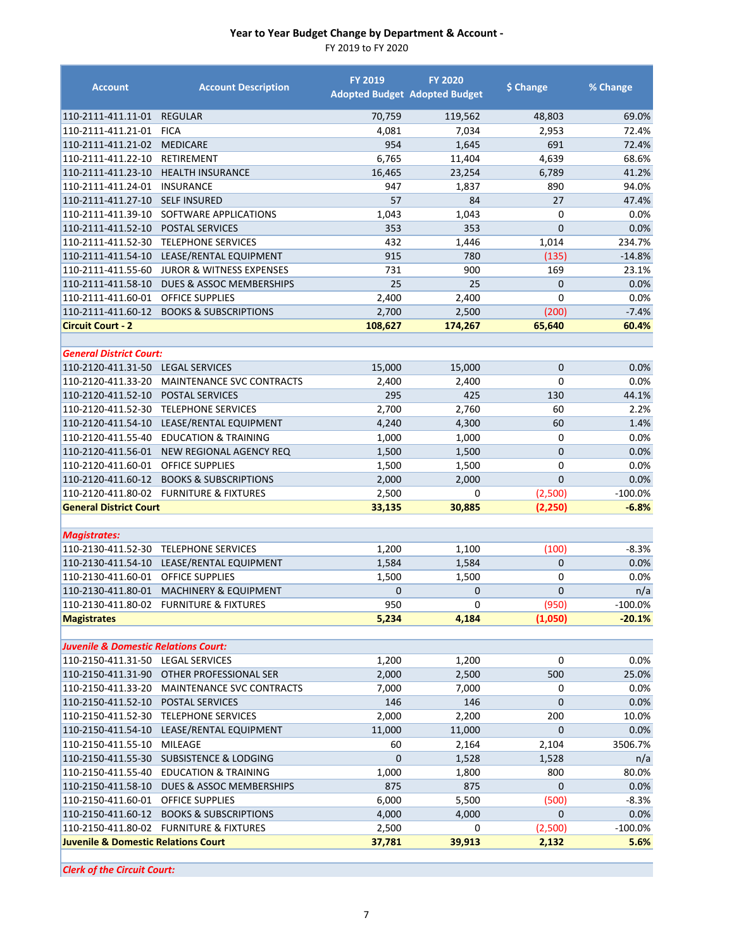FY 2019 to FY 2020

| <b>Account</b>                                  | <b>Account Description</b>              | <b>FY 2019</b> | <b>FY 2020</b><br><b>Adopted Budget Adopted Budget</b> | \$ Change      | % Change  |
|-------------------------------------------------|-----------------------------------------|----------------|--------------------------------------------------------|----------------|-----------|
| 110-2111-411.11-01                              | <b>REGULAR</b>                          | 70,759         | 119,562                                                | 48,803         | 69.0%     |
| 110-2111-411.21-01                              | <b>FICA</b>                             | 4,081          | 7,034                                                  | 2,953          | 72.4%     |
| 110-2111-411.21-02                              | <b>MEDICARE</b>                         | 954            | 1,645                                                  | 691            | 72.4%     |
| 110-2111-411.22-10                              | RETIREMENT                              | 6,765          | 11,404                                                 | 4,639          | 68.6%     |
| 110-2111-411.23-10                              | <b>HEALTH INSURANCE</b>                 | 16,465         | 23,254                                                 | 6,789          | 41.2%     |
| 110-2111-411.24-01                              | <b>INSURANCE</b>                        | 947            | 1,837                                                  | 890            | 94.0%     |
| 110-2111-411.27-10                              | <b>SELF INSURED</b>                     | 57             | 84                                                     | 27             | 47.4%     |
| 110-2111-411.39-10                              | SOFTWARE APPLICATIONS                   | 1,043          | 1,043                                                  | $\mathbf 0$    | 0.0%      |
| 110-2111-411.52-10                              | <b>POSTAL SERVICES</b>                  | 353            | 353                                                    | $\overline{0}$ | 0.0%      |
| 110-2111-411.52-30                              | <b>TELEPHONE SERVICES</b>               | 432            | 1,446                                                  | 1,014          | 234.7%    |
| 110-2111-411.54-10                              | LEASE/RENTAL EQUIPMENT                  | 915            | 780                                                    | (135)          | $-14.8%$  |
| 110-2111-411.55-60                              | <b>JUROR &amp; WITNESS EXPENSES</b>     | 731            | 900                                                    | 169            | 23.1%     |
| 110-2111-411.58-10                              | <b>DUES &amp; ASSOC MEMBERSHIPS</b>     | 25             | 25                                                     | $\mathbf{0}$   | 0.0%      |
| 110-2111-411.60-01                              | <b>OFFICE SUPPLIES</b>                  | 2,400          | 2,400                                                  | 0              | 0.0%      |
| 110-2111-411.60-12                              | <b>BOOKS &amp; SUBSCRIPTIONS</b>        | 2,700          | 2,500                                                  | (200)          | $-7.4%$   |
| <b>Circuit Court - 2</b>                        |                                         | 108,627        | 174,267                                                | 65,640         | 60.4%     |
|                                                 |                                         |                |                                                        |                |           |
| <b>General District Court:</b>                  |                                         |                |                                                        |                |           |
| 110-2120-411.31-50                              | <b>LEGAL SERVICES</b>                   | 15,000         | 15,000                                                 | $\overline{0}$ | 0.0%      |
| 110-2120-411.33-20                              | MAINTENANCE SVC CONTRACTS               | 2,400          | 2,400                                                  | $\mathbf 0$    | 0.0%      |
| 110-2120-411.52-10                              | <b>POSTAL SERVICES</b>                  | 295            | 425                                                    | 130            | 44.1%     |
| 110-2120-411.52-30                              | <b>TELEPHONE SERVICES</b>               | 2,700          | 2,760                                                  | 60             | 2.2%      |
| 110-2120-411.54-10                              | LEASE/RENTAL EQUIPMENT                  | 4,240          | 4,300                                                  | 60             | 1.4%      |
| 110-2120-411.55-40                              | <b>EDUCATION &amp; TRAINING</b>         | 1,000          | 1,000                                                  | $\mathbf 0$    | 0.0%      |
| 110-2120-411.56-01                              | NEW REGIONAL AGENCY REQ                 | 1,500          | 1,500                                                  | $\overline{0}$ | 0.0%      |
| 110-2120-411.60-01                              | <b>OFFICE SUPPLIES</b>                  | 1,500          | 1,500                                                  | $\mathbf 0$    | 0.0%      |
| 110-2120-411.60-12                              | <b>BOOKS &amp; SUBSCRIPTIONS</b>        | 2,000          | 2,000                                                  | $\overline{0}$ | 0.0%      |
| 110-2120-411.80-02                              | <b>FURNITURE &amp; FIXTURES</b>         | 2,500          | 0                                                      | (2,500)        | $-100.0%$ |
| <b>General District Court</b>                   |                                         | 33,135         | 30,885                                                 | (2, 250)       | $-6.8%$   |
| <b>Magistrates:</b>                             |                                         |                |                                                        |                |           |
| 110-2130-411.52-30                              | <b>TELEPHONE SERVICES</b>               | 1,200          | 1,100                                                  | (100)          | $-8.3%$   |
| 110-2130-411.54-10                              | LEASE/RENTAL EQUIPMENT                  | 1,584          | 1,584                                                  | $\mathbf{0}$   | 0.0%      |
| 110-2130-411.60-01                              | <b>OFFICE SUPPLIES</b>                  | 1,500          | 1,500                                                  | 0              | 0.0%      |
| 110-2130-411.80-01                              | MACHINERY & EQUIPMENT                   | $\overline{0}$ | 0                                                      | $\mathbf{0}$   | n/a       |
|                                                 | 110-2130-411.80-02 FURNITURE & FIXTURES | 950            | 0                                                      | (950)          | 100.0%    |
|                                                 |                                         | 5,234          | 4,184                                                  | (1,050)        | $-20.1%$  |
| <b>Magistrates</b>                              |                                         |                |                                                        |                |           |
| <b>Juvenile &amp; Domestic Relations Court:</b> |                                         |                |                                                        |                |           |
| 110-2150-411.31-50                              | <b>LEGAL SERVICES</b>                   | 1,200          | 1,200                                                  | 0              | 0.0%      |
| 110-2150-411.31-90                              | OTHER PROFESSIONAL SER                  | 2,000          | 2,500                                                  | 500            | 25.0%     |
| 110-2150-411.33-20                              | MAINTENANCE SVC CONTRACTS               | 7,000          | 7,000                                                  | 0              | 0.0%      |
| 110-2150-411.52-10                              | POSTAL SERVICES                         | 146            | 146                                                    | $\mathbf 0$    | 0.0%      |
| 110-2150-411.52-30                              | <b>TELEPHONE SERVICES</b>               | 2,000          | 2,200                                                  | 200            | 10.0%     |
| 110-2150-411.54-10                              | LEASE/RENTAL EQUIPMENT                  | 11,000         | 11,000                                                 | $\mathbf 0$    | 0.0%      |
| 110-2150-411.55-10                              | MILEAGE                                 | 60             | 2,164                                                  | 2,104          | 3506.7%   |
| 110-2150-411.55-30                              | <b>SUBSISTENCE &amp; LODGING</b>        | $\mathbf{0}$   | 1,528                                                  | 1,528          | n/a       |
| 110-2150-411.55-40                              | <b>EDUCATION &amp; TRAINING</b>         | 1,000          | 1,800                                                  | 800            | 80.0%     |
| 110-2150-411.58-10                              | DUES & ASSOC MEMBERSHIPS                | 875            | 875                                                    | $\mathbf{0}$   | 0.0%      |
| 110-2150-411.60-01                              | OFFICE SUPPLIES                         | 6,000          | 5,500                                                  | (500)          | $-8.3%$   |
| 110-2150-411.60-12                              | <b>BOOKS &amp; SUBSCRIPTIONS</b>        | 4,000          | 4,000                                                  | $\mathbf{0}$   | 0.0%      |
|                                                 | 110-2150-411.80-02 FURNITURE & FIXTURES | 2,500          | 0                                                      | (2,500)        | $-100.0%$ |
| <b>Juvenile &amp; Domestic Relations Court</b>  |                                         | 37,781         | 39,913                                                 | 2,132          | 5.6%      |
|                                                 |                                         |                |                                                        |                |           |

*Clerk of the Circuit Court:*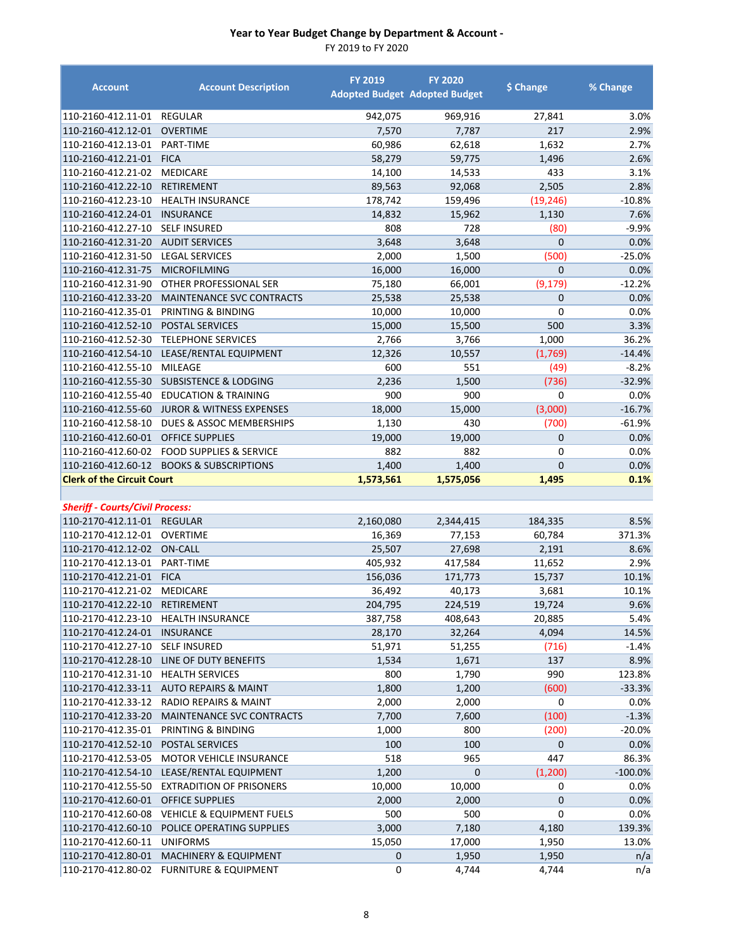| <b>Account</b>                                                       | <b>Account Description</b>                                                   | <b>FY 2019</b> | <b>FY 2020</b><br><b>Adopted Budget Adopted Budget</b> | \$ Change      | % Change   |
|----------------------------------------------------------------------|------------------------------------------------------------------------------|----------------|--------------------------------------------------------|----------------|------------|
| 110-2160-412.11-01 REGULAR                                           |                                                                              | 942,075        | 969,916                                                | 27,841         | 3.0%       |
| 110-2160-412.12-01 OVERTIME                                          |                                                                              | 7,570          | 7,787                                                  | 217            | 2.9%       |
| 110-2160-412.13-01                                                   | PART-TIME                                                                    | 60,986         | 62,618                                                 | 1,632          | 2.7%       |
| 110-2160-412.21-01                                                   | <b>FICA</b>                                                                  | 58,279         | 59,775                                                 | 1,496          | 2.6%       |
| 110-2160-412.21-02                                                   | <b>MEDICARE</b>                                                              | 14,100         | 14,533                                                 | 433            | 3.1%       |
| 110-2160-412.22-10                                                   | RETIREMENT                                                                   | 89,563         | 92,068                                                 | 2,505          | 2.8%       |
| 110-2160-412.23-10                                                   | <b>HEALTH INSURANCE</b>                                                      | 178,742        | 159,496                                                | (19, 246)      | $-10.8%$   |
| 110-2160-412.24-01                                                   | <b>INSURANCE</b>                                                             | 14,832         | 15,962                                                 | 1,130          | 7.6%       |
| 110-2160-412.27-10                                                   | <b>SELF INSURED</b>                                                          | 808            | 728                                                    | (80)           | $-9.9%$    |
| 110-2160-412.31-20                                                   | <b>AUDIT SERVICES</b>                                                        | 3,648          | 3,648                                                  | $\mathbf{0}$   | 0.0%       |
| 110-2160-412.31-50                                                   | <b>LEGAL SERVICES</b>                                                        | 2,000          | 1,500                                                  | (500)          | $-25.0%$   |
| 110-2160-412.31-75                                                   | <b>MICROFILMING</b>                                                          | 16,000         | 16,000                                                 | $\overline{0}$ | 0.0%       |
| 110-2160-412.31-90                                                   | OTHER PROFESSIONAL SER                                                       | 75,180         | 66,001                                                 | (9, 179)       | $-12.2%$   |
| 110-2160-412.33-20                                                   | MAINTENANCE SVC CONTRACTS                                                    | 25,538         | 25,538                                                 | $\mathbf 0$    | 0.0%       |
| 110-2160-412.35-01                                                   | PRINTING & BINDING                                                           | 10,000         | 10,000                                                 | $\mathbf 0$    | 0.0%       |
| 110-2160-412.52-10                                                   | <b>POSTAL SERVICES</b>                                                       | 15,000         | 15,500                                                 | 500            | 3.3%       |
| 110-2160-412.52-30                                                   | <b>TELEPHONE SERVICES</b>                                                    | 2,766          | 3,766                                                  | 1,000          | 36.2%      |
| 110-2160-412.54-10                                                   | LEASE/RENTAL EQUIPMENT                                                       | 12,326         | 10,557                                                 | (1,769)        | $-14.4%$   |
| 110-2160-412.55-10                                                   | MILEAGE                                                                      | 600            | 551                                                    | (49)           | $-8.2%$    |
| 110-2160-412.55-30                                                   | <b>SUBSISTENCE &amp; LODGING</b>                                             | 2,236          | 1,500                                                  | (736)          | $-32.9%$   |
| 110-2160-412.55-40                                                   | <b>EDUCATION &amp; TRAINING</b>                                              | 900            | 900                                                    | $\mathbf 0$    | $0.0\%$    |
| 110-2160-412.55-60                                                   | <b>JUROR &amp; WITNESS EXPENSES</b>                                          | 18,000         | 15,000                                                 | (3,000)        | $-16.7%$   |
| 110-2160-412.58-10                                                   | DUES & ASSOC MEMBERSHIPS                                                     | 1,130          | 430                                                    | (700)          | $-61.9%$   |
| 110-2160-412.60-01                                                   | <b>OFFICE SUPPLIES</b>                                                       | 19,000         | 19,000                                                 | $\mathbf{0}$   | 0.0%       |
| 110-2160-412.60-02                                                   | <b>FOOD SUPPLIES &amp; SERVICE</b>                                           | 882            | 882                                                    | $\mathbf 0$    | 0.0%       |
|                                                                      | 110-2160-412.60-12 BOOKS & SUBSCRIPTIONS                                     | 1,400          | 1,400                                                  | $\mathbf{0}$   | 0.0%       |
| <b>Clerk of the Circuit Court</b>                                    |                                                                              | 1,573,561      | 1,575,056                                              | 1,495          | 0.1%       |
|                                                                      |                                                                              |                |                                                        |                |            |
|                                                                      |                                                                              |                |                                                        |                |            |
|                                                                      |                                                                              |                |                                                        |                |            |
| <b>Sheriff - Courts/Civil Process:</b><br>110-2170-412.11-01 REGULAR |                                                                              | 2,160,080      | 2,344,415                                              | 184,335        | 8.5%       |
| 110-2170-412.12-01                                                   | OVERTIME                                                                     | 16,369         | 77,153                                                 | 60,784         | 371.3%     |
| 110-2170-412.12-02 ON-CALL                                           |                                                                              | 25,507         |                                                        | 2,191          | 8.6%       |
|                                                                      |                                                                              |                | 27,698                                                 |                | 2.9%       |
| 110-2170-412.13-01 PART-TIME<br>110-2170-412.21-01 FICA              |                                                                              | 405,932        | 417,584                                                | 11,652         |            |
| 110-2170-412.21-02 MEDICARE                                          |                                                                              | 156,036        | 171,773                                                | 15,737         | 10.1%      |
|                                                                      |                                                                              | 36,492         | 40,173                                                 | 3,681          | 10.1%      |
| 110-2170-412.22-10 RETIREMENT                                        |                                                                              | 204,795        | 224,519                                                | 19,724         | 9.6%       |
|                                                                      | 110-2170-412.23-10 HEALTH INSURANCE                                          | 387,758        | 408,643                                                | 20,885         | 5.4%       |
| 110-2170-412.24-01                                                   | <b>INSURANCE</b>                                                             | 28,170         | 32,264                                                 | 4,094          | 14.5%      |
| 110-2170-412.27-10                                                   | <b>SELF INSURED</b>                                                          | 51,971         | 51,255                                                 | (716)          | $-1.4%$    |
| 110-2170-412.28-10                                                   | LINE OF DUTY BENEFITS                                                        | 1,534          | 1,671                                                  | 137            | 8.9%       |
| 110-2170-412.31-10                                                   | <b>HEALTH SERVICES</b>                                                       | 800            | 1,790                                                  | 990            | 123.8%     |
| 110-2170-412.33-11                                                   | <b>AUTO REPAIRS &amp; MAINT</b>                                              | 1,800          | 1,200                                                  | (600)          | $-33.3%$   |
| 110-2170-412.33-12                                                   | <b>RADIO REPAIRS &amp; MAINT</b>                                             | 2,000          | 2,000                                                  | 0              | 0.0%       |
| 110-2170-412.33-20                                                   | <b>MAINTENANCE SVC CONTRACTS</b>                                             | 7,700          | 7,600                                                  | (100)          | $-1.3%$    |
| 110-2170-412.35-01                                                   | PRINTING & BINDING                                                           | 1,000          | 800                                                    | (200)          | -20.0%     |
| 110-2170-412.52-10                                                   | POSTAL SERVICES                                                              | 100            | 100                                                    | $\pmb{0}$      | 0.0%       |
| 110-2170-412.53-05                                                   | <b>MOTOR VEHICLE INSURANCE</b>                                               | 518            | 965                                                    | 447            | 86.3%      |
| 110-2170-412.54-10                                                   | LEASE/RENTAL EQUIPMENT                                                       | 1,200          | $\mathbf 0$                                            | (1,200)        | $-100.0\%$ |
| 110-2170-412.55-50                                                   | <b>EXTRADITION OF PRISONERS</b>                                              | 10,000         | 10,000                                                 | 0              | 0.0%       |
| 110-2170-412.60-01 OFFICE SUPPLIES                                   |                                                                              | 2,000          | 2,000                                                  | $\mathbf 0$    | 0.0%       |
| 110-2170-412.60-08                                                   | <b>VEHICLE &amp; EQUIPMENT FUELS</b>                                         | 500            | 500                                                    | 0              | 0.0%       |
| 110-2170-412.60-10                                                   | POLICE OPERATING SUPPLIES                                                    | 3,000          | 7,180                                                  | 4,180          | 139.3%     |
| 110-2170-412.60-11                                                   | <b>UNIFORMS</b>                                                              | 15,050         | 17,000                                                 | 1,950          | 13.0%      |
| 110-2170-412.80-01                                                   | <b>MACHINERY &amp; EQUIPMENT</b><br>110-2170-412.80-02 FURNITURE & EQUIPMENT | 0<br>0         | 1,950<br>4,744                                         | 1,950<br>4,744 | n/a<br>n/a |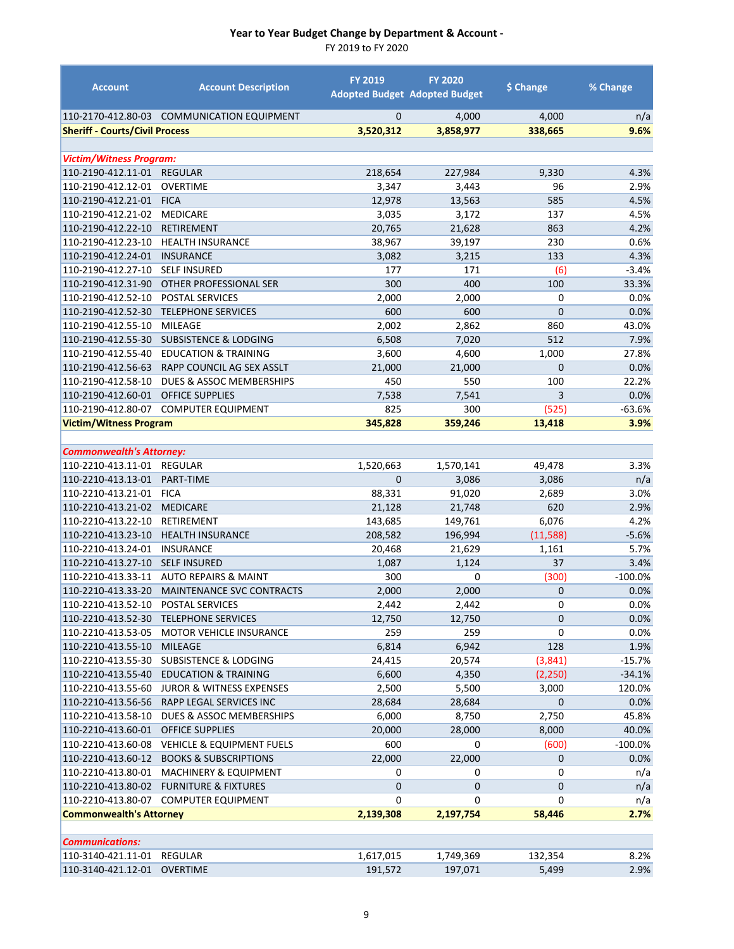| <b>Account</b>                           | <b>Account Description</b>            | <b>FY 2019</b>            | <b>FY 2020</b><br><b>Adopted Budget Adopted Budget</b> | \$ Change      | % Change    |
|------------------------------------------|---------------------------------------|---------------------------|--------------------------------------------------------|----------------|-------------|
| 110-2170-412.80-03                       | <b>COMMUNICATION EQUIPMENT</b>        | $\mathbf{0}$              | 4,000                                                  | 4,000          | n/a         |
| <b>Sheriff - Courts/Civil Process</b>    |                                       | 3,520,312                 | 3,858,977                                              | 338,665        | 9.6%        |
|                                          |                                       |                           |                                                        |                |             |
| <b>Victim/Witness Program:</b>           |                                       |                           |                                                        |                |             |
| 110-2190-412.11-01                       | <b>REGULAR</b>                        | 218,654                   | 227,984                                                | 9,330          | 4.3%        |
| 110-2190-412.12-01                       | <b>OVERTIME</b>                       | 3,347                     | 3,443                                                  | 96             | 2.9%        |
| 110-2190-412.21-01                       | <b>FICA</b>                           | 12,978                    | 13,563                                                 | 585            | 4.5%        |
| 110-2190-412.21-02                       | <b>MEDICARE</b>                       | 3,035                     | 3,172                                                  | 137            | 4.5%        |
| 110-2190-412.22-10                       | <b>RETIREMENT</b>                     | 20,765                    | 21,628                                                 | 863            | 4.2%        |
| 110-2190-412.23-10                       | <b>HEALTH INSURANCE</b>               | 38,967                    | 39,197                                                 | 230            | 0.6%        |
| 110-2190-412.24-01                       | <b>INSURANCE</b>                      | 3,082                     | 3,215                                                  | 133            | 4.3%        |
| 110-2190-412.27-10                       | <b>SELF INSURED</b>                   | 177                       | 171                                                    | (6)            | $-3.4%$     |
| 110-2190-412.31-90                       | OTHER PROFESSIONAL SER                | 300                       | 400                                                    | 100            | 33.3%       |
| 110-2190-412.52-10                       | POSTAL SERVICES                       | 2,000                     | 2,000                                                  | 0              | 0.0%        |
| 110-2190-412.52-30                       | <b>TELEPHONE SERVICES</b>             | 600                       | 600                                                    | $\overline{0}$ | 0.0%        |
| 110-2190-412.55-10                       | MILEAGE                               | 2,002                     | 2,862                                                  | 860            | 43.0%       |
| 110-2190-412.55-30                       | <b>SUBSISTENCE &amp; LODGING</b>      | 6,508                     | 7,020                                                  | 512            | 7.9%        |
| 110-2190-412.55-40                       | <b>EDUCATION &amp; TRAINING</b>       | 3,600                     | 4,600                                                  | 1,000          | 27.8%       |
| 110-2190-412.56-63                       | RAPP COUNCIL AG SEX ASSLT             | 21,000                    | 21,000                                                 | 0              | 0.0%        |
| 110-2190-412.58-10                       | DUES & ASSOC MEMBERSHIPS              | 450                       | 550                                                    | 100            | 22.2%       |
| 110-2190-412.60-01                       | <b>OFFICE SUPPLIES</b>                | 7,538                     | 7,541                                                  | 3              | 0.0%        |
| 110-2190-412.80-07                       | <b>COMPUTER EQUIPMENT</b>             | 825                       | 300                                                    | (525)          | $-63.6%$    |
| <b>Victim/Witness Program</b>            |                                       | 345,828                   | 359,246                                                | 13,418         | 3.9%        |
|                                          |                                       |                           |                                                        |                |             |
| <b>Commonwealth's Attorney:</b>          |                                       |                           |                                                        |                |             |
| 110-2210-413.11-01                       | <b>REGULAR</b>                        | 1,520,663<br>$\mathbf{0}$ | 1,570,141                                              | 49,478         | 3.3%        |
| 110-2210-413.13-01<br>110-2210-413.21-01 | PART-TIME<br><b>FICA</b>              | 88,331                    | 3,086<br>91,020                                        | 3,086<br>2,689 | n/a<br>3.0% |
| 110-2210-413.21-02                       | <b>MEDICARE</b>                       | 21,128                    | 21,748                                                 | 620            | 2.9%        |
| 110-2210-413.22-10                       | RETIREMENT                            | 143,685                   | 149,761                                                | 6,076          | 4.2%        |
| 110-2210-413.23-10                       | <b>HEALTH INSURANCE</b>               | 208,582                   | 196,994                                                | (11,588)       | $-5.6%$     |
| 110-2210-413.24-01                       | <b>INSURANCE</b>                      | 20,468                    | 21,629                                                 | 1,161          | 5.7%        |
| 110-2210-413.27-10                       | <b>SELF INSURED</b>                   | 1,087                     | 1,124                                                  | 37             | 3.4%        |
| 110-2210-413.33-11                       | <b>AUTO REPAIRS &amp; MAINT</b>       | 300                       | $\mathbf 0$                                            | (300)          | $-100.0\%$  |
| 110-2210-413.33-20                       | <b>MAINTENANCE SVC CONTRACTS</b>      | 2,000                     | 2,000                                                  | 0              | 0.0%        |
| 110-2210-413.52-10 POSTAL SERVICES       |                                       | 2,442                     | 2,442                                                  | 0              | 0.0%        |
|                                          | 110-2210-413.52-30 TELEPHONE SERVICES | 12,750                    | 12,750                                                 | $\mathbf 0$    | 0.0%        |
| 110-2210-413.53-05                       | MOTOR VEHICLE INSURANCE               | 259                       | 259                                                    | 0              | 0.0%        |
| 110-2210-413.55-10                       | <b>MILEAGE</b>                        | 6,814                     | 6,942                                                  | 128            | 1.9%        |
| 110-2210-413.55-30                       | <b>SUBSISTENCE &amp; LODGING</b>      | 24,415                    | 20,574                                                 | (3, 841)       | $-15.7%$    |
| 110-2210-413.55-40                       | <b>EDUCATION &amp; TRAINING</b>       | 6,600                     | 4,350                                                  | (2, 250)       | $-34.1%$    |
| 110-2210-413.55-60                       | <b>JUROR &amp; WITNESS EXPENSES</b>   | 2,500                     | 5,500                                                  | 3,000          | 120.0%      |
| 110-2210-413.56-56                       | RAPP LEGAL SERVICES INC               | 28,684                    | 28,684                                                 | 0              | 0.0%        |
| 110-2210-413.58-10                       | DUES & ASSOC MEMBERSHIPS              | 6,000                     | 8,750                                                  | 2,750          | 45.8%       |
| 110-2210-413.60-01                       | <b>OFFICE SUPPLIES</b>                | 20,000                    | 28,000                                                 | 8,000          | 40.0%       |
| 110-2210-413.60-08                       | <b>VEHICLE &amp; EQUIPMENT FUELS</b>  | 600                       | 0                                                      | (600)          | $-100.0%$   |
| 110-2210-413.60-12                       | <b>BOOKS &amp; SUBSCRIPTIONS</b>      | 22,000                    | 22,000                                                 | 0              | 0.0%        |
| 110-2210-413.80-01                       | <b>MACHINERY &amp; EQUIPMENT</b>      | 0                         | 0                                                      | 0              | n/a         |
| 110-2210-413.80-02                       | <b>FURNITURE &amp; FIXTURES</b>       | $\mathbf{0}$              | $\mathbf 0$                                            | 0              | n/a         |
| 110-2210-413.80-07                       | <b>COMPUTER EQUIPMENT</b>             | 0                         | 0                                                      | 0              | n/a         |
| <b>Commonwealth's Attorney</b>           |                                       | 2,139,308                 | 2,197,754                                              | 58,446         | 2.7%        |
|                                          |                                       |                           |                                                        |                |             |
| <b>Communications:</b>                   |                                       |                           |                                                        |                |             |
| 110-3140-421.11-01                       | REGULAR                               | 1,617,015                 | 1,749,369                                              | 132,354        | 8.2%        |
| 110-3140-421.12-01                       | <b>OVERTIME</b>                       | 191,572                   | 197,071                                                | 5,499          | 2.9%        |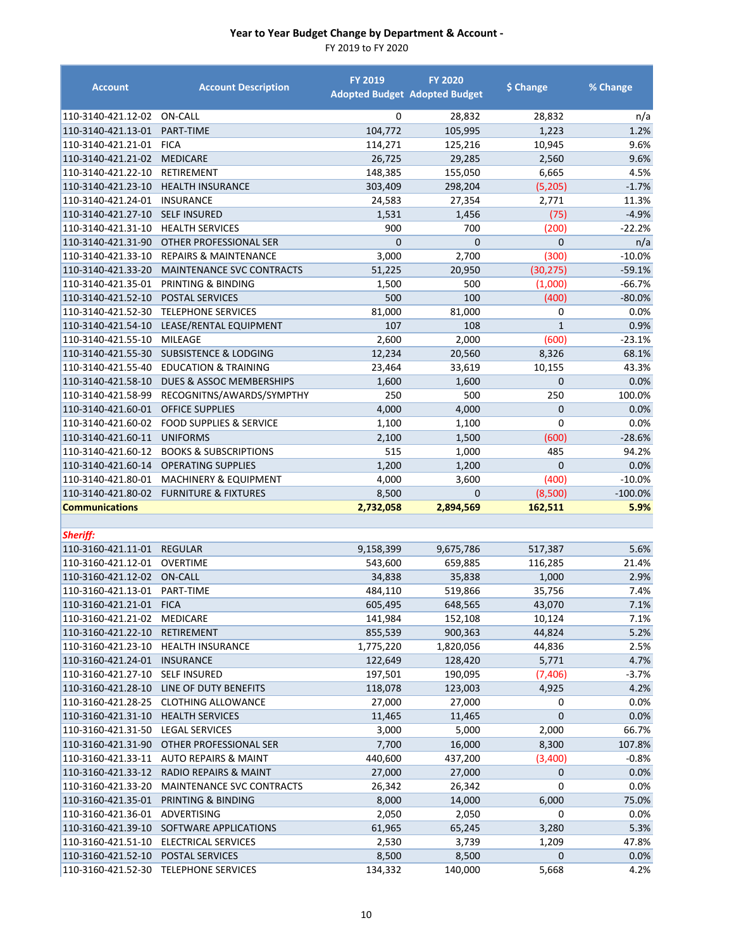| <b>Account</b>                              | <b>Account Description</b>          | <b>FY 2019</b>     | <b>FY 2020</b><br><b>Adopted Budget Adopted Budget</b> | \$ Change          | % Change          |
|---------------------------------------------|-------------------------------------|--------------------|--------------------------------------------------------|--------------------|-------------------|
| 110-3140-421.12-02                          | ON-CALL                             | 0                  | 28,832                                                 | 28,832             | n/a               |
| 110-3140-421.13-01                          | PART-TIME                           | 104,772            | 105,995                                                | 1,223              | 1.2%              |
| 110-3140-421.21-01                          | <b>FICA</b>                         | 114,271            | 125,216                                                | 10,945             | 9.6%              |
| 110-3140-421.21-02                          | <b>MEDICARE</b>                     | 26,725             | 29,285                                                 | 2,560              | 9.6%              |
| 110-3140-421.22-10                          | RETIREMENT                          | 148,385            | 155,050                                                | 6,665              | 4.5%              |
| 110-3140-421.23-10                          | <b>HEALTH INSURANCE</b>             | 303,409            | 298,204                                                | (5, 205)           | $-1.7%$           |
| 110-3140-421.24-01                          | <b>INSURANCE</b>                    | 24,583             | 27,354                                                 | 2,771              | 11.3%             |
| 110-3140-421.27-10                          | <b>SELF INSURED</b>                 | 1,531              | 1,456                                                  | (75)               | $-4.9%$           |
| 110-3140-421.31-10                          | <b>HEALTH SERVICES</b>              | 900                | 700                                                    | (200)              | $-22.2%$          |
| 110-3140-421.31-90                          | OTHER PROFESSIONAL SER              | $\overline{0}$     | $\overline{0}$                                         | 0                  | n/a               |
| 110-3140-421.33-10                          | <b>REPAIRS &amp; MAINTENANCE</b>    | 3,000              | 2,700                                                  | (300)              | $-10.0%$          |
| 110-3140-421.33-20                          | <b>MAINTENANCE SVC CONTRACTS</b>    | 51,225             | 20,950                                                 | (30, 275)          | $-59.1%$          |
| 110-3140-421.35-01                          | PRINTING & BINDING                  | 1,500              | 500                                                    | (1,000)            | $-66.7%$          |
| 110-3140-421.52-10                          | POSTAL SERVICES                     | 500                | 100                                                    | (400)              | $-80.0%$          |
| 110-3140-421.52-30                          | <b>TELEPHONE SERVICES</b>           | 81,000             | 81,000                                                 | 0                  | 0.0%              |
| 110-3140-421.54-10                          | LEASE/RENTAL EQUIPMENT              | 107                | 108                                                    | $\mathbf{1}$       | 0.9%              |
| 110-3140-421.55-10                          | MILEAGE                             | 2,600              | 2,000                                                  | (600)              | $-23.1%$          |
| 110-3140-421.55-30                          | <b>SUBSISTENCE &amp; LODGING</b>    | 12,234             | 20,560                                                 | 8,326              | 68.1%             |
| 110-3140-421.55-40                          | <b>EDUCATION &amp; TRAINING</b>     | 23,464             | 33,619                                                 | 10,155             | 43.3%             |
| 110-3140-421.58-10                          | <b>DUES &amp; ASSOC MEMBERSHIPS</b> | 1,600              | 1,600                                                  | 0                  | 0.0%              |
| 110-3140-421.58-99                          | RECOGNITNS/AWARDS/SYMPTHY           | 250                | 500                                                    | 250                | 100.0%            |
| 110-3140-421.60-01                          | <b>OFFICE SUPPLIES</b>              | 4,000              | 4,000                                                  | 0                  | 0.0%              |
| 110-3140-421.60-02                          | <b>FOOD SUPPLIES &amp; SERVICE</b>  | 1,100              | 1,100                                                  | 0                  | 0.0%              |
| 110-3140-421.60-11                          | <b>UNIFORMS</b>                     | 2,100              | 1,500                                                  | (600)              | $-28.6%$          |
| 110-3140-421.60-12                          | <b>BOOKS &amp; SUBSCRIPTIONS</b>    | 515                | 1,000                                                  | 485                | 94.2%             |
| 110-3140-421.60-14                          | <b>OPERATING SUPPLIES</b>           | 1,200              | 1,200                                                  | 0                  | 0.0%              |
| 110-3140-421.80-01                          | MACHINERY & EQUIPMENT               | 4,000              | 3,600<br>0                                             | (400)              | $-10.0%$          |
| 110-3140-421.80-02<br><b>Communications</b> | <b>FURNITURE &amp; FIXTURES</b>     | 8,500<br>2,732,058 | 2,894,569                                              | (8,500)<br>162,511 | $-100.0%$<br>5.9% |
|                                             |                                     |                    |                                                        |                    |                   |
| Sheriff:                                    |                                     |                    |                                                        |                    |                   |
| 110-3160-421.11-01                          | <b>REGULAR</b>                      | 9,158,399          | 9,675,786                                              | 517,387            | 5.6%              |
| 110-3160-421.12-01                          | OVERTIME                            | 543,600            | 659,885                                                | 116,285            | 21.4%             |
| 110-3160-421.12-02                          | <b>ON-CALL</b>                      | 34,838             | 35,838                                                 | 1,000              | 2.9%              |
| 110-3160-421.13-01                          | PART-TIME                           | 484,110            | 519,866                                                | 35,756             | 7.4%              |
| 110-3160-421.21-01 FICA                     |                                     | 605,495            | 648,565                                                | 43,070             | 7.1%              |
| 110-3160-421.21-02                          | MEDICARE                            | 141,984            | 152,108                                                | 10,124             | 7.1%              |
| 110-3160-421.22-10                          | <b>RETIREMENT</b>                   | 855,539            | 900,363                                                | 44,824             | 5.2%              |
| 110-3160-421.23-10                          | <b>HEALTH INSURANCE</b>             | 1,775,220          | 1,820,056                                              | 44,836             | 2.5%              |
| 110-3160-421.24-01                          | <b>INSURANCE</b>                    | 122,649            | 128,420                                                | 5,771              | 4.7%              |
| 110-3160-421.27-10                          | <b>SELF INSURED</b>                 | 197,501            | 190,095                                                | (7, 406)           | $-3.7%$           |
| 110-3160-421.28-10                          | LINE OF DUTY BENEFITS               | 118,078            | 123,003                                                | 4,925              | 4.2%              |
| 110-3160-421.28-25                          | <b>CLOTHING ALLOWANCE</b>           | 27,000             | 27,000                                                 | 0                  | 0.0%              |
| 110-3160-421.31-10                          | <b>HEALTH SERVICES</b>              | 11,465             | 11,465                                                 | 0                  | 0.0%              |
| 110-3160-421.31-50                          | <b>LEGAL SERVICES</b>               | 3,000              | 5,000                                                  | 2,000              | 66.7%             |
| 110-3160-421.31-90                          | OTHER PROFESSIONAL SER              | 7,700              | 16,000                                                 | 8,300              | 107.8%            |
| 110-3160-421.33-11                          | AUTO REPAIRS & MAINT                | 440,600            | 437,200                                                | (3,400)            | $-0.8%$           |
| 110-3160-421.33-12                          | <b>RADIO REPAIRS &amp; MAINT</b>    | 27,000             | 27,000                                                 | 0                  | 0.0%              |
| 110-3160-421.33-20                          | MAINTENANCE SVC CONTRACTS           | 26,342             | 26,342                                                 | 0                  | 0.0%              |
| 110-3160-421.35-01                          | PRINTING & BINDING                  | 8,000              | 14,000                                                 | 6,000              | 75.0%             |
| 110-3160-421.36-01                          | ADVERTISING                         | 2,050              | 2,050                                                  | 0                  | 0.0%              |
| 110-3160-421.39-10                          | SOFTWARE APPLICATIONS               | 61,965             | 65,245                                                 | 3,280              | 5.3%              |
| 110-3160-421.51-10                          | ELECTRICAL SERVICES                 | 2,530              | 3,739                                                  | 1,209              | 47.8%             |
| 110-3160-421.52-10                          | POSTAL SERVICES                     | 8,500              | 8,500                                                  | 0                  | 0.0%              |
| 110-3160-421.52-30                          | <b>TELEPHONE SERVICES</b>           | 134,332            | 140,000                                                | 5,668              | 4.2%              |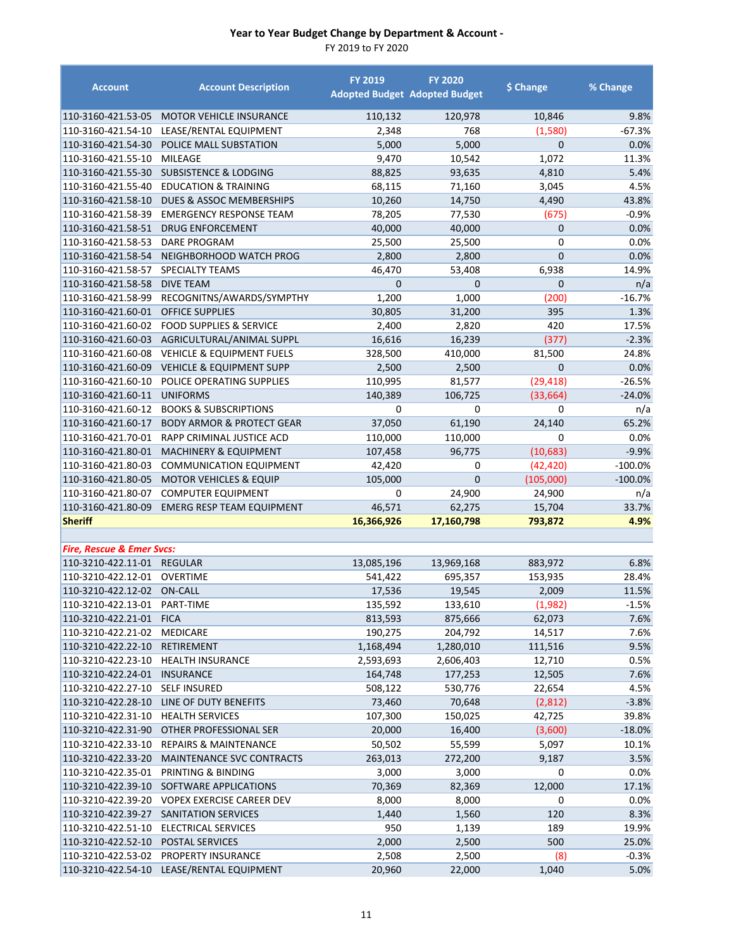| <b>Account</b>                       | <b>Account Description</b>                   | <b>FY 2019</b> | <b>FY 2020</b>                       | \$ Change    | % Change  |
|--------------------------------------|----------------------------------------------|----------------|--------------------------------------|--------------|-----------|
|                                      |                                              |                | <b>Adopted Budget Adopted Budget</b> |              |           |
| 110-3160-421.53-05                   | <b>MOTOR VEHICLE INSURANCE</b>               | 110,132        | 120,978                              | 10,846       | 9.8%      |
| 110-3160-421.54-10                   | LEASE/RENTAL EQUIPMENT                       | 2,348          | 768                                  | (1,580)      | -67.3%    |
| 110-3160-421.54-30                   | POLICE MALL SUBSTATION                       | 5,000          | 5,000                                | $\mathbf{0}$ | 0.0%      |
| 110-3160-421.55-10                   | MILEAGE                                      | 9,470          | 10,542                               | 1,072        | 11.3%     |
|                                      | 110-3160-421.55-30 SUBSISTENCE & LODGING     | 88,825         | 93,635                               | 4,810        | 5.4%      |
| 110-3160-421.55-40                   | <b>EDUCATION &amp; TRAINING</b>              | 68,115         | 71,160                               | 3,045        | 4.5%      |
| 110-3160-421.58-10                   | <b>DUES &amp; ASSOC MEMBERSHIPS</b>          | 10,260         | 14,750                               | 4,490        | 43.8%     |
| 110-3160-421.58-39                   | <b>EMERGENCY RESPONSE TEAM</b>               | 78,205         | 77,530                               | (675)        | $-0.9%$   |
| 110-3160-421.58-51                   | <b>DRUG ENFORCEMENT</b>                      | 40,000         | 40,000                               | 0            | 0.0%      |
| 110-3160-421.58-53                   | DARE PROGRAM                                 | 25,500         | 25,500                               | 0            | 0.0%      |
| 110-3160-421.58-54                   | NEIGHBORHOOD WATCH PROG                      | 2,800          | 2,800                                | 0            | 0.0%      |
| 110-3160-421.58-57                   | <b>SPECIALTY TEAMS</b>                       | 46,470         | 53,408                               | 6,938        | 14.9%     |
| 110-3160-421.58-58                   | <b>DIVE TEAM</b>                             | 0              | 0                                    | 0            | n/a       |
| 110-3160-421.58-99                   | RECOGNITNS/AWARDS/SYMPTHY                    | 1,200          | 1,000                                | (200)        | $-16.7%$  |
| 110-3160-421.60-01                   | <b>OFFICE SUPPLIES</b>                       | 30,805         | 31,200                               | 395          | 1.3%      |
| 110-3160-421.60-02                   | <b>FOOD SUPPLIES &amp; SERVICE</b>           | 2,400          | 2,820                                | 420          | 17.5%     |
| 110-3160-421.60-03                   | AGRICULTURAL/ANIMAL SUPPL                    | 16,616         | 16,239                               | (377)        | $-2.3%$   |
| 110-3160-421.60-08                   | <b>VEHICLE &amp; EQUIPMENT FUELS</b>         | 328,500        | 410,000                              | 81,500       | 24.8%     |
| 110-3160-421.60-09                   | <b>VEHICLE &amp; EQUIPMENT SUPP</b>          | 2,500          | 2,500                                | 0            | 0.0%      |
| 110-3160-421.60-10                   | POLICE OPERATING SUPPLIES                    | 110,995        | 81,577                               | (29, 418)    | $-26.5%$  |
| 110-3160-421.60-11                   | <b>UNIFORMS</b>                              | 140,389        | 106,725                              | (33, 664)    | $-24.0%$  |
| 110-3160-421.60-12                   | <b>BOOKS &amp; SUBSCRIPTIONS</b>             | 0              | 0                                    | 0            | n/a       |
| 110-3160-421.60-17                   | <b>BODY ARMOR &amp; PROTECT GEAR</b>         | 37,050         | 61,190                               | 24,140       | 65.2%     |
| 110-3160-421.70-01                   | RAPP CRIMINAL JUSTICE ACD                    | 110,000        | 110,000                              | 0            | 0.0%      |
| 110-3160-421.80-01                   | <b>MACHINERY &amp; EQUIPMENT</b>             | 107,458        | 96,775                               | (10, 683)    | $-9.9%$   |
| 110-3160-421.80-03                   | <b>COMMUNICATION EQUIPMENT</b>               | 42,420         | 0                                    | (42, 420)    | $-100.0%$ |
| 110-3160-421.80-05                   | <b>MOTOR VEHICLES &amp; EQUIP</b>            | 105,000        | $\mathbf 0$                          | (105,000)    | $-100.0%$ |
| 110-3160-421.80-07                   | <b>COMPUTER EQUIPMENT</b>                    | 0              | 24,900                               | 24,900       | n/a       |
| 110-3160-421.80-09                   | <b>EMERG RESP TEAM EQUIPMENT</b>             | 46,571         | 62,275                               | 15,704       | 33.7%     |
| <b>Sheriff</b>                       |                                              | 16,366,926     | 17,160,798                           | 793,872      | 4.9%      |
| <b>Fire, Rescue &amp; Emer Svcs:</b> |                                              |                |                                      |              |           |
| 110-3210-422.11-01 REGULAR           |                                              | 13,085,196     | 13,969,168                           | 883,972      | 6.8%      |
| 110-3210-422.12-01                   | <b>OVERTIME</b>                              | 541,422        | 695,357                              | 153,935      | 28.4%     |
| 110-3210-422.12-02                   | <b>ON-CALL</b>                               | 17,536         | 19,545                               | 2,009        | 11.5%     |
| 110-3210-422.13-01                   | PART-TIME                                    | 135,592        | 133,610                              | (1,982)      | $-1.5%$   |
| 110-3210-422.21-01 FICA              |                                              | 813,593        | 875,666                              | 62,073       | 7.6%      |
| 110-3210-422.21-02                   | <b>MEDICARE</b>                              | 190,275        | 204,792                              | 14,517       | 7.6%      |
| 110-3210-422.22-10                   | RETIREMENT                                   | 1,168,494      | 1,280,010                            | 111,516      | 9.5%      |
| 110-3210-422.23-10                   | <b>HEALTH INSURANCE</b>                      | 2,593,693      | 2,606,403                            | 12,710       | 0.5%      |
| 110-3210-422.24-01                   | <b>INSURANCE</b>                             | 164,748        | 177,253                              | 12,505       | 7.6%      |
| 110-3210-422.27-10                   | <b>SELF INSURED</b>                          | 508,122        | 530,776                              | 22,654       | 4.5%      |
| 110-3210-422.28-10                   | LINE OF DUTY BENEFITS                        | 73,460         | 70,648                               | (2,812)      | $-3.8%$   |
| 110-3210-422.31-10                   | <b>HEALTH SERVICES</b>                       | 107,300        | 150,025                              | 42,725       | 39.8%     |
| 110-3210-422.31-90                   | OTHER PROFESSIONAL SER                       | 20,000         | 16,400                               | (3,600)      | $-18.0%$  |
| 110-3210-422.33-10                   | <b>REPAIRS &amp; MAINTENANCE</b>             | 50,502         | 55,599                               | 5,097        | 10.1%     |
| 110-3210-422.33-20                   | MAINTENANCE SVC CONTRACTS                    | 263,013        | 272,200                              | 9,187        | 3.5%      |
| 110-3210-422.35-01                   | PRINTING & BINDING                           | 3,000          | 3,000                                | 0            | 0.0%      |
| 110-3210-422.39-10                   | SOFTWARE APPLICATIONS                        | 70,369         | 82,369                               | 12,000       | 17.1%     |
|                                      | 110-3210-422.39-20 VOPEX EXERCISE CAREER DEV | 8,000          | 8,000                                | 0            | 0.0%      |
| 110-3210-422.39-27                   | SANITATION SERVICES                          | 1,440          | 1,560                                | 120          | 8.3%      |
| 110-3210-422.51-10                   | ELECTRICAL SERVICES                          | 950            | 1,139                                | 189          | 19.9%     |
| 110-3210-422.52-10                   | POSTAL SERVICES                              | 2,000          | 2,500                                | 500          | 25.0%     |
|                                      | 110-3210-422.53-02 PROPERTY INSURANCE        | 2,508          | 2,500                                | (8)          | $-0.3%$   |
|                                      | 110-3210-422.54-10 LEASE/RENTAL EQUIPMENT    | 20,960         | 22,000                               | 1,040        | 5.0%      |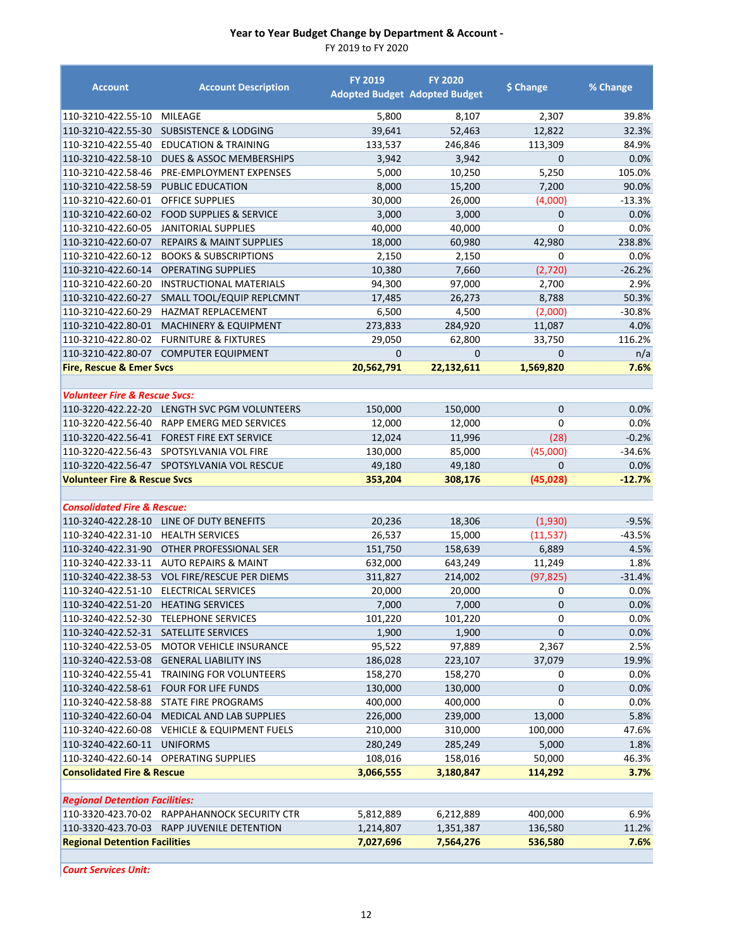FY 2019 to FY 2020

| <b>Account</b>                           | <b>Account Description</b>                   | <b>FY 2019</b> | <b>FY 2020</b><br><b>Adopted Budget Adopted Budget</b> | \$ Change    | % Change |
|------------------------------------------|----------------------------------------------|----------------|--------------------------------------------------------|--------------|----------|
| 110-3210-422.55-10                       | <b>MILEAGE</b>                               | 5,800          | 8,107                                                  | 2,307        | 39.8%    |
| 110-3210-422.55-30                       | <b>SUBSISTENCE &amp; LODGING</b>             | 39,641         | 52,463                                                 | 12,822       | 32.3%    |
| 110-3210-422.55-40                       | <b>EDUCATION &amp; TRAINING</b>              | 133,537        | 246,846                                                | 113,309      | 84.9%    |
| 110-3210-422.58-10                       | <b>DUES &amp; ASSOC MEMBERSHIPS</b>          | 3,942          | 3,942                                                  | 0            | 0.0%     |
| 110-3210-422.58-46                       | PRE-EMPLOYMENT EXPENSES                      | 5,000          | 10,250                                                 | 5,250        | 105.0%   |
| 110-3210-422.58-59                       | <b>PUBLIC EDUCATION</b>                      | 8,000          | 15,200                                                 | 7,200        | 90.0%    |
| 110-3210-422.60-01                       | <b>OFFICE SUPPLIES</b>                       | 30,000         | 26,000                                                 | (4,000)      | $-13.3%$ |
| 110-3210-422.60-02                       | <b>FOOD SUPPLIES &amp; SERVICE</b>           | 3,000          | 3,000                                                  | 0            | 0.0%     |
| 110-3210-422.60-05                       | <b>JANITORIAL SUPPLIES</b>                   | 40,000         | 40,000                                                 | 0            | 0.0%     |
| 110-3210-422.60-07                       | <b>REPAIRS &amp; MAINT SUPPLIES</b>          | 18,000         | 60,980                                                 | 42,980       | 238.8%   |
| 110-3210-422.60-12                       | <b>BOOKS &amp; SUBSCRIPTIONS</b>             | 2,150          | 2,150                                                  | 0            | 0.0%     |
| 110-3210-422.60-14                       | <b>OPERATING SUPPLIES</b>                    | 10,380         | 7,660                                                  | (2,720)      | $-26.2%$ |
| 110-3210-422.60-20                       | <b>INSTRUCTIONAL MATERIALS</b>               | 94,300         | 97,000                                                 | 2,700        | 2.9%     |
| 110-3210-422.60-27                       | SMALL TOOL/EQUIP REPLCMNT                    | 17,485         | 26,273                                                 | 8,788        | 50.3%    |
| 110-3210-422.60-29                       | <b>HAZMAT REPLACEMENT</b>                    | 6,500          | 4,500                                                  | (2,000)      | $-30.8%$ |
| 110-3210-422.80-01                       | <b>MACHINERY &amp; EQUIPMENT</b>             | 273,833        | 284,920                                                | 11,087       | 4.0%     |
| 110-3210-422.80-02                       | <b>FURNITURE &amp; FIXTURES</b>              | 29,050         | 62,800                                                 | 33,750       | 116.2%   |
| 110-3210-422.80-07                       | <b>COMPUTER EQUIPMENT</b>                    | $\mathbf 0$    | $\mathbf 0$                                            | 0            | n/a      |
| <b>Fire, Rescue &amp; Emer Svcs</b>      |                                              | 20,562,791     | 22,132,611                                             | 1,569,820    | 7.6%     |
|                                          |                                              |                |                                                        |              |          |
| <b>Volunteer Fire &amp; Rescue Svcs:</b> |                                              |                |                                                        |              |          |
| 110-3220-422.22-20                       | LENGTH SVC PGM VOLUNTEERS                    | 150,000        | 150,000                                                | $\mathbf{0}$ | 0.0%     |
| 110-3220-422.56-40                       | RAPP EMERG MED SERVICES                      | 12,000         | 12,000                                                 | 0            | 0.0%     |
| 110-3220-422.56-41                       | <b>FOREST FIRE EXT SERVICE</b>               | 12,024         | 11,996                                                 | (28)         | $-0.2%$  |
| 110-3220-422.56-43                       | SPOTSYLVANIA VOL FIRE                        | 130,000        | 85,000                                                 | (45,000)     | $-34.6%$ |
|                                          | 110-3220-422.56-47 SPOTSYLVANIA VOL RESCUE   | 49,180         | 49,180                                                 | 0            | 0.0%     |
| <b>Volunteer Fire &amp; Rescue Svcs</b>  |                                              | 353,204        | 308,176                                                | (45, 028)    | $-12.7%$ |
| <b>Consolidated Fire &amp; Rescue:</b>   |                                              |                |                                                        |              |          |
| 110-3240-422.28-10                       | LINE OF DUTY BENEFITS                        | 20,236         | 18,306                                                 | (1,930)      | $-9.5%$  |
| 110-3240-422.31-10                       | <b>HEALTH SERVICES</b>                       | 26,537         | 15,000                                                 | (11, 537)    | -43.5%   |
| 110-3240-422.31-90                       | OTHER PROFESSIONAL SER                       | 151,750        | 158,639                                                | 6,889        | 4.5%     |
| 110-3240-422.33-11                       | <b>AUTO REPAIRS &amp; MAINT</b>              | 632,000        | 643,249                                                | 11,249       | 1.8%     |
| 110-3240-422.38-53                       | <b>VOL FIRE/RESCUE PER DIEMS</b>             | 311,827        | 214,002                                                | (97, 825)    | $-31.4%$ |
| 110-3240-422.51-10                       | <b>ELECTRICAL SERVICES</b>                   | 20,000         | 20,000                                                 | 0            | 0.0%     |
| 110-3240-422.51-20 HEATING SERVICES      |                                              | 7,000          | 7,000                                                  | $\mathbf 0$  | $0.0\%$  |
| 110-3240-422.52-30                       | <b>TELEPHONE SERVICES</b>                    | 101,220        | 101,220                                                | 0            | 0.0%     |
| 110-3240-422.52-31                       | SATELLITE SERVICES                           | 1,900          | 1,900                                                  | 0            | 0.0%     |
| 110-3240-422.53-05                       | MOTOR VEHICLE INSURANCE                      | 95,522         | 97,889                                                 | 2,367        | 2.5%     |
| 110-3240-422.53-08                       | <b>GENERAL LIABILITY INS</b>                 | 186,028        | 223,107                                                | 37,079       | 19.9%    |
| 110-3240-422.55-41                       | TRAINING FOR VOLUNTEERS                      | 158,270        | 158,270                                                | 0            | 0.0%     |
| 110-3240-422.58-61                       | <b>FOUR FOR LIFE FUNDS</b>                   | 130,000        | 130,000                                                | 0            | 0.0%     |
| 110-3240-422.58-88                       | STATE FIRE PROGRAMS                          | 400,000        | 400,000                                                | 0            | 0.0%     |
| 110-3240-422.60-04                       | MEDICAL AND LAB SUPPLIES                     | 226,000        | 239,000                                                | 13,000       | 5.8%     |
| 110-3240-422.60-08                       | <b>VEHICLE &amp; EQUIPMENT FUELS</b>         | 210,000        | 310,000                                                | 100,000      | 47.6%    |
| 110-3240-422.60-11                       | <b>UNIFORMS</b>                              | 280,249        | 285,249                                                | 5,000        | 1.8%     |
| 110-3240-422.60-14                       | <b>OPERATING SUPPLIES</b>                    | 108,016        | 158,016                                                | 50,000       | 46.3%    |
| <b>Consolidated Fire &amp; Rescue</b>    |                                              | 3,066,555      | 3,180,847                                              | 114,292      | 3.7%     |
|                                          |                                              |                |                                                        |              |          |
| <b>Regional Detention Facilities:</b>    |                                              |                |                                                        |              |          |
|                                          | 110-3320-423.70-02 RAPPAHANNOCK SECURITY CTR | 5,812,889      | 6,212,889                                              | 400,000      | 6.9%     |
| 110-3320-423.70-03                       | RAPP JUVENILE DETENTION                      | 1,214,807      | 1,351,387                                              | 136,580      | 11.2%    |
| <b>Regional Detention Facilities</b>     |                                              | 7,027,696      | 7,564,276                                              | 536,580      | 7.6%     |

*Court Services Unit:*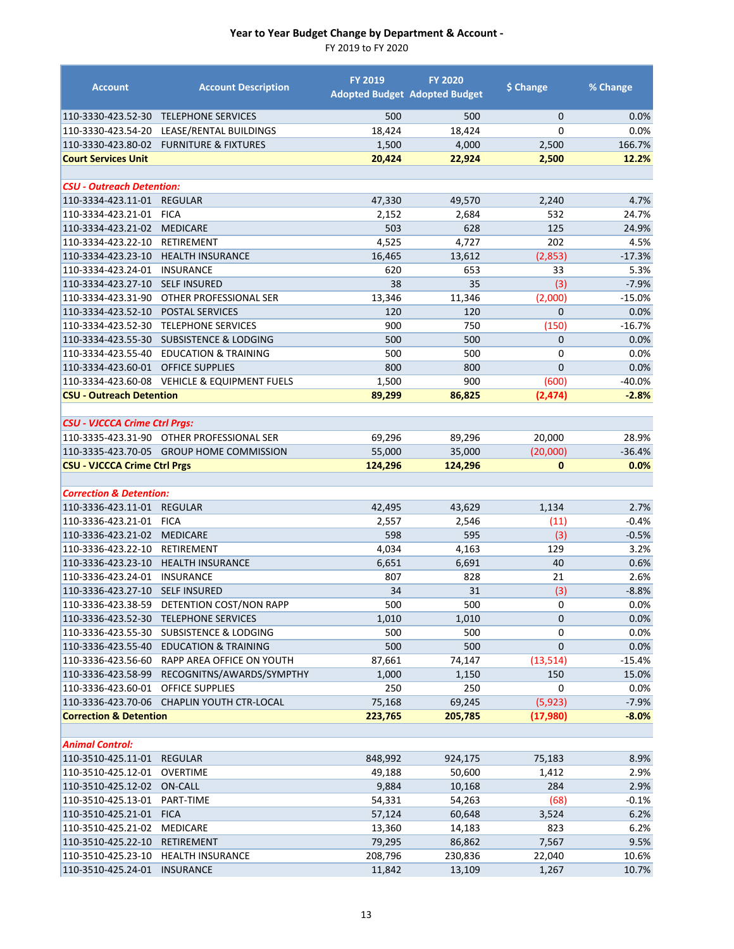| <b>Account</b>                           | <b>Account Description</b>                   | <b>FY 2019</b> | <b>FY 2020</b><br><b>Adopted Budget Adopted Budget</b> | \$ Change      | % Change      |
|------------------------------------------|----------------------------------------------|----------------|--------------------------------------------------------|----------------|---------------|
| 110-3330-423.52-30                       | <b>TELEPHONE SERVICES</b>                    | 500            | 500                                                    | $\mathbf{0}$   | 0.0%          |
| 110-3330-423.54-20                       | LEASE/RENTAL BUILDINGS                       | 18,424         | 18,424                                                 | $\Omega$       | 0.0%          |
| 110-3330-423.80-02                       | <b>FURNITURE &amp; FIXTURES</b>              | 1,500          | 4,000                                                  | 2,500          | 166.7%        |
| <b>Court Services Unit</b>               |                                              | 20,424         | 22,924                                                 | 2,500          | 12.2%         |
|                                          |                                              |                |                                                        |                |               |
| <b>CSU - Outreach Detention:</b>         |                                              |                |                                                        |                |               |
| 110-3334-423.11-01                       | <b>REGULAR</b>                               | 47,330         | 49,570                                                 | 2,240          | 4.7%          |
| 110-3334-423.21-01                       | <b>FICA</b>                                  | 2,152          | 2,684                                                  | 532            | 24.7%         |
| 110-3334-423.21-02                       | <b>MEDICARE</b>                              | 503            | 628                                                    | 125            | 24.9%         |
| 110-3334-423.22-10                       | <b>RETIREMENT</b>                            | 4,525          | 4,727                                                  | 202            | 4.5%          |
| 110-3334-423.23-10                       | <b>HEALTH INSURANCE</b>                      | 16,465         | 13,612                                                 | (2,853)        | $-17.3%$      |
| 110-3334-423.24-01                       | <b>INSURANCE</b>                             | 620            | 653                                                    | 33             | 5.3%          |
| 110-3334-423.27-10                       | <b>SELF INSURED</b>                          | 38             | 35                                                     | (3)            | $-7.9%$       |
| 110-3334-423.31-90                       | OTHER PROFESSIONAL SER                       | 13,346         | 11,346                                                 | (2,000)        | $-15.0%$      |
| 110-3334-423.52-10                       | POSTAL SERVICES                              | 120            | 120                                                    | $\mathbf{0}$   | 0.0%          |
| 110-3334-423.52-30                       | <b>TELEPHONE SERVICES</b>                    | 900            | 750                                                    | (150)          | $-16.7%$      |
|                                          | 110-3334-423.55-30 SUBSISTENCE & LODGING     | 500            | 500                                                    | $\overline{0}$ | 0.0%          |
| 110-3334-423.55-40                       | <b>EDUCATION &amp; TRAINING</b>              | 500            | 500                                                    | 0              | 0.0%          |
| 110-3334-423.60-01                       | <b>OFFICE SUPPLIES</b>                       | 800            | 800                                                    | $\overline{0}$ | 0.0%          |
| 110-3334-423.60-08                       | <b>VEHICLE &amp; EQUIPMENT FUELS</b>         | 1,500          | 900                                                    | (600)          | -40.0%        |
| <b>CSU - Outreach Detention</b>          |                                              | 89,299         | 86,825                                                 | (2, 474)       | $-2.8%$       |
| <b>CSU - VJCCCA Crime Ctrl Prgs:</b>     |                                              |                |                                                        |                |               |
|                                          | 110-3335-423.31-90 OTHER PROFESSIONAL SER    | 69,296         | 89,296                                                 | 20,000         | 28.9%         |
|                                          | 110-3335-423.70-05 GROUP HOME COMMISSION     | 55,000         | 35,000                                                 | (20,000)       | $-36.4%$      |
| <b>CSU - VJCCCA Crime Ctrl Prgs</b>      |                                              | 124,296        | 124,296                                                | $\mathbf{0}$   | 0.0%          |
|                                          |                                              |                |                                                        |                |               |
| <b>Correction &amp; Detention:</b>       |                                              |                |                                                        |                |               |
| 110-3336-423.11-01                       | <b>REGULAR</b>                               | 42,495         | 43,629                                                 | 1,134          | 2.7%          |
| 110-3336-423.21-01                       | <b>FICA</b>                                  | 2,557          | 2,546                                                  | (11)           | -0.4%         |
| 110-3336-423.21-02                       | <b>MEDICARE</b>                              | 598            | 595                                                    | (3)            | $-0.5%$       |
| 110-3336-423.22-10                       | RETIREMENT                                   | 4,034          | 4,163                                                  | 129            | 3.2%          |
| 110-3336-423.23-10                       | <b>HEALTH INSURANCE</b>                      | 6,651          | 6,691                                                  | 40             | 0.6%          |
| 110-3336-423.24-01                       | <b>INSURANCE</b>                             | 807            | 828                                                    | 21             | 2.6%          |
| 110-3336-423.27-10                       | <b>SELF INSURED</b>                          | 34             | 31                                                     | (3)            | $-8.8%$       |
|                                          | 110-3336-423.38-59 DETENTION COST/NON RAPP   | 500            | 500                                                    | 0              | 0.0%          |
|                                          | 110-3336-423.52-30 TELEPHONE SERVICES        | 1,010          | 1,010                                                  | $\mathbf 0$    | 0.0%          |
| 110-3336-423.55-30                       | <b>SUBSISTENCE &amp; LODGING</b>             | 500            | 500                                                    | 0              | 0.0%          |
| 110-3336-423.55-40                       | <b>EDUCATION &amp; TRAINING</b>              | 500            | 500                                                    | $\mathbf 0$    | 0.0%          |
| 110-3336-423.56-60<br>110-3336-423.58-99 | RAPP AREA OFFICE ON YOUTH                    | 87,661         | 74,147                                                 | (13, 514)      | $-15.4%$      |
| 110-3336-423.60-01                       | RECOGNITNS/AWARDS/SYMPTHY<br>OFFICE SUPPLIES | 1,000<br>250   | 1,150<br>250                                           | 150<br>0       | 15.0%<br>0.0% |
| 110-3336-423.70-06                       | CHAPLIN YOUTH CTR-LOCAL                      |                |                                                        | (5,923)        |               |
| <b>Correction &amp; Detention</b>        |                                              | 75,168         | 69,245                                                 | (17,980)       | $-7.9%$       |
|                                          |                                              | 223,765        | 205,785                                                |                | $-8.0%$       |
| <b>Animal Control:</b>                   |                                              |                |                                                        |                |               |
| 110-3510-425.11-01                       | <b>REGULAR</b>                               | 848,992        | 924,175                                                | 75,183         | 8.9%          |
| 110-3510-425.12-01                       | <b>OVERTIME</b>                              | 49,188         | 50,600                                                 | 1,412          | 2.9%          |
| 110-3510-425.12-02                       | ON-CALL                                      | 9,884          | 10,168                                                 | 284            | 2.9%          |
| 110-3510-425.13-01                       | PART-TIME                                    | 54,331         | 54,263                                                 | (68)           | $-0.1%$       |
| 110-3510-425.21-01                       | <b>FICA</b>                                  | 57,124         | 60,648                                                 | 3,524          | 6.2%          |
| 110-3510-425.21-02                       | <b>MEDICARE</b>                              | 13,360         | 14,183                                                 | 823            | 6.2%          |
| 110-3510-425.22-10                       | RETIREMENT                                   | 79,295         | 86,862                                                 | 7,567          | 9.5%          |
| 110-3510-425.23-10                       | <b>HEALTH INSURANCE</b>                      | 208,796        | 230,836                                                | 22,040         | 10.6%         |
| 110-3510-425.24-01                       | <b>INSURANCE</b>                             | 11,842         | 13,109                                                 | 1,267          | 10.7%         |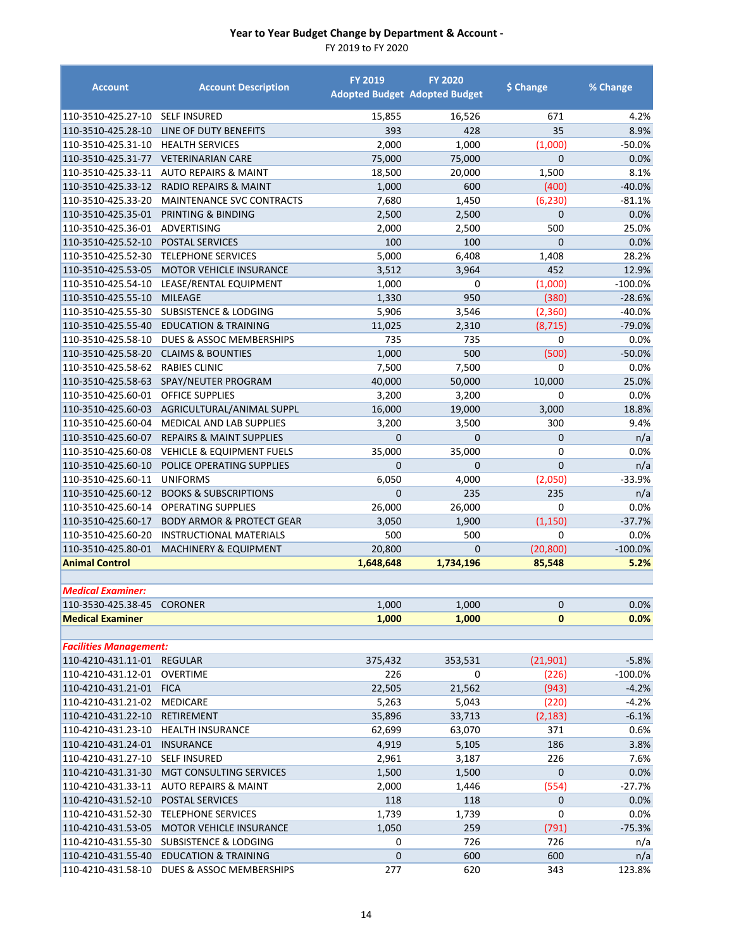| <b>SELF INSURED</b><br>15,855<br>16,526<br>671<br>4.2%<br>35<br>393<br>428<br>8.9%<br>LINE OF DUTY BENEFITS<br>2,000<br>1,000<br>(1,000)<br>$-50.0%$<br><b>HEALTH SERVICES</b><br>75,000<br>75,000<br>$\mathbf{0}$<br><b>VETERINARIAN CARE</b><br>0.0%<br><b>AUTO REPAIRS &amp; MAINT</b><br>18,500<br>20,000<br>1,500<br>8.1%<br><b>RADIO REPAIRS &amp; MAINT</b><br>600<br>(400)<br>$-40.0%$<br>1,000<br>MAINTENANCE SVC CONTRACTS<br>110-3510-425.33-20<br>7,680<br>1,450<br>(6, 230)<br>$-81.1%$<br>0.0%<br>PRINTING & BINDING<br>2,500<br>2,500<br>$\mathbf 0$<br>500<br>25.0%<br>ADVERTISING<br>2,000<br>2,500<br>100<br>100<br>$\mathbf 0$<br>0.0%<br><b>POSTAL SERVICES</b><br>5,000<br>28.2%<br><b>TELEPHONE SERVICES</b><br>6,408<br>1,408<br>452<br>3,512<br>3,964<br>MOTOR VEHICLE INSURANCE<br>12.9%<br>LEASE/RENTAL EQUIPMENT<br>1,000<br>(1,000)<br>$-100.0%$<br>0<br>1,330<br>950<br>(380)<br>$-28.6%$<br><b>MILEAGE</b><br>5,906<br>(2,360)<br><b>SUBSISTENCE &amp; LODGING</b><br>3,546<br>$-40.0%$<br>11,025<br>(8, 715)<br>$-79.0%$<br><b>EDUCATION &amp; TRAINING</b><br>2,310<br>DUES & ASSOC MEMBERSHIPS<br>735<br>$\mathbf 0$<br>110-3510-425.58-10<br>735<br>0.0%<br>110-3510-425.58-20<br><b>CLAIMS &amp; BOUNTIES</b><br>1,000<br>500<br>(500)<br>$-50.0%$<br>110-3510-425.58-62<br><b>RABIES CLINIC</b><br>7,500<br>7,500<br>0.0%<br>$\Omega$<br>SPAY/NEUTER PROGRAM<br>40,000<br>50,000<br>10,000<br>25.0%<br>110-3510-425.58-63<br>110-3510-425.60-01<br><b>OFFICE SUPPLIES</b><br>3,200<br>3,200<br>0.0%<br>0<br>16,000<br>3,000<br>18.8%<br>110-3510-425.60-03<br>AGRICULTURAL/ANIMAL SUPPL<br>19,000<br>110-3510-425.60-04<br><b>MEDICAL AND LAB SUPPLIES</b><br>3,200<br>3,500<br>300<br>9.4%<br>$\overline{0}$<br>$\overline{0}$<br>$\overline{0}$<br>n/a<br>110-3510-425.60-07<br><b>REPAIRS &amp; MAINT SUPPLIES</b><br>35,000<br>35,000<br>$\mathbf 0$<br>110-3510-425.60-08<br><b>VEHICLE &amp; EQUIPMENT FUELS</b><br>0.0%<br>$\overline{0}$<br>$\overline{0}$<br>110-3510-425.60-10<br>POLICE OPERATING SUPPLIES<br>$\overline{0}$<br>n/a<br>110-3510-425.60-11<br><b>UNIFORMS</b><br>6,050<br>4,000<br>(2,050)<br>$-33.9%$<br>$\Omega$<br>235<br>110-3510-425.60-12<br><b>BOOKS &amp; SUBSCRIPTIONS</b><br>235<br>n/a<br>26,000<br>26,000<br>$\mathbf 0$<br>0.0%<br>110-3510-425.60-14<br><b>OPERATING SUPPLIES</b><br>(1, 150)<br>110-3510-425.60-17<br>3,050<br>1,900<br>$-37.7%$<br><b>BODY ARMOR &amp; PROTECT GEAR</b><br>110-3510-425.60-20<br>500<br>500<br>$\Omega$<br>0.0%<br><b>INSTRUCTIONAL MATERIALS</b><br>20,800<br>0<br>(20, 800)<br>$-100.0%$<br>110-3510-425.80-01<br><b>MACHINERY &amp; EQUIPMENT</b><br><b>Animal Control</b><br>1,734,196<br>5.2%<br>1,648,648<br>85,548<br><b>Medical Examiner:</b><br>110-3530-425.38-45 CORONER<br>0.0%<br>1,000<br>1,000<br>$\Omega$<br><b>Medical Examiner</b><br>$\bf{0}$<br>0.0%<br>1,000<br>1,000<br><b>Facilities Management:</b><br>110-4210-431.11-01 REGULAR<br>375,432<br>353,531<br>(21, 901)<br>$-5.8%$<br>226<br>(226)<br>$-100.0%$<br>110-4210-431.12-01<br>OVERTIME<br>0<br>110-4210-431.21-01<br><b>FICA</b><br>22,505<br>21,562<br>(943)<br>$-4.2%$<br>110-4210-431.21-02<br><b>MEDICARE</b><br>5,263<br>(220)<br>$-4.2%$<br>5,043<br><b>RETIREMENT</b><br>35,896<br>33,713<br>(2, 183)<br>$-6.1%$<br>110-4210-431.23-10<br><b>HEALTH INSURANCE</b><br>62,699<br>371<br>0.6%<br>63,070<br>4,919<br>186<br>110-4210-431.24-01 INSURANCE<br>5,105<br>3.8%<br>226<br>110-4210-431.27-10<br><b>SELF INSURED</b><br>2,961<br>3,187<br>7.6%<br>$\pmb{0}$<br>110-4210-431.31-30<br>MGT CONSULTING SERVICES<br>1,500<br>1,500<br>0.0%<br>110-4210-431.33-11<br>2,000<br>$-27.7%$<br><b>AUTO REPAIRS &amp; MAINT</b><br>1,446<br>(554)<br>$\mathbf 0$<br>110-4210-431.52-10<br>POSTAL SERVICES<br>118<br>118<br>0.0%<br>0<br>110-4210-431.52-30<br><b>TELEPHONE SERVICES</b><br>1,739<br>1,739<br>0.0%<br>110-4210-431.53-05<br>MOTOR VEHICLE INSURANCE<br>1,050<br>259<br>(791)<br>$-75.3%$<br>110-4210-431.55-30<br><b>SUBSISTENCE &amp; LODGING</b><br>726<br>n/a<br>0<br>726<br>$\mathbf 0$<br>600<br>110-4210-431.55-40<br><b>EDUCATION &amp; TRAINING</b><br>600<br>n/a | <b>Account</b>     | <b>Account Description</b> | <b>FY 2019</b><br><b>Adopted Budget Adopted Budget</b> | <b>FY 2020</b> | \$ Change | % Change |
|-----------------------------------------------------------------------------------------------------------------------------------------------------------------------------------------------------------------------------------------------------------------------------------------------------------------------------------------------------------------------------------------------------------------------------------------------------------------------------------------------------------------------------------------------------------------------------------------------------------------------------------------------------------------------------------------------------------------------------------------------------------------------------------------------------------------------------------------------------------------------------------------------------------------------------------------------------------------------------------------------------------------------------------------------------------------------------------------------------------------------------------------------------------------------------------------------------------------------------------------------------------------------------------------------------------------------------------------------------------------------------------------------------------------------------------------------------------------------------------------------------------------------------------------------------------------------------------------------------------------------------------------------------------------------------------------------------------------------------------------------------------------------------------------------------------------------------------------------------------------------------------------------------------------------------------------------------------------------------------------------------------------------------------------------------------------------------------------------------------------------------------------------------------------------------------------------------------------------------------------------------------------------------------------------------------------------------------------------------------------------------------------------------------------------------------------------------------------------------------------------------------------------------------------------------------------------------------------------------------------------------------------------------------------------------------------------------------------------------------------------------------------------------------------------------------------------------------------------------------------------------------------------------------------------------------------------------------------------------------------------------------------------------------------------------------------------------------------------------------------------------------------------------------------------------------------------------------------------------------------------------------------------------------------------------------------------------------------------------------------------------------------------------------------------------------------------------------------------------------------------------------------------------------------------------------------------------------------------------------------------------------------------------------------------------------------------------------------------------------------------------------------------------------------------------------------------------------------------------------------------------------------------------------------------------------------------------------------------------------------------------------------------------------------------------------------------------------------------------------------------------------------------------------------------------------------|--------------------|----------------------------|--------------------------------------------------------|----------------|-----------|----------|
|                                                                                                                                                                                                                                                                                                                                                                                                                                                                                                                                                                                                                                                                                                                                                                                                                                                                                                                                                                                                                                                                                                                                                                                                                                                                                                                                                                                                                                                                                                                                                                                                                                                                                                                                                                                                                                                                                                                                                                                                                                                                                                                                                                                                                                                                                                                                                                                                                                                                                                                                                                                                                                                                                                                                                                                                                                                                                                                                                                                                                                                                                                                                                                                                                                                                                                                                                                                                                                                                                                                                                                                                                                                                                                                                                                                                                                                                                                                                                                                                                                                                                                                                                                                         | 110-3510-425.27-10 |                            |                                                        |                |           |          |
|                                                                                                                                                                                                                                                                                                                                                                                                                                                                                                                                                                                                                                                                                                                                                                                                                                                                                                                                                                                                                                                                                                                                                                                                                                                                                                                                                                                                                                                                                                                                                                                                                                                                                                                                                                                                                                                                                                                                                                                                                                                                                                                                                                                                                                                                                                                                                                                                                                                                                                                                                                                                                                                                                                                                                                                                                                                                                                                                                                                                                                                                                                                                                                                                                                                                                                                                                                                                                                                                                                                                                                                                                                                                                                                                                                                                                                                                                                                                                                                                                                                                                                                                                                                         | 110-3510-425.28-10 |                            |                                                        |                |           |          |
|                                                                                                                                                                                                                                                                                                                                                                                                                                                                                                                                                                                                                                                                                                                                                                                                                                                                                                                                                                                                                                                                                                                                                                                                                                                                                                                                                                                                                                                                                                                                                                                                                                                                                                                                                                                                                                                                                                                                                                                                                                                                                                                                                                                                                                                                                                                                                                                                                                                                                                                                                                                                                                                                                                                                                                                                                                                                                                                                                                                                                                                                                                                                                                                                                                                                                                                                                                                                                                                                                                                                                                                                                                                                                                                                                                                                                                                                                                                                                                                                                                                                                                                                                                                         | 110-3510-425.31-10 |                            |                                                        |                |           |          |
|                                                                                                                                                                                                                                                                                                                                                                                                                                                                                                                                                                                                                                                                                                                                                                                                                                                                                                                                                                                                                                                                                                                                                                                                                                                                                                                                                                                                                                                                                                                                                                                                                                                                                                                                                                                                                                                                                                                                                                                                                                                                                                                                                                                                                                                                                                                                                                                                                                                                                                                                                                                                                                                                                                                                                                                                                                                                                                                                                                                                                                                                                                                                                                                                                                                                                                                                                                                                                                                                                                                                                                                                                                                                                                                                                                                                                                                                                                                                                                                                                                                                                                                                                                                         | 110-3510-425.31-77 |                            |                                                        |                |           |          |
|                                                                                                                                                                                                                                                                                                                                                                                                                                                                                                                                                                                                                                                                                                                                                                                                                                                                                                                                                                                                                                                                                                                                                                                                                                                                                                                                                                                                                                                                                                                                                                                                                                                                                                                                                                                                                                                                                                                                                                                                                                                                                                                                                                                                                                                                                                                                                                                                                                                                                                                                                                                                                                                                                                                                                                                                                                                                                                                                                                                                                                                                                                                                                                                                                                                                                                                                                                                                                                                                                                                                                                                                                                                                                                                                                                                                                                                                                                                                                                                                                                                                                                                                                                                         | 110-3510-425.33-11 |                            |                                                        |                |           |          |
|                                                                                                                                                                                                                                                                                                                                                                                                                                                                                                                                                                                                                                                                                                                                                                                                                                                                                                                                                                                                                                                                                                                                                                                                                                                                                                                                                                                                                                                                                                                                                                                                                                                                                                                                                                                                                                                                                                                                                                                                                                                                                                                                                                                                                                                                                                                                                                                                                                                                                                                                                                                                                                                                                                                                                                                                                                                                                                                                                                                                                                                                                                                                                                                                                                                                                                                                                                                                                                                                                                                                                                                                                                                                                                                                                                                                                                                                                                                                                                                                                                                                                                                                                                                         | 110-3510-425.33-12 |                            |                                                        |                |           |          |
|                                                                                                                                                                                                                                                                                                                                                                                                                                                                                                                                                                                                                                                                                                                                                                                                                                                                                                                                                                                                                                                                                                                                                                                                                                                                                                                                                                                                                                                                                                                                                                                                                                                                                                                                                                                                                                                                                                                                                                                                                                                                                                                                                                                                                                                                                                                                                                                                                                                                                                                                                                                                                                                                                                                                                                                                                                                                                                                                                                                                                                                                                                                                                                                                                                                                                                                                                                                                                                                                                                                                                                                                                                                                                                                                                                                                                                                                                                                                                                                                                                                                                                                                                                                         |                    |                            |                                                        |                |           |          |
|                                                                                                                                                                                                                                                                                                                                                                                                                                                                                                                                                                                                                                                                                                                                                                                                                                                                                                                                                                                                                                                                                                                                                                                                                                                                                                                                                                                                                                                                                                                                                                                                                                                                                                                                                                                                                                                                                                                                                                                                                                                                                                                                                                                                                                                                                                                                                                                                                                                                                                                                                                                                                                                                                                                                                                                                                                                                                                                                                                                                                                                                                                                                                                                                                                                                                                                                                                                                                                                                                                                                                                                                                                                                                                                                                                                                                                                                                                                                                                                                                                                                                                                                                                                         | 110-3510-425.35-01 |                            |                                                        |                |           |          |
|                                                                                                                                                                                                                                                                                                                                                                                                                                                                                                                                                                                                                                                                                                                                                                                                                                                                                                                                                                                                                                                                                                                                                                                                                                                                                                                                                                                                                                                                                                                                                                                                                                                                                                                                                                                                                                                                                                                                                                                                                                                                                                                                                                                                                                                                                                                                                                                                                                                                                                                                                                                                                                                                                                                                                                                                                                                                                                                                                                                                                                                                                                                                                                                                                                                                                                                                                                                                                                                                                                                                                                                                                                                                                                                                                                                                                                                                                                                                                                                                                                                                                                                                                                                         | 110-3510-425.36-01 |                            |                                                        |                |           |          |
|                                                                                                                                                                                                                                                                                                                                                                                                                                                                                                                                                                                                                                                                                                                                                                                                                                                                                                                                                                                                                                                                                                                                                                                                                                                                                                                                                                                                                                                                                                                                                                                                                                                                                                                                                                                                                                                                                                                                                                                                                                                                                                                                                                                                                                                                                                                                                                                                                                                                                                                                                                                                                                                                                                                                                                                                                                                                                                                                                                                                                                                                                                                                                                                                                                                                                                                                                                                                                                                                                                                                                                                                                                                                                                                                                                                                                                                                                                                                                                                                                                                                                                                                                                                         | 110-3510-425.52-10 |                            |                                                        |                |           |          |
|                                                                                                                                                                                                                                                                                                                                                                                                                                                                                                                                                                                                                                                                                                                                                                                                                                                                                                                                                                                                                                                                                                                                                                                                                                                                                                                                                                                                                                                                                                                                                                                                                                                                                                                                                                                                                                                                                                                                                                                                                                                                                                                                                                                                                                                                                                                                                                                                                                                                                                                                                                                                                                                                                                                                                                                                                                                                                                                                                                                                                                                                                                                                                                                                                                                                                                                                                                                                                                                                                                                                                                                                                                                                                                                                                                                                                                                                                                                                                                                                                                                                                                                                                                                         | 110-3510-425.52-30 |                            |                                                        |                |           |          |
|                                                                                                                                                                                                                                                                                                                                                                                                                                                                                                                                                                                                                                                                                                                                                                                                                                                                                                                                                                                                                                                                                                                                                                                                                                                                                                                                                                                                                                                                                                                                                                                                                                                                                                                                                                                                                                                                                                                                                                                                                                                                                                                                                                                                                                                                                                                                                                                                                                                                                                                                                                                                                                                                                                                                                                                                                                                                                                                                                                                                                                                                                                                                                                                                                                                                                                                                                                                                                                                                                                                                                                                                                                                                                                                                                                                                                                                                                                                                                                                                                                                                                                                                                                                         | 110-3510-425.53-05 |                            |                                                        |                |           |          |
|                                                                                                                                                                                                                                                                                                                                                                                                                                                                                                                                                                                                                                                                                                                                                                                                                                                                                                                                                                                                                                                                                                                                                                                                                                                                                                                                                                                                                                                                                                                                                                                                                                                                                                                                                                                                                                                                                                                                                                                                                                                                                                                                                                                                                                                                                                                                                                                                                                                                                                                                                                                                                                                                                                                                                                                                                                                                                                                                                                                                                                                                                                                                                                                                                                                                                                                                                                                                                                                                                                                                                                                                                                                                                                                                                                                                                                                                                                                                                                                                                                                                                                                                                                                         | 110-3510-425.54-10 |                            |                                                        |                |           |          |
|                                                                                                                                                                                                                                                                                                                                                                                                                                                                                                                                                                                                                                                                                                                                                                                                                                                                                                                                                                                                                                                                                                                                                                                                                                                                                                                                                                                                                                                                                                                                                                                                                                                                                                                                                                                                                                                                                                                                                                                                                                                                                                                                                                                                                                                                                                                                                                                                                                                                                                                                                                                                                                                                                                                                                                                                                                                                                                                                                                                                                                                                                                                                                                                                                                                                                                                                                                                                                                                                                                                                                                                                                                                                                                                                                                                                                                                                                                                                                                                                                                                                                                                                                                                         | 110-3510-425.55-10 |                            |                                                        |                |           |          |
|                                                                                                                                                                                                                                                                                                                                                                                                                                                                                                                                                                                                                                                                                                                                                                                                                                                                                                                                                                                                                                                                                                                                                                                                                                                                                                                                                                                                                                                                                                                                                                                                                                                                                                                                                                                                                                                                                                                                                                                                                                                                                                                                                                                                                                                                                                                                                                                                                                                                                                                                                                                                                                                                                                                                                                                                                                                                                                                                                                                                                                                                                                                                                                                                                                                                                                                                                                                                                                                                                                                                                                                                                                                                                                                                                                                                                                                                                                                                                                                                                                                                                                                                                                                         | 110-3510-425.55-30 |                            |                                                        |                |           |          |
|                                                                                                                                                                                                                                                                                                                                                                                                                                                                                                                                                                                                                                                                                                                                                                                                                                                                                                                                                                                                                                                                                                                                                                                                                                                                                                                                                                                                                                                                                                                                                                                                                                                                                                                                                                                                                                                                                                                                                                                                                                                                                                                                                                                                                                                                                                                                                                                                                                                                                                                                                                                                                                                                                                                                                                                                                                                                                                                                                                                                                                                                                                                                                                                                                                                                                                                                                                                                                                                                                                                                                                                                                                                                                                                                                                                                                                                                                                                                                                                                                                                                                                                                                                                         | 110-3510-425.55-40 |                            |                                                        |                |           |          |
|                                                                                                                                                                                                                                                                                                                                                                                                                                                                                                                                                                                                                                                                                                                                                                                                                                                                                                                                                                                                                                                                                                                                                                                                                                                                                                                                                                                                                                                                                                                                                                                                                                                                                                                                                                                                                                                                                                                                                                                                                                                                                                                                                                                                                                                                                                                                                                                                                                                                                                                                                                                                                                                                                                                                                                                                                                                                                                                                                                                                                                                                                                                                                                                                                                                                                                                                                                                                                                                                                                                                                                                                                                                                                                                                                                                                                                                                                                                                                                                                                                                                                                                                                                                         |                    |                            |                                                        |                |           |          |
|                                                                                                                                                                                                                                                                                                                                                                                                                                                                                                                                                                                                                                                                                                                                                                                                                                                                                                                                                                                                                                                                                                                                                                                                                                                                                                                                                                                                                                                                                                                                                                                                                                                                                                                                                                                                                                                                                                                                                                                                                                                                                                                                                                                                                                                                                                                                                                                                                                                                                                                                                                                                                                                                                                                                                                                                                                                                                                                                                                                                                                                                                                                                                                                                                                                                                                                                                                                                                                                                                                                                                                                                                                                                                                                                                                                                                                                                                                                                                                                                                                                                                                                                                                                         |                    |                            |                                                        |                |           |          |
|                                                                                                                                                                                                                                                                                                                                                                                                                                                                                                                                                                                                                                                                                                                                                                                                                                                                                                                                                                                                                                                                                                                                                                                                                                                                                                                                                                                                                                                                                                                                                                                                                                                                                                                                                                                                                                                                                                                                                                                                                                                                                                                                                                                                                                                                                                                                                                                                                                                                                                                                                                                                                                                                                                                                                                                                                                                                                                                                                                                                                                                                                                                                                                                                                                                                                                                                                                                                                                                                                                                                                                                                                                                                                                                                                                                                                                                                                                                                                                                                                                                                                                                                                                                         |                    |                            |                                                        |                |           |          |
|                                                                                                                                                                                                                                                                                                                                                                                                                                                                                                                                                                                                                                                                                                                                                                                                                                                                                                                                                                                                                                                                                                                                                                                                                                                                                                                                                                                                                                                                                                                                                                                                                                                                                                                                                                                                                                                                                                                                                                                                                                                                                                                                                                                                                                                                                                                                                                                                                                                                                                                                                                                                                                                                                                                                                                                                                                                                                                                                                                                                                                                                                                                                                                                                                                                                                                                                                                                                                                                                                                                                                                                                                                                                                                                                                                                                                                                                                                                                                                                                                                                                                                                                                                                         |                    |                            |                                                        |                |           |          |
|                                                                                                                                                                                                                                                                                                                                                                                                                                                                                                                                                                                                                                                                                                                                                                                                                                                                                                                                                                                                                                                                                                                                                                                                                                                                                                                                                                                                                                                                                                                                                                                                                                                                                                                                                                                                                                                                                                                                                                                                                                                                                                                                                                                                                                                                                                                                                                                                                                                                                                                                                                                                                                                                                                                                                                                                                                                                                                                                                                                                                                                                                                                                                                                                                                                                                                                                                                                                                                                                                                                                                                                                                                                                                                                                                                                                                                                                                                                                                                                                                                                                                                                                                                                         |                    |                            |                                                        |                |           |          |
|                                                                                                                                                                                                                                                                                                                                                                                                                                                                                                                                                                                                                                                                                                                                                                                                                                                                                                                                                                                                                                                                                                                                                                                                                                                                                                                                                                                                                                                                                                                                                                                                                                                                                                                                                                                                                                                                                                                                                                                                                                                                                                                                                                                                                                                                                                                                                                                                                                                                                                                                                                                                                                                                                                                                                                                                                                                                                                                                                                                                                                                                                                                                                                                                                                                                                                                                                                                                                                                                                                                                                                                                                                                                                                                                                                                                                                                                                                                                                                                                                                                                                                                                                                                         |                    |                            |                                                        |                |           |          |
|                                                                                                                                                                                                                                                                                                                                                                                                                                                                                                                                                                                                                                                                                                                                                                                                                                                                                                                                                                                                                                                                                                                                                                                                                                                                                                                                                                                                                                                                                                                                                                                                                                                                                                                                                                                                                                                                                                                                                                                                                                                                                                                                                                                                                                                                                                                                                                                                                                                                                                                                                                                                                                                                                                                                                                                                                                                                                                                                                                                                                                                                                                                                                                                                                                                                                                                                                                                                                                                                                                                                                                                                                                                                                                                                                                                                                                                                                                                                                                                                                                                                                                                                                                                         |                    |                            |                                                        |                |           |          |
|                                                                                                                                                                                                                                                                                                                                                                                                                                                                                                                                                                                                                                                                                                                                                                                                                                                                                                                                                                                                                                                                                                                                                                                                                                                                                                                                                                                                                                                                                                                                                                                                                                                                                                                                                                                                                                                                                                                                                                                                                                                                                                                                                                                                                                                                                                                                                                                                                                                                                                                                                                                                                                                                                                                                                                                                                                                                                                                                                                                                                                                                                                                                                                                                                                                                                                                                                                                                                                                                                                                                                                                                                                                                                                                                                                                                                                                                                                                                                                                                                                                                                                                                                                                         |                    |                            |                                                        |                |           |          |
|                                                                                                                                                                                                                                                                                                                                                                                                                                                                                                                                                                                                                                                                                                                                                                                                                                                                                                                                                                                                                                                                                                                                                                                                                                                                                                                                                                                                                                                                                                                                                                                                                                                                                                                                                                                                                                                                                                                                                                                                                                                                                                                                                                                                                                                                                                                                                                                                                                                                                                                                                                                                                                                                                                                                                                                                                                                                                                                                                                                                                                                                                                                                                                                                                                                                                                                                                                                                                                                                                                                                                                                                                                                                                                                                                                                                                                                                                                                                                                                                                                                                                                                                                                                         |                    |                            |                                                        |                |           |          |
|                                                                                                                                                                                                                                                                                                                                                                                                                                                                                                                                                                                                                                                                                                                                                                                                                                                                                                                                                                                                                                                                                                                                                                                                                                                                                                                                                                                                                                                                                                                                                                                                                                                                                                                                                                                                                                                                                                                                                                                                                                                                                                                                                                                                                                                                                                                                                                                                                                                                                                                                                                                                                                                                                                                                                                                                                                                                                                                                                                                                                                                                                                                                                                                                                                                                                                                                                                                                                                                                                                                                                                                                                                                                                                                                                                                                                                                                                                                                                                                                                                                                                                                                                                                         |                    |                            |                                                        |                |           |          |
|                                                                                                                                                                                                                                                                                                                                                                                                                                                                                                                                                                                                                                                                                                                                                                                                                                                                                                                                                                                                                                                                                                                                                                                                                                                                                                                                                                                                                                                                                                                                                                                                                                                                                                                                                                                                                                                                                                                                                                                                                                                                                                                                                                                                                                                                                                                                                                                                                                                                                                                                                                                                                                                                                                                                                                                                                                                                                                                                                                                                                                                                                                                                                                                                                                                                                                                                                                                                                                                                                                                                                                                                                                                                                                                                                                                                                                                                                                                                                                                                                                                                                                                                                                                         |                    |                            |                                                        |                |           |          |
|                                                                                                                                                                                                                                                                                                                                                                                                                                                                                                                                                                                                                                                                                                                                                                                                                                                                                                                                                                                                                                                                                                                                                                                                                                                                                                                                                                                                                                                                                                                                                                                                                                                                                                                                                                                                                                                                                                                                                                                                                                                                                                                                                                                                                                                                                                                                                                                                                                                                                                                                                                                                                                                                                                                                                                                                                                                                                                                                                                                                                                                                                                                                                                                                                                                                                                                                                                                                                                                                                                                                                                                                                                                                                                                                                                                                                                                                                                                                                                                                                                                                                                                                                                                         |                    |                            |                                                        |                |           |          |
|                                                                                                                                                                                                                                                                                                                                                                                                                                                                                                                                                                                                                                                                                                                                                                                                                                                                                                                                                                                                                                                                                                                                                                                                                                                                                                                                                                                                                                                                                                                                                                                                                                                                                                                                                                                                                                                                                                                                                                                                                                                                                                                                                                                                                                                                                                                                                                                                                                                                                                                                                                                                                                                                                                                                                                                                                                                                                                                                                                                                                                                                                                                                                                                                                                                                                                                                                                                                                                                                                                                                                                                                                                                                                                                                                                                                                                                                                                                                                                                                                                                                                                                                                                                         |                    |                            |                                                        |                |           |          |
|                                                                                                                                                                                                                                                                                                                                                                                                                                                                                                                                                                                                                                                                                                                                                                                                                                                                                                                                                                                                                                                                                                                                                                                                                                                                                                                                                                                                                                                                                                                                                                                                                                                                                                                                                                                                                                                                                                                                                                                                                                                                                                                                                                                                                                                                                                                                                                                                                                                                                                                                                                                                                                                                                                                                                                                                                                                                                                                                                                                                                                                                                                                                                                                                                                                                                                                                                                                                                                                                                                                                                                                                                                                                                                                                                                                                                                                                                                                                                                                                                                                                                                                                                                                         |                    |                            |                                                        |                |           |          |
|                                                                                                                                                                                                                                                                                                                                                                                                                                                                                                                                                                                                                                                                                                                                                                                                                                                                                                                                                                                                                                                                                                                                                                                                                                                                                                                                                                                                                                                                                                                                                                                                                                                                                                                                                                                                                                                                                                                                                                                                                                                                                                                                                                                                                                                                                                                                                                                                                                                                                                                                                                                                                                                                                                                                                                                                                                                                                                                                                                                                                                                                                                                                                                                                                                                                                                                                                                                                                                                                                                                                                                                                                                                                                                                                                                                                                                                                                                                                                                                                                                                                                                                                                                                         |                    |                            |                                                        |                |           |          |
|                                                                                                                                                                                                                                                                                                                                                                                                                                                                                                                                                                                                                                                                                                                                                                                                                                                                                                                                                                                                                                                                                                                                                                                                                                                                                                                                                                                                                                                                                                                                                                                                                                                                                                                                                                                                                                                                                                                                                                                                                                                                                                                                                                                                                                                                                                                                                                                                                                                                                                                                                                                                                                                                                                                                                                                                                                                                                                                                                                                                                                                                                                                                                                                                                                                                                                                                                                                                                                                                                                                                                                                                                                                                                                                                                                                                                                                                                                                                                                                                                                                                                                                                                                                         |                    |                            |                                                        |                |           |          |
|                                                                                                                                                                                                                                                                                                                                                                                                                                                                                                                                                                                                                                                                                                                                                                                                                                                                                                                                                                                                                                                                                                                                                                                                                                                                                                                                                                                                                                                                                                                                                                                                                                                                                                                                                                                                                                                                                                                                                                                                                                                                                                                                                                                                                                                                                                                                                                                                                                                                                                                                                                                                                                                                                                                                                                                                                                                                                                                                                                                                                                                                                                                                                                                                                                                                                                                                                                                                                                                                                                                                                                                                                                                                                                                                                                                                                                                                                                                                                                                                                                                                                                                                                                                         |                    |                            |                                                        |                |           |          |
|                                                                                                                                                                                                                                                                                                                                                                                                                                                                                                                                                                                                                                                                                                                                                                                                                                                                                                                                                                                                                                                                                                                                                                                                                                                                                                                                                                                                                                                                                                                                                                                                                                                                                                                                                                                                                                                                                                                                                                                                                                                                                                                                                                                                                                                                                                                                                                                                                                                                                                                                                                                                                                                                                                                                                                                                                                                                                                                                                                                                                                                                                                                                                                                                                                                                                                                                                                                                                                                                                                                                                                                                                                                                                                                                                                                                                                                                                                                                                                                                                                                                                                                                                                                         |                    |                            |                                                        |                |           |          |
|                                                                                                                                                                                                                                                                                                                                                                                                                                                                                                                                                                                                                                                                                                                                                                                                                                                                                                                                                                                                                                                                                                                                                                                                                                                                                                                                                                                                                                                                                                                                                                                                                                                                                                                                                                                                                                                                                                                                                                                                                                                                                                                                                                                                                                                                                                                                                                                                                                                                                                                                                                                                                                                                                                                                                                                                                                                                                                                                                                                                                                                                                                                                                                                                                                                                                                                                                                                                                                                                                                                                                                                                                                                                                                                                                                                                                                                                                                                                                                                                                                                                                                                                                                                         |                    |                            |                                                        |                |           |          |
|                                                                                                                                                                                                                                                                                                                                                                                                                                                                                                                                                                                                                                                                                                                                                                                                                                                                                                                                                                                                                                                                                                                                                                                                                                                                                                                                                                                                                                                                                                                                                                                                                                                                                                                                                                                                                                                                                                                                                                                                                                                                                                                                                                                                                                                                                                                                                                                                                                                                                                                                                                                                                                                                                                                                                                                                                                                                                                                                                                                                                                                                                                                                                                                                                                                                                                                                                                                                                                                                                                                                                                                                                                                                                                                                                                                                                                                                                                                                                                                                                                                                                                                                                                                         |                    |                            |                                                        |                |           |          |
|                                                                                                                                                                                                                                                                                                                                                                                                                                                                                                                                                                                                                                                                                                                                                                                                                                                                                                                                                                                                                                                                                                                                                                                                                                                                                                                                                                                                                                                                                                                                                                                                                                                                                                                                                                                                                                                                                                                                                                                                                                                                                                                                                                                                                                                                                                                                                                                                                                                                                                                                                                                                                                                                                                                                                                                                                                                                                                                                                                                                                                                                                                                                                                                                                                                                                                                                                                                                                                                                                                                                                                                                                                                                                                                                                                                                                                                                                                                                                                                                                                                                                                                                                                                         |                    |                            |                                                        |                |           |          |
|                                                                                                                                                                                                                                                                                                                                                                                                                                                                                                                                                                                                                                                                                                                                                                                                                                                                                                                                                                                                                                                                                                                                                                                                                                                                                                                                                                                                                                                                                                                                                                                                                                                                                                                                                                                                                                                                                                                                                                                                                                                                                                                                                                                                                                                                                                                                                                                                                                                                                                                                                                                                                                                                                                                                                                                                                                                                                                                                                                                                                                                                                                                                                                                                                                                                                                                                                                                                                                                                                                                                                                                                                                                                                                                                                                                                                                                                                                                                                                                                                                                                                                                                                                                         |                    |                            |                                                        |                |           |          |
|                                                                                                                                                                                                                                                                                                                                                                                                                                                                                                                                                                                                                                                                                                                                                                                                                                                                                                                                                                                                                                                                                                                                                                                                                                                                                                                                                                                                                                                                                                                                                                                                                                                                                                                                                                                                                                                                                                                                                                                                                                                                                                                                                                                                                                                                                                                                                                                                                                                                                                                                                                                                                                                                                                                                                                                                                                                                                                                                                                                                                                                                                                                                                                                                                                                                                                                                                                                                                                                                                                                                                                                                                                                                                                                                                                                                                                                                                                                                                                                                                                                                                                                                                                                         |                    |                            |                                                        |                |           |          |
|                                                                                                                                                                                                                                                                                                                                                                                                                                                                                                                                                                                                                                                                                                                                                                                                                                                                                                                                                                                                                                                                                                                                                                                                                                                                                                                                                                                                                                                                                                                                                                                                                                                                                                                                                                                                                                                                                                                                                                                                                                                                                                                                                                                                                                                                                                                                                                                                                                                                                                                                                                                                                                                                                                                                                                                                                                                                                                                                                                                                                                                                                                                                                                                                                                                                                                                                                                                                                                                                                                                                                                                                                                                                                                                                                                                                                                                                                                                                                                                                                                                                                                                                                                                         |                    |                            |                                                        |                |           |          |
|                                                                                                                                                                                                                                                                                                                                                                                                                                                                                                                                                                                                                                                                                                                                                                                                                                                                                                                                                                                                                                                                                                                                                                                                                                                                                                                                                                                                                                                                                                                                                                                                                                                                                                                                                                                                                                                                                                                                                                                                                                                                                                                                                                                                                                                                                                                                                                                                                                                                                                                                                                                                                                                                                                                                                                                                                                                                                                                                                                                                                                                                                                                                                                                                                                                                                                                                                                                                                                                                                                                                                                                                                                                                                                                                                                                                                                                                                                                                                                                                                                                                                                                                                                                         |                    |                            |                                                        |                |           |          |
|                                                                                                                                                                                                                                                                                                                                                                                                                                                                                                                                                                                                                                                                                                                                                                                                                                                                                                                                                                                                                                                                                                                                                                                                                                                                                                                                                                                                                                                                                                                                                                                                                                                                                                                                                                                                                                                                                                                                                                                                                                                                                                                                                                                                                                                                                                                                                                                                                                                                                                                                                                                                                                                                                                                                                                                                                                                                                                                                                                                                                                                                                                                                                                                                                                                                                                                                                                                                                                                                                                                                                                                                                                                                                                                                                                                                                                                                                                                                                                                                                                                                                                                                                                                         | 110-4210-431.22-10 |                            |                                                        |                |           |          |
|                                                                                                                                                                                                                                                                                                                                                                                                                                                                                                                                                                                                                                                                                                                                                                                                                                                                                                                                                                                                                                                                                                                                                                                                                                                                                                                                                                                                                                                                                                                                                                                                                                                                                                                                                                                                                                                                                                                                                                                                                                                                                                                                                                                                                                                                                                                                                                                                                                                                                                                                                                                                                                                                                                                                                                                                                                                                                                                                                                                                                                                                                                                                                                                                                                                                                                                                                                                                                                                                                                                                                                                                                                                                                                                                                                                                                                                                                                                                                                                                                                                                                                                                                                                         |                    |                            |                                                        |                |           |          |
|                                                                                                                                                                                                                                                                                                                                                                                                                                                                                                                                                                                                                                                                                                                                                                                                                                                                                                                                                                                                                                                                                                                                                                                                                                                                                                                                                                                                                                                                                                                                                                                                                                                                                                                                                                                                                                                                                                                                                                                                                                                                                                                                                                                                                                                                                                                                                                                                                                                                                                                                                                                                                                                                                                                                                                                                                                                                                                                                                                                                                                                                                                                                                                                                                                                                                                                                                                                                                                                                                                                                                                                                                                                                                                                                                                                                                                                                                                                                                                                                                                                                                                                                                                                         |                    |                            |                                                        |                |           |          |
|                                                                                                                                                                                                                                                                                                                                                                                                                                                                                                                                                                                                                                                                                                                                                                                                                                                                                                                                                                                                                                                                                                                                                                                                                                                                                                                                                                                                                                                                                                                                                                                                                                                                                                                                                                                                                                                                                                                                                                                                                                                                                                                                                                                                                                                                                                                                                                                                                                                                                                                                                                                                                                                                                                                                                                                                                                                                                                                                                                                                                                                                                                                                                                                                                                                                                                                                                                                                                                                                                                                                                                                                                                                                                                                                                                                                                                                                                                                                                                                                                                                                                                                                                                                         |                    |                            |                                                        |                |           |          |
|                                                                                                                                                                                                                                                                                                                                                                                                                                                                                                                                                                                                                                                                                                                                                                                                                                                                                                                                                                                                                                                                                                                                                                                                                                                                                                                                                                                                                                                                                                                                                                                                                                                                                                                                                                                                                                                                                                                                                                                                                                                                                                                                                                                                                                                                                                                                                                                                                                                                                                                                                                                                                                                                                                                                                                                                                                                                                                                                                                                                                                                                                                                                                                                                                                                                                                                                                                                                                                                                                                                                                                                                                                                                                                                                                                                                                                                                                                                                                                                                                                                                                                                                                                                         |                    |                            |                                                        |                |           |          |
|                                                                                                                                                                                                                                                                                                                                                                                                                                                                                                                                                                                                                                                                                                                                                                                                                                                                                                                                                                                                                                                                                                                                                                                                                                                                                                                                                                                                                                                                                                                                                                                                                                                                                                                                                                                                                                                                                                                                                                                                                                                                                                                                                                                                                                                                                                                                                                                                                                                                                                                                                                                                                                                                                                                                                                                                                                                                                                                                                                                                                                                                                                                                                                                                                                                                                                                                                                                                                                                                                                                                                                                                                                                                                                                                                                                                                                                                                                                                                                                                                                                                                                                                                                                         |                    |                            |                                                        |                |           |          |
|                                                                                                                                                                                                                                                                                                                                                                                                                                                                                                                                                                                                                                                                                                                                                                                                                                                                                                                                                                                                                                                                                                                                                                                                                                                                                                                                                                                                                                                                                                                                                                                                                                                                                                                                                                                                                                                                                                                                                                                                                                                                                                                                                                                                                                                                                                                                                                                                                                                                                                                                                                                                                                                                                                                                                                                                                                                                                                                                                                                                                                                                                                                                                                                                                                                                                                                                                                                                                                                                                                                                                                                                                                                                                                                                                                                                                                                                                                                                                                                                                                                                                                                                                                                         |                    |                            |                                                        |                |           |          |
|                                                                                                                                                                                                                                                                                                                                                                                                                                                                                                                                                                                                                                                                                                                                                                                                                                                                                                                                                                                                                                                                                                                                                                                                                                                                                                                                                                                                                                                                                                                                                                                                                                                                                                                                                                                                                                                                                                                                                                                                                                                                                                                                                                                                                                                                                                                                                                                                                                                                                                                                                                                                                                                                                                                                                                                                                                                                                                                                                                                                                                                                                                                                                                                                                                                                                                                                                                                                                                                                                                                                                                                                                                                                                                                                                                                                                                                                                                                                                                                                                                                                                                                                                                                         |                    |                            |                                                        |                |           |          |
|                                                                                                                                                                                                                                                                                                                                                                                                                                                                                                                                                                                                                                                                                                                                                                                                                                                                                                                                                                                                                                                                                                                                                                                                                                                                                                                                                                                                                                                                                                                                                                                                                                                                                                                                                                                                                                                                                                                                                                                                                                                                                                                                                                                                                                                                                                                                                                                                                                                                                                                                                                                                                                                                                                                                                                                                                                                                                                                                                                                                                                                                                                                                                                                                                                                                                                                                                                                                                                                                                                                                                                                                                                                                                                                                                                                                                                                                                                                                                                                                                                                                                                                                                                                         |                    |                            |                                                        |                |           |          |
|                                                                                                                                                                                                                                                                                                                                                                                                                                                                                                                                                                                                                                                                                                                                                                                                                                                                                                                                                                                                                                                                                                                                                                                                                                                                                                                                                                                                                                                                                                                                                                                                                                                                                                                                                                                                                                                                                                                                                                                                                                                                                                                                                                                                                                                                                                                                                                                                                                                                                                                                                                                                                                                                                                                                                                                                                                                                                                                                                                                                                                                                                                                                                                                                                                                                                                                                                                                                                                                                                                                                                                                                                                                                                                                                                                                                                                                                                                                                                                                                                                                                                                                                                                                         |                    |                            |                                                        |                |           |          |
|                                                                                                                                                                                                                                                                                                                                                                                                                                                                                                                                                                                                                                                                                                                                                                                                                                                                                                                                                                                                                                                                                                                                                                                                                                                                                                                                                                                                                                                                                                                                                                                                                                                                                                                                                                                                                                                                                                                                                                                                                                                                                                                                                                                                                                                                                                                                                                                                                                                                                                                                                                                                                                                                                                                                                                                                                                                                                                                                                                                                                                                                                                                                                                                                                                                                                                                                                                                                                                                                                                                                                                                                                                                                                                                                                                                                                                                                                                                                                                                                                                                                                                                                                                                         | 110-4210-431.58-10 | DUES & ASSOC MEMBERSHIPS   | 277                                                    | 620            | 343       | 123.8%   |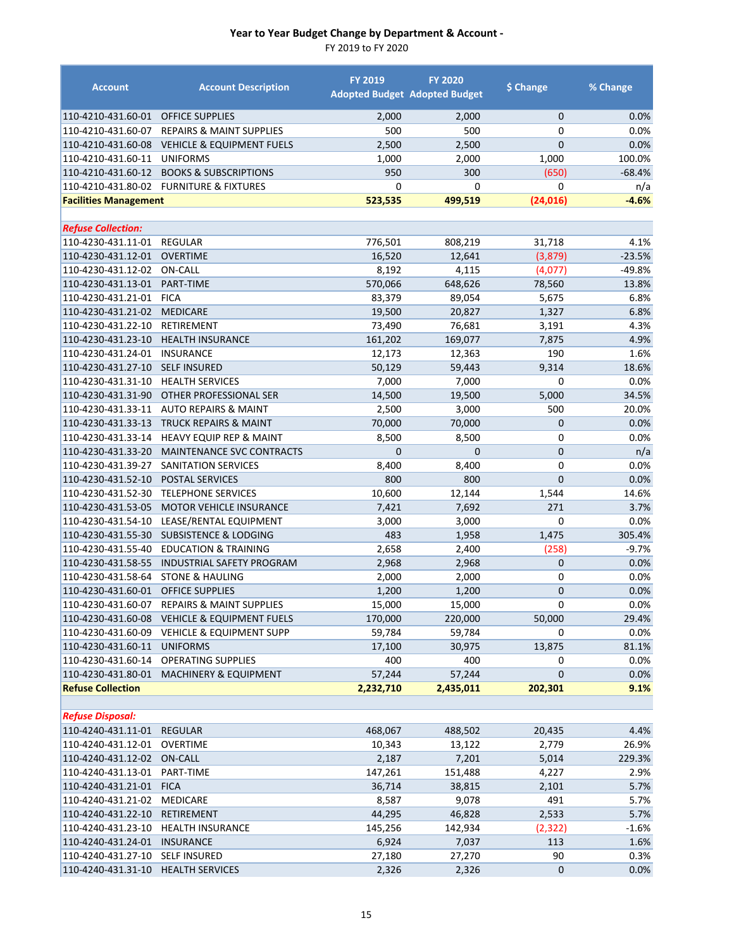| <b>Account</b>                           | <b>Account Description</b>                           | <b>FY 2019</b>  | <b>FY 2020</b><br><b>Adopted Budget Adopted Budget</b> | \$ Change      | % Change      |
|------------------------------------------|------------------------------------------------------|-----------------|--------------------------------------------------------|----------------|---------------|
| 110-4210-431.60-01                       | <b>OFFICE SUPPLIES</b>                               | 2,000           | 2,000                                                  | $\overline{0}$ | 0.0%          |
| 110-4210-431.60-07                       | <b>REPAIRS &amp; MAINT SUPPLIES</b>                  | 500             | 500                                                    | 0              | 0.0%          |
| 110-4210-431.60-08                       | <b>VEHICLE &amp; EQUIPMENT FUELS</b>                 | 2,500           | 2,500                                                  | 0              | 0.0%          |
| 110-4210-431.60-11                       | <b>UNIFORMS</b>                                      | 1,000           | 2,000                                                  | 1,000          | 100.0%        |
| 110-4210-431.60-12                       | <b>BOOKS &amp; SUBSCRIPTIONS</b>                     | 950             | 300                                                    | (650)          | $-68.4%$      |
| 110-4210-431.80-02                       | <b>FURNITURE &amp; FIXTURES</b>                      | 0               | 0                                                      | 0              | n/a           |
| <b>Facilities Management</b>             |                                                      | 523,535         | 499,519                                                | (24, 016)      | $-4.6%$       |
|                                          |                                                      |                 |                                                        |                |               |
| <b>Refuse Collection:</b>                |                                                      |                 |                                                        |                |               |
| 110-4230-431.11-01                       | <b>REGULAR</b>                                       | 776,501         | 808,219                                                | 31,718         | 4.1%          |
| 110-4230-431.12-01                       | <b>OVERTIME</b>                                      | 16,520          | 12,641                                                 | (3,879)        | $-23.5%$      |
| 110-4230-431.12-02                       | <b>ON-CALL</b>                                       | 8,192           | 4,115                                                  | (4,077)        | $-49.8%$      |
| 110-4230-431.13-01                       | PART-TIME                                            | 570,066         | 648,626                                                | 78,560         | 13.8%         |
| 110-4230-431.21-01                       | <b>FICA</b>                                          | 83,379          | 89,054                                                 | 5,675          | 6.8%          |
| 110-4230-431.21-02                       | <b>MEDICARE</b>                                      | 19,500          | 20,827                                                 | 1,327          | 6.8%          |
| 110-4230-431.22-10                       | RETIREMENT                                           | 73,490          | 76,681                                                 | 3,191          | 4.3%          |
| 110-4230-431.23-10                       | <b>HEALTH INSURANCE</b>                              | 161,202         | 169,077                                                | 7,875          | 4.9%          |
| 110-4230-431.24-01                       | <b>INSURANCE</b>                                     | 12,173          | 12,363                                                 | 190            | 1.6%          |
| 110-4230-431.27-10                       | <b>SELF INSURED</b>                                  | 50,129          | 59,443                                                 | 9,314          | 18.6%         |
| 110-4230-431.31-10                       | <b>HEALTH SERVICES</b>                               | 7,000           | 7,000                                                  | 0              | 0.0%          |
| 110-4230-431.31-90                       | OTHER PROFESSIONAL SER                               | 14,500          | 19,500                                                 | 5,000          | 34.5%         |
| 110-4230-431.33-11                       | <b>AUTO REPAIRS &amp; MAINT</b>                      | 2,500           | 3,000                                                  | 500            | 20.0%         |
| 110-4230-431.33-13                       | <b>TRUCK REPAIRS &amp; MAINT</b>                     | 70,000          | 70,000                                                 | 0              | 0.0%          |
| 110-4230-431.33-14                       | HEAVY EQUIP REP & MAINT                              | 8,500           | 8,500                                                  | 0              | 0.0%          |
| 110-4230-431.33-20                       | <b>MAINTENANCE SVC CONTRACTS</b>                     | $\overline{0}$  | $\mathbf 0$                                            | 0              | n/a           |
| 110-4230-431.39-27                       | SANITATION SERVICES                                  | 8,400<br>800    | 8,400<br>800                                           | 0<br>0         | 0.0%          |
| 110-4230-431.52-10                       | <b>POSTAL SERVICES</b>                               |                 |                                                        |                | 0.0%          |
| 110-4230-431.52-30<br>110-4230-431.53-05 | <b>TELEPHONE SERVICES</b><br>MOTOR VEHICLE INSURANCE | 10,600<br>7,421 | 12,144<br>7,692                                        | 1,544<br>271   | 14.6%<br>3.7% |
| 110-4230-431.54-10                       | LEASE/RENTAL EQUIPMENT                               | 3,000           | 3,000                                                  | 0              | 0.0%          |
| 110-4230-431.55-30                       | <b>SUBSISTENCE &amp; LODGING</b>                     | 483             | 1,958                                                  | 1,475          | 305.4%        |
| 110-4230-431.55-40                       | <b>EDUCATION &amp; TRAINING</b>                      | 2,658           | 2,400                                                  | (258)          | $-9.7%$       |
| 110-4230-431.58-55                       | <b>INDUSTRIAL SAFETY PROGRAM</b>                     | 2,968           | 2,968                                                  | 0              | 0.0%          |
| 110-4230-431.58-64                       | <b>STONE &amp; HAULING</b>                           | 2,000           | 2,000                                                  | 0              | 0.0%          |
| 110-4230-431.60-01                       | <b>OFFICE SUPPLIES</b>                               | 1,200           | 1,200                                                  | 0              | 0.0%          |
|                                          | 110-4230-431.60-07 REPAIRS & MAINT SUPPLIES          | 15,000          | 15,000                                                 | 0              | $0.0\%$       |
|                                          | 110-4230-431.60-08 VEHICLE & EQUIPMENT FUELS         | 170,000         | 220,000                                                | 50,000         | 29.4%         |
| 110-4230-431.60-09                       | <b>VEHICLE &amp; EQUIPMENT SUPP</b>                  | 59,784          | 59,784                                                 | 0              | 0.0%          |
| 110-4230-431.60-11                       | <b>UNIFORMS</b>                                      | 17,100          | 30,975                                                 | 13,875         | 81.1%         |
| 110-4230-431.60-14                       | <b>OPERATING SUPPLIES</b>                            | 400             | 400                                                    | 0              | 0.0%          |
| 110-4230-431.80-01                       | <b>MACHINERY &amp; EQUIPMENT</b>                     | 57,244          | 57,244                                                 | 0              | 0.0%          |
| <b>Refuse Collection</b>                 |                                                      | 2,232,710       | 2,435,011                                              | 202,301        | 9.1%          |
|                                          |                                                      |                 |                                                        |                |               |
| <b>Refuse Disposal:</b>                  |                                                      |                 |                                                        |                |               |
| 110-4240-431.11-01                       | <b>REGULAR</b>                                       | 468,067         | 488,502                                                | 20,435         | 4.4%          |
| 110-4240-431.12-01                       | OVERTIME                                             | 10,343          | 13,122                                                 | 2,779          | 26.9%         |
| 110-4240-431.12-02                       | ON-CALL                                              | 2,187           | 7,201                                                  | 5,014          | 229.3%        |
| 110-4240-431.13-01                       | PART-TIME                                            | 147,261         | 151,488                                                | 4,227          | 2.9%          |
| 110-4240-431.21-01                       | <b>FICA</b>                                          | 36,714          | 38,815                                                 | 2,101          | 5.7%          |
| 110-4240-431.21-02                       | <b>MEDICARE</b>                                      | 8,587           | 9,078                                                  | 491            | 5.7%          |
| 110-4240-431.22-10                       | RETIREMENT                                           | 44,295          | 46,828                                                 | 2,533          | 5.7%          |
| 110-4240-431.23-10                       | <b>HEALTH INSURANCE</b>                              | 145,256         | 142,934                                                | (2, 322)       | $-1.6%$       |
| 110-4240-431.24-01                       | <b>INSURANCE</b>                                     | 6,924           | 7,037                                                  | 113            | 1.6%          |
| 110-4240-431.27-10                       | <b>SELF INSURED</b>                                  | 27,180          | 27,270                                                 | 90             | 0.3%          |
| 110-4240-431.31-10                       | <b>HEALTH SERVICES</b>                               | 2,326           | 2,326                                                  | 0              | 0.0%          |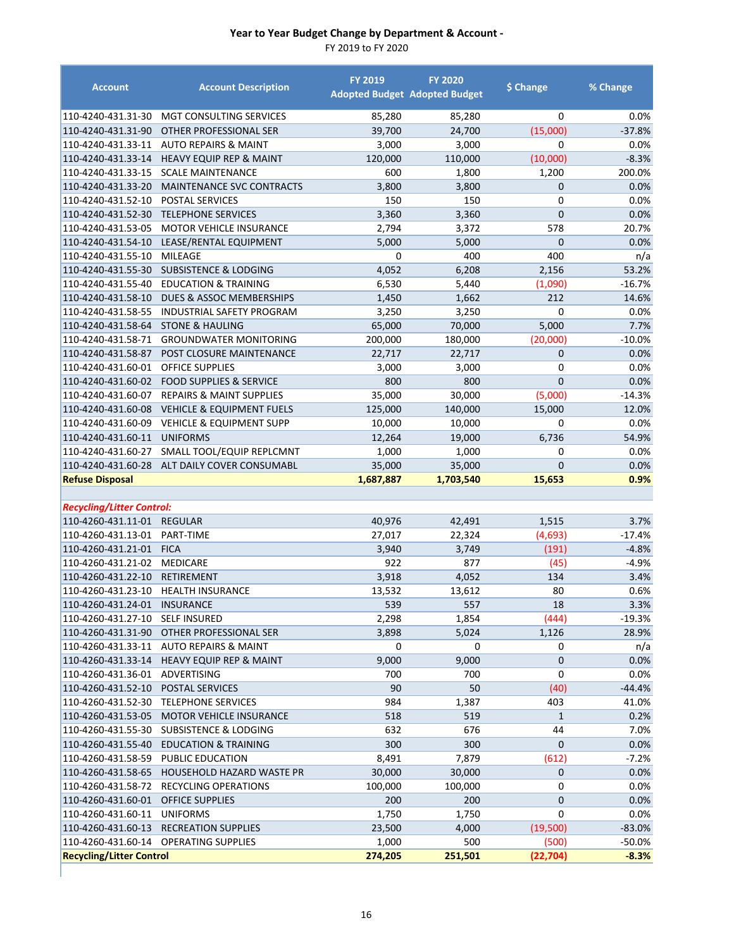| <b>Account</b>                           | <b>Account Description</b>                   | <b>FY 2019</b> | <b>FY 2020</b><br><b>Adopted Budget Adopted Budget</b> | \$ Change      | % Change     |
|------------------------------------------|----------------------------------------------|----------------|--------------------------------------------------------|----------------|--------------|
| 110-4240-431.31-30                       | MGT CONSULTING SERVICES                      | 85,280         | 85,280                                                 | 0              | 0.0%         |
| 110-4240-431.31-90                       | OTHER PROFESSIONAL SER                       | 39,700         | 24,700                                                 | (15,000)       | $-37.8%$     |
| 110-4240-431.33-11                       | <b>AUTO REPAIRS &amp; MAINT</b>              | 3,000          | 3,000                                                  | $\mathbf 0$    | 0.0%         |
| 110-4240-431.33-14                       | <b>HEAVY EQUIP REP &amp; MAINT</b>           | 120,000        | 110,000                                                | (10,000)       | $-8.3%$      |
| 110-4240-431.33-15                       | <b>SCALE MAINTENANCE</b>                     | 600            | 1,800                                                  | 1,200          | 200.0%       |
| 110-4240-431.33-20                       | MAINTENANCE SVC CONTRACTS                    | 3,800          | 3,800                                                  | $\mathbf 0$    | 0.0%         |
| 110-4240-431.52-10                       | POSTAL SERVICES                              | 150            | 150                                                    | 0              | 0.0%         |
| 110-4240-431.52-30                       | <b>TELEPHONE SERVICES</b>                    | 3,360          | 3,360                                                  | $\overline{0}$ | 0.0%         |
| 110-4240-431.53-05                       | <b>MOTOR VEHICLE INSURANCE</b>               | 2,794          | 3,372                                                  | 578            | 20.7%        |
| 110-4240-431.54-10                       | LEASE/RENTAL EQUIPMENT                       | 5,000          | 5,000                                                  | $\overline{0}$ | 0.0%         |
| 110-4240-431.55-10                       | MILEAGE                                      | 0              | 400                                                    | 400            | n/a          |
| 110-4240-431.55-30                       | <b>SUBSISTENCE &amp; LODGING</b>             | 4,052          | 6,208                                                  | 2,156          | 53.2%        |
| 110-4240-431.55-40                       | <b>EDUCATION &amp; TRAINING</b>              | 6,530          | 5,440                                                  | (1,090)        | $-16.7%$     |
| 110-4240-431.58-10                       | DUES & ASSOC MEMBERSHIPS                     | 1,450          | 1,662                                                  | 212            | 14.6%        |
| 110-4240-431.58-55                       | <b>INDUSTRIAL SAFETY PROGRAM</b>             | 3,250          | 3,250                                                  | 0              | 0.0%         |
| 110-4240-431.58-64                       | <b>STONE &amp; HAULING</b>                   | 65,000         | 70,000                                                 | 5,000          | 7.7%         |
| 110-4240-431.58-71                       | <b>GROUNDWATER MONITORING</b>                | 200,000        | 180,000                                                | (20,000)       | $-10.0%$     |
| 110-4240-431.58-87                       | POST CLOSURE MAINTENANCE                     | 22,717         | 22,717                                                 | $\mathbf 0$    | 0.0%         |
| 110-4240-431.60-01                       | <b>OFFICE SUPPLIES</b>                       | 3,000          | 3,000                                                  | $\mathbf 0$    | 0.0%         |
| 110-4240-431.60-02                       | <b>FOOD SUPPLIES &amp; SERVICE</b>           | 800            | 800                                                    | $\mathbf{0}$   | 0.0%         |
| 110-4240-431.60-07                       | <b>REPAIRS &amp; MAINT SUPPLIES</b>          | 35,000         | 30,000                                                 | (5,000)        | $-14.3%$     |
| 110-4240-431.60-08                       | <b>VEHICLE &amp; EQUIPMENT FUELS</b>         | 125,000        | 140,000                                                | 15,000         | 12.0%        |
| 110-4240-431.60-09                       | <b>VEHICLE &amp; EQUIPMENT SUPP</b>          | 10,000         | 10,000                                                 | 0              | 0.0%         |
| 110-4240-431.60-11                       | <b>UNIFORMS</b>                              | 12,264         | 19,000                                                 | 6,736          | 54.9%        |
| 110-4240-431.60-27                       | SMALL TOOL/EQUIP REPLCMNT                    | 1,000          | 1,000                                                  | 0              | 0.0%         |
|                                          | 110-4240-431.60-28 ALT DAILY COVER CONSUMABL | 35,000         | 35,000                                                 | $\overline{0}$ | 0.0%         |
| <b>Refuse Disposal</b>                   |                                              | 1,687,887      | 1,703,540                                              | 15,653         | 0.9%         |
|                                          |                                              |                |                                                        |                |              |
| <b>Recycling/Litter Control:</b>         |                                              |                |                                                        |                |              |
| 110-4260-431.11-01 REGULAR               |                                              | 40,976         | 42,491                                                 | 1,515          | 3.7%         |
| 110-4260-431.13-01                       | PART-TIME                                    | 27,017         | 22,324                                                 | (4,693)        | $-17.4%$     |
| 110-4260-431.21-01                       | <b>FICA</b>                                  | 3,940          | 3,749                                                  | (191)          | $-4.8%$      |
| 110-4260-431.21-02<br>110-4260-431.22-10 | <b>MEDICARE</b>                              | 922            | 877                                                    | (45)           | $-4.9%$      |
| 110-4260-431.23-10                       | <b>RETIREMENT</b>                            | 3,918          | 4,052                                                  | 134            | 3.4%         |
|                                          | <b>HEALTH INSURANCE</b><br><b>INSURANCE</b>  | 13,532<br>539  | 13,612                                                 | 80<br>18       | 0.6%<br>3.3% |
| 110-4260-431.24-01<br>110-4260-431.27-10 | <b>SELF INSURED</b>                          |                | 557                                                    |                | $-19.3%$     |
|                                          | OTHER PROFESSIONAL SER                       | 2,298<br>3,898 | 1,854                                                  | (444)          | 28.9%        |
| 110-4260-431.31-90<br>110-4260-431.33-11 | <b>AUTO REPAIRS &amp; MAINT</b>              | 0              | 5,024<br>0                                             | 1,126<br>0     | n/a          |
| 110-4260-431.33-14                       | <b>HEAVY EQUIP REP &amp; MAINT</b>           | 9,000          | 9,000                                                  | 0              | 0.0%         |
| 110-4260-431.36-01                       | ADVERTISING                                  | 700            | 700                                                    | 0              | 0.0%         |
| 110-4260-431.52-10                       | POSTAL SERVICES                              | 90             | 50                                                     | (40)           | $-44.4%$     |
| 110-4260-431.52-30                       | <b>TELEPHONE SERVICES</b>                    | 984            | 1,387                                                  | 403            | 41.0%        |
| 110-4260-431.53-05                       | MOTOR VEHICLE INSURANCE                      | 518            | 519                                                    | $\mathbf{1}$   | 0.2%         |
| 110-4260-431.55-30                       | <b>SUBSISTENCE &amp; LODGING</b>             | 632            | 676                                                    | 44             | 7.0%         |
| 110-4260-431.55-40                       | <b>EDUCATION &amp; TRAINING</b>              | 300            | 300                                                    | $\mathbf 0$    | 0.0%         |
| 110-4260-431.58-59                       | <b>PUBLIC EDUCATION</b>                      | 8,491          | 7,879                                                  | (612)          | $-7.2%$      |
| 110-4260-431.58-65                       | HOUSEHOLD HAZARD WASTE PR                    | 30,000         | 30,000                                                 | $\mathbf 0$    | 0.0%         |
| 110-4260-431.58-72                       | <b>RECYCLING OPERATIONS</b>                  | 100,000        | 100,000                                                | 0              | 0.0%         |
| 110-4260-431.60-01                       | <b>OFFICE SUPPLIES</b>                       | 200            | 200                                                    | $\pmb{0}$      | 0.0%         |
| 110-4260-431.60-11                       | <b>UNIFORMS</b>                              | 1,750          | 1,750                                                  | 0              | 0.0%         |
| 110-4260-431.60-13                       | <b>RECREATION SUPPLIES</b>                   | 23,500         | 4,000                                                  | (19,500)       | $-83.0%$     |
| 110-4260-431.60-14                       | <b>OPERATING SUPPLIES</b>                    | 1,000          | 500                                                    | (500)          | $-50.0%$     |
| <b>Recycling/Litter Control</b>          |                                              | 274,205        | 251,501                                                | (22, 704)      | $-8.3%$      |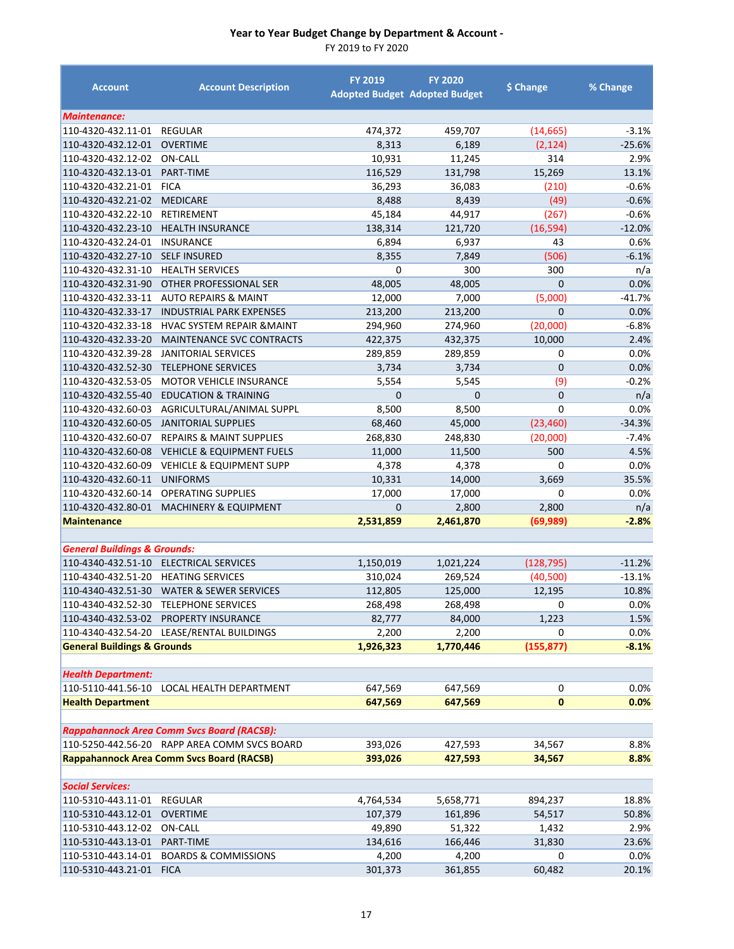| <b>Account</b>                           | <b>Account Description</b>                        | <b>FY 2019</b>         | <b>FY 2020</b><br><b>Adopted Budget Adopted Budget</b> | \$ Change          | % Change       |
|------------------------------------------|---------------------------------------------------|------------------------|--------------------------------------------------------|--------------------|----------------|
| <b>Maintenance:</b>                      |                                                   |                        |                                                        |                    |                |
| 110-4320-432.11-01                       | <b>REGULAR</b>                                    | 474,372                | 459,707                                                | (14, 665)          | $-3.1%$        |
| 110-4320-432.12-01                       | <b>OVERTIME</b>                                   | 8,313                  | 6,189                                                  | (2, 124)           | $-25.6%$       |
| 110-4320-432.12-02                       | ON-CALL                                           | 10,931                 | 11,245                                                 | 314                | 2.9%           |
| 110-4320-432.13-01                       | PART-TIME                                         | 116,529                | 131,798                                                | 15,269             | 13.1%          |
| 110-4320-432.21-01                       | <b>FICA</b>                                       | 36,293                 | 36,083                                                 | (210)              | $-0.6%$        |
| 110-4320-432.21-02                       | <b>MEDICARE</b>                                   | 8,488                  | 8,439                                                  | (49)               | $-0.6%$        |
| 110-4320-432.22-10                       | RETIREMENT                                        | 45,184                 | 44,917                                                 | (267)              | $-0.6%$        |
| 110-4320-432.23-10                       | <b>HEALTH INSURANCE</b>                           | 138,314                | 121,720                                                | (16, 594)          | $-12.0%$       |
| 110-4320-432.24-01                       | <b>INSURANCE</b>                                  | 6,894                  | 6,937                                                  | 43                 | 0.6%           |
| 110-4320-432.27-10                       | <b>SELF INSURED</b>                               | 8,355                  | 7,849                                                  | (506)              | $-6.1%$        |
| 110-4320-432.31-10                       | <b>HEALTH SERVICES</b>                            | 0                      | 300                                                    | 300                | n/a            |
| 110-4320-432.31-90                       | OTHER PROFESSIONAL SER                            | 48,005                 | 48,005                                                 | $\mathbf{0}$       | 0.0%           |
| 110-4320-432.33-11                       | <b>AUTO REPAIRS &amp; MAINT</b>                   | 12,000                 | 7,000                                                  | (5,000)            | $-41.7%$       |
| 110-4320-432.33-17                       | <b>INDUSTRIAL PARK EXPENSES</b>                   | 213,200                | 213,200                                                | $\overline{0}$     | 0.0%           |
| 110-4320-432.33-18                       | <b>HVAC SYSTEM REPAIR &amp; MAINT</b>             | 294,960                | 274,960                                                | (20,000)           | $-6.8%$        |
| 110-4320-432.33-20                       | <b>MAINTENANCE SVC CONTRACTS</b>                  | 422,375                | 432,375                                                | 10,000             | 2.4%           |
| 110-4320-432.39-28                       | <b>JANITORIAL SERVICES</b>                        | 289,859                | 289,859                                                | 0                  | 0.0%           |
| 110-4320-432.52-30                       | <b>TELEPHONE SERVICES</b>                         | 3,734                  | 3,734                                                  | $\mathbf 0$        | 0.0%           |
| 110-4320-432.53-05                       | <b>MOTOR VEHICLE INSURANCE</b>                    | 5,554                  | 5,545                                                  | (9)                | -0.2%          |
| 110-4320-432.55-40                       | <b>EDUCATION &amp; TRAINING</b>                   | $\mathbf{0}$           | $\mathbf{0}$                                           | $\mathbf 0$        | n/a            |
| 110-4320-432.60-03                       | AGRICULTURAL/ANIMAL SUPPL                         | 8,500                  | 8,500                                                  | 0                  | 0.0%           |
| 110-4320-432.60-05                       | <b>JANITORIAL SUPPLIES</b>                        | 68,460                 | 45,000                                                 | (23, 460)          | $-34.3%$       |
| 110-4320-432.60-07                       | <b>REPAIRS &amp; MAINT SUPPLIES</b>               | 268,830                | 248,830                                                | (20,000)           | $-7.4%$        |
| 110-4320-432.60-08                       | <b>VEHICLE &amp; EQUIPMENT FUELS</b>              | 11,000                 | 11,500                                                 | 500                | 4.5%           |
| 110-4320-432.60-09                       | <b>VEHICLE &amp; EQUIPMENT SUPP</b>               | 4,378                  | 4,378                                                  | 0                  | 0.0%           |
| 110-4320-432.60-11                       | <b>UNIFORMS</b>                                   | 10,331                 | 14,000                                                 | 3,669              | 35.5%          |
| 110-4320-432.60-14                       | <b>OPERATING SUPPLIES</b>                         | 17,000<br>$\mathbf{0}$ | 17,000                                                 | 0                  | 0.0%           |
| 110-4320-432.80-01<br><b>Maintenance</b> | <b>MACHINERY &amp; EQUIPMENT</b>                  | 2,531,859              | 2,800<br>2,461,870                                     | 2,800<br>(69, 989) | n/a<br>$-2.8%$ |
|                                          |                                                   |                        |                                                        |                    |                |
| <b>General Buildings &amp; Grounds:</b>  |                                                   |                        |                                                        |                    |                |
|                                          | 110-4340-432.51-10 ELECTRICAL SERVICES            | 1,150,019              | 1,021,224                                              | (128, 795)         | $-11.2%$       |
| 110-4340-432.51-20                       | <b>HEATING SERVICES</b>                           | 310,024                | 269,524                                                | (40, 500)          | $-13.1%$       |
|                                          | 110-4340-432.51-30 WATER & SEWER SERVICES         | 112,805                | 125,000                                                | 12,195             | 10.8%          |
|                                          | 110-4340-432.52-30 TELEPHONE SERVICES             | 268,498                | 268,498                                                | 0                  | 0.0%           |
|                                          | 110-4340-432.53-02 PROPERTY INSURANCE             | 82,777                 | 84,000                                                 | 1,223              | 1.5%           |
|                                          | 110-4340-432.54-20 LEASE/RENTAL BUILDINGS         | 2,200                  | 2,200                                                  | 0                  | 0.0%           |
| <b>General Buildings &amp; Grounds</b>   |                                                   | 1,926,323              | 1,770,446                                              | (155, 877)         | $-8.1%$        |
|                                          |                                                   |                        |                                                        |                    |                |
| <b>Health Department:</b>                |                                                   |                        |                                                        |                    |                |
| 110-5110-441.56-10                       | LOCAL HEALTH DEPARTMENT                           | 647,569                | 647,569                                                | 0                  | 0.0%           |
| <b>Health Department</b>                 |                                                   | 647,569                | 647,569                                                | $\bf{0}$           | 0.0%           |
|                                          | <b>Rappahannock Area Comm Svcs Board (RACSB):</b> |                        |                                                        |                    |                |
|                                          | 110-5250-442.56-20 RAPP AREA COMM SVCS BOARD      | 393,026                | 427,593                                                | 34,567             | 8.8%           |
|                                          | <b>Rappahannock Area Comm Svcs Board (RACSB)</b>  | 393,026                | 427,593                                                | 34,567             | 8.8%           |
|                                          |                                                   |                        |                                                        |                    |                |
| <b>Social Services:</b>                  |                                                   |                        |                                                        |                    |                |
| 110-5310-443.11-01                       | REGULAR                                           | 4,764,534              | 5,658,771                                              | 894,237            | 18.8%          |
| 110-5310-443.12-01                       | <b>OVERTIME</b>                                   | 107,379                | 161,896                                                | 54,517             | 50.8%          |
| 110-5310-443.12-02                       | <b>ON-CALL</b>                                    | 49,890                 | 51,322                                                 | 1,432              | 2.9%           |
| 110-5310-443.13-01                       | PART-TIME                                         | 134,616                | 166,446                                                | 31,830             | 23.6%          |
| 110-5310-443.14-01                       | <b>BOARDS &amp; COMMISSIONS</b>                   | 4,200                  | 4,200                                                  | 0                  | 0.0%           |
| 110-5310-443.21-01                       | <b>FICA</b>                                       | 301,373                | 361,855                                                | 60,482             | 20.1%          |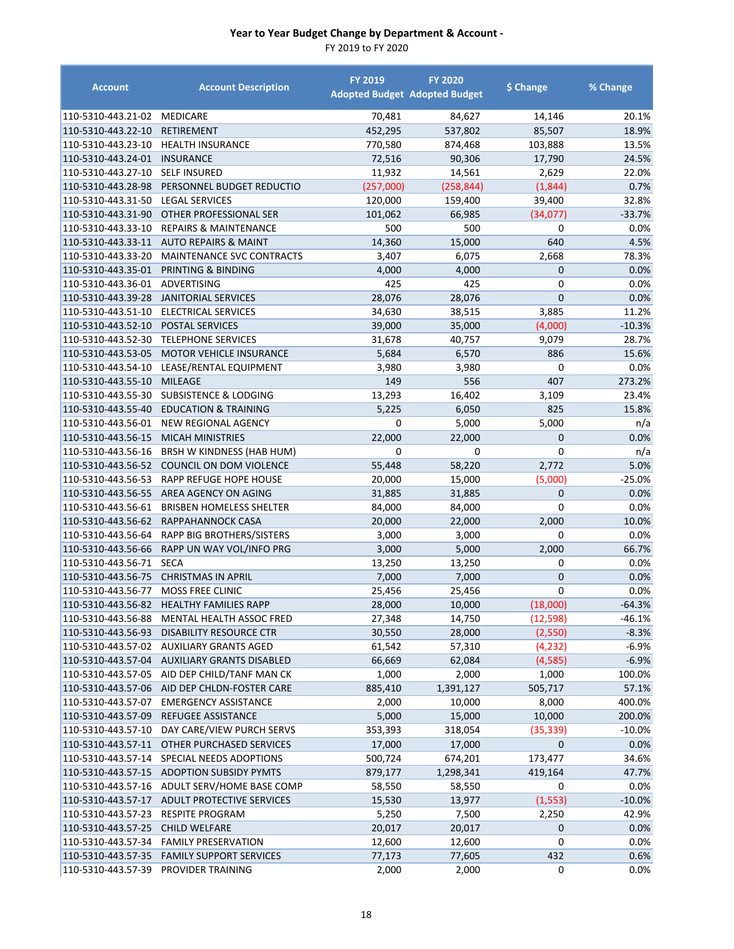| <b>Account</b>                           | <b>Account Description</b>                           | <b>FY 2019</b>  | <b>FY 2020</b><br><b>Adopted Budget Adopted Budget</b> | \$ Change             | % Change     |
|------------------------------------------|------------------------------------------------------|-----------------|--------------------------------------------------------|-----------------------|--------------|
| 110-5310-443.21-02                       | <b>MEDICARE</b>                                      | 70,481          | 84,627                                                 | 14,146                | 20.1%        |
| 110-5310-443.22-10                       | <b>RETIREMENT</b>                                    | 452,295         | 537,802                                                | 85,507                | 18.9%        |
| 110-5310-443.23-10                       | <b>HEALTH INSURANCE</b>                              | 770,580         | 874,468                                                | 103,888               | 13.5%        |
| 110-5310-443.24-01                       | <b>INSURANCE</b>                                     | 72,516          | 90,306                                                 | 17,790                | 24.5%        |
| 110-5310-443.27-10                       | <b>SELF INSURED</b>                                  | 11,932          | 14,561                                                 | 2,629                 | 22.0%        |
| 110-5310-443.28-98                       | PERSONNEL BUDGET REDUCTIO                            | (257,000)       | (258, 844)                                             | (1,844)               | 0.7%         |
| 110-5310-443.31-50                       | <b>LEGAL SERVICES</b>                                | 120,000         | 159,400                                                | 39,400                | 32.8%        |
| 110-5310-443.31-90                       | <b>OTHER PROFESSIONAL SER</b>                        | 101,062         | 66,985                                                 | (34,077)              | $-33.7%$     |
| 110-5310-443.33-10                       | <b>REPAIRS &amp; MAINTENANCE</b>                     | 500             | 500                                                    | 0                     | 0.0%         |
|                                          | 110-5310-443.33-11 AUTO REPAIRS & MAINT              | 14,360          | 15,000                                                 | 640                   | 4.5%         |
| 110-5310-443.33-20                       | MAINTENANCE SVC CONTRACTS                            | 3,407           | 6,075                                                  | 2,668                 | 78.3%        |
|                                          | 110-5310-443.35-01 PRINTING & BINDING                | 4,000           | 4,000                                                  | $\mathbf{0}$          | 0.0%         |
| 110-5310-443.36-01                       | ADVERTISING                                          | 425             | 425                                                    | 0                     | 0.0%         |
| 110-5310-443.39-28                       | JANITORIAL SERVICES                                  | 28,076          | 28,076                                                 | $\overline{0}$        | 0.0%         |
| 110-5310-443.51-10                       | <b>ELECTRICAL SERVICES</b>                           | 34,630          | 38,515                                                 | 3,885                 | 11.2%        |
| 110-5310-443.52-10                       | POSTAL SERVICES                                      | 39,000          | 35,000                                                 | (4,000)               | $-10.3%$     |
| 110-5310-443.52-30                       | <b>TELEPHONE SERVICES</b>                            | 31,678          | 40,757                                                 | 9,079                 | 28.7%        |
| 110-5310-443.53-05                       | <b>MOTOR VEHICLE INSURANCE</b>                       | 5,684           | 6,570                                                  | 886                   | 15.6%        |
| 110-5310-443.54-10                       | LEASE/RENTAL EQUIPMENT                               | 3,980           | 3,980                                                  | 0                     | 0.0%         |
| 110-5310-443.55-10                       | <b>MILEAGE</b>                                       | 149             | 556                                                    | 407                   | 273.2%       |
| 110-5310-443.55-30                       | <b>SUBSISTENCE &amp; LODGING</b>                     | 13,293          | 16,402                                                 | 3,109                 | 23.4%        |
| 110-5310-443.55-40                       | <b>EDUCATION &amp; TRAINING</b>                      | 5,225           | 6,050                                                  | 825                   | 15.8%        |
| 110-5310-443.56-01                       | <b>NEW REGIONAL AGENCY</b>                           | 0               | 5,000                                                  | 5,000                 | n/a          |
| 110-5310-443.56-15                       | <b>MICAH MINISTRIES</b>                              | 22,000          | 22,000                                                 | $\mathbf 0$           | 0.0%         |
| 110-5310-443.56-16                       | BRSH W KINDNESS (HAB HUM)                            | 0               | 0                                                      | 0                     | n/a          |
| 110-5310-443.56-52                       | COUNCIL ON DOM VIOLENCE                              | 55,448          | 58,220                                                 | 2,772                 | 5.0%         |
| 110-5310-443.56-53                       | RAPP REFUGE HOPE HOUSE                               | 20,000          | 15,000                                                 | (5,000)               | $-25.0%$     |
| 110-5310-443.56-55                       | AREA AGENCY ON AGING                                 | 31,885          | 31,885                                                 | $\mathbf 0$           | 0.0%         |
| 110-5310-443.56-61                       | <b>BRISBEN HOMELESS SHELTER</b>                      | 84,000          | 84,000                                                 | $\mathbf 0$           | 0.0%         |
| 110-5310-443.56-62                       | RAPPAHANNOCK CASA                                    | 20,000          | 22,000                                                 | 2,000                 | 10.0%        |
| 110-5310-443.56-64                       | RAPP BIG BROTHERS/SISTERS                            | 3,000           | 3,000                                                  | $\mathbf 0$           | 0.0%         |
| 110-5310-443.56-66                       | RAPP UN WAY VOL/INFO PRG                             | 3,000           | 5,000                                                  | 2,000                 | 66.7%        |
| 110-5310-443.56-71                       | <b>SECA</b>                                          | 13,250          | 13,250                                                 | 0<br>$\mathbf 0$      | 0.0%<br>0.0% |
| 110-5310-443.56-75<br>110-5310-443.56-77 | <b>CHRISTMAS IN APRIL</b><br><b>MOSS FREE CLINIC</b> | 7,000<br>25,456 | 7,000                                                  | 0                     | 0.0%         |
| 110-5310-443.56-82                       | <b>HEALTHY FAMILIES RAPP</b>                         | 28,000          | 25,456                                                 |                       | $-64.3%$     |
| 110-5310-443.56-88                       | MENTAL HEALTH ASSOC FRED                             | 27,348          | 10,000<br>14,750                                       | (18,000)<br>(12, 598) | $-46.1%$     |
| 110-5310-443.56-93                       | <b>DISABILITY RESOURCE CTR</b>                       | 30,550          | 28,000                                                 | (2,550)               | $-8.3%$      |
|                                          | 110-5310-443.57-02 AUXILIARY GRANTS AGED             | 61,542          | 57,310                                                 | (4, 232)              | $-6.9%$      |
| 110-5310-443.57-04                       | <b>AUXILIARY GRANTS DISABLED</b>                     | 66,669          | 62,084                                                 | (4, 585)              | $-6.9%$      |
| 110-5310-443.57-05                       | AID DEP CHILD/TANF MAN CK                            | 1,000           | 2,000                                                  | 1,000                 | 100.0%       |
| 110-5310-443.57-06                       | AID DEP CHLDN-FOSTER CARE                            | 885,410         | 1,391,127                                              | 505,717               | 57.1%        |
| 110-5310-443.57-07                       | <b>EMERGENCY ASSISTANCE</b>                          | 2,000           | 10,000                                                 | 8,000                 | 400.0%       |
| 110-5310-443.57-09                       | REFUGEE ASSISTANCE                                   | 5,000           | 15,000                                                 | 10,000                | 200.0%       |
| 110-5310-443.57-10                       | DAY CARE/VIEW PURCH SERVS                            | 353,393         | 318,054                                                | (35, 339)             | $-10.0%$     |
|                                          | 110-5310-443.57-11 OTHER PURCHASED SERVICES          | 17,000          | 17,000                                                 | $\mathbf 0$           | 0.0%         |
| 110-5310-443.57-14                       | SPECIAL NEEDS ADOPTIONS                              | 500,724         | 674,201                                                | 173,477               | 34.6%        |
| 110-5310-443.57-15                       | <b>ADOPTION SUBSIDY PYMTS</b>                        | 879,177         | 1,298,341                                              | 419,164               | 47.7%        |
| 110-5310-443.57-16                       | ADULT SERV/HOME BASE COMP                            | 58,550          | 58,550                                                 | 0                     | 0.0%         |
| 110-5310-443.57-17                       | ADULT PROTECTIVE SERVICES                            | 15,530          | 13,977                                                 | (1, 553)              | $-10.0%$     |
| 110-5310-443.57-23                       | <b>RESPITE PROGRAM</b>                               | 5,250           | 7,500                                                  | 2,250                 | 42.9%        |
| 110-5310-443.57-25                       | <b>CHILD WELFARE</b>                                 | 20,017          | 20,017                                                 | 0                     | 0.0%         |
| 110-5310-443.57-34                       | <b>FAMILY PRESERVATION</b>                           | 12,600          | 12,600                                                 | 0                     | 0.0%         |
| 110-5310-443.57-35                       | <b>FAMILY SUPPORT SERVICES</b>                       | 77,173          | 77,605                                                 | 432                   | 0.6%         |
| 110-5310-443.57-39                       | PROVIDER TRAINING                                    | 2,000           | 2,000                                                  | 0                     | 0.0%         |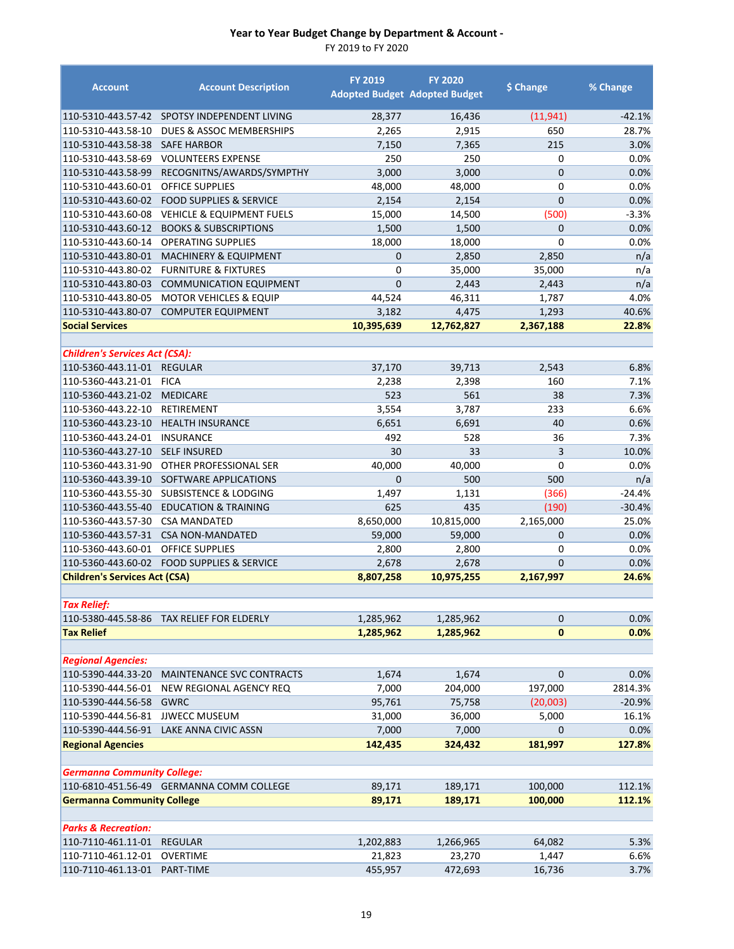| <b>Account</b>                        | <b>Account Description</b>                | <b>FY 2019</b> | <b>FY 2020</b><br><b>Adopted Budget Adopted Budget</b> | \$ Change      | % Change |
|---------------------------------------|-------------------------------------------|----------------|--------------------------------------------------------|----------------|----------|
| 110-5310-443.57-42                    | SPOTSY INDEPENDENT LIVING                 | 28,377         | 16,436                                                 | (11, 941)      | $-42.1%$ |
| 110-5310-443.58-10                    | DUES & ASSOC MEMBERSHIPS                  | 2,265          | 2,915                                                  | 650            | 28.7%    |
| 110-5310-443.58-38                    | <b>SAFE HARBOR</b>                        | 7,150          | 7,365                                                  | 215            | 3.0%     |
| 110-5310-443.58-69                    | <b>VOLUNTEERS EXPENSE</b>                 | 250            | 250                                                    | 0              | 0.0%     |
| 110-5310-443.58-99                    | RECOGNITNS/AWARDS/SYMPTHY                 | 3,000          | 3,000                                                  | $\mathbf{0}$   | 0.0%     |
| 110-5310-443.60-01                    | <b>OFFICE SUPPLIES</b>                    | 48,000         | 48,000                                                 | $\mathbf 0$    | 0.0%     |
| 110-5310-443.60-02                    | <b>FOOD SUPPLIES &amp; SERVICE</b>        | 2,154          | 2,154                                                  | $\mathbf{0}$   | 0.0%     |
| 110-5310-443.60-08                    | <b>VEHICLE &amp; EQUIPMENT FUELS</b>      | 15,000         | 14,500                                                 | (500)          | $-3.3%$  |
| 110-5310-443.60-12                    | <b>BOOKS &amp; SUBSCRIPTIONS</b>          | 1,500          | 1,500                                                  | $\mathbf{0}$   | 0.0%     |
| 110-5310-443.60-14                    | <b>OPERATING SUPPLIES</b>                 | 18,000         | 18,000                                                 | $\mathbf 0$    | 0.0%     |
| 110-5310-443.80-01                    | <b>MACHINERY &amp; EQUIPMENT</b>          | $\mathbf{0}$   | 2,850                                                  | 2,850          | n/a      |
| 110-5310-443.80-02                    | <b>FURNITURE &amp; FIXTURES</b>           | 0              | 35,000                                                 | 35,000         | n/a      |
| 110-5310-443.80-03                    | <b>COMMUNICATION EQUIPMENT</b>            | $\mathbf 0$    | 2,443                                                  | 2,443          | n/a      |
| 110-5310-443.80-05                    | <b>MOTOR VEHICLES &amp; EQUIP</b>         | 44,524         | 46,311                                                 | 1,787          | 4.0%     |
| 110-5310-443.80-07                    | <b>COMPUTER EQUIPMENT</b>                 | 3,182          | 4,475                                                  | 1,293          | 40.6%    |
| <b>Social Services</b>                |                                           | 10,395,639     | 12,762,827                                             | 2,367,188      | 22.8%    |
| <b>Children's Services Act (CSA):</b> |                                           |                |                                                        |                |          |
| 110-5360-443.11-01                    | <b>REGULAR</b>                            | 37,170         | 39,713                                                 | 2,543          | 6.8%     |
| 110-5360-443.21-01                    | <b>FICA</b>                               | 2,238          | 2,398                                                  | 160            | 7.1%     |
| 110-5360-443.21-02                    | <b>MEDICARE</b>                           | 523            | 561                                                    | 38             | 7.3%     |
| 110-5360-443.22-10                    | RETIREMENT                                | 3,554          | 3,787                                                  | 233            | 6.6%     |
| 110-5360-443.23-10                    | <b>HEALTH INSURANCE</b>                   | 6,651          | 6,691                                                  | 40             | 0.6%     |
| 110-5360-443.24-01                    | <b>INSURANCE</b>                          | 492            | 528                                                    | 36             | 7.3%     |
| 110-5360-443.27-10                    | <b>SELF INSURED</b>                       | 30             | 33                                                     | 3              | 10.0%    |
| 110-5360-443.31-90                    | OTHER PROFESSIONAL SER                    | 40,000         | 40,000                                                 | $\mathbf 0$    | 0.0%     |
| 110-5360-443.39-10                    | SOFTWARE APPLICATIONS                     | $\Omega$       | 500                                                    | 500            | n/a      |
| 110-5360-443.55-30                    | <b>SUBSISTENCE &amp; LODGING</b>          | 1,497          | 1,131                                                  | (366)          | $-24.4%$ |
| 110-5360-443.55-40                    | <b>EDUCATION &amp; TRAINING</b>           | 625            | 435                                                    | (190)          | $-30.4%$ |
| 110-5360-443.57-30                    | <b>CSA MANDATED</b>                       | 8,650,000      | 10,815,000                                             | 2,165,000      | 25.0%    |
| 110-5360-443.57-31                    | <b>CSA NON-MANDATED</b>                   | 59,000         | 59,000                                                 | $\mathbf{0}$   | 0.0%     |
| 110-5360-443.60-01                    | <b>OFFICE SUPPLIES</b>                    | 2,800          | 2,800                                                  | 0              | 0.0%     |
| 110-5360-443.60-02                    | <b>FOOD SUPPLIES &amp; SERVICE</b>        | 2,678          | 2,678                                                  | $\overline{0}$ | 0.0%     |
| <b>Children's Services Act (CSA)</b>  |                                           | 8,807,258      | 10,975,255                                             | 2,167,997      | 24.6%    |
| <b>Tax Relief:</b>                    |                                           |                |                                                        |                |          |
|                                       | 110-5380-445.58-86 TAX RELIEF FOR ELDERLY | 1,285,962      | 1,285,962                                              | $\pmb{0}$      | 0.0%     |
| <b>Tax Relief</b>                     |                                           | 1,285,962      | 1,285,962                                              | $\mathbf{0}$   | 0.0%     |
|                                       |                                           |                |                                                        |                |          |
| <b>Regional Agencies:</b>             |                                           |                |                                                        |                |          |
| 110-5390-444.33-20                    | MAINTENANCE SVC CONTRACTS                 | 1,674          | 1,674                                                  | $\mathbf 0$    | 0.0%     |
| 110-5390-444.56-01                    | NEW REGIONAL AGENCY REQ                   | 7,000          | 204,000                                                | 197,000        | 2814.3%  |
| 110-5390-444.56-58                    | <b>GWRC</b>                               | 95,761         | 75,758                                                 | (20,003)       | $-20.9%$ |
| 110-5390-444.56-81                    | <b>JJWECC MUSEUM</b>                      | 31,000         | 36,000                                                 | 5,000          | 16.1%    |
| 110-5390-444.56-91                    | LAKE ANNA CIVIC ASSN                      | 7,000          | 7,000                                                  | $\mathbf 0$    | 0.0%     |
| <b>Regional Agencies</b>              |                                           | 142,435        | 324,432                                                | 181,997        | 127.8%   |
| <b>Germanna Community College:</b>    |                                           |                |                                                        |                |          |
|                                       | 110-6810-451.56-49 GERMANNA COMM COLLEGE  | 89,171         | 189,171                                                | 100,000        | 112.1%   |
| <b>Germanna Community College</b>     |                                           | 89,171         | 189,171                                                | 100,000        | 112.1%   |
| <b>Parks &amp; Recreation:</b>        |                                           |                |                                                        |                |          |
| 110-7110-461.11-01                    | <b>REGULAR</b>                            | 1,202,883      | 1,266,965                                              | 64,082         | 5.3%     |
| 110-7110-461.12-01                    | OVERTIME                                  | 21,823         | 23,270                                                 | 1,447          | 6.6%     |
| 110-7110-461.13-01                    | PART-TIME                                 | 455,957        | 472,693                                                | 16,736         | 3.7%     |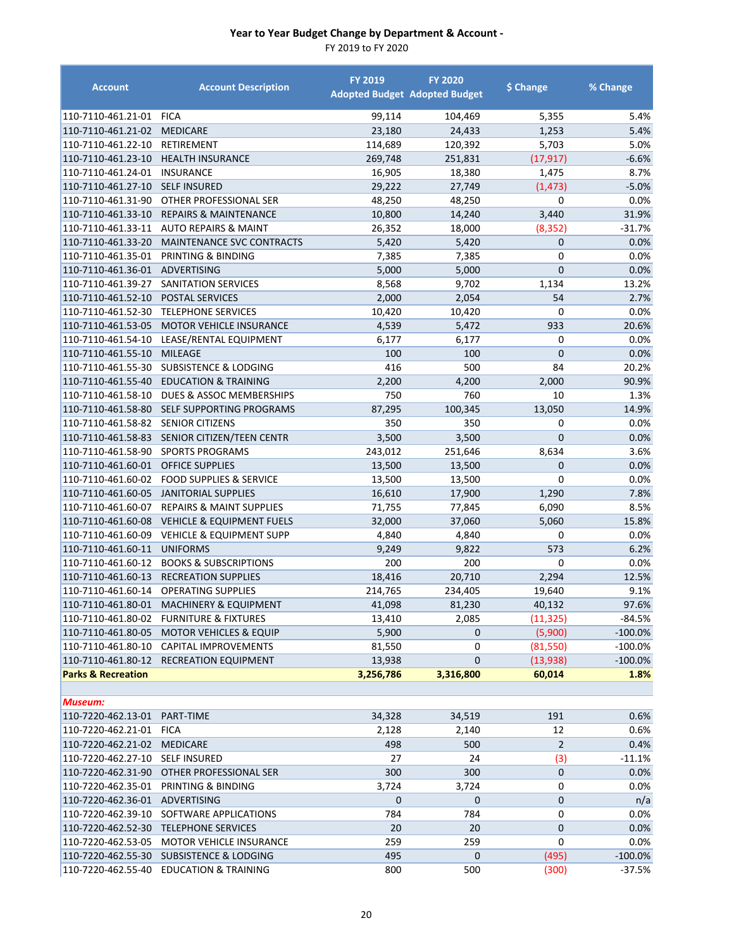| <b>Account</b>                | <b>Account Description</b>                                                   | <b>FY 2019</b>      | <b>FY 2020</b><br><b>Adopted Budget Adopted Budget</b> | \$ Change          | % Change              |
|-------------------------------|------------------------------------------------------------------------------|---------------------|--------------------------------------------------------|--------------------|-----------------------|
| 110-7110-461.21-01            | <b>FICA</b>                                                                  | 99,114              | 104,469                                                | 5,355              | 5.4%                  |
| 110-7110-461.21-02            | <b>MEDICARE</b>                                                              | 23,180              | 24,433                                                 | 1,253              | 5.4%                  |
| 110-7110-461.22-10            | RETIREMENT                                                                   | 114,689             | 120,392                                                | 5,703              | 5.0%                  |
| 110-7110-461.23-10            | <b>HEALTH INSURANCE</b>                                                      | 269,748             | 251,831                                                | (17, 917)          | $-6.6%$               |
| 110-7110-461.24-01            | <b>INSURANCE</b>                                                             | 16,905              | 18,380                                                 | 1,475              | 8.7%                  |
| 110-7110-461.27-10            | <b>SELF INSURED</b>                                                          | 29,222              | 27,749                                                 | (1, 473)           | $-5.0%$               |
| 110-7110-461.31-90            | OTHER PROFESSIONAL SER                                                       | 48,250              | 48,250                                                 | 0                  | 0.0%                  |
| 110-7110-461.33-10            | <b>REPAIRS &amp; MAINTENANCE</b>                                             | 10,800              | 14,240                                                 | 3,440              | 31.9%                 |
| 110-7110-461.33-11            | <b>AUTO REPAIRS &amp; MAINT</b>                                              | 26,352              | 18,000                                                 | (8, 352)           | $-31.7%$              |
| 110-7110-461.33-20            | MAINTENANCE SVC CONTRACTS                                                    | 5,420               | 5,420                                                  | 0                  | 0.0%                  |
| 110-7110-461.35-01            | PRINTING & BINDING                                                           | 7,385               | 7,385                                                  | 0                  | 0.0%                  |
| 110-7110-461.36-01            | ADVERTISING                                                                  | 5,000               | 5,000                                                  | $\mathbf 0$        | 0.0%                  |
| 110-7110-461.39-27            | SANITATION SERVICES                                                          | 8,568               | 9,702                                                  | 1,134              | 13.2%                 |
| 110-7110-461.52-10            | <b>POSTAL SERVICES</b>                                                       | 2,000               | 2,054                                                  | 54                 | 2.7%                  |
| 110-7110-461.52-30            | <b>TELEPHONE SERVICES</b>                                                    | 10,420              | 10,420                                                 | 0                  | 0.0%                  |
| 110-7110-461.53-05            | <b>MOTOR VEHICLE INSURANCE</b>                                               | 4,539               | 5,472                                                  | 933                | 20.6%                 |
| 110-7110-461.54-10            | LEASE/RENTAL EQUIPMENT                                                       | 6,177               | 6,177                                                  | 0                  | $0.0\%$               |
| 110-7110-461.55-10            | <b>MILEAGE</b>                                                               | 100                 | 100                                                    | $\overline{0}$     | 0.0%                  |
| 110-7110-461.55-30            | <b>SUBSISTENCE &amp; LODGING</b>                                             | 416                 | 500                                                    | 84                 | 20.2%                 |
| 110-7110-461.55-40            | <b>EDUCATION &amp; TRAINING</b>                                              | 2,200               | 4,200                                                  | 2,000              | 90.9%                 |
| 110-7110-461.58-10            | DUES & ASSOC MEMBERSHIPS                                                     | 750                 | 760                                                    | 10                 | 1.3%                  |
| 110-7110-461.58-80            | SELF SUPPORTING PROGRAMS                                                     | 87,295              | 100,345                                                | 13,050             | 14.9%                 |
| 110-7110-461.58-82            | <b>SENIOR CITIZENS</b>                                                       | 350                 | 350                                                    | 0                  | 0.0%                  |
| 110-7110-461.58-83            | SENIOR CITIZEN/TEEN CENTR                                                    | 3,500               | 3,500                                                  | $\overline{0}$     | 0.0%                  |
| 110-7110-461.58-90            | <b>SPORTS PROGRAMS</b>                                                       | 243,012             | 251,646                                                | 8,634              | 3.6%                  |
| 110-7110-461.60-01            | <b>OFFICE SUPPLIES</b>                                                       | 13,500              | 13,500                                                 | 0                  | 0.0%                  |
| 110-7110-461.60-02            | <b>FOOD SUPPLIES &amp; SERVICE</b>                                           | 13,500              | 13,500                                                 | 0                  | 0.0%                  |
| 110-7110-461.60-05            | <b>JANITORIAL SUPPLIES</b>                                                   | 16,610              | 17,900                                                 | 1,290              | 7.8%                  |
| 110-7110-461.60-07            | <b>REPAIRS &amp; MAINT SUPPLIES</b>                                          | 71,755              | 77,845                                                 | 6,090              | 8.5%                  |
| 110-7110-461.60-08            | <b>VEHICLE &amp; EQUIPMENT FUELS</b>                                         | 32,000              | 37,060                                                 | 5,060              | 15.8%                 |
| 110-7110-461.60-09            | <b>VEHICLE &amp; EQUIPMENT SUPP</b>                                          | 4,840               | 4,840                                                  | 0                  | 0.0%                  |
| 110-7110-461.60-11            | <b>UNIFORMS</b>                                                              | 9,249               | 9,822                                                  | 573                | 6.2%                  |
| 110-7110-461.60-12            | <b>BOOKS &amp; SUBSCRIPTIONS</b>                                             | 200                 | 200                                                    | 0                  | 0.0%                  |
| 110-7110-461.60-13            | <b>RECREATION SUPPLIES</b>                                                   | 18,416              | 20,710                                                 | 2,294              | 12.5%                 |
| 110-7110-461.60-14            | <b>OPERATING SUPPLIES</b>                                                    | 214,765             | 234,405                                                | 19,640             | 9.1%                  |
| 110-7110-461.80-01            | MACHINERY & EQUIPMENT                                                        | 41,098              | 81,230                                                 | 40,132             | 97.6%                 |
|                               | 110-7110-461.80-02 FURNITURE & FIXTURES                                      | 13,410              | 2,085                                                  | (11, 325)          | $-84.5%$<br>$-100.0%$ |
| 110-7110-461.80-05            | <b>MOTOR VEHICLES &amp; EQUIP</b><br>110-7110-461.80-10 CAPITAL IMPROVEMENTS | 5,900               | $\mathbf 0$                                            | (5,900)            | $-100.0%$             |
| 110-7110-461.80-12            | <b>RECREATION EQUIPMENT</b>                                                  | 81,550              | 0<br>0                                                 | (81,550)           | $-100.0%$             |
| <b>Parks &amp; Recreation</b> |                                                                              | 13,938<br>3,256,786 | 3,316,800                                              | (13,938)<br>60,014 | 1.8%                  |
|                               |                                                                              |                     |                                                        |                    |                       |
| Museum:                       |                                                                              |                     |                                                        |                    |                       |
| 110-7220-462.13-01            | PART-TIME                                                                    | 34,328              | 34,519                                                 | 191                | 0.6%                  |
| 110-7220-462.21-01            | <b>FICA</b>                                                                  | 2,128               | 2,140                                                  | 12                 | 0.6%                  |
| 110-7220-462.21-02            | <b>MEDICARE</b>                                                              | 498                 | 500                                                    | $\overline{2}$     | 0.4%                  |
| 110-7220-462.27-10            | <b>SELF INSURED</b>                                                          | 27                  | 24                                                     | (3)                | $-11.1%$              |
| 110-7220-462.31-90            | OTHER PROFESSIONAL SER                                                       | 300                 | 300                                                    | $\overline{0}$     | 0.0%                  |
| 110-7220-462.35-01            | PRINTING & BINDING                                                           | 3,724               | 3,724                                                  | 0                  | 0.0%                  |
| 110-7220-462.36-01            | ADVERTISING                                                                  | $\mathbf 0$         | 0                                                      | 0                  | n/a                   |
| 110-7220-462.39-10            | SOFTWARE APPLICATIONS                                                        | 784                 | 784                                                    | 0                  | 0.0%                  |
| 110-7220-462.52-30            | <b>TELEPHONE SERVICES</b>                                                    | 20                  | 20                                                     | 0                  | 0.0%                  |
| 110-7220-462.53-05            | MOTOR VEHICLE INSURANCE                                                      | 259                 | 259                                                    | 0                  | 0.0%                  |
|                               | 110-7220-462.55-30 SUBSISTENCE & LODGING                                     | 495                 | $\mathbf 0$                                            | (495)              | $-100.0%$             |
|                               | 110-7220-462.55-40 EDUCATION & TRAINING                                      | 800                 | 500                                                    | (300)              | $-37.5%$              |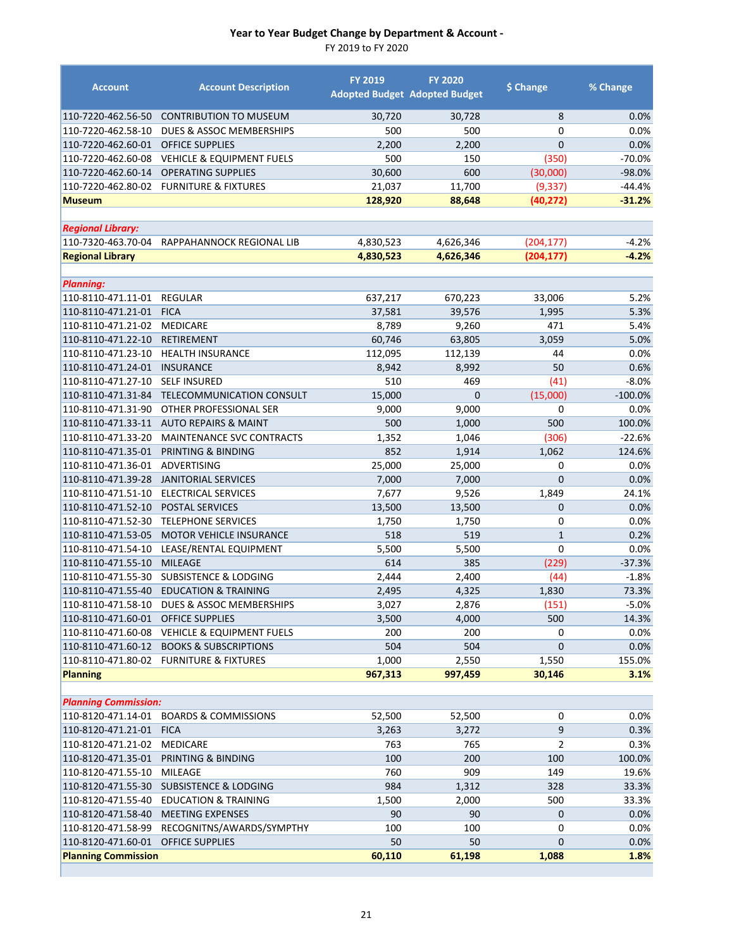FY 2019 to FY 2020

| <b>Account</b>                           | <b>Account Description</b>               | <b>FY 2019</b> | <b>FY 2020</b><br><b>Adopted Budget Adopted Budget</b> | \$ Change                   | % Change     |
|------------------------------------------|------------------------------------------|----------------|--------------------------------------------------------|-----------------------------|--------------|
| 110-7220-462.56-50                       | <b>CONTRIBUTION TO MUSEUM</b>            | 30,720         | 30,728                                                 | 8                           | 0.0%         |
| 110-7220-462.58-10                       | DUES & ASSOC MEMBERSHIPS                 | 500            | 500                                                    | $\Omega$                    | 0.0%         |
| 110-7220-462.60-01                       | <b>OFFICE SUPPLIES</b>                   | 2,200          | 2,200                                                  | $\overline{0}$              | 0.0%         |
| 110-7220-462.60-08                       | <b>VEHICLE &amp; EQUIPMENT FUELS</b>     | 500            | 150                                                    | (350)                       | $-70.0%$     |
| 110-7220-462.60-14                       | <b>OPERATING SUPPLIES</b>                | 30,600         | 600                                                    | (30,000)                    | $-98.0%$     |
| 110-7220-462.80-02                       | <b>FURNITURE &amp; FIXTURES</b>          | 21,037         | 11,700                                                 | (9, 337)                    | $-44.4%$     |
| <b>Museum</b>                            |                                          | 128,920        | 88,648                                                 | (40, 272)                   | $-31.2%$     |
|                                          |                                          |                |                                                        |                             |              |
| <b>Regional Library:</b>                 |                                          |                |                                                        |                             |              |
| 110-7320-463.70-04                       | RAPPAHANNOCK REGIONAL LIB                | 4,830,523      | 4,626,346                                              | (204, 177)                  | $-4.2%$      |
| <b>Regional Library</b>                  |                                          | 4,830,523      | 4,626,346                                              | (204, 177)                  | $-4.2%$      |
|                                          |                                          |                |                                                        |                             |              |
| <b>Planning:</b>                         |                                          |                |                                                        |                             |              |
| 110-8110-471.11-01                       | <b>REGULAR</b>                           | 637,217        | 670,223                                                | 33,006                      | 5.2%         |
| 110-8110-471.21-01                       | <b>FICA</b>                              | 37,581         | 39,576                                                 | 1,995                       | 5.3%         |
| 110-8110-471.21-02                       | <b>MEDICARE</b>                          | 8,789          | 9,260                                                  | 471                         | 5.4%         |
| 110-8110-471.22-10                       | <b>RETIREMENT</b>                        | 60,746         | 63,805                                                 | 3,059                       | 5.0%         |
| 110-8110-471.23-10                       | <b>HEALTH INSURANCE</b>                  | 112,095        | 112,139                                                | 44                          | 0.0%         |
| 110-8110-471.24-01                       | <b>INSURANCE</b>                         | 8,942          | 8,992                                                  | 50                          | 0.6%         |
| 110-8110-471.27-10                       | <b>SELF INSURED</b>                      | 510            | 469                                                    | (41)                        | $-8.0%$      |
| 110-8110-471.31-84                       | TELECOMMUNICATION CONSULT                | 15,000         | $\mathbf{0}$                                           | (15,000)                    | $-100.0%$    |
| 110-8110-471.31-90                       | OTHER PROFESSIONAL SER                   | 9,000          | 9,000                                                  | 0                           | 0.0%         |
| 110-8110-471.33-11                       | <b>AUTO REPAIRS &amp; MAINT</b>          | 500            | 1,000                                                  | 500                         | 100.0%       |
| 110-8110-471.33-20                       | <b>MAINTENANCE SVC CONTRACTS</b>         | 1,352          | 1,046                                                  | (306)                       | $-22.6%$     |
| 110-8110-471.35-01                       | PRINTING & BINDING                       | 852            | 1,914                                                  | 1,062                       | 124.6%       |
| 110-8110-471.36-01                       | ADVERTISING                              | 25,000         | 25,000                                                 | 0                           | 0.0%         |
| 110-8110-471.39-28                       | <b>JANITORIAL SERVICES</b>               | 7,000          | 7,000                                                  | $\mathbf{0}$                | 0.0%         |
| 110-8110-471.51-10                       | ELECTRICAL SERVICES                      | 7,677          | 9,526                                                  | 1,849                       | 24.1%        |
| 110-8110-471.52-10                       | <b>POSTAL SERVICES</b>                   | 13,500         | 13,500                                                 | $\overline{0}$              | 0.0%         |
| 110-8110-471.52-30                       | <b>TELEPHONE SERVICES</b>                | 1,750          | 1,750                                                  | 0                           | 0.0%         |
| 110-8110-471.53-05<br>110-8110-471.54-10 | <b>MOTOR VEHICLE INSURANCE</b>           | 518            | 519                                                    | $\mathbf{1}$<br>$\mathbf 0$ | 0.2%<br>0.0% |
| 110-8110-471.55-10                       | LEASE/RENTAL EQUIPMENT<br><b>MILEAGE</b> | 5,500<br>614   | 5,500<br>385                                           | (229)                       | $-37.3%$     |
| 110-8110-471.55-30                       | <b>SUBSISTENCE &amp; LODGING</b>         | 2,444          | 2,400                                                  | (44)                        | $-1.8%$      |
| 110-8110-471.55-40                       | <b>EDUCATION &amp; TRAINING</b>          | 2,495          | 4,325                                                  | 1,830                       | 73.3%        |
| 110-8110-471.58-10                       | DUES & ASSOC MEMBERSHIPS                 | 3,027          | 2,876                                                  | (151)                       | $-5.0%$      |
| 110-8110-471.60-01 OFFICE SUPPLIES       |                                          | 3,500          | 4,000                                                  | 500                         | 14.3%        |
| 110-8110-471.60-08                       | <b>VEHICLE &amp; EQUIPMENT FUELS</b>     | 200            | 200                                                    | 0                           | 0.0%         |
| 110-8110-471.60-12                       | <b>BOOKS &amp; SUBSCRIPTIONS</b>         | 504            | 504                                                    | 0                           | 0.0%         |
|                                          | 110-8110-471.80-02 FURNITURE & FIXTURES  | 1,000          | 2,550                                                  | 1,550                       | 155.0%       |
| <b>Planning</b>                          |                                          | 967,313        | 997,459                                                | 30,146                      | 3.1%         |
|                                          |                                          |                |                                                        |                             |              |
| <b>Planning Commission:</b>              |                                          |                |                                                        |                             |              |
| 110-8120-471.14-01                       | <b>BOARDS &amp; COMMISSIONS</b>          | 52,500         | 52,500                                                 | 0                           | 0.0%         |
| 110-8120-471.21-01                       | <b>FICA</b>                              | 3,263          | 3,272                                                  | 9                           | 0.3%         |
| 110-8120-471.21-02                       | <b>MEDICARE</b>                          | 763            | 765                                                    | 2                           | 0.3%         |
| 110-8120-471.35-01                       | PRINTING & BINDING                       | 100            | 200                                                    | 100                         | 100.0%       |
| 110-8120-471.55-10                       | MILEAGE                                  | 760            | 909                                                    | 149                         | 19.6%        |
| 110-8120-471.55-30                       | <b>SUBSISTENCE &amp; LODGING</b>         | 984            | 1,312                                                  | 328                         | 33.3%        |
| 110-8120-471.55-40                       | EDUCATION & TRAINING                     | 1,500          | 2,000                                                  | 500                         | 33.3%        |
| 110-8120-471.58-40                       | <b>MEETING EXPENSES</b>                  | 90             | 90                                                     | 0                           | 0.0%         |
| 110-8120-471.58-99                       | RECOGNITNS/AWARDS/SYMPTHY                | 100            | 100                                                    | 0                           | 0.0%         |
| 110-8120-471.60-01                       | <b>OFFICE SUPPLIES</b>                   | 50             | 50                                                     | 0                           | 0.0%         |
| <b>Planning Commission</b>               |                                          | 60,110         | 61,198                                                 | 1,088                       | 1.8%         |

г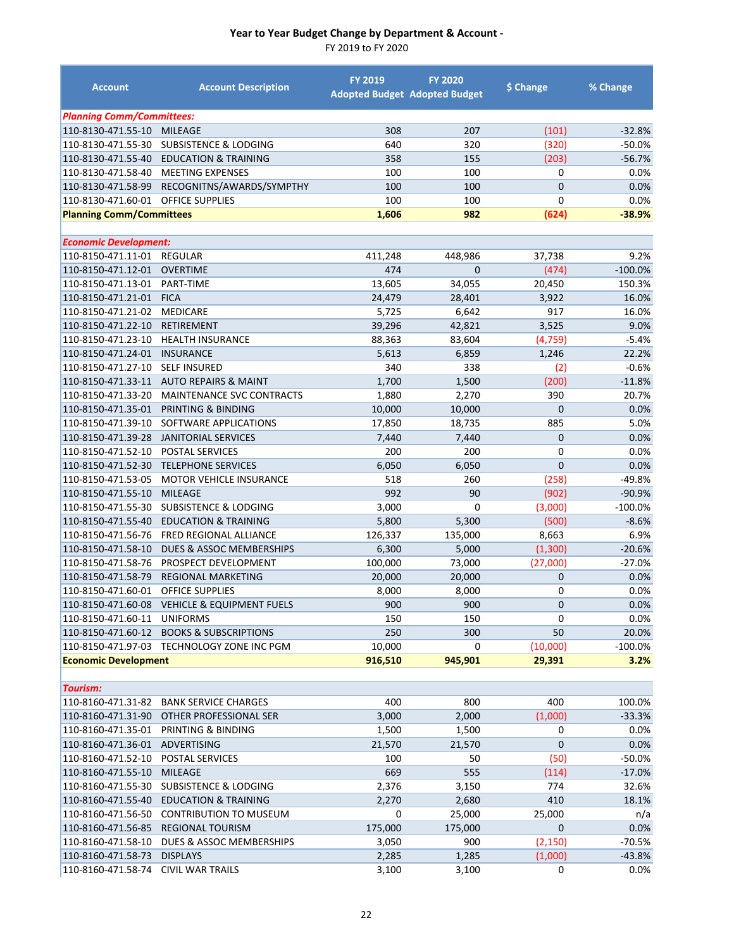| <b>Account</b>                   | <b>Account Description</b>           | <b>FY 2019</b> | <b>FY 2020</b><br><b>Adopted Budget Adopted Budget</b> | \$ Change    | % Change   |
|----------------------------------|--------------------------------------|----------------|--------------------------------------------------------|--------------|------------|
| <b>Planning Comm/Committees:</b> |                                      |                |                                                        |              |            |
| 110-8130-471.55-10               | <b>MILEAGE</b>                       | 308            | 207                                                    | (101)        | $-32.8%$   |
| 110-8130-471.55-30               | <b>SUBSISTENCE &amp; LODGING</b>     | 640            | 320                                                    | (320)        | $-50.0%$   |
| 110-8130-471.55-40               | <b>EDUCATION &amp; TRAINING</b>      | 358            | 155                                                    | (203)        | $-56.7%$   |
| 110-8130-471.58-40               | <b>MEETING EXPENSES</b>              | 100            | 100                                                    | 0            | 0.0%       |
| 110-8130-471.58-99               | RECOGNITNS/AWARDS/SYMPTHY            | 100            | 100                                                    | $\mathbf{0}$ | 0.0%       |
| 110-8130-471.60-01               | <b>OFFICE SUPPLIES</b>               | 100            | 100                                                    | 0            | 0.0%       |
| <b>Planning Comm/Committees</b>  |                                      | 1,606          | 982                                                    | (624)        | $-38.9%$   |
| <b>Economic Development:</b>     |                                      |                |                                                        |              |            |
| 110-8150-471.11-01               | <b>REGULAR</b>                       | 411,248        | 448,986                                                | 37,738       | 9.2%       |
| 110-8150-471.12-01               | <b>OVERTIME</b>                      | 474            | $\overline{0}$                                         | (474)        | $-100.0%$  |
| 110-8150-471.13-01               | PART-TIME                            | 13,605         | 34,055                                                 | 20,450       | 150.3%     |
| 110-8150-471.21-01               | <b>FICA</b>                          | 24,479         | 28,401                                                 | 3,922        | 16.0%      |
| 110-8150-471.21-02               | <b>MEDICARE</b>                      | 5,725          | 6,642                                                  | 917          | 16.0%      |
| 110-8150-471.22-10               | <b>RETIREMENT</b>                    | 39,296         | 42,821                                                 | 3,525        | 9.0%       |
| 110-8150-471.23-10               | <b>HEALTH INSURANCE</b>              | 88,363         | 83,604                                                 | (4, 759)     | $-5.4%$    |
| 110-8150-471.24-01               | <b>INSURANCE</b>                     | 5,613          | 6,859                                                  | 1,246        | 22.2%      |
| 110-8150-471.27-10               | <b>SELF INSURED</b>                  | 340            | 338                                                    | (2)          | $-0.6%$    |
| 110-8150-471.33-11               | <b>AUTO REPAIRS &amp; MAINT</b>      | 1,700          | 1,500                                                  | (200)        | $-11.8%$   |
| 110-8150-471.33-20               | MAINTENANCE SVC CONTRACTS            | 1,880          | 2,270                                                  | 390          | 20.7%      |
| 110-8150-471.35-01               | PRINTING & BINDING                   | 10,000         | 10,000                                                 | $\mathbf 0$  | 0.0%       |
| 110-8150-471.39-10               | SOFTWARE APPLICATIONS                | 17,850         | 18,735                                                 | 885          | 5.0%       |
| 110-8150-471.39-28               | <b>JANITORIAL SERVICES</b>           | 7,440          | 7,440                                                  | $\mathbf 0$  | 0.0%       |
| 110-8150-471.52-10               | POSTAL SERVICES                      | 200            | 200                                                    | 0            | 0.0%       |
| 110-8150-471.52-30               | <b>TELEPHONE SERVICES</b>            | 6,050          | 6,050                                                  | $\mathbf 0$  | 0.0%       |
| 110-8150-471.53-05               | MOTOR VEHICLE INSURANCE              | 518            | 260                                                    | (258)        | $-49.8%$   |
| 110-8150-471.55-10               | <b>MILEAGE</b>                       | 992            | 90                                                     | (902)        | $-90.9%$   |
| 110-8150-471.55-30               | <b>SUBSISTENCE &amp; LODGING</b>     | 3,000          | $\mathbf 0$                                            | (3,000)      | $-100.0%$  |
| 110-8150-471.55-40               | <b>EDUCATION &amp; TRAINING</b>      | 5,800          | 5,300                                                  | (500)        | $-8.6%$    |
| 110-8150-471.56-76               | <b>FRED REGIONAL ALLIANCE</b>        | 126,337        | 135,000                                                | 8,663        | 6.9%       |
| 110-8150-471.58-10               | <b>DUES &amp; ASSOC MEMBERSHIPS</b>  | 6,300          | 5,000                                                  | (1,300)      | $-20.6%$   |
| 110-8150-471.58-76               | PROSPECT DEVELOPMENT                 | 100,000        | 73,000                                                 | (27,000)     | $-27.0%$   |
| 110-8150-471.58-79               | REGIONAL MARKETING                   | 20,000         | 20,000                                                 | $\mathbf 0$  | 0.0%       |
| 110-8150-471.60-01               | <b>OFFICE SUPPLIES</b>               | 8,000          | 8,000                                                  | 0            | 0.0%       |
| 110-8150-471.60-08               | <b>VEHICLE &amp; EQUIPMENT FUELS</b> | 900            | 900                                                    | $\mathbf{0}$ | 0.0%       |
| 110-8150-471.60-11               | <b>UNIFORMS</b>                      | 150            | 150                                                    | 0            | 0.0%       |
| 110-8150-471.60-12               | <b>BOOKS &amp; SUBSCRIPTIONS</b>     | 250            | 300                                                    | 50           | 20.0%      |
| 110-8150-471.97-03               | TECHNOLOGY ZONE INC PGM              | 10,000         | 0                                                      | (10,000)     | $-100.0\%$ |
| <b>Economic Development</b>      |                                      | 916,510        | 945,901                                                | 29,391       | 3.2%       |
| <b>Tourism:</b>                  |                                      |                |                                                        |              |            |
| 110-8160-471.31-82               | <b>BANK SERVICE CHARGES</b>          | 400            | 800                                                    | 400          | 100.0%     |
| 110-8160-471.31-90               | OTHER PROFESSIONAL SER               | 3,000          | 2,000                                                  | (1,000)      | $-33.3%$   |
| 110-8160-471.35-01               | PRINTING & BINDING                   | 1,500          | 1,500                                                  | 0            | 0.0%       |
| 110-8160-471.36-01               | ADVERTISING                          | 21,570         | 21,570                                                 | $\mathbf 0$  | 0.0%       |
| 110-8160-471.52-10               | POSTAL SERVICES                      | 100            | 50                                                     | (50)         | $-50.0%$   |
| 110-8160-471.55-10               | <b>MILEAGE</b>                       | 669            | 555                                                    | (114)        | $-17.0%$   |
| 110-8160-471.55-30               | <b>SUBSISTENCE &amp; LODGING</b>     | 2,376          | 3,150                                                  | 774          | 32.6%      |
| 110-8160-471.55-40               | <b>EDUCATION &amp; TRAINING</b>      | 2,270          | 2,680                                                  | 410          | 18.1%      |
| 110-8160-471.56-50               | <b>CONTRIBUTION TO MUSEUM</b>        | 0              | 25,000                                                 | 25,000       | n/a        |
| 110-8160-471.56-85               | <b>REGIONAL TOURISM</b>              | 175,000        | 175,000                                                | $\pmb{0}$    | 0.0%       |
| 110-8160-471.58-10               | DUES & ASSOC MEMBERSHIPS             | 3,050          | 900                                                    | (2, 150)     | $-70.5%$   |
| 110-8160-471.58-73               | <b>DISPLAYS</b>                      | 2,285          | 1,285                                                  | (1,000)      | $-43.8%$   |
| 110-8160-471.58-74               | <b>CIVIL WAR TRAILS</b>              | 3,100          | 3,100                                                  | 0            | 0.0%       |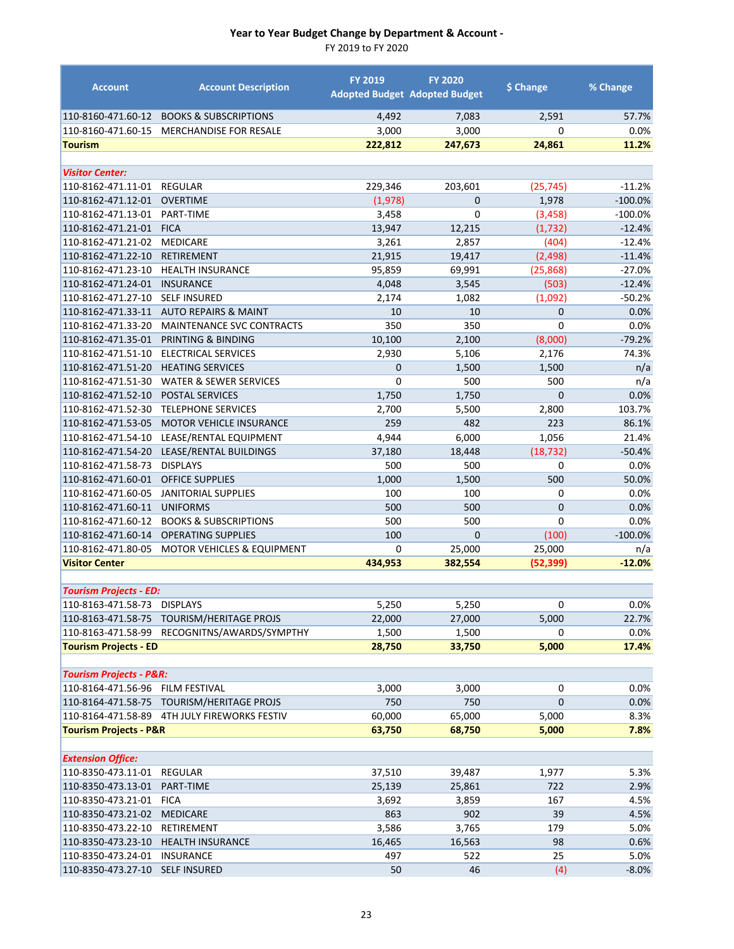| <b>Account</b>                           | <b>Account Description</b>                       | <b>FY 2019</b>          | <b>FY 2020</b><br><b>Adopted Budget Adopted Budget</b> | \$ Change      | % Change         |
|------------------------------------------|--------------------------------------------------|-------------------------|--------------------------------------------------------|----------------|------------------|
|                                          | 110-8160-471.60-12 BOOKS & SUBSCRIPTIONS         | 4,492                   | 7,083                                                  | 2,591          | 57.7%            |
| 110-8160-471.60-15                       | <b>MERCHANDISE FOR RESALE</b>                    | 3,000                   | 3,000                                                  | $\Omega$       | 0.0%             |
| <b>Tourism</b>                           |                                                  | 222,812                 | 247,673                                                | 24,861         | 11.2%            |
| <b>Visitor Center:</b>                   |                                                  |                         |                                                        |                |                  |
| 110-8162-471.11-01                       | <b>REGULAR</b>                                   | 229,346                 | 203,601                                                | (25, 745)      | $-11.2%$         |
| 110-8162-471.12-01                       | <b>OVERTIME</b>                                  | (1,978)                 | $\mathbf{0}$                                           | 1,978          | $-100.0%$        |
| 110-8162-471.13-01                       | PART-TIME                                        | 3,458                   | $\mathbf 0$                                            | (3, 458)       | $-100.0%$        |
| 110-8162-471.21-01                       | <b>FICA</b>                                      | 13,947                  | 12,215                                                 | (1,732)        | $-12.4%$         |
| 110-8162-471.21-02                       | <b>MEDICARE</b>                                  | 3,261                   | 2,857                                                  | (404)          | $-12.4%$         |
| 110-8162-471.22-10                       | <b>RETIREMENT</b>                                | 21,915                  | 19,417                                                 | (2, 498)       | $-11.4%$         |
| 110-8162-471.23-10                       | <b>HEALTH INSURANCE</b>                          | 95,859                  | 69,991                                                 | (25, 868)      | $-27.0%$         |
| 110-8162-471.24-01                       | <b>INSURANCE</b>                                 | 4,048                   | 3,545                                                  | (503)          | $-12.4%$         |
| 110-8162-471.27-10                       | <b>SELF INSURED</b>                              | 2,174                   | 1,082                                                  | (1,092)        | $-50.2%$         |
| 110-8162-471.33-11                       | <b>AUTO REPAIRS &amp; MAINT</b>                  | 10                      | 10                                                     | $\mathbf 0$    | 0.0%             |
| 110-8162-471.33-20                       | MAINTENANCE SVC CONTRACTS                        | 350                     | 350                                                    | 0              | 0.0%<br>$-79.2%$ |
| 110-8162-471.35-01                       | PRINTING & BINDING<br><b>ELECTRICAL SERVICES</b> | 10,100                  | 2,100                                                  | (8,000)        | 74.3%            |
| 110-8162-471.51-10<br>110-8162-471.51-20 | <b>HEATING SERVICES</b>                          | 2,930<br>$\overline{0}$ | 5,106<br>1,500                                         | 2,176<br>1,500 |                  |
| 110-8162-471.51-30                       | <b>WATER &amp; SEWER SERVICES</b>                | $\mathbf 0$             | 500                                                    | 500            | n/a<br>n/a       |
| 110-8162-471.52-10                       | <b>POSTAL SERVICES</b>                           | 1,750                   | 1,750                                                  | $\overline{0}$ | 0.0%             |
| 110-8162-471.52-30                       | <b>TELEPHONE SERVICES</b>                        | 2,700                   | 5,500                                                  | 2,800          | 103.7%           |
| 110-8162-471.53-05                       | MOTOR VEHICLE INSURANCE                          | 259                     | 482                                                    | 223            | 86.1%            |
| 110-8162-471.54-10                       | LEASE/RENTAL EQUIPMENT                           | 4,944                   | 6,000                                                  | 1,056          | 21.4%            |
| 110-8162-471.54-20                       | LEASE/RENTAL BUILDINGS                           | 37,180                  | 18,448                                                 | (18, 732)      | $-50.4%$         |
| 110-8162-471.58-73                       | <b>DISPLAYS</b>                                  | 500                     | 500                                                    | 0              | 0.0%             |
| 110-8162-471.60-01                       | <b>OFFICE SUPPLIES</b>                           | 1,000                   | 1,500                                                  | 500            | 50.0%            |
| 110-8162-471.60-05                       | <b>JANITORIAL SUPPLIES</b>                       | 100                     | 100                                                    | $\mathbf 0$    | 0.0%             |
| 110-8162-471.60-11                       | <b>UNIFORMS</b>                                  | 500                     | 500                                                    | $\mathbf{0}$   | 0.0%             |
| 110-8162-471.60-12                       | <b>BOOKS &amp; SUBSCRIPTIONS</b>                 | 500                     | 500                                                    | $\mathbf 0$    | 0.0%             |
| 110-8162-471.60-14                       | <b>OPERATING SUPPLIES</b>                        | 100                     | $\mathbf{0}$                                           | (100)          | $-100.0%$        |
| 110-8162-471.80-05                       | <b>MOTOR VEHICLES &amp; EQUIPMENT</b>            | 0                       | 25,000                                                 | 25,000         | n/a              |
| <b>Visitor Center</b>                    |                                                  | 434,953                 | 382,554                                                | (52, 399)      | $-12.0%$         |
|                                          |                                                  |                         |                                                        |                |                  |
| <b>Tourism Projects - ED:</b>            |                                                  |                         |                                                        |                |                  |
| 110-8163-471.58-73 DISPLAYS              |                                                  | 5,250                   | 5,250                                                  | 0              | 0.0%             |
|                                          | 110-8163-471.58-75 TOURISM/HERITAGE PROJS        | 22,000                  | 27,000                                                 | 5,000          | 22.7%            |
| 110-8163-471.58-99                       | RECOGNITNS/AWARDS/SYMPTHY                        | 1,500                   | 1,500                                                  | 0              | $0.0\%$          |
| <b>Tourism Projects - ED</b>             |                                                  | 28,750                  | 33,750                                                 | 5,000          | 17.4%            |
| <b>Tourism Projects - P&amp;R:</b>       |                                                  |                         |                                                        |                |                  |
| 110-8164-471.56-96                       | FILM FESTIVAL                                    | 3,000                   | 3,000                                                  | 0              | 0.0%             |
| 110-8164-471.58-75                       | TOURISM/HERITAGE PROJS                           | 750                     | 750                                                    | $\mathbf{0}$   | 0.0%             |
|                                          | 110-8164-471.58-89 4TH JULY FIREWORKS FESTIV     | 60,000                  | 65,000                                                 | 5,000          | 8.3%             |
| <b>Tourism Projects - P&amp;R</b>        |                                                  | 63,750                  | 68,750                                                 | 5,000          | 7.8%             |
|                                          |                                                  |                         |                                                        |                |                  |
| <b>Extension Office:</b>                 |                                                  |                         |                                                        |                |                  |
| 110-8350-473.11-01                       | REGULAR                                          | 37,510                  | 39,487                                                 | 1,977          | 5.3%             |
| 110-8350-473.13-01                       | PART-TIME                                        | 25,139                  | 25,861                                                 | 722            | 2.9%             |
| 110-8350-473.21-01                       | <b>FICA</b>                                      | 3,692                   | 3,859                                                  | 167            | 4.5%             |
| 110-8350-473.21-02                       | MEDICARE                                         | 863                     | 902                                                    | 39             | 4.5%             |
| 110-8350-473.22-10                       | RETIREMENT                                       | 3,586                   | 3,765                                                  | 179            | 5.0%             |
| 110-8350-473.23-10                       | <b>HEALTH INSURANCE</b>                          | 16,465                  | 16,563                                                 | 98             | 0.6%             |
| 110-8350-473.24-01                       | <b>INSURANCE</b>                                 | 497                     | 522                                                    | 25             | 5.0%             |
| 110-8350-473.27-10                       | <b>SELF INSURED</b>                              | 50                      | 46                                                     | (4)            | $-8.0%$          |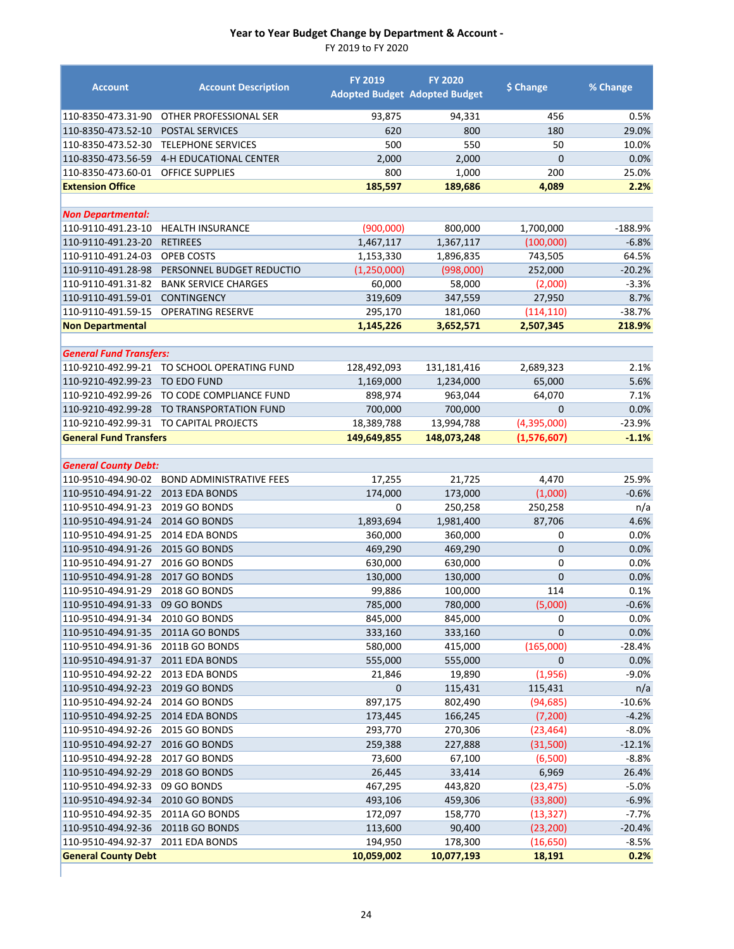| <b>Account</b>                 | <b>Account Description</b>      | FY 2019       | <b>FY 2020</b><br><b>Adopted Budget Adopted Budget</b> | \$ Change      | % Change  |
|--------------------------------|---------------------------------|---------------|--------------------------------------------------------|----------------|-----------|
| 110-8350-473.31-90             | OTHER PROFESSIONAL SER          | 93,875        | 94,331                                                 | 456            | 0.5%      |
| 110-8350-473.52-10             | <b>POSTAL SERVICES</b>          | 620           | 800                                                    | 180            | 29.0%     |
| 110-8350-473.52-30             | <b>TELEPHONE SERVICES</b>       | 500           | 550                                                    | 50             | 10.0%     |
| 110-8350-473.56-59             | 4-H EDUCATIONAL CENTER          | 2,000         | 2,000                                                  | $\mathbf{0}$   | 0.0%      |
| 110-8350-473.60-01             | <b>OFFICE SUPPLIES</b>          | 800           | 1,000                                                  | 200            | 25.0%     |
| <b>Extension Office</b>        |                                 | 185,597       | 189,686                                                | 4,089          | 2.2%      |
| <b>Non Departmental:</b>       |                                 |               |                                                        |                |           |
| 110-9110-491.23-10             | <b>HEALTH INSURANCE</b>         | (900,000)     | 800,000                                                | 1,700,000      | $-188.9%$ |
| 110-9110-491.23-20             | <b>RETIREES</b>                 | 1,467,117     | 1,367,117                                              | (100,000)      | $-6.8%$   |
| 110-9110-491.24-03             | OPEB COSTS                      | 1,153,330     | 1,896,835                                              | 743,505        | 64.5%     |
| 110-9110-491.28-98             | PERSONNEL BUDGET REDUCTIO       | (1, 250, 000) | (998,000)                                              | 252,000        | $-20.2%$  |
| 110-9110-491.31-82             | <b>BANK SERVICE CHARGES</b>     | 60,000        | 58,000                                                 | (2,000)        | $-3.3%$   |
| 110-9110-491.59-01             | <b>CONTINGENCY</b>              | 319,609       | 347,559                                                | 27,950         | 8.7%      |
| 110-9110-491.59-15             | <b>OPERATING RESERVE</b>        | 295,170       | 181,060                                                | (114, 110)     | $-38.7%$  |
| <b>Non Departmental</b>        |                                 | 1,145,226     | 3,652,571                                              | 2,507,345      | 218.9%    |
|                                |                                 |               |                                                        |                |           |
| <b>General Fund Transfers:</b> |                                 |               |                                                        |                |           |
| 110-9210-492.99-21             | TO SCHOOL OPERATING FUND        | 128,492,093   | 131,181,416                                            | 2,689,323      | 2.1%      |
| 110-9210-492.99-23             | <b>TO EDO FUND</b>              | 1,169,000     | 1,234,000                                              | 65,000         | 5.6%      |
| 110-9210-492.99-26             | TO CODE COMPLIANCE FUND         | 898,974       | 963,044                                                | 64,070         | 7.1%      |
| 110-9210-492.99-28             | TO TRANSPORTATION FUND          | 700,000       | 700,000                                                | $\mathbf{0}$   | 0.0%      |
| 110-9210-492.99-31             | TO CAPITAL PROJECTS             | 18,389,788    | 13,994,788                                             | (4,395,000)    | $-23.9%$  |
| <b>General Fund Transfers</b>  |                                 | 149,649,855   | 148,073,248                                            | (1,576,607)    | $-1.1%$   |
| <b>General County Debt:</b>    |                                 |               |                                                        |                |           |
| 110-9510-494.90-02             | <b>BOND ADMINISTRATIVE FEES</b> | 17,255        | 21,725                                                 | 4,470          | 25.9%     |
| 110-9510-494.91-22             | 2013 EDA BONDS                  | 174,000       | 173,000                                                | (1,000)        | $-0.6%$   |
| 110-9510-494.91-23             | 2019 GO BONDS                   | 0             | 250,258                                                | 250,258        | n/a       |
| 110-9510-494.91-24             | 2014 GO BONDS                   | 1,893,694     | 1,981,400                                              | 87,706         | 4.6%      |
| 110-9510-494.91-25             | 2014 EDA BONDS                  | 360,000       | 360,000                                                | 0              | 0.0%      |
| 110-9510-494.91-26             | <b>2015 GO BONDS</b>            | 469,290       | 469,290                                                | $\mathbf 0$    | 0.0%      |
| 110-9510-494.91-27             | <b>2016 GO BONDS</b>            | 630,000       | 630,000                                                | 0              | 0.0%      |
| 110-9510-494.91-28             | <b>2017 GO BONDS</b>            | 130,000       | 130,000                                                | $\overline{0}$ | 0.0%      |
| 110-9510-494.91-29             | <b>2018 GO BONDS</b>            | 99,886        | 100,000                                                | 114            | 0.1%      |
| 110-9510-494.91-33 09 GO BONDS |                                 | 785,000       | 780,000                                                | (5,000)        | $-0.6%$   |
| 110-9510-494.91-34             | 2010 GO BONDS                   | 845,000       | 845,000                                                | 0              | 0.0%      |
| 110-9510-494.91-35             | 2011A GO BONDS                  | 333,160       | 333,160                                                | $\mathbf{0}$   | 0.0%      |
| 110-9510-494.91-36             | 2011B GO BONDS                  | 580,000       | 415,000                                                | (165,000)      | $-28.4%$  |
| 110-9510-494.91-37             | 2011 EDA BONDS                  | 555,000       | 555,000                                                | $\mathbf 0$    | 0.0%      |
| 110-9510-494.92-22             | 2013 EDA BONDS                  | 21,846        | 19,890                                                 | (1,956)        | $-9.0%$   |
| 110-9510-494.92-23             | 2019 GO BONDS                   | $\mathbf 0$   | 115,431                                                | 115,431        | n/a       |
| 110-9510-494.92-24             | 2014 GO BONDS                   | 897,175       | 802,490                                                | (94, 685)      | $-10.6%$  |
| 110-9510-494.92-25             | 2014 EDA BONDS                  | 173,445       | 166,245                                                | (7, 200)       | $-4.2%$   |
| 110-9510-494.92-26             | 2015 GO BONDS                   | 293,770       | 270,306                                                | (23, 464)      | $-8.0%$   |
| 110-9510-494.92-27             | 2016 GO BONDS                   | 259,388       | 227,888                                                | (31,500)       | $-12.1%$  |
| 110-9510-494.92-28             | 2017 GO BONDS                   | 73,600        | 67,100                                                 | (6,500)        | $-8.8%$   |
| 110-9510-494.92-29             | 2018 GO BONDS                   | 26,445        | 33,414                                                 | 6,969          | 26.4%     |
| 110-9510-494.92-33             | 09 GO BONDS                     | 467,295       | 443,820                                                | (23, 475)      | $-5.0%$   |
| 110-9510-494.92-34             | 2010 GO BONDS                   | 493,106       | 459,306                                                | (33,800)       | $-6.9%$   |
| 110-9510-494.92-35             | 2011A GO BONDS                  | 172,097       | 158,770                                                | (13, 327)      | $-7.7%$   |
| 110-9510-494.92-36             | 2011B GO BONDS                  | 113,600       | 90,400                                                 | (23, 200)      | $-20.4%$  |
| 110-9510-494.92-37             | 2011 EDA BONDS                  | 194,950       | 178,300                                                | (16, 650)      | $-8.5%$   |
| <b>General County Debt</b>     |                                 | 10,059,002    | 10,077,193                                             | 18,191         | 0.2%      |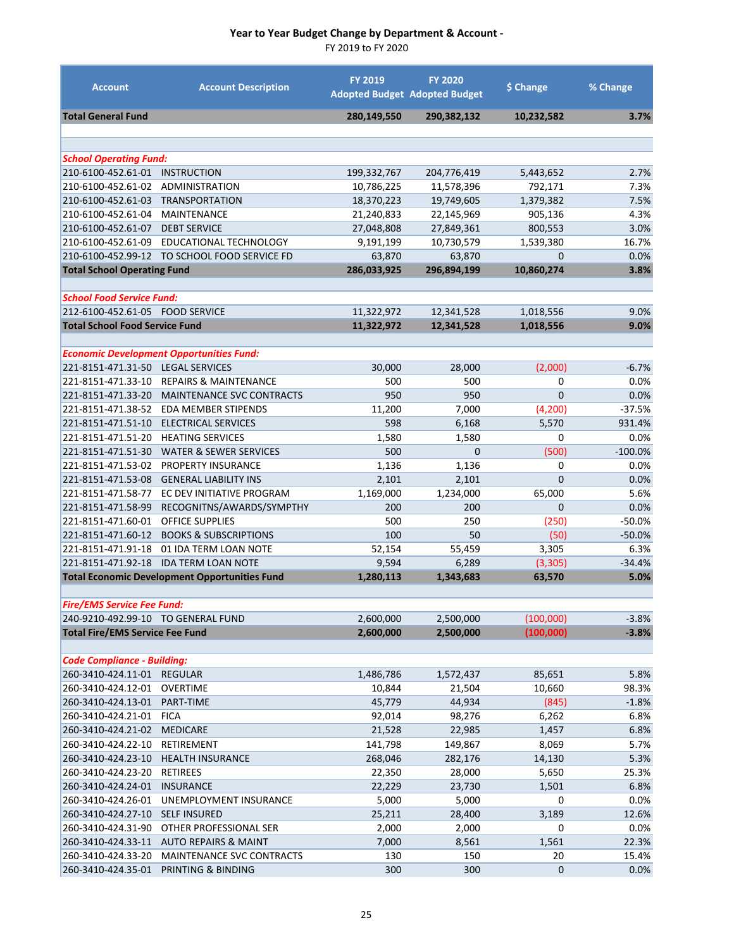| <b>Account</b>                                                          | <b>Account Description</b>                           | <b>FY 2019</b> | <b>FY 2020</b><br><b>Adopted Budget Adopted Budget</b> | \$ Change      | % Change  |
|-------------------------------------------------------------------------|------------------------------------------------------|----------------|--------------------------------------------------------|----------------|-----------|
| <b>Total General Fund</b>                                               |                                                      | 280,149,550    | 290,382,132                                            | 10,232,582     | 3.7%      |
|                                                                         |                                                      |                |                                                        |                |           |
| <b>School Operating Fund:</b>                                           |                                                      |                |                                                        |                |           |
| 210-6100-452.61-01                                                      | <b>INSTRUCTION</b>                                   | 199,332,767    | 204,776,419                                            | 5,443,652      | 2.7%      |
| 210-6100-452.61-02                                                      | ADMINISTRATION                                       | 10,786,225     | 11,578,396                                             | 792,171        | 7.3%      |
| 210-6100-452.61-03                                                      | <b>TRANSPORTATION</b>                                | 18,370,223     | 19,749,605                                             | 1,379,382      | 7.5%      |
| 210-6100-452.61-04                                                      | <b>MAINTENANCE</b>                                   | 21,240,833     | 22,145,969                                             | 905,136        | 4.3%      |
| 210-6100-452.61-07                                                      | <b>DEBT SERVICE</b>                                  | 27,048,808     | 27,849,361                                             | 800,553        | 3.0%      |
| 210-6100-452.61-09                                                      | EDUCATIONAL TECHNOLOGY                               | 9,191,199      | 10,730,579                                             | 1,539,380      | 16.7%     |
| 210-6100-452.99-12                                                      | TO SCHOOL FOOD SERVICE FD                            | 63,870         | 63,870                                                 | 0              | 0.0%      |
| <b>Total School Operating Fund</b>                                      |                                                      | 286,033,925    | 296,894,199                                            | 10,860,274     | 3.8%      |
|                                                                         |                                                      |                |                                                        |                |           |
| <b>School Food Service Fund:</b>                                        |                                                      |                |                                                        |                |           |
| 212-6100-452.61-05 FOOD SERVICE                                         |                                                      | 11,322,972     | 12,341,528                                             | 1,018,556      | 9.0%      |
| <b>Total School Food Service Fund</b>                                   |                                                      | 11,322,972     | 12,341,528                                             | 1,018,556      | 9.0%      |
|                                                                         | <b>Economic Development Opportunities Fund:</b>      |                |                                                        |                |           |
| 221-8151-471.31-50                                                      | <b>LEGAL SERVICES</b>                                | 30,000         | 28,000                                                 | (2,000)        | $-6.7%$   |
| 221-8151-471.33-10                                                      | <b>REPAIRS &amp; MAINTENANCE</b>                     | 500            | 500                                                    | $\mathbf 0$    | 0.0%      |
| 221-8151-471.33-20                                                      | MAINTENANCE SVC CONTRACTS                            | 950            | 950                                                    | $\overline{0}$ | 0.0%      |
| 221-8151-471.38-52                                                      | <b>EDA MEMBER STIPENDS</b>                           | 11,200         | 7,000                                                  | (4, 200)       | $-37.5%$  |
| 221-8151-471.51-10                                                      | ELECTRICAL SERVICES                                  | 598            | 6,168                                                  | 5,570          | 931.4%    |
| 221-8151-471.51-20                                                      | <b>HEATING SERVICES</b>                              | 1,580          | 1,580                                                  | 0              | 0.0%      |
| 221-8151-471.51-30                                                      | <b>WATER &amp; SEWER SERVICES</b>                    | 500            | $\Omega$                                               | (500)          | $-100.0%$ |
| 221-8151-471.53-02                                                      | PROPERTY INSURANCE                                   | 1,136          | 1,136                                                  | 0              | 0.0%      |
| 221-8151-471.53-08                                                      | <b>GENERAL LIABILITY INS</b>                         | 2,101          | 2,101                                                  | $\Omega$       | 0.0%      |
| 221-8151-471.58-77                                                      | EC DEV INITIATIVE PROGRAM                            | 1,169,000      | 1,234,000                                              | 65,000         | 5.6%      |
| 221-8151-471.58-99                                                      | RECOGNITNS/AWARDS/SYMPTHY                            | 200            | 200                                                    | 0              | 0.0%      |
| 221-8151-471.60-01                                                      | <b>OFFICE SUPPLIES</b>                               | 500            | 250                                                    | (250)          | $-50.0%$  |
| 221-8151-471.60-12                                                      | <b>BOOKS &amp; SUBSCRIPTIONS</b>                     | 100            | 50                                                     | (50)           | $-50.0%$  |
| 221-8151-471.91-18                                                      | 01 IDA TERM LOAN NOTE                                | 52,154         | 55,459                                                 | 3,305          | 6.3%      |
| 221-8151-471.92-18                                                      | <b>IDA TERM LOAN NOTE</b>                            | 9,594          | 6,289                                                  | (3, 305)       | $-34.4%$  |
|                                                                         | <b>Total Economic Development Opportunities Fund</b> | 1,280,113      | 1,343,683                                              | 63,570         | 5.0%      |
|                                                                         |                                                      |                |                                                        |                |           |
| <b>Fire/EMS Service Fee Fund:</b><br>240-9210-492.99-10 TO GENERAL FUND |                                                      | 2,600,000      | 2,500,000                                              | (100,000)      | $-3.8%$   |
| <b>Total Fire/EMS Service Fee Fund</b>                                  |                                                      | 2,600,000      | 2,500,000                                              | (100, 000)     | $-3.8%$   |
|                                                                         |                                                      |                |                                                        |                |           |
| <b>Code Compliance - Building:</b>                                      |                                                      |                |                                                        |                |           |
| 260-3410-424.11-01                                                      | <b>REGULAR</b>                                       | 1,486,786      | 1,572,437                                              | 85,651         | 5.8%      |
| 260-3410-424.12-01                                                      | <b>OVERTIME</b>                                      | 10,844         | 21,504                                                 | 10,660         | 98.3%     |
| 260-3410-424.13-01                                                      | PART-TIME                                            | 45,779         | 44,934                                                 | (845)          | $-1.8%$   |
| 260-3410-424.21-01                                                      | <b>FICA</b>                                          | 92,014         | 98,276                                                 | 6,262          | 6.8%      |
| 260-3410-424.21-02                                                      | <b>MEDICARE</b>                                      | 21,528         | 22,985                                                 | 1,457          | 6.8%      |
| 260-3410-424.22-10                                                      | RETIREMENT                                           | 141,798        | 149,867                                                | 8,069          | 5.7%      |
| 260-3410-424.23-10                                                      | <b>HEALTH INSURANCE</b>                              | 268,046        | 282,176                                                | 14,130         | 5.3%      |
| 260-3410-424.23-20                                                      | <b>RETIREES</b>                                      | 22,350         | 28,000                                                 | 5,650          | 25.3%     |
| 260-3410-424.24-01                                                      | <b>INSURANCE</b>                                     | 22,229         | 23,730                                                 | 1,501          | 6.8%      |
| 260-3410-424.26-01                                                      | UNEMPLOYMENT INSURANCE                               | 5,000          | 5,000                                                  | 0              | 0.0%      |
| 260-3410-424.27-10                                                      | <b>SELF INSURED</b>                                  | 25,211         | 28,400                                                 | 3,189          | 12.6%     |
| 260-3410-424.31-90                                                      | OTHER PROFESSIONAL SER                               | 2,000          | 2,000                                                  | 0              | 0.0%      |
| 260-3410-424.33-11                                                      | <b>AUTO REPAIRS &amp; MAINT</b>                      | 7,000          | 8,561                                                  | 1,561          | 22.3%     |
| 260-3410-424.33-20                                                      | MAINTENANCE SVC CONTRACTS                            | 130            | 150                                                    | 20             | 15.4%     |
| 260-3410-424.35-01                                                      | PRINTING & BINDING                                   | 300            | 300                                                    | 0              | 0.0%      |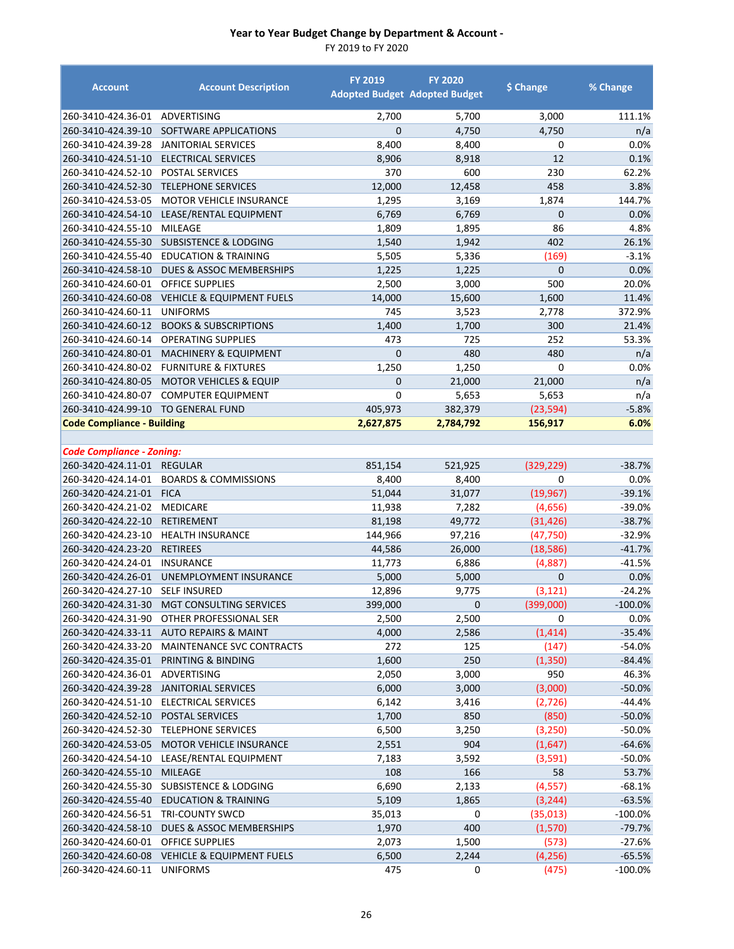| <b>Account</b>                     | <b>Account Description</b>                   | <b>FY 2019</b> | <b>FY 2020</b><br><b>Adopted Budget Adopted Budget</b> | \$ Change      | % Change   |
|------------------------------------|----------------------------------------------|----------------|--------------------------------------------------------|----------------|------------|
| 260-3410-424.36-01                 | ADVERTISING                                  | 2,700          | 5,700                                                  | 3,000          | 111.1%     |
| 260-3410-424.39-10                 | SOFTWARE APPLICATIONS                        | $\Omega$       | 4,750                                                  | 4,750          | n/a        |
| 260-3410-424.39-28                 | <b>JANITORIAL SERVICES</b>                   | 8,400          | 8,400                                                  | 0              | 0.0%       |
| 260-3410-424.51-10                 | <b>ELECTRICAL SERVICES</b>                   | 8,906          | 8,918                                                  | 12             | 0.1%       |
| 260-3410-424.52-10                 | <b>POSTAL SERVICES</b>                       | 370            | 600                                                    | 230            | 62.2%      |
| 260-3410-424.52-30                 | <b>TELEPHONE SERVICES</b>                    | 12,000         | 12,458                                                 | 458            | 3.8%       |
| 260-3410-424.53-05                 | <b>MOTOR VEHICLE INSURANCE</b>               | 1,295          | 3,169                                                  | 1,874          | 144.7%     |
| 260-3410-424.54-10                 | LEASE/RENTAL EQUIPMENT                       | 6,769          | 6,769                                                  | 0              | 0.0%       |
| 260-3410-424.55-10                 | <b>MILEAGE</b>                               | 1,809          | 1,895                                                  | 86             | 4.8%       |
| 260-3410-424.55-30                 | <b>SUBSISTENCE &amp; LODGING</b>             | 1,540          | 1,942                                                  | 402            | 26.1%      |
| 260-3410-424.55-40                 | <b>EDUCATION &amp; TRAINING</b>              | 5,505          | 5,336                                                  | (169)          | $-3.1%$    |
| 260-3410-424.58-10                 | DUES & ASSOC MEMBERSHIPS                     | 1,225          | 1,225                                                  | $\mathbf{0}$   | 0.0%       |
| 260-3410-424.60-01                 | <b>OFFICE SUPPLIES</b>                       | 2,500          | 3,000                                                  | 500            | 20.0%      |
| 260-3410-424.60-08                 | <b>VEHICLE &amp; EQUIPMENT FUELS</b>         | 14,000         | 15,600                                                 | 1,600          | 11.4%      |
| 260-3410-424.60-11                 | <b>UNIFORMS</b>                              | 745            | 3,523                                                  | 2,778          | 372.9%     |
| 260-3410-424.60-12                 | <b>BOOKS &amp; SUBSCRIPTIONS</b>             | 1,400          | 1,700                                                  | 300            | 21.4%      |
| 260-3410-424.60-14                 | <b>OPERATING SUPPLIES</b>                    | 473            | 725                                                    | 252            | 53.3%      |
| 260-3410-424.80-01                 | <b>MACHINERY &amp; EQUIPMENT</b>             | $\mathbf 0$    | 480                                                    | 480            | n/a        |
| 260-3410-424.80-02                 | <b>FURNITURE &amp; FIXTURES</b>              | 1,250          | 1,250                                                  | $\Omega$       | 0.0%       |
| 260-3410-424.80-05                 | <b>MOTOR VEHICLES &amp; EQUIP</b>            | 0              | 21,000                                                 | 21,000         | n/a        |
| 260-3410-424.80-07                 | <b>COMPUTER EQUIPMENT</b>                    | $\mathbf 0$    | 5,653                                                  | 5,653          | n/a        |
| 260-3410-424.99-10                 | <b>TO GENERAL FUND</b>                       | 405,973        | 382,379                                                | (23, 594)      | $-5.8%$    |
| <b>Code Compliance - Building</b>  |                                              | 2,627,875      | 2,784,792                                              | 156,917        | 6.0%       |
| <b>Code Compliance - Zoning:</b>   |                                              |                |                                                        |                |            |
| 260-3420-424.11-01                 | <b>REGULAR</b>                               | 851,154        | 521,925                                                | (329, 229)     | $-38.7%$   |
| 260-3420-424.14-01                 | <b>BOARDS &amp; COMMISSIONS</b>              | 8,400          | 8,400                                                  | 0              | 0.0%       |
| 260-3420-424.21-01 FICA            |                                              | 51,044         | 31,077                                                 | (19, 967)      | $-39.1%$   |
| 260-3420-424.21-02 MEDICARE        |                                              | 11,938         | 7,282                                                  | (4,656)        | $-39.0%$   |
| 260-3420-424.22-10                 | <b>RETIREMENT</b>                            | 81,198         | 49,772                                                 | (31, 426)      | $-38.7%$   |
| 260-3420-424.23-10                 | <b>HEALTH INSURANCE</b>                      | 144,966        | 97,216                                                 | (47, 750)      | $-32.9%$   |
| 260-3420-424.23-20                 | <b>RETIREES</b>                              | 44,586         | 26,000                                                 | (18, 586)      | $-41.7%$   |
| 260-3420-424.24-01                 | <b>INSURANCE</b>                             | 11,773         | 6,886                                                  | (4,887)        | -41.5%     |
| 260-3420-424.26-01                 | UNEMPLOYMENT INSURANCE                       | 5,000          | 5,000                                                  | $\overline{0}$ | 0.0%       |
| 260-3420-424.27-10                 | <b>SELF INSURED</b>                          | 12,896         | 9,775                                                  | (3, 121)       | $-24.2%$   |
|                                    | 260-3420-424.31-30 MGT CONSULTING SERVICES   | 399,000        | $\Omega$                                               | (399,000)      | $-100.0\%$ |
|                                    | 260-3420-424.31-90 OTHER PROFESSIONAL SER    | 2,500          | 2,500                                                  | 0              | 0.0%       |
|                                    | 260-3420-424.33-11 AUTO REPAIRS & MAINT      | 4,000          | 2,586                                                  | (1, 414)       | $-35.4%$   |
| 260-3420-424.33-20                 | MAINTENANCE SVC CONTRACTS                    | 272            | 125                                                    | (147)          | $-54.0%$   |
| 260-3420-424.35-01                 | PRINTING & BINDING                           | 1,600          | 250                                                    | (1, 350)       | $-84.4%$   |
| 260-3420-424.36-01                 | ADVERTISING                                  | 2,050          | 3,000                                                  | 950            | 46.3%      |
| 260-3420-424.39-28                 | JANITORIAL SERVICES                          | 6,000          | 3,000                                                  | (3,000)        | $-50.0%$   |
| 260-3420-424.51-10                 | ELECTRICAL SERVICES                          | 6,142          | 3,416                                                  | (2,726)        | $-44.4%$   |
| 260-3420-424.52-10 POSTAL SERVICES |                                              | 1,700          | 850                                                    | (850)          | $-50.0%$   |
| 260-3420-424.52-30                 | <b>TELEPHONE SERVICES</b>                    | 6,500          | 3,250                                                  | (3, 250)       | $-50.0%$   |
| 260-3420-424.53-05                 | MOTOR VEHICLE INSURANCE                      | 2,551          | 904                                                    | (1,647)        | $-64.6%$   |
| 260-3420-424.54-10                 | LEASE/RENTAL EQUIPMENT                       | 7,183          | 3,592                                                  | (3, 591)       | $-50.0%$   |
| 260-3420-424.55-10 MILEAGE         |                                              | 108            | 166                                                    | 58             | 53.7%      |
| 260-3420-424.55-30                 | <b>SUBSISTENCE &amp; LODGING</b>             | 6,690          | 2,133                                                  | (4, 557)       | -68.1%     |
| 260-3420-424.55-40                 | <b>EDUCATION &amp; TRAINING</b>              | 5,109          | 1,865                                                  | (3, 244)       | $-63.5%$   |
| 260-3420-424.56-51                 | <b>TRI-COUNTY SWCD</b>                       | 35,013         | 0                                                      | (35, 013)      | $-100.0%$  |
| 260-3420-424.58-10                 | DUES & ASSOC MEMBERSHIPS                     | 1,970          | 400                                                    | (1, 570)       | $-79.7%$   |
| 260-3420-424.60-01                 | OFFICE SUPPLIES                              | 2,073          | 1,500                                                  | (573)          | $-27.6%$   |
|                                    | 260-3420-424.60-08 VEHICLE & EQUIPMENT FUELS | 6,500          | 2,244                                                  | (4, 256)       | $-65.5%$   |
| 260-3420-424.60-11 UNIFORMS        |                                              | 475            | 0                                                      | (475)          | $-100.0\%$ |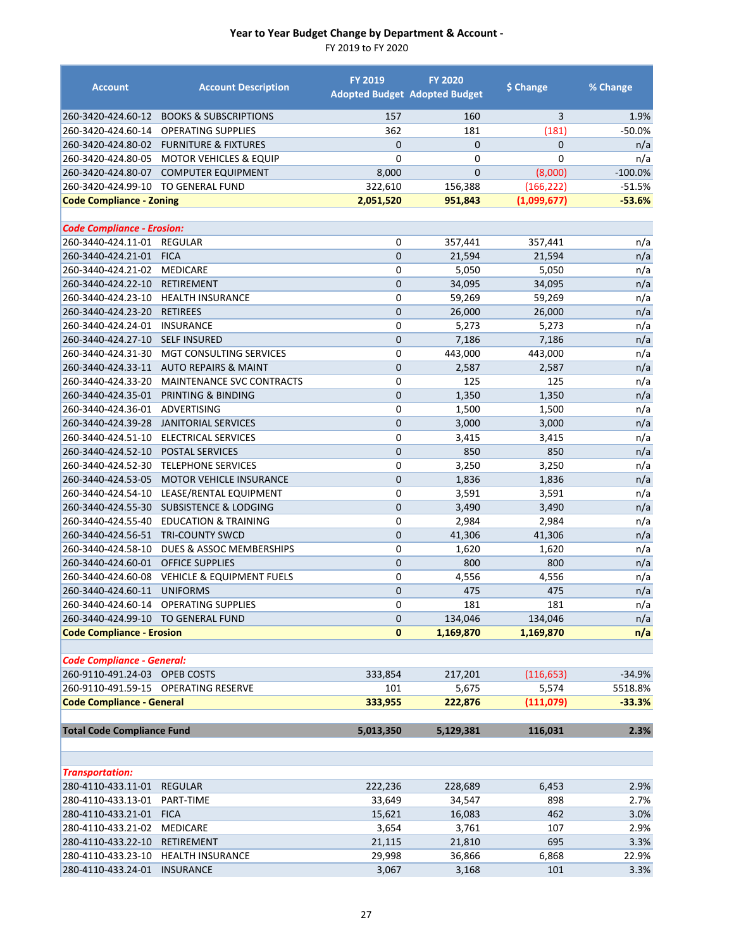| <b>Account</b>                                          | <b>Account Description</b>           | <b>FY 2019</b> | <b>FY 2020</b><br><b>Adopted Budget Adopted Budget</b> | \$ Change         | % Change   |
|---------------------------------------------------------|--------------------------------------|----------------|--------------------------------------------------------|-------------------|------------|
| 260-3420-424.60-12                                      | <b>BOOKS &amp; SUBSCRIPTIONS</b>     | 157            | 160                                                    | 3                 | 1.9%       |
| 260-3420-424.60-14                                      | <b>OPERATING SUPPLIES</b>            | 362            | 181                                                    | (181)             | $-50.0%$   |
| 260-3420-424.80-02                                      | <b>FURNITURE &amp; FIXTURES</b>      | $\mathbf{0}$   | $\mathbf{0}$                                           | $\mathbf{0}$      | n/a        |
| 260-3420-424.80-05                                      | <b>MOTOR VEHICLES &amp; EQUIP</b>    | 0              | $\mathbf 0$                                            | 0                 | n/a        |
| 260-3420-424.80-07                                      | <b>COMPUTER EQUIPMENT</b>            | 8,000          | $\mathbf{0}$                                           | (8,000)           | $-100.0%$  |
| 260-3420-424.99-10                                      | <b>TO GENERAL FUND</b>               | 322,610        | 156,388                                                | (166, 222)        | $-51.5%$   |
| <b>Code Compliance - Zoning</b>                         |                                      | 2,051,520      | 951,843                                                | (1,099,677)       | $-53.6%$   |
|                                                         |                                      |                |                                                        |                   |            |
| <b>Code Compliance - Erosion:</b><br>260-3440-424.11-01 | <b>REGULAR</b>                       | 0              |                                                        |                   |            |
| 260-3440-424.21-01                                      | <b>FICA</b>                          | $\mathbf 0$    | 357,441<br>21,594                                      | 357,441<br>21,594 | n/a<br>n/a |
| 260-3440-424.21-02                                      | <b>MEDICARE</b>                      | 0              | 5,050                                                  | 5,050             | n/a        |
| 260-3440-424.22-10                                      | RETIREMENT                           | $\mathbf 0$    | 34,095                                                 | 34,095            | n/a        |
|                                                         | 260-3440-424.23-10 HEALTH INSURANCE  | 0              | 59,269                                                 | 59,269            | n/a        |
| 260-3440-424.23-20                                      | <b>RETIREES</b>                      | $\mathbf 0$    | 26,000                                                 | 26,000            | n/a        |
| 260-3440-424.24-01                                      | <b>INSURANCE</b>                     | $\mathbf 0$    | 5,273                                                  | 5,273             | n/a        |
| 260-3440-424.27-10                                      | <b>SELF INSURED</b>                  | $\overline{0}$ | 7,186                                                  | 7,186             | n/a        |
| 260-3440-424.31-30                                      | <b>MGT CONSULTING SERVICES</b>       | 0              | 443,000                                                | 443,000           | n/a        |
| 260-3440-424.33-11                                      | <b>AUTO REPAIRS &amp; MAINT</b>      | $\mathbf 0$    | 2,587                                                  | 2,587             | n/a        |
| 260-3440-424.33-20                                      | <b>MAINTENANCE SVC CONTRACTS</b>     | $\mathbf 0$    | 125                                                    | 125               | n/a        |
| 260-3440-424.35-01                                      | PRINTING & BINDING                   | $\mathbf 0$    | 1,350                                                  | 1,350             | n/a        |
| 260-3440-424.36-01                                      | <b>ADVERTISING</b>                   | $\mathbf 0$    | 1,500                                                  | 1,500             | n/a        |
| 260-3440-424.39-28                                      | <b>JANITORIAL SERVICES</b>           | $\mathbf 0$    | 3,000                                                  | 3,000             | n/a        |
| 260-3440-424.51-10                                      | ELECTRICAL SERVICES                  | $\mathbf 0$    | 3,415                                                  | 3,415             | n/a        |
| 260-3440-424.52-10                                      | <b>POSTAL SERVICES</b>               | $\mathbf 0$    | 850                                                    | 850               | n/a        |
| 260-3440-424.52-30                                      | <b>TELEPHONE SERVICES</b>            | 0              | 3,250                                                  | 3,250             | n/a        |
| 260-3440-424.53-05                                      | MOTOR VEHICLE INSURANCE              | $\mathbf 0$    | 1,836                                                  | 1,836             | n/a        |
| 260-3440-424.54-10                                      | LEASE/RENTAL EQUIPMENT               | 0              | 3,591                                                  | 3,591             | n/a        |
| 260-3440-424.55-30                                      | <b>SUBSISTENCE &amp; LODGING</b>     | $\mathbf 0$    | 3,490                                                  | 3,490             | n/a        |
| 260-3440-424.55-40                                      | <b>EDUCATION &amp; TRAINING</b>      | $\mathbf 0$    | 2,984                                                  | 2,984             | n/a        |
| 260-3440-424.56-51                                      | <b>TRI-COUNTY SWCD</b>               | $\mathbf 0$    | 41,306                                                 | 41,306            | n/a        |
| 260-3440-424.58-10                                      | DUES & ASSOC MEMBERSHIPS             | $\mathbf 0$    | 1,620                                                  | 1,620             | n/a        |
| 260-3440-424.60-01                                      | <b>OFFICE SUPPLIES</b>               | $\overline{0}$ | 800                                                    | 800               | n/a        |
| 260-3440-424.60-08                                      | <b>VEHICLE &amp; EQUIPMENT FUELS</b> | 0              | 4,556                                                  | 4,556             | n/a        |
| 260-3440-424.60-11                                      | <b>UNIFORMS</b>                      | $\overline{0}$ | 475                                                    | 475               | n/a        |
| 260-3440-424.60-14                                      | <b>OPERATING SUPPLIES</b>            | 0              | 181                                                    | 181               | n/a        |
| 260-3440-424.99-10 TO GENERAL FUND                      |                                      | $\mathbf 0$    | 134,046                                                | 134,046           | n/a        |
| <b>Code Compliance - Erosion</b>                        |                                      | $\bf{0}$       | 1,169,870                                              | 1,169,870         | n/a        |
| <b>Code Compliance - General:</b>                       |                                      |                |                                                        |                   |            |
| 260-9110-491.24-03 OPEB COSTS                           |                                      | 333,854        | 217,201                                                | (116, 653)        | $-34.9%$   |
|                                                         | 260-9110-491.59-15 OPERATING RESERVE | 101            | 5,675                                                  | 5,574             | 5518.8%    |
| <b>Code Compliance - General</b>                        |                                      | 333,955        | 222,876                                                | (111,079)         | $-33.3%$   |
|                                                         |                                      |                |                                                        |                   |            |
| <b>Total Code Compliance Fund</b>                       |                                      | 5,013,350      | 5,129,381                                              | 116,031           | 2.3%       |
|                                                         |                                      |                |                                                        |                   |            |
| <b>Transportation:</b>                                  |                                      |                |                                                        |                   |            |
| 280-4110-433.11-01                                      | <b>REGULAR</b>                       | 222,236        | 228,689                                                | 6,453             | 2.9%       |
| 280-4110-433.13-01                                      | PART-TIME                            | 33,649         | 34,547                                                 | 898               | 2.7%       |
| 280-4110-433.21-01                                      | <b>FICA</b>                          | 15,621         | 16,083                                                 | 462               | 3.0%       |
| 280-4110-433.21-02                                      | <b>MEDICARE</b>                      | 3,654          | 3,761                                                  | 107               | 2.9%       |
| 280-4110-433.22-10                                      | RETIREMENT                           | 21,115         | 21,810                                                 | 695               | 3.3%       |
| 280-4110-433.23-10                                      | <b>HEALTH INSURANCE</b>              | 29,998         | 36,866                                                 | 6,868             | 22.9%      |
| 280-4110-433.24-01                                      | <b>INSURANCE</b>                     | 3,067          | 3,168                                                  | 101               | 3.3%       |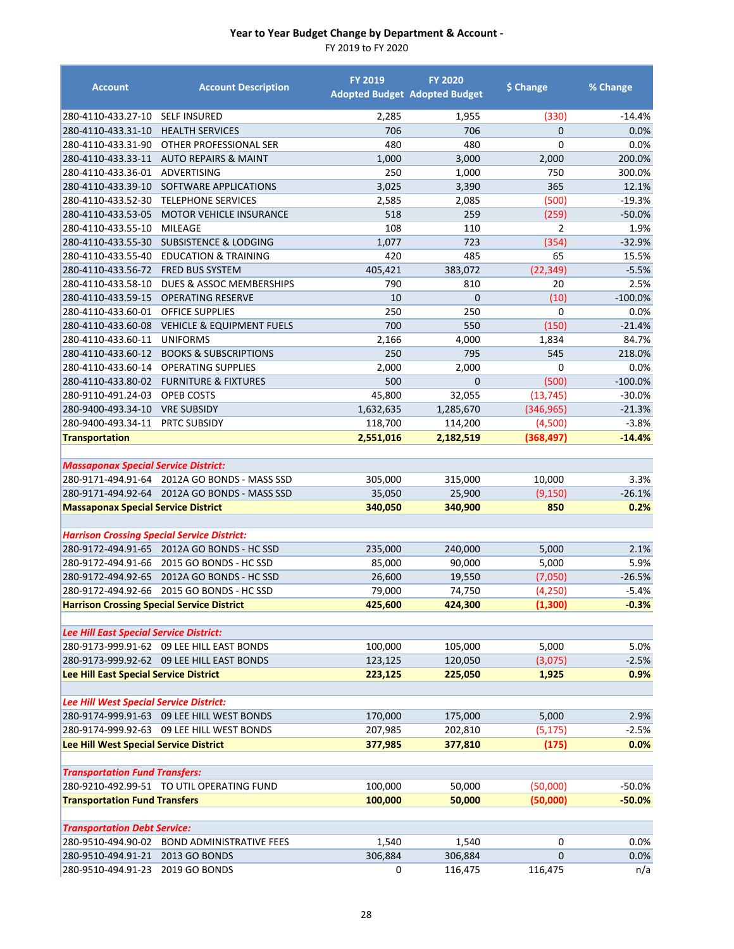| <b>Account</b>                                     | <b>Account Description</b>                   | <b>FY 2019</b> | <b>FY 2020</b><br><b>Adopted Budget Adopted Budget</b> | \$ Change      | % Change            |
|----------------------------------------------------|----------------------------------------------|----------------|--------------------------------------------------------|----------------|---------------------|
| 280-4110-433.27-10                                 | <b>SELF INSURED</b>                          | 2,285          | 1,955                                                  | (330)          | $-14.4%$            |
| 280-4110-433.31-10                                 | <b>HEALTH SERVICES</b>                       | 706            | 706                                                    | $\overline{0}$ | 0.0%                |
| 280-4110-433.31-90                                 | OTHER PROFESSIONAL SER                       | 480            | 480                                                    | 0              | 0.0%                |
| 280-4110-433.33-11                                 | <b>AUTO REPAIRS &amp; MAINT</b>              | 1,000          | 3,000                                                  | 2,000          | 200.0%              |
| 280-4110-433.36-01                                 | ADVERTISING                                  | 250            | 1,000                                                  | 750            | 300.0%              |
| 280-4110-433.39-10                                 | SOFTWARE APPLICATIONS                        | 3,025          | 3,390                                                  | 365            | 12.1%               |
| 280-4110-433.52-30                                 | <b>TELEPHONE SERVICES</b>                    | 2,585          | 2,085                                                  | (500)          | $-19.3%$            |
| 280-4110-433.53-05                                 | <b>MOTOR VEHICLE INSURANCE</b>               | 518            | 259                                                    | (259)          | $-50.0%$            |
| 280-4110-433.55-10                                 | <b>MILEAGE</b>                               | 108            | 110                                                    | 2              | 1.9%                |
| 280-4110-433.55-30                                 | <b>SUBSISTENCE &amp; LODGING</b>             | 1,077          | 723                                                    | (354)          | $-32.9%$            |
| 280-4110-433.55-40                                 | <b>EDUCATION &amp; TRAINING</b>              | 420            | 485                                                    | 65             | 15.5%               |
| 280-4110-433.56-72                                 | <b>FRED BUS SYSTEM</b>                       | 405,421        | 383,072                                                | (22, 349)      | $-5.5%$             |
| 280-4110-433.58-10                                 | DUES & ASSOC MEMBERSHIPS                     | 790            | 810                                                    | 20             | 2.5%                |
| 280-4110-433.59-15                                 | <b>OPERATING RESERVE</b>                     | 10             | $\mathbf 0$                                            | (10)           | $-100.0%$           |
| 280-4110-433.60-01                                 | <b>OFFICE SUPPLIES</b>                       | 250            | 250                                                    | $\mathbf 0$    | 0.0%                |
| 280-4110-433.60-08                                 | <b>VEHICLE &amp; EQUIPMENT FUELS</b>         | 700            | 550                                                    | (150)          | $-21.4%$            |
| 280-4110-433.60-11                                 | <b>UNIFORMS</b>                              | 2,166          | 4,000                                                  | 1,834          | 84.7%               |
| 280-4110-433.60-12                                 | <b>BOOKS &amp; SUBSCRIPTIONS</b>             | 250            | 795                                                    | 545            | 218.0%              |
| 280-4110-433.60-14                                 | <b>OPERATING SUPPLIES</b>                    | 2,000          | 2,000                                                  | 0              | 0.0%                |
| 280-4110-433.80-02                                 | <b>FURNITURE &amp; FIXTURES</b>              | 500            | $\overline{0}$                                         | (500)          | $-100.0%$           |
| 280-9110-491.24-03                                 | OPEB COSTS                                   | 45,800         | 32,055                                                 | (13, 745)      | $-30.0%$            |
| 280-9400-493.34-10                                 | <b>VRE SUBSIDY</b>                           | 1,632,635      | 1,285,670                                              | (346, 965)     | $-21.3%$            |
| 280-9400-493.34-11                                 | PRTC SUBSIDY                                 | 118,700        | 114,200                                                | (4,500)        | $-3.8%$<br>$-14.4%$ |
| <b>Transportation</b>                              |                                              | 2,551,016      | 2,182,519                                              | (368, 497)     |                     |
| <b>Massaponax Special Service District:</b>        |                                              |                |                                                        |                |                     |
|                                                    | 280-9171-494.91-64 2012A GO BONDS - MASS SSD | 305,000        | 315,000                                                | 10,000         | 3.3%                |
|                                                    | 280-9171-494.92-64 2012A GO BONDS - MASS SSD | 35,050         | 25,900                                                 | (9, 150)       | $-26.1%$            |
| <b>Massaponax Special Service District</b>         |                                              | 340,050        | 340,900                                                | 850            | 0.2%                |
|                                                    |                                              |                |                                                        |                |                     |
| <b>Harrison Crossing Special Service District:</b> |                                              |                |                                                        |                |                     |
|                                                    | 280-9172-494.91-65 2012A GO BONDS - HC SSD   | 235,000        | 240,000                                                | 5,000          | 2.1%                |
| 280-9172-494.91-66                                 | 2015 GO BONDS - HC SSD                       | 85,000         | 90,000                                                 | 5,000          | 5.9%                |
| 280-9172-494.92-65                                 | 2012A GO BONDS - HC SSD                      | 26,600         | 19,550                                                 | (7,050)        | $-26.5%$            |
|                                                    | 280-9172-494.92-66 2015 GO BONDS - HC SSD    | 79,000         | 74,750                                                 | (4, 250)       | $-5.4%$             |
| <b>Harrison Crossing Special Service District</b>  |                                              | 425,600        | 424,300                                                | (1, 300)       | $-0.3%$             |
|                                                    |                                              |                |                                                        |                |                     |
| Lee Hill East Special Service District:            |                                              |                |                                                        |                |                     |
|                                                    | 280-9173-999.91-62 09 LEE HILL EAST BONDS    | 100,000        | 105,000                                                | 5,000          | 5.0%                |
|                                                    | 280-9173-999.92-62 09 LEE HILL EAST BONDS    | 123,125        | 120,050                                                | (3,075)        | $-2.5%$             |
| Lee Hill East Special Service District             |                                              | 223,125        | 225,050                                                | 1,925          | 0.9%                |
|                                                    |                                              |                |                                                        |                |                     |
| Lee Hill West Special Service District:            |                                              |                |                                                        |                |                     |
|                                                    | 280-9174-999.91-63 09 LEE HILL WEST BONDS    | 170,000        | 175,000                                                | 5,000          | 2.9%                |
|                                                    | 280-9174-999.92-63 09 LEE HILL WEST BONDS    | 207,985        | 202,810                                                | (5, 175)       | $-2.5%$             |
| Lee Hill West Special Service District             |                                              | 377,985        | 377,810                                                | (175)          | 0.0%                |
| <b>Transportation Fund Transfers:</b>              |                                              |                |                                                        |                |                     |
|                                                    | 280-9210-492.99-51 TO UTIL OPERATING FUND    | 100,000        | 50,000                                                 | (50,000)       | $-50.0%$            |
| <b>Transportation Fund Transfers</b>               |                                              | 100,000        | 50,000                                                 | (50,000)       | $-50.0%$            |
|                                                    |                                              |                |                                                        |                |                     |
| <b>Transportation Debt Service:</b>                |                                              |                |                                                        |                |                     |
| 280-9510-494.90-02                                 | <b>BOND ADMINISTRATIVE FEES</b>              | 1,540          | 1,540                                                  | 0              | 0.0%                |
| 280-9510-494.91-21 2013 GO BONDS                   |                                              | 306,884        | 306,884                                                | $\mathbf 0$    | 0.0%                |
| 280-9510-494.91-23                                 | 2019 GO BONDS                                | 0              | 116,475                                                | 116,475        | n/a                 |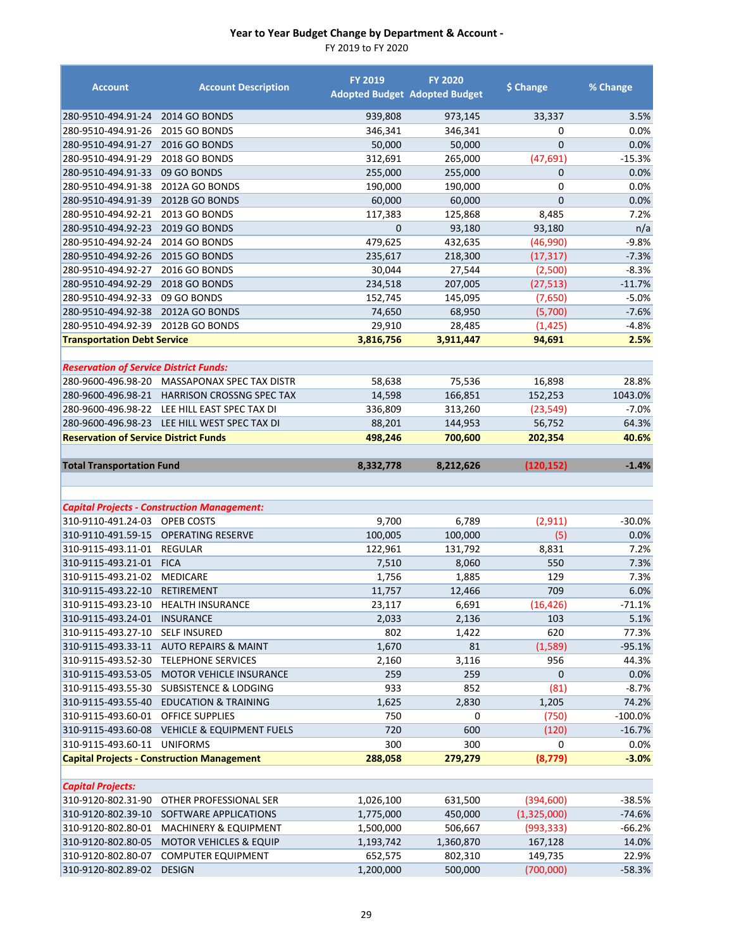| <b>Account</b>                                | <b>Account Description</b>                                     | <b>FY 2019</b>       | <b>FY 2020</b><br><b>Adopted Budget Adopted Budget</b> | \$ Change          | % Change       |
|-----------------------------------------------|----------------------------------------------------------------|----------------------|--------------------------------------------------------|--------------------|----------------|
| 280-9510-494.91-24                            | <b>2014 GO BONDS</b>                                           | 939,808              | 973,145                                                | 33,337             | 3.5%           |
| 280-9510-494.91-26                            | <b>2015 GO BONDS</b>                                           | 346,341              | 346,341                                                | 0                  | 0.0%           |
| 280-9510-494.91-27                            | 2016 GO BONDS                                                  | 50,000               | 50,000                                                 | $\overline{0}$     | 0.0%           |
| 280-9510-494.91-29                            | 2018 GO BONDS                                                  | 312,691              | 265,000                                                | (47, 691)          | $-15.3%$       |
| 280-9510-494.91-33                            | 09 GO BONDS                                                    | 255,000              | 255,000                                                | $\mathbf{0}$       | 0.0%           |
| 280-9510-494.91-38                            | 2012A GO BONDS                                                 | 190,000              | 190,000                                                | 0                  | 0.0%           |
| 280-9510-494.91-39                            | 2012B GO BONDS                                                 | 60,000               | 60,000                                                 | $\overline{0}$     | 0.0%           |
| 280-9510-494.92-21                            | <b>2013 GO BONDS</b>                                           | 117,383              | 125,868                                                | 8,485              | 7.2%           |
| 280-9510-494.92-23                            | <b>2019 GO BONDS</b>                                           | $\overline{0}$       | 93,180                                                 | 93,180             | n/a            |
| 280-9510-494.92-24                            | <b>2014 GO BONDS</b>                                           | 479,625              | 432,635                                                | (46,990)           | $-9.8%$        |
| 280-9510-494.92-26                            | 2015 GO BONDS                                                  | 235,617              | 218,300                                                | (17, 317)          | $-7.3%$        |
| 280-9510-494.92-27                            | 2016 GO BONDS                                                  | 30,044               | 27,544                                                 | (2,500)            | $-8.3%$        |
| 280-9510-494.92-29                            | 2018 GO BONDS                                                  | 234,518              | 207,005                                                | (27, 513)          | $-11.7%$       |
| 280-9510-494.92-33                            | 09 GO BONDS                                                    | 152,745              | 145,095                                                | (7,650)            | $-5.0%$        |
| 280-9510-494.92-38                            | 2012A GO BONDS                                                 | 74,650               | 68,950                                                 | (5,700)            | $-7.6%$        |
| 280-9510-494.92-39                            | 2012B GO BONDS                                                 | 29,910               | 28,485                                                 | (1, 425)           | $-4.8%$        |
| <b>Transportation Debt Service</b>            |                                                                | 3,816,756            | 3,911,447                                              | 94,691             | 2.5%           |
|                                               |                                                                |                      |                                                        |                    |                |
| <b>Reservation of Service District Funds:</b> |                                                                |                      |                                                        |                    |                |
| 280-9600-496.98-20                            | MASSAPONAX SPEC TAX DISTR                                      | 58,638               | 75,536                                                 | 16,898             | 28.8%          |
| 280-9600-496.98-21                            | <b>HARRISON CROSSNG SPEC TAX</b>                               | 14,598               | 166,851                                                | 152,253            | 1043.0%        |
| 280-9600-496.98-22                            | LEE HILL EAST SPEC TAX DI                                      | 336,809              | 313,260                                                | (23, 549)          | $-7.0%$        |
|                                               | 280-9600-496.98-23 LEE HILL WEST SPEC TAX DI                   | 88,201               | 144,953                                                | 56,752             | 64.3%          |
| <b>Reservation of Service District Funds</b>  |                                                                | 498,246              | 700,600                                                | 202,354            | 40.6%          |
|                                               |                                                                |                      |                                                        |                    |                |
| <b>Total Transportation Fund</b>              |                                                                | 8,332,778            | 8,212,626                                              | (120,152)          | $-1.4%$        |
|                                               |                                                                |                      |                                                        |                    |                |
|                                               |                                                                |                      |                                                        |                    |                |
|                                               |                                                                |                      |                                                        |                    |                |
|                                               | <b>Capital Projects - Construction Management:</b>             |                      |                                                        |                    |                |
| 310-9110-491.24-03                            | OPEB COSTS                                                     | 9,700                | 6,789                                                  | (2, 911)           | $-30.0%$       |
| 310-9110-491.59-15                            | <b>OPERATING RESERVE</b>                                       | 100,005              | 100,000                                                | (5)                | 0.0%           |
| 310-9115-493.11-01                            | <b>REGULAR</b>                                                 | 122,961              | 131,792                                                | 8,831              | 7.2%           |
| 310-9115-493.21-01                            | <b>FICA</b>                                                    | 7,510                | 8,060                                                  | 550                | 7.3%           |
| 310-9115-493.21-02                            | <b>MEDICARE</b>                                                | 1,756                | 1,885                                                  | 129                | 7.3%           |
| 310-9115-493.22-10                            | <b>RETIREMENT</b>                                              | 11,757               | 12,466                                                 | 709                | 6.0%           |
| 310-9115-493.23-10                            | <b>HEALTH INSURANCE</b>                                        | 23,117               | 6,691                                                  | (16, 426)          | $-71.1%$       |
| 310-9115-493.24-01                            | <b>INSURANCE</b>                                               | 2,033                | 2,136                                                  | 103                | 5.1%           |
| 310-9115-493.27-10                            | <b>SELF INSURED</b>                                            | 802                  | 1,422                                                  | 620                | 77.3%          |
| 310-9115-493.33-11                            | <b>AUTO REPAIRS &amp; MAINT</b>                                | 1,670                | 81                                                     | (1,589)            | $-95.1%$       |
| 310-9115-493.52-30                            | <b>TELEPHONE SERVICES</b>                                      | 2,160                | 3,116                                                  | 956                | 44.3%          |
| 310-9115-493.53-05                            | MOTOR VEHICLE INSURANCE                                        | 259                  | 259                                                    | 0                  | 0.0%           |
| 310-9115-493.55-30                            | <b>SUBSISTENCE &amp; LODGING</b>                               | 933                  | 852                                                    | (81)               | $-8.7\%$       |
| 310-9115-493.55-40                            | <b>EDUCATION &amp; TRAINING</b>                                | 1,625                | 2,830                                                  | 1,205              | 74.2%          |
| 310-9115-493.60-01                            | OFFICE SUPPLIES                                                | 750                  | 0                                                      | (750)              | $-100.0\%$     |
|                                               | 310-9115-493.60-08 VEHICLE & EQUIPMENT FUELS                   | 720                  | 600                                                    | (120)              | $-16.7%$       |
| 310-9115-493.60-11 UNIFORMS                   |                                                                | 300                  | 300                                                    | 0                  | 0.0%           |
|                                               | <b>Capital Projects - Construction Management</b>              | 288,058              | 279,279                                                | (8, 779)           | $-3.0\%$       |
|                                               |                                                                |                      |                                                        |                    |                |
| <b>Capital Projects:</b>                      |                                                                |                      |                                                        |                    |                |
| 310-9120-802.31-90                            | OTHER PROFESSIONAL SER                                         | 1,026,100            | 631,500                                                | (394, 600)         | $-38.5%$       |
| 310-9120-802.39-10                            | SOFTWARE APPLICATIONS                                          | 1,775,000            | 450,000                                                | (1,325,000)        | $-74.6%$       |
| 310-9120-802.80-01                            | <b>MACHINERY &amp; EQUIPMENT</b>                               | 1,500,000            | 506,667                                                | (993, 333)         | $-66.2%$       |
| 310-9120-802.80-05<br>310-9120-802.80-07      | <b>MOTOR VEHICLES &amp; EQUIP</b><br><b>COMPUTER EQUIPMENT</b> | 1,193,742<br>652,575 | 1,360,870<br>802,310                                   | 167,128<br>149,735 | 14.0%<br>22.9% |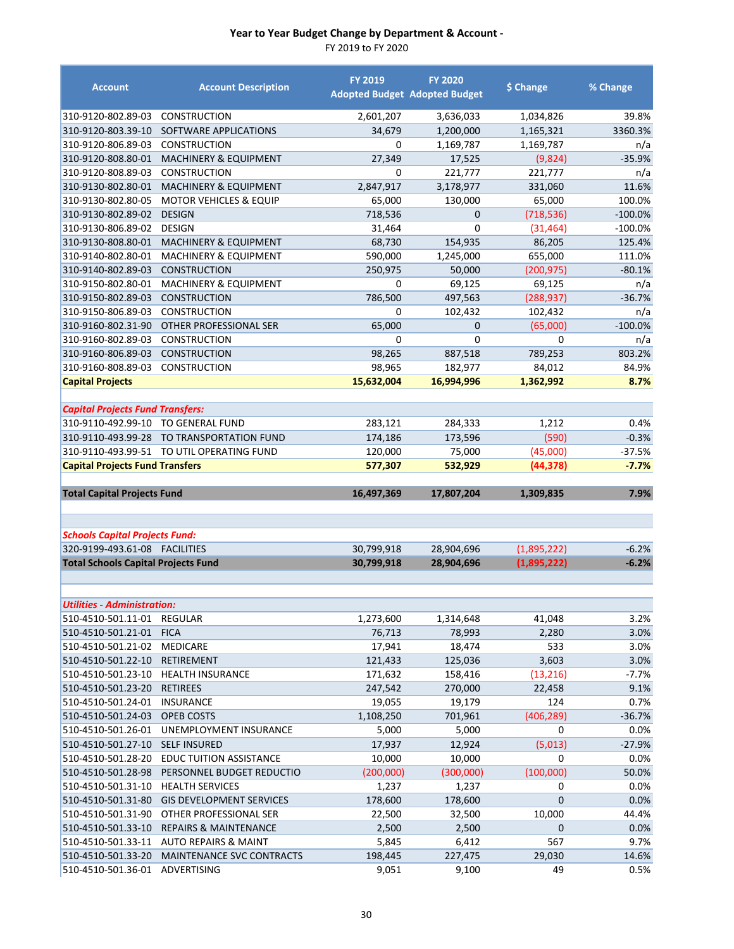| <b>Account</b>                             | <b>Account Description</b>                | <b>FY 2019</b>   | <b>FY 2020</b><br><b>Adopted Budget Adopted Budget</b> | \$ Change    | % Change      |
|--------------------------------------------|-------------------------------------------|------------------|--------------------------------------------------------|--------------|---------------|
| 310-9120-802.89-03                         | <b>CONSTRUCTION</b>                       | 2,601,207        | 3,636,033                                              | 1,034,826    | 39.8%         |
| 310-9120-803.39-10                         | SOFTWARE APPLICATIONS                     | 34,679           | 1,200,000                                              | 1,165,321    | 3360.3%       |
| 310-9120-806.89-03                         | CONSTRUCTION                              | 0                | 1,169,787                                              | 1,169,787    | n/a           |
| 310-9120-808.80-01                         | <b>MACHINERY &amp; EQUIPMENT</b>          | 27,349           | 17,525                                                 | (9,824)      | $-35.9%$      |
| 310-9120-808.89-03                         | <b>CONSTRUCTION</b>                       | 0                | 221,777                                                | 221,777      | n/a           |
| 310-9130-802.80-01                         | MACHINERY & EQUIPMENT                     | 2,847,917        | 3,178,977                                              | 331,060      | 11.6%         |
| 310-9130-802.80-05                         | <b>MOTOR VEHICLES &amp; EQUIP</b>         | 65,000           | 130,000                                                | 65,000       | 100.0%        |
| 310-9130-802.89-02                         | <b>DESIGN</b>                             | 718,536          | 0                                                      | (718, 536)   | $-100.0%$     |
| 310-9130-806.89-02                         | <b>DESIGN</b>                             | 31,464           | 0                                                      | (31, 464)    | $-100.0\%$    |
| 310-9130-808.80-01                         | MACHINERY & EQUIPMENT                     | 68,730           | 154,935                                                | 86,205       | 125.4%        |
| 310-9140-802.80-01                         | <b>MACHINERY &amp; EQUIPMENT</b>          | 590,000          | 1,245,000                                              | 655,000      | 111.0%        |
| 310-9140-802.89-03                         | <b>CONSTRUCTION</b>                       | 250,975          | 50,000                                                 | (200, 975)   | $-80.1%$      |
| 310-9150-802.80-01                         | <b>MACHINERY &amp; EQUIPMENT</b>          | 0                | 69,125                                                 | 69,125       | n/a           |
| 310-9150-802.89-03                         | <b>CONSTRUCTION</b>                       | 786,500          | 497,563                                                | (288, 937)   | $-36.7%$      |
| 310-9150-806.89-03                         | <b>CONSTRUCTION</b>                       | 0                | 102,432                                                | 102,432      | n/a           |
| 310-9160-802.31-90                         | OTHER PROFESSIONAL SER                    | 65,000           | 0                                                      | (65,000)     | $-100.0%$     |
| 310-9160-802.89-03                         | <b>CONSTRUCTION</b>                       | $\mathbf 0$      | $\mathbf 0$                                            | 0            | n/a           |
| 310-9160-806.89-03                         | CONSTRUCTION                              | 98,265           | 887,518                                                | 789,253      | 803.2%        |
| 310-9160-808.89-03                         | <b>CONSTRUCTION</b>                       | 98,965           | 182,977                                                | 84,012       | 84.9%         |
| <b>Capital Projects</b>                    |                                           | 15,632,004       | 16,994,996                                             | 1,362,992    | 8.7%          |
| <b>Capital Projects Fund Transfers:</b>    |                                           |                  |                                                        |              |               |
| 310-9110-492.99-10 TO GENERAL FUND         |                                           | 283,121          | 284,333                                                | 1,212        | 0.4%          |
| 310-9110-493.99-28                         | TO TRANSPORTATION FUND                    | 174,186          | 173,596                                                | (590)        | $-0.3%$       |
|                                            | 310-9110-493.99-51 TO UTIL OPERATING FUND | 120,000          | 75,000                                                 | (45,000)     | $-37.5%$      |
| <b>Capital Projects Fund Transfers</b>     |                                           | 577,307          | 532,929                                                | (44, 378)    | $-7.7%$       |
|                                            |                                           |                  |                                                        |              |               |
|                                            |                                           |                  |                                                        |              |               |
| <b>Total Capital Projects Fund</b>         |                                           | 16,497,369       | 17,807,204                                             | 1,309,835    | 7.9%          |
|                                            |                                           |                  |                                                        |              |               |
| <b>Schools Capital Projects Fund:</b>      |                                           |                  |                                                        |              |               |
|                                            |                                           | 30,799,918       | 28,904,696                                             | (1,895,222)  | $-6.2%$       |
| <b>Total Schools Capital Projects Fund</b> |                                           | 30,799,918       | 28,904,696                                             | (1,895,222)  | $-6.2%$       |
|                                            |                                           |                  |                                                        |              |               |
| <b>Utilities - Administration:</b>         |                                           |                  |                                                        |              |               |
| 510-4510-501.11-01                         | REGULAR                                   | 1,273,600        | 1,314,648                                              | 41,048       | 3.2%          |
| 510-4510-501.21-01                         | <b>FICA</b>                               | 76,713           | 78,993                                                 | 2,280        | 3.0%          |
| 510-4510-501.21-02                         | <b>MEDICARE</b>                           | 17,941           | 18,474                                                 | 533          | 3.0%          |
| 510-4510-501.22-10                         | RETIREMENT                                | 121,433          | 125,036                                                | 3,603        | 3.0%          |
| 510-4510-501.23-10                         | <b>HEALTH INSURANCE</b>                   | 171,632          | 158,416                                                | (13, 216)    | $-7.7%$       |
| 510-4510-501.23-20                         | <b>RETIREES</b>                           | 247,542          | 270,000                                                | 22,458       | 9.1%          |
| 510-4510-501.24-01                         | <b>INSURANCE</b>                          | 19,055           | 19,179                                                 | 124          | 0.7%          |
| 510-4510-501.24-03                         | <b>OPEB COSTS</b>                         | 1,108,250        | 701,961                                                | (406, 289)   | $-36.7%$      |
| 510-4510-501.26-01                         | UNEMPLOYMENT INSURANCE                    | 5,000            | 5,000                                                  | 0            | 0.0%          |
| 510-4510-501.27-10                         | <b>SELF INSURED</b>                       | 17,937           | 12,924                                                 | (5,013)      | $-27.9%$      |
| 510-4510-501.28-20                         | <b>EDUC TUITION ASSISTANCE</b>            | 10,000           | 10,000                                                 | $\Omega$     | 0.0%          |
| 510-4510-501.28-98                         | PERSONNEL BUDGET REDUCTIO                 | (200,000)        | (300,000)                                              | (100,000)    | 50.0%         |
| 510-4510-501.31-10                         | <b>HEALTH SERVICES</b>                    | 1,237            | 1,237                                                  | 0            | 0.0%          |
| 510-4510-501.31-80                         | <b>GIS DEVELOPMENT SERVICES</b>           | 178,600          | 178,600                                                | $\mathbf 0$  | 0.0%          |
| 510-4510-501.31-90                         | OTHER PROFESSIONAL SER                    | 22,500           | 32,500                                                 | 10,000       | 44.4%         |
| 510-4510-501.33-10                         | <b>REPAIRS &amp; MAINTENANCE</b>          | 2,500            | 2,500                                                  | $\mathbf 0$  | 0.0%          |
| 510-4510-501.33-11                         | <b>AUTO REPAIRS &amp; MAINT</b>           | 5,845            | 6,412                                                  | 567          | 9.7%          |
| 510-4510-501.33-20<br>510-4510-501.36-01   | MAINTENANCE SVC CONTRACTS<br>ADVERTISING  | 198,445<br>9,051 | 227,475<br>9,100                                       | 29,030<br>49 | 14.6%<br>0.5% |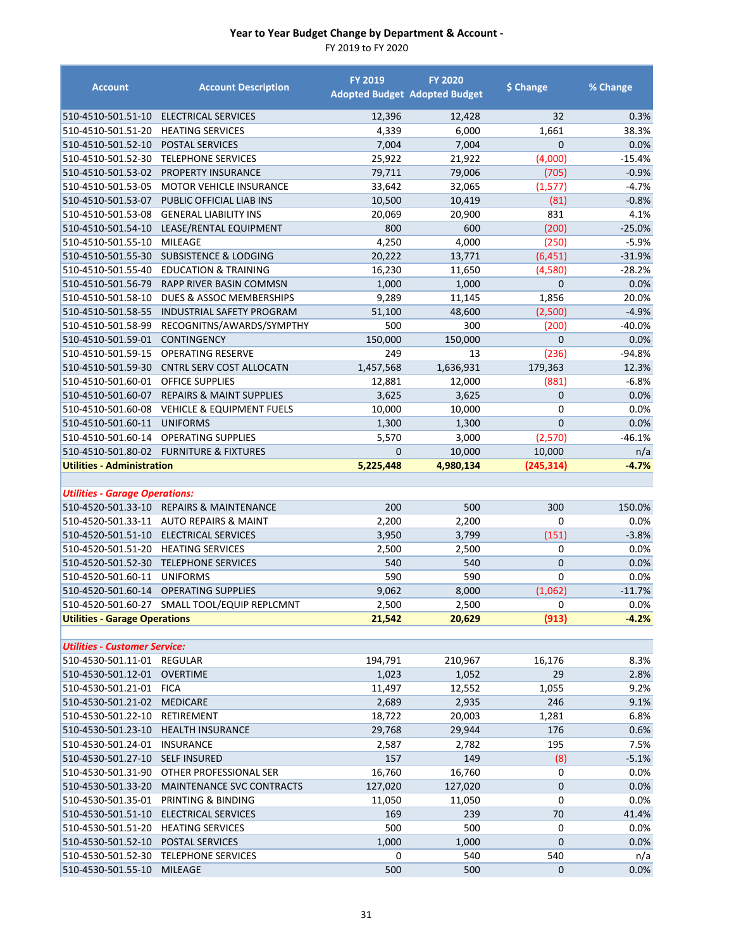| <b>Account</b>                        | <b>Account Description</b>                   | <b>FY 2019</b> | <b>FY 2020</b><br><b>Adopted Budget Adopted Budget</b> | \$ Change      | % Change |
|---------------------------------------|----------------------------------------------|----------------|--------------------------------------------------------|----------------|----------|
| 510-4510-501.51-10                    | ELECTRICAL SERVICES                          | 12,396         | 12,428                                                 | 32             | 0.3%     |
| 510-4510-501.51-20                    | <b>HEATING SERVICES</b>                      | 4,339          | 6,000                                                  | 1,661          | 38.3%    |
| 510-4510-501.52-10                    | <b>POSTAL SERVICES</b>                       | 7,004          | 7,004                                                  | $\mathbf{0}$   | 0.0%     |
| 510-4510-501.52-30                    | <b>TELEPHONE SERVICES</b>                    | 25,922         | 21,922                                                 | (4,000)        | $-15.4%$ |
| 510-4510-501.53-02                    | PROPERTY INSURANCE                           | 79,711         | 79,006                                                 | (705)          | $-0.9%$  |
| 510-4510-501.53-05                    | <b>MOTOR VEHICLE INSURANCE</b>               | 33,642         | 32,065                                                 | (1, 577)       | $-4.7%$  |
| 510-4510-501.53-07                    | PUBLIC OFFICIAL LIAB INS                     | 10,500         | 10,419                                                 | (81)           | $-0.8%$  |
| 510-4510-501.53-08                    | <b>GENERAL LIABILITY INS</b>                 | 20,069         | 20,900                                                 | 831            | 4.1%     |
| 510-4510-501.54-10                    | LEASE/RENTAL EQUIPMENT                       | 800            | 600                                                    | (200)          | $-25.0%$ |
| 510-4510-501.55-10                    | MILEAGE                                      | 4,250          | 4,000                                                  | (250)          | $-5.9%$  |
| 510-4510-501.55-30                    | <b>SUBSISTENCE &amp; LODGING</b>             | 20,222         | 13,771                                                 | (6, 451)       | $-31.9%$ |
| 510-4510-501.55-40                    | <b>EDUCATION &amp; TRAINING</b>              | 16,230         | 11,650                                                 | (4,580)        | $-28.2%$ |
| 510-4510-501.56-79                    | RAPP RIVER BASIN COMMSN                      | 1,000          | 1,000                                                  | $\mathbf{0}$   | 0.0%     |
| 510-4510-501.58-10                    | DUES & ASSOC MEMBERSHIPS                     | 9,289          | 11,145                                                 | 1,856          | 20.0%    |
| 510-4510-501.58-55                    | <b>INDUSTRIAL SAFETY PROGRAM</b>             | 51,100         | 48,600                                                 | (2,500)        | $-4.9%$  |
| 510-4510-501.58-99                    | RECOGNITNS/AWARDS/SYMPTHY                    | 500            | 300                                                    | (200)          | -40.0%   |
| 510-4510-501.59-01                    | <b>CONTINGENCY</b>                           | 150,000        | 150,000                                                | $\mathbf{0}$   | 0.0%     |
| 510-4510-501.59-15                    | <b>OPERATING RESERVE</b>                     | 249            | 13                                                     | (236)          | $-94.8%$ |
| 510-4510-501.59-30                    | <b>CNTRL SERV COST ALLOCATN</b>              | 1,457,568      | 1,636,931                                              | 179,363        | 12.3%    |
| 510-4510-501.60-01                    | <b>OFFICE SUPPLIES</b>                       | 12,881         | 12,000                                                 | (881)          | $-6.8%$  |
| 510-4510-501.60-07                    | <b>REPAIRS &amp; MAINT SUPPLIES</b>          | 3,625          | 3,625                                                  | $\mathbf{0}$   | 0.0%     |
| 510-4510-501.60-08                    | <b>VEHICLE &amp; EQUIPMENT FUELS</b>         | 10,000         | 10,000                                                 | 0              | 0.0%     |
| 510-4510-501.60-11                    | <b>UNIFORMS</b>                              | 1,300          | 1,300                                                  | $\overline{0}$ | 0.0%     |
| 510-4510-501.60-14                    | <b>OPERATING SUPPLIES</b>                    | 5,570          | 3,000                                                  | (2,570)        | $-46.1%$ |
|                                       | 510-4510-501.80-02 FURNITURE & FIXTURES      | $\overline{0}$ | 10,000                                                 | 10,000         | n/a      |
| <b>Utilities - Administration</b>     |                                              | 5,225,448      | 4,980,134                                              | (245, 314)     | $-4.7%$  |
| <b>Utilities - Garage Operations:</b> |                                              |                |                                                        |                |          |
| 510-4520-501.33-10                    | <b>REPAIRS &amp; MAINTENANCE</b>             | 200            | 500                                                    | 300            | 150.0%   |
|                                       | 510-4520-501.33-11 AUTO REPAIRS & MAINT      | 2,200          | 2,200                                                  | $\mathbf 0$    | 0.0%     |
| 510-4520-501.51-10                    | ELECTRICAL SERVICES                          | 3,950          | 3,799                                                  | (151)          | $-3.8%$  |
| 510-4520-501.51-20                    | <b>HEATING SERVICES</b>                      | 2,500          | 2,500                                                  | 0              | 0.0%     |
| 510-4520-501.52-30                    | <b>TELEPHONE SERVICES</b>                    | 540            | 540                                                    | $\mathbf 0$    | 0.0%     |
| 510-4520-501.60-11                    | <b>UNIFORMS</b>                              | 590            | 590                                                    | $\mathbf 0$    | 0.0%     |
| 510-4520-501.60-14                    | <b>OPERATING SUPPLIES</b>                    | 9,062          | 8,000                                                  | (1,062)        | $-11.7%$ |
|                                       | 510-4520-501.60-27 SMALL TOOL/EQUIP REPLCMNT | 2,500          | 2,500                                                  | 0              | 0.0%     |
| <b>Utilities - Garage Operations</b>  |                                              | 21,542         | 20,629                                                 | (913)          | $-4.2%$  |
|                                       |                                              |                |                                                        |                |          |
| <b>Utilities - Customer Service:</b>  |                                              |                |                                                        |                |          |
| 510-4530-501.11-01 REGULAR            |                                              | 194,791        | 210,967                                                | 16,176         | 8.3%     |
| 510-4530-501.12-01                    | <b>OVERTIME</b>                              | 1,023          | 1,052                                                  | 29             | 2.8%     |
| 510-4530-501.21-01                    | <b>FICA</b>                                  | 11,497         | 12,552                                                 | 1,055          | 9.2%     |
| 510-4530-501.21-02 MEDICARE           |                                              | 2,689          | 2,935                                                  | 246            | 9.1%     |
| 510-4530-501.22-10                    | RETIREMENT                                   | 18,722         | 20,003                                                 | 1,281          | 6.8%     |
| 510-4530-501.23-10                    | <b>HEALTH INSURANCE</b>                      | 29,768         | 29,944                                                 | 176            | 0.6%     |
| 510-4530-501.24-01                    | <b>INSURANCE</b>                             | 2,587          | 2,782                                                  | 195            | 7.5%     |
| 510-4530-501.27-10                    | <b>SELF INSURED</b>                          | 157            | 149                                                    | (8)            | $-5.1%$  |
| 510-4530-501.31-90                    | OTHER PROFESSIONAL SER                       | 16,760         | 16,760                                                 | 0              | 0.0%     |
| 510-4530-501.33-20                    | MAINTENANCE SVC CONTRACTS                    | 127,020        | 127,020                                                | $\pmb{0}$      | 0.0%     |
| 510-4530-501.35-01                    | PRINTING & BINDING                           | 11,050         | 11,050                                                 | 0              | 0.0%     |
| 510-4530-501.51-10                    | ELECTRICAL SERVICES                          | 169            | 239                                                    | 70             | 41.4%    |
| 510-4530-501.51-20                    | <b>HEATING SERVICES</b>                      | 500            | 500                                                    | 0              | 0.0%     |
| 510-4530-501.52-10                    | POSTAL SERVICES                              | 1,000          | 1,000                                                  | $\mathbf 0$    | 0.0%     |
| 510-4530-501.52-30                    | <b>TELEPHONE SERVICES</b>                    | 0              | 540                                                    | 540            | n/a      |
| 510-4530-501.55-10                    | <b>MILEAGE</b>                               | 500            | 500                                                    | $\mathbf 0$    | 0.0%     |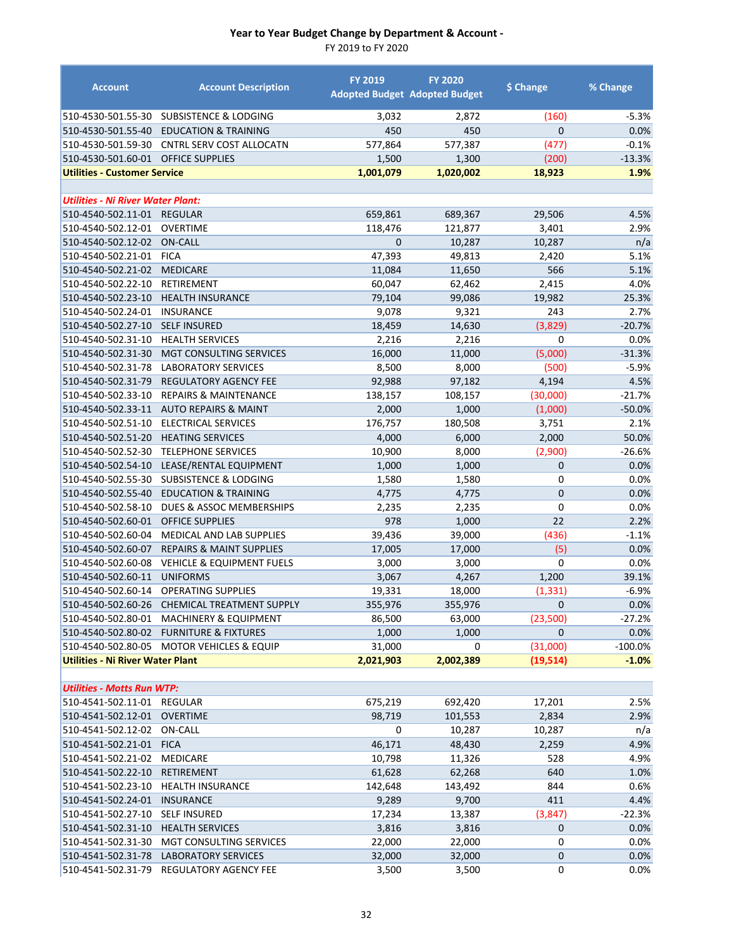| <b>Account</b>                           | <b>Account Description</b>                                       | <b>FY 2019</b>    | <b>FY 2020</b><br><b>Adopted Budget Adopted Budget</b> | \$ Change      | % Change         |
|------------------------------------------|------------------------------------------------------------------|-------------------|--------------------------------------------------------|----------------|------------------|
| 510-4530-501.55-30                       | SUBSISTENCE & LODGING                                            | 3,032             | 2,872                                                  | (160)          | $-5.3%$          |
| 510-4530-501.55-40                       | <b>EDUCATION &amp; TRAINING</b>                                  | 450               | 450                                                    | $\mathbf{0}$   | 0.0%             |
| 510-4530-501.59-30                       | CNTRL SERV COST ALLOCATN                                         | 577,864           | 577,387                                                | (477)          | $-0.1%$          |
| 510-4530-501.60-01                       | <b>OFFICE SUPPLIES</b>                                           | 1,500             | 1,300                                                  | (200)          | $-13.3%$         |
| <b>Utilities - Customer Service</b>      |                                                                  | 1,001,079         | 1,020,002                                              | 18,923         | 1.9%             |
|                                          |                                                                  |                   |                                                        |                |                  |
| <b>Utilities - Ni River Water Plant:</b> |                                                                  |                   |                                                        |                |                  |
| 510-4540-502.11-01                       | <b>REGULAR</b>                                                   | 659,861           | 689,367                                                | 29,506         | 4.5%             |
| 510-4540-502.12-01                       | <b>OVERTIME</b>                                                  | 118,476           | 121,877                                                | 3,401          | 2.9%             |
| 510-4540-502.12-02                       | <b>ON-CALL</b>                                                   | $\mathbf 0$       | 10,287                                                 | 10,287         | n/a              |
| 510-4540-502.21-01                       | <b>FICA</b>                                                      | 47,393            | 49,813                                                 | 2,420          | 5.1%             |
| 510-4540-502.21-02                       | <b>MEDICARE</b>                                                  | 11,084            | 11,650                                                 | 566            | 5.1%             |
| 510-4540-502.22-10                       | RETIREMENT                                                       | 60,047            | 62,462                                                 | 2,415          | 4.0%             |
| 510-4540-502.23-10                       | <b>HEALTH INSURANCE</b>                                          | 79,104            | 99,086                                                 | 19,982         | 25.3%            |
| 510-4540-502.24-01                       | <b>INSURANCE</b>                                                 | 9,078             | 9,321                                                  | 243            | 2.7%             |
| 510-4540-502.27-10                       | <b>SELF INSURED</b>                                              | 18,459            | 14,630                                                 | (3,829)        | $-20.7%$         |
| 510-4540-502.31-10                       | <b>HEALTH SERVICES</b>                                           | 2,216             | 2,216                                                  | $\mathbf 0$    | 0.0%             |
| 510-4540-502.31-30                       | <b>MGT CONSULTING SERVICES</b>                                   | 16,000            | 11,000                                                 | (5,000)        | $-31.3%$         |
| 510-4540-502.31-78                       | <b>LABORATORY SERVICES</b>                                       | 8,500             | 8,000                                                  | (500)          | $-5.9%$          |
| 510-4540-502.31-79<br>510-4540-502.33-10 | <b>REGULATORY AGENCY FEE</b><br><b>REPAIRS &amp; MAINTENANCE</b> | 92,988<br>138,157 | 97,182                                                 | 4,194          | 4.5%             |
|                                          |                                                                  |                   | 108,157                                                | (30,000)       | $-21.7%$         |
| 510-4540-502.33-11<br>510-4540-502.51-10 | <b>AUTO REPAIRS &amp; MAINT</b><br>ELECTRICAL SERVICES           | 2,000<br>176,757  | 1,000<br>180,508                                       | (1,000)        | $-50.0%$<br>2.1% |
| 510-4540-502.51-20                       | <b>HEATING SERVICES</b>                                          | 4,000             | 6,000                                                  | 3,751<br>2,000 | 50.0%            |
| 510-4540-502.52-30                       | <b>TELEPHONE SERVICES</b>                                        | 10,900            | 8,000                                                  | (2,900)        | $-26.6%$         |
| 510-4540-502.54-10                       | LEASE/RENTAL EQUIPMENT                                           | 1,000             | 1,000                                                  | 0              | 0.0%             |
| 510-4540-502.55-30                       | <b>SUBSISTENCE &amp; LODGING</b>                                 | 1,580             | 1,580                                                  | 0              | 0.0%             |
| 510-4540-502.55-40                       | <b>EDUCATION &amp; TRAINING</b>                                  | 4,775             | 4,775                                                  | $\mathbf{0}$   | 0.0%             |
| 510-4540-502.58-10                       | DUES & ASSOC MEMBERSHIPS                                         | 2,235             | 2,235                                                  | 0              | 0.0%             |
| 510-4540-502.60-01                       | <b>OFFICE SUPPLIES</b>                                           | 978               | 1,000                                                  | 22             | 2.2%             |
| 510-4540-502.60-04                       | MEDICAL AND LAB SUPPLIES                                         | 39,436            | 39,000                                                 | (436)          | $-1.1%$          |
| 510-4540-502.60-07                       | <b>REPAIRS &amp; MAINT SUPPLIES</b>                              | 17,005            | 17,000                                                 | (5)            | 0.0%             |
| 510-4540-502.60-08                       | <b>VEHICLE &amp; EQUIPMENT FUELS</b>                             | 3,000             | 3,000                                                  | 0              | 0.0%             |
| 510-4540-502.60-11                       | <b>UNIFORMS</b>                                                  | 3,067             | 4,267                                                  | 1,200          | 39.1%            |
| 510-4540-502.60-14                       | <b>OPERATING SUPPLIES</b>                                        | 19,331            | 18,000                                                 | (1, 331)       | $-6.9%$          |
|                                          | 510-4540-502.60-26 CHEMICAL TREATMENT SUPPLY                     | 355,976           | 355,976                                                | $\mathbf{0}$   | 0.0%             |
| 510-4540-502.80-01                       | <b>MACHINERY &amp; EQUIPMENT</b>                                 | 86,500            | 63,000                                                 | (23,500)       | -27.2%           |
| 510-4540-502.80-02                       | <b>FURNITURE &amp; FIXTURES</b>                                  | 1,000             | 1,000                                                  | $\mathbf{0}$   | 0.0%             |
| 510-4540-502.80-05                       | <b>MOTOR VEHICLES &amp; EQUIP</b>                                | 31,000            | 0                                                      | (31,000)       | $-100.0%$        |
| Utilities - Ni River Water Plant         |                                                                  | 2,021,903         | 2,002,389                                              | (19, 514)      | $-1.0%$          |
|                                          |                                                                  |                   |                                                        |                |                  |
| <b>Utilities - Motts Run WTP:</b>        |                                                                  |                   |                                                        |                |                  |
| 510-4541-502.11-01                       | REGULAR                                                          | 675,219           | 692,420                                                | 17,201         | 2.5%             |
| 510-4541-502.12-01                       | <b>OVERTIME</b>                                                  | 98,719            | 101,553                                                | 2,834          | 2.9%             |
| 510-4541-502.12-02                       | ON-CALL                                                          | 0                 | 10,287                                                 | 10,287         | n/a              |
| 510-4541-502.21-01                       | <b>FICA</b>                                                      | 46,171            | 48,430                                                 | 2,259          | 4.9%             |
| 510-4541-502.21-02                       | <b>MEDICARE</b>                                                  | 10,798            | 11,326                                                 | 528            | 4.9%             |
| 510-4541-502.22-10                       | <b>RETIREMENT</b>                                                | 61,628            | 62,268                                                 | 640            | 1.0%             |
| 510-4541-502.23-10                       | <b>HEALTH INSURANCE</b>                                          | 142,648           | 143,492                                                | 844            | 0.6%             |
| 510-4541-502.24-01                       | <b>INSURANCE</b>                                                 | 9,289             | 9,700                                                  | 411            | 4.4%             |
| 510-4541-502.27-10                       | <b>SELF INSURED</b>                                              | 17,234            | 13,387                                                 | (3, 847)       | $-22.3%$         |
| 510-4541-502.31-10                       | <b>HEALTH SERVICES</b>                                           | 3,816             | 3,816                                                  | $\overline{0}$ | 0.0%             |
| 510-4541-502.31-30                       | MGT CONSULTING SERVICES                                          | 22,000            | 22,000                                                 | 0              | 0.0%             |
| 510-4541-502.31-78                       | <b>LABORATORY SERVICES</b>                                       | 32,000            | 32,000                                                 | $\mathbf 0$    | 0.0%             |
| 510-4541-502.31-79                       | <b>REGULATORY AGENCY FEE</b>                                     | 3,500             | 3,500                                                  | 0              | 0.0%             |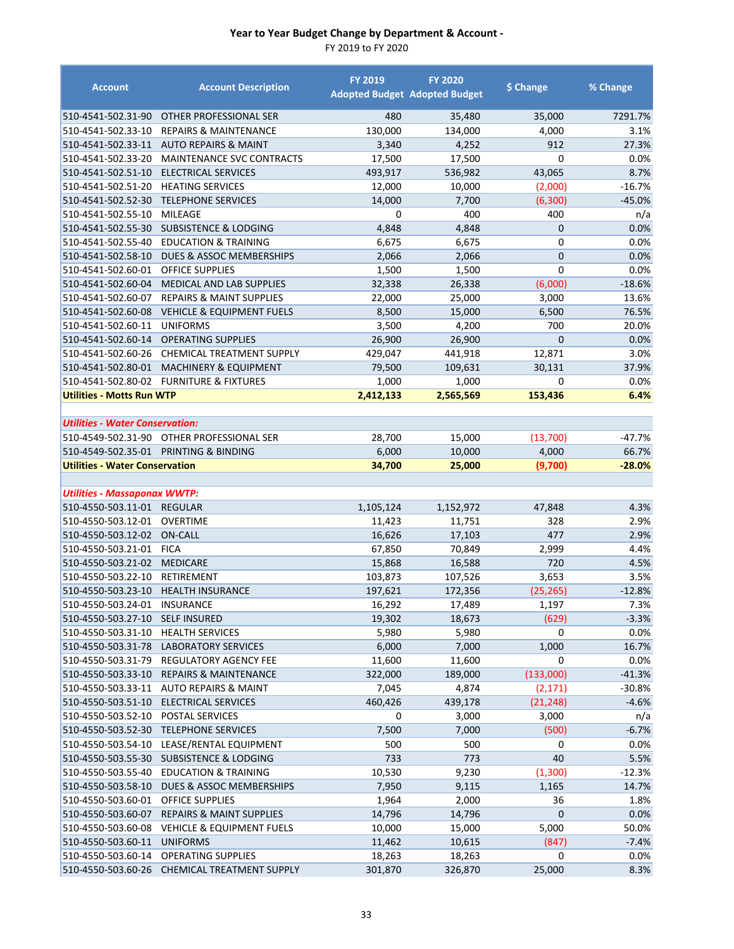| <b>Account</b>                                            | <b>Account Description</b>                | <b>FY 2019</b>   | <b>FY 2020</b><br><b>Adopted Budget Adopted Budget</b> | \$ Change      | % Change     |
|-----------------------------------------------------------|-------------------------------------------|------------------|--------------------------------------------------------|----------------|--------------|
| 510-4541-502.31-90                                        | OTHER PROFESSIONAL SER                    | 480              | 35,480                                                 | 35,000         | 7291.7%      |
| 510-4541-502.33-10                                        | <b>REPAIRS &amp; MAINTENANCE</b>          | 130,000          | 134,000                                                | 4,000          | 3.1%         |
| 510-4541-502.33-11                                        | <b>AUTO REPAIRS &amp; MAINT</b>           | 3,340            | 4,252                                                  | 912            | 27.3%        |
| 510-4541-502.33-20                                        | MAINTENANCE SVC CONTRACTS                 | 17,500           | 17,500                                                 | $\mathbf 0$    | 0.0%         |
| 510-4541-502.51-10                                        | ELECTRICAL SERVICES                       | 493,917          | 536,982                                                | 43,065         | 8.7%         |
| 510-4541-502.51-20                                        | <b>HEATING SERVICES</b>                   | 12,000           | 10,000                                                 | (2,000)        | $-16.7%$     |
| 510-4541-502.52-30                                        | <b>TELEPHONE SERVICES</b>                 | 14,000           | 7,700                                                  | (6,300)        | $-45.0%$     |
| 510-4541-502.55-10                                        | MILEAGE                                   | 0                | 400                                                    | 400            | n/a          |
| 510-4541-502.55-30                                        | <b>SUBSISTENCE &amp; LODGING</b>          | 4,848            | 4,848                                                  | 0              | 0.0%         |
| 510-4541-502.55-40                                        | <b>EDUCATION &amp; TRAINING</b>           | 6,675            | 6,675                                                  | 0              | 0.0%         |
| 510-4541-502.58-10                                        | DUES & ASSOC MEMBERSHIPS                  | 2,066            | 2,066                                                  | $\overline{0}$ | $0.0\%$      |
| 510-4541-502.60-01                                        | <b>OFFICE SUPPLIES</b>                    | 1,500            | 1,500                                                  | 0              | 0.0%         |
| 510-4541-502.60-04                                        | MEDICAL AND LAB SUPPLIES                  | 32,338           | 26,338                                                 | (6,000)        | $-18.6%$     |
| 510-4541-502.60-07                                        | <b>REPAIRS &amp; MAINT SUPPLIES</b>       | 22,000           | 25,000                                                 | 3,000          | 13.6%        |
| 510-4541-502.60-08                                        | <b>VEHICLE &amp; EQUIPMENT FUELS</b>      | 8,500            | 15,000                                                 | 6,500          | 76.5%        |
| 510-4541-502.60-11                                        | <b>UNIFORMS</b>                           | 3,500            | 4,200                                                  | 700            | 20.0%        |
| 510-4541-502.60-14                                        | <b>OPERATING SUPPLIES</b>                 | 26,900           | 26,900                                                 | $\overline{0}$ | 0.0%         |
| 510-4541-502.60-26                                        | <b>CHEMICAL TREATMENT SUPPLY</b>          | 429,047          | 441,918                                                | 12,871         | 3.0%         |
| 510-4541-502.80-01                                        | <b>MACHINERY &amp; EQUIPMENT</b>          | 79,500           | 109,631                                                | 30,131         | 37.9%        |
| 510-4541-502.80-02                                        | <b>FURNITURE &amp; FIXTURES</b>           | 1,000            | 1,000                                                  | 0              | 0.0%         |
| <b>Utilities - Motts Run WTP</b>                          |                                           | 2,412,133        | 2,565,569                                              | 153,436        | 6.4%         |
| <b>Utilities - Water Conservation:</b>                    |                                           |                  |                                                        |                |              |
|                                                           | 510-4549-502.31-90 OTHER PROFESSIONAL SER | 28,700           | 15,000                                                 | (13,700)       | $-47.7%$     |
|                                                           | 510-4549-502.35-01 PRINTING & BINDING     | 6,000            | 10,000                                                 | 4,000          | 66.7%        |
| <b>Utilities - Water Conservation</b>                     |                                           | 34,700           | 25,000                                                 | (9,700)        | $-28.0%$     |
|                                                           |                                           |                  |                                                        |                |              |
| <b>Utilities - Massaponax WWTP:</b><br>510-4550-503.11-01 | <b>REGULAR</b>                            | 1,105,124        | 1,152,972                                              | 47,848         | 4.3%         |
|                                                           | <b>OVERTIME</b>                           |                  |                                                        | 328            |              |
| 510-4550-503.12-01<br>510-4550-503.12-02                  | <b>ON-CALL</b>                            | 11,423<br>16,626 | 11,751                                                 | 477            | 2.9%<br>2.9% |
| 510-4550-503.21-01                                        | <b>FICA</b>                               | 67,850           | 17,103<br>70,849                                       | 2,999          | 4.4%         |
| 510-4550-503.21-02                                        | <b>MEDICARE</b>                           | 15,868           | 16,588                                                 | 720            | 4.5%         |
| 510-4550-503.22-10                                        | RETIREMENT                                | 103,873          | 107,526                                                | 3,653          | 3.5%         |
| 510-4550-503.23-10                                        | <b>HEALTH INSURANCE</b>                   | 197,621          | 172,356                                                | (25, 265)      | $-12.8%$     |
| 510-4550-503.24-01 INSURANCE                              |                                           | 16,292           | 17,489                                                 | 1,197          | 7.3%         |
| 510-4550-503.27-10                                        | <b>SELF INSURED</b>                       | 19,302           | 18,673                                                 | (629)          | $-3.3%$      |
| 510-4550-503.31-10                                        | <b>HEALTH SERVICES</b>                    | 5,980            | 5,980                                                  | 0              | 0.0%         |
| 510-4550-503.31-78                                        | <b>LABORATORY SERVICES</b>                | 6,000            | 7,000                                                  | 1,000          | 16.7%        |
| 510-4550-503.31-79                                        | <b>REGULATORY AGENCY FEE</b>              | 11,600           | 11,600                                                 | 0              | 0.0%         |
| 510-4550-503.33-10                                        | <b>REPAIRS &amp; MAINTENANCE</b>          | 322,000          | 189,000                                                | (133,000)      | $-41.3%$     |
| 510-4550-503.33-11                                        | <b>AUTO REPAIRS &amp; MAINT</b>           | 7,045            | 4,874                                                  | (2, 171)       | $-30.8%$     |
| 510-4550-503.51-10                                        | <b>ELECTRICAL SERVICES</b>                | 460,426          | 439,178                                                | (21, 248)      | $-4.6%$      |
| 510-4550-503.52-10                                        | POSTAL SERVICES                           | 0                | 3,000                                                  | 3,000          | n/a          |
| 510-4550-503.52-30                                        | <b>TELEPHONE SERVICES</b>                 | 7,500            | 7,000                                                  | (500)          | $-6.7%$      |
| 510-4550-503.54-10                                        | LEASE/RENTAL EQUIPMENT                    | 500              | 500                                                    | 0              | 0.0%         |
| 510-4550-503.55-30                                        | <b>SUBSISTENCE &amp; LODGING</b>          | 733              | 773                                                    | 40             | 5.5%         |
| 510-4550-503.55-40                                        | <b>EDUCATION &amp; TRAINING</b>           | 10,530           | 9,230                                                  | (1,300)        | $-12.3%$     |
| 510-4550-503.58-10                                        | DUES & ASSOC MEMBERSHIPS                  | 7,950            | 9,115                                                  | 1,165          | 14.7%        |
| 510-4550-503.60-01                                        | OFFICE SUPPLIES                           | 1,964            | 2,000                                                  | 36             | 1.8%         |
| 510-4550-503.60-07                                        | <b>REPAIRS &amp; MAINT SUPPLIES</b>       | 14,796           | 14,796                                                 | 0              | 0.0%         |
| 510-4550-503.60-08                                        | <b>VEHICLE &amp; EQUIPMENT FUELS</b>      | 10,000           | 15,000                                                 | 5,000          | 50.0%        |
| 510-4550-503.60-11                                        | <b>UNIFORMS</b>                           | 11,462           | 10,615                                                 | (847)          | $-7.4%$      |
| 510-4550-503.60-14                                        | <b>OPERATING SUPPLIES</b>                 | 18,263           | 18,263                                                 | $\mathbf 0$    | 0.0%         |
| 510-4550-503.60-26                                        | CHEMICAL TREATMENT SUPPLY                 | 301,870          | 326,870                                                | 25,000         | 8.3%         |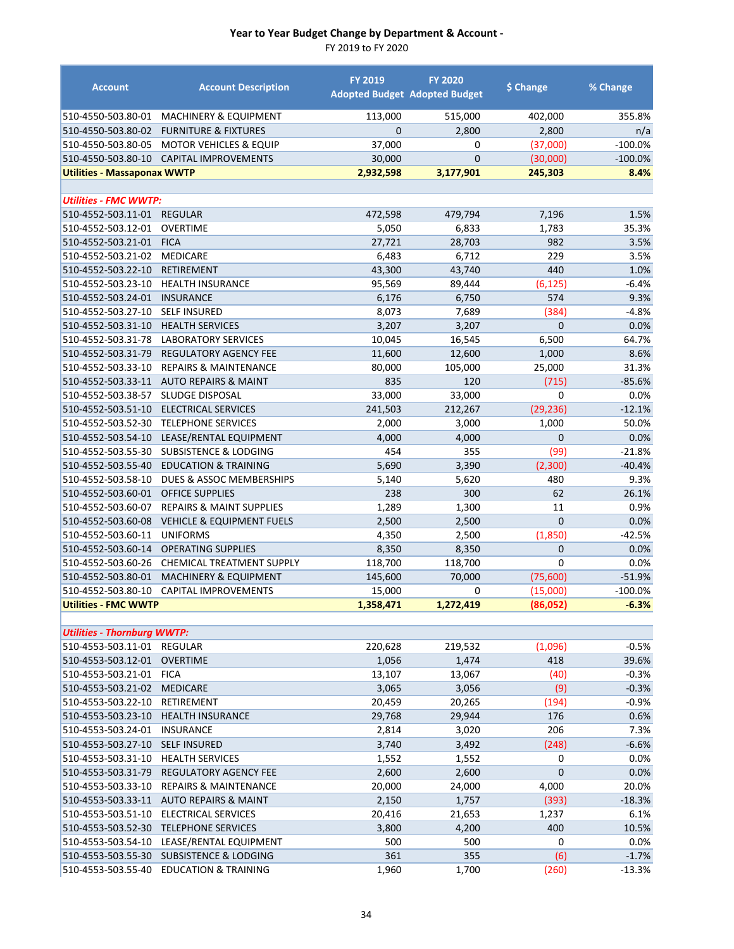| <b>Account</b>                           | <b>Account Description</b>                         | <b>FY 2019</b> | <b>FY 2020</b><br><b>Adopted Budget Adopted Budget</b> | \$ Change      | % Change      |
|------------------------------------------|----------------------------------------------------|----------------|--------------------------------------------------------|----------------|---------------|
| 510-4550-503.80-01                       | <b>MACHINERY &amp; EQUIPMENT</b>                   | 113,000        | 515,000                                                | 402,000        | 355.8%        |
| 510-4550-503.80-02                       | <b>FURNITURE &amp; FIXTURES</b>                    | $\overline{0}$ | 2,800                                                  | 2,800          | n/a           |
| 510-4550-503.80-05                       | MOTOR VEHICLES & EQUIP                             | 37,000         | 0                                                      | (37,000)       | $-100.0%$     |
| 510-4550-503.80-10                       | CAPITAL IMPROVEMENTS                               | 30,000         | $\overline{0}$                                         | (30,000)       | $-100.0%$     |
| <b>Utilities - Massaponax WWTP</b>       |                                                    | 2,932,598      | 3,177,901                                              | 245,303        | 8.4%          |
|                                          |                                                    |                |                                                        |                |               |
| <b>Utilities - FMC WWTP:</b>             |                                                    |                |                                                        |                |               |
| 510-4552-503.11-01                       | <b>REGULAR</b>                                     | 472,598        | 479,794                                                | 7,196          | 1.5%          |
| 510-4552-503.12-01                       | OVERTIME                                           | 5,050          | 6,833                                                  | 1,783          | 35.3%         |
| 510-4552-503.21-01                       | <b>FICA</b>                                        | 27,721         | 28,703                                                 | 982            | 3.5%          |
| 510-4552-503.21-02                       | <b>MEDICARE</b>                                    | 6,483          | 6,712                                                  | 229            | 3.5%          |
| 510-4552-503.22-10                       | <b>RETIREMENT</b>                                  | 43,300         | 43,740                                                 | 440            | 1.0%          |
| 510-4552-503.23-10                       | <b>HEALTH INSURANCE</b>                            | 95,569         | 89,444                                                 | (6, 125)       | $-6.4%$       |
| 510-4552-503.24-01                       | <b>INSURANCE</b>                                   | 6,176          | 6,750                                                  | 574            | 9.3%          |
| 510-4552-503.27-10                       | <b>SELF INSURED</b>                                | 8,073          | 7,689                                                  | (384)          | $-4.8%$       |
| 510-4552-503.31-10                       | <b>HEALTH SERVICES</b>                             | 3,207          | 3,207                                                  | $\overline{0}$ | 0.0%          |
| 510-4552-503.31-78                       | <b>LABORATORY SERVICES</b>                         | 10,045         | 16,545                                                 | 6,500          | 64.7%         |
| 510-4552-503.31-79                       | <b>REGULATORY AGENCY FEE</b>                       | 11,600         | 12,600                                                 | 1,000          | 8.6%          |
| 510-4552-503.33-10                       | <b>REPAIRS &amp; MAINTENANCE</b>                   | 80,000         | 105,000                                                | 25,000         | 31.3%         |
| 510-4552-503.33-11                       | <b>AUTO REPAIRS &amp; MAINT</b>                    | 835            | 120                                                    | (715)          | $-85.6%$      |
| 510-4552-503.38-57                       | <b>SLUDGE DISPOSAL</b>                             | 33,000         | 33,000                                                 | 0              | 0.0%          |
| 510-4552-503.51-10                       | <b>ELECTRICAL SERVICES</b>                         | 241,503        | 212,267                                                | (29, 236)      | $-12.1%$      |
| 510-4552-503.52-30                       | <b>TELEPHONE SERVICES</b>                          | 2,000          | 3,000                                                  | 1,000          | 50.0%         |
| 510-4552-503.54-10                       | LEASE/RENTAL EQUIPMENT                             | 4,000          | 4,000                                                  | $\mathbf{0}$   | 0.0%          |
| 510-4552-503.55-30                       | <b>SUBSISTENCE &amp; LODGING</b>                   | 454            | 355                                                    | (99)           | $-21.8%$      |
| 510-4552-503.55-40                       | <b>EDUCATION &amp; TRAINING</b>                    | 5,690          | 3,390                                                  | (2,300)        | $-40.4%$      |
| 510-4552-503.58-10                       | DUES & ASSOC MEMBERSHIPS<br><b>OFFICE SUPPLIES</b> | 5,140<br>238   | 5,620                                                  | 480<br>62      | 9.3%          |
| 510-4552-503.60-01<br>510-4552-503.60-07 | <b>REPAIRS &amp; MAINT SUPPLIES</b>                | 1,289          | 300                                                    | 11             | 26.1%<br>0.9% |
| 510-4552-503.60-08                       | <b>VEHICLE &amp; EQUIPMENT FUELS</b>               | 2,500          | 1,300<br>2,500                                         | $\overline{0}$ | 0.0%          |
| 510-4552-503.60-11                       | <b>UNIFORMS</b>                                    | 4,350          | 2,500                                                  | (1,850)        | $-42.5%$      |
| 510-4552-503.60-14                       | <b>OPERATING SUPPLIES</b>                          | 8,350          | 8,350                                                  | $\overline{0}$ | 0.0%          |
| 510-4552-503.60-26                       | CHEMICAL TREATMENT SUPPLY                          | 118,700        | 118,700                                                | $\mathbf 0$    | 0.0%          |
| 510-4552-503.80-01                       | <b>MACHINERY &amp; EQUIPMENT</b>                   | 145,600        | 70,000                                                 | (75,600)       | $-51.9%$      |
| 510-4552-503.80-10                       | CAPITAL IMPROVEMENTS                               | 15,000         | 0                                                      | (15,000)       | $-100.0\%$    |
| <b>Utilities - FMC WWTP</b>              |                                                    | 1,358,471      | 1,272,419                                              | (86,052)       | $-6.3%$       |
|                                          |                                                    |                |                                                        |                |               |
| <b>Utilities - Thornburg WWTP:</b>       |                                                    |                |                                                        |                |               |
| 510-4553-503.11-01 REGULAR               |                                                    | 220,628        | 219,532                                                | (1,096)        | $-0.5%$       |
| 510-4553-503.12-01                       | <b>OVERTIME</b>                                    | 1,056          | 1,474                                                  | 418            | 39.6%         |
| 510-4553-503.21-01 FICA                  |                                                    | 13,107         | 13,067                                                 | (40)           | $-0.3%$       |
| 510-4553-503.21-02                       | <b>MEDICARE</b>                                    | 3,065          | 3,056                                                  | (9)            | $-0.3%$       |
| 510-4553-503.22-10                       | RETIREMENT                                         | 20,459         | 20,265                                                 | (194)          | $-0.9%$       |
| 510-4553-503.23-10                       | <b>HEALTH INSURANCE</b>                            | 29,768         | 29,944                                                 | 176            | 0.6%          |
| 510-4553-503.24-01                       | <b>INSURANCE</b>                                   | 2,814          | 3,020                                                  | 206            | 7.3%          |
| 510-4553-503.27-10                       | <b>SELF INSURED</b>                                | 3,740          | 3,492                                                  | (248)          | $-6.6%$       |
| 510-4553-503.31-10                       | <b>HEALTH SERVICES</b>                             | 1,552          | 1,552                                                  | 0              | 0.0%          |
| 510-4553-503.31-79                       | <b>REGULATORY AGENCY FEE</b>                       | 2,600          | 2,600                                                  | $\mathbf 0$    | 0.0%          |
| 510-4553-503.33-10                       | <b>REPAIRS &amp; MAINTENANCE</b>                   | 20,000         | 24,000                                                 | 4,000          | 20.0%         |
| 510-4553-503.33-11                       | <b>AUTO REPAIRS &amp; MAINT</b>                    | 2,150          | 1,757                                                  | (393)          | $-18.3%$      |
| 510-4553-503.51-10                       | ELECTRICAL SERVICES                                | 20,416         | 21,653                                                 | 1,237          | 6.1%          |
| 510-4553-503.52-30                       | <b>TELEPHONE SERVICES</b>                          | 3,800          | 4,200                                                  | 400            | 10.5%         |
| 510-4553-503.54-10                       | LEASE/RENTAL EQUIPMENT                             | 500            | 500                                                    | 0              | 0.0%          |
| 510-4553-503.55-30                       | <b>SUBSISTENCE &amp; LODGING</b>                   | 361            | 355                                                    | (6)            | $-1.7%$       |
| 510-4553-503.55-40                       | <b>EDUCATION &amp; TRAINING</b>                    | 1,960          | 1,700                                                  | (260)          | $-13.3%$      |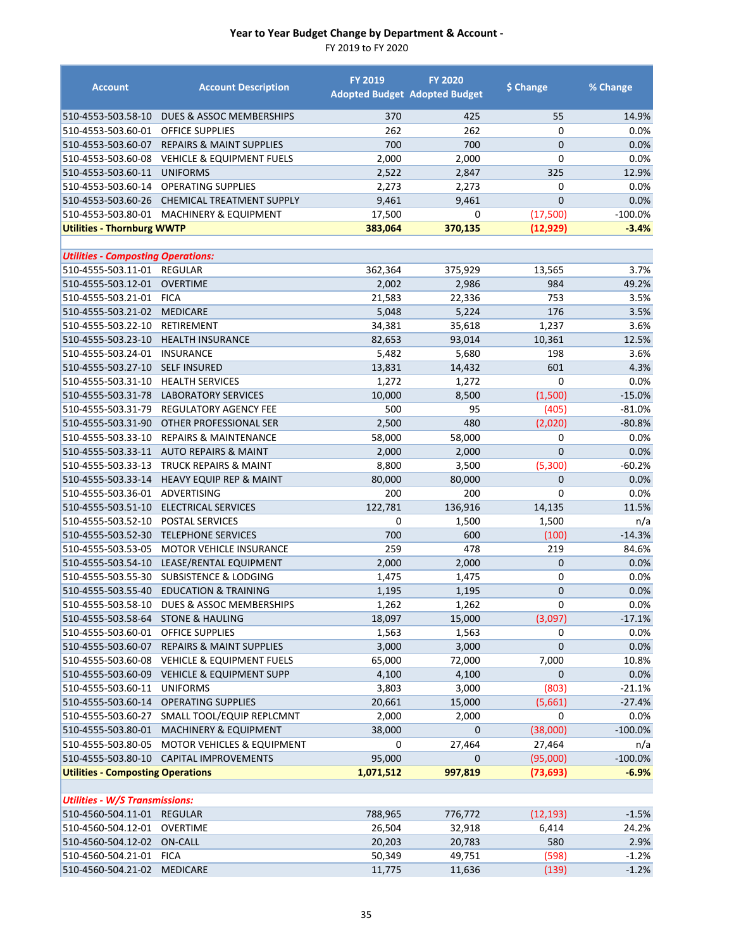| <b>Account</b>                            | <b>Account Description</b>                  | <b>FY 2019</b> | <b>FY 2020</b><br><b>Adopted Budget Adopted Budget</b> | \$ Change      | % Change      |
|-------------------------------------------|---------------------------------------------|----------------|--------------------------------------------------------|----------------|---------------|
| 510-4553-503.58-10                        | DUES & ASSOC MEMBERSHIPS                    | 370            | 425                                                    | 55             | 14.9%         |
| 510-4553-503.60-01                        | <b>OFFICE SUPPLIES</b>                      | 262            | 262                                                    | $\mathbf 0$    | 0.0%          |
| 510-4553-503.60-07                        | <b>REPAIRS &amp; MAINT SUPPLIES</b>         | 700            | 700                                                    | $\overline{0}$ | 0.0%          |
| 510-4553-503.60-08                        | <b>VEHICLE &amp; EQUIPMENT FUELS</b>        | 2,000          | 2,000                                                  | 0              | 0.0%          |
| 510-4553-503.60-11                        | <b>UNIFORMS</b>                             | 2,522          | 2,847                                                  | 325            | 12.9%         |
| 510-4553-503.60-14                        | <b>OPERATING SUPPLIES</b>                   | 2,273          | 2,273                                                  | 0              | 0.0%          |
| 510-4553-503.60-26                        | CHEMICAL TREATMENT SUPPLY                   | 9,461          | 9,461                                                  | $\overline{0}$ | 0.0%          |
| 510-4553-503.80-01                        | <b>MACHINERY &amp; EQUIPMENT</b>            | 17,500         | $\mathbf 0$                                            | (17,500)       | $-100.0%$     |
| <b>Utilities - Thornburg WWTP</b>         |                                             | 383,064        | 370,135                                                | (12, 929)      | $-3.4%$       |
| <b>Utilities - Composting Operations:</b> |                                             |                |                                                        |                |               |
| 510-4555-503.11-01                        | REGULAR                                     | 362,364        | 375,929                                                | 13,565         | 3.7%          |
| 510-4555-503.12-01                        | <b>OVERTIME</b>                             | 2,002          | 2,986                                                  | 984            | 49.2%         |
| 510-4555-503.21-01                        | <b>FICA</b>                                 | 21,583         | 22,336                                                 | 753            | 3.5%          |
| 510-4555-503.21-02                        | <b>MEDICARE</b>                             | 5,048          | 5,224                                                  | 176            | 3.5%          |
| 510-4555-503.22-10                        | RETIREMENT                                  | 34,381         | 35,618                                                 | 1,237          | 3.6%          |
| 510-4555-503.23-10                        | <b>HEALTH INSURANCE</b>                     | 82,653         | 93,014                                                 | 10,361         | 12.5%         |
| 510-4555-503.24-01                        | <b>INSURANCE</b>                            | 5,482          | 5,680                                                  | 198            | 3.6%          |
| 510-4555-503.27-10                        | <b>SELF INSURED</b>                         | 13,831         | 14,432                                                 | 601            | 4.3%          |
| 510-4555-503.31-10                        | <b>HEALTH SERVICES</b>                      | 1,272          | 1,272                                                  | 0              | 0.0%          |
| 510-4555-503.31-78                        | <b>LABORATORY SERVICES</b>                  | 10,000         | 8,500                                                  | (1,500)        | $-15.0%$      |
| 510-4555-503.31-79                        | REGULATORY AGENCY FEE                       | 500            | 95                                                     | (405)          | $-81.0%$      |
| 510-4555-503.31-90                        | OTHER PROFESSIONAL SER                      | 2,500          | 480                                                    | (2,020)        | $-80.8%$      |
| 510-4555-503.33-10                        | <b>REPAIRS &amp; MAINTENANCE</b>            | 58,000         | 58,000                                                 | 0              | 0.0%          |
| 510-4555-503.33-11                        | <b>AUTO REPAIRS &amp; MAINT</b>             | 2,000          | 2,000                                                  | $\overline{0}$ | 0.0%          |
| 510-4555-503.33-13                        | <b>TRUCK REPAIRS &amp; MAINT</b>            | 8,800          | 3,500                                                  | (5,300)        | $-60.2%$      |
| 510-4555-503.33-14                        | <b>HEAVY EQUIP REP &amp; MAINT</b>          | 80,000         | 80,000                                                 | 0              | 0.0%          |
| 510-4555-503.36-01                        | ADVERTISING                                 | 200            | 200                                                    | 0              | 0.0%          |
| 510-4555-503.51-10                        | <b>ELECTRICAL SERVICES</b>                  | 122,781        | 136,916                                                | 14,135         | 11.5%         |
| 510-4555-503.52-10                        | <b>POSTAL SERVICES</b>                      | 0              | 1,500                                                  | 1,500          | n/a           |
| 510-4555-503.52-30                        | <b>TELEPHONE SERVICES</b>                   | 700            | 600                                                    | (100)          | $-14.3%$      |
| 510-4555-503.53-05                        | <b>MOTOR VEHICLE INSURANCE</b>              | 259            | 478                                                    | 219            | 84.6%         |
| 510-4555-503.54-10                        | LEASE/RENTAL EQUIPMENT                      | 2,000          | 2,000                                                  | $\mathbf 0$    | 0.0%          |
| 510-4555-503.55-30                        | SUBSISTENCE & LODGING                       | 1,475          | 1,475                                                  | 0              | 0.0%          |
| 510-4555-503.55-40                        | <b>EDUCATION &amp; TRAINING</b>             | 1,195          | 1,195                                                  | 0              | 0.0%          |
|                                           | 510-4555-503.58-10 DUES & ASSOC MEMBERSHIPS | 1,262          | 1,262                                                  | $\pmb{0}$      | 0.0%          |
| 510-4555-503.58-64                        | <b>STONE &amp; HAULING</b>                  | 18,097         | 15,000                                                 | (3,097)        | $-17.1%$      |
| 510-4555-503.60-01                        | OFFICE SUPPLIES                             | 1,563          | 1,563                                                  | 0              | 0.0%          |
| 510-4555-503.60-07                        | <b>REPAIRS &amp; MAINT SUPPLIES</b>         | 3,000          | 3,000                                                  | $\mathbf 0$    | 0.0%          |
| 510-4555-503.60-08                        | <b>VEHICLE &amp; EQUIPMENT FUELS</b>        | 65,000         | 72,000                                                 | 7,000          | 10.8%         |
| 510-4555-503.60-09                        | <b>VEHICLE &amp; EQUIPMENT SUPP</b>         | 4,100          | 4,100                                                  | 0              | 0.0%          |
| 510-4555-503.60-11                        | <b>UNIFORMS</b>                             | 3,803          | 3,000                                                  | (803)          | $-21.1%$      |
| 510-4555-503.60-14                        | <b>OPERATING SUPPLIES</b>                   | 20,661         | 15,000                                                 | (5,661)        | $-27.4%$      |
| 510-4555-503.60-27                        | SMALL TOOL/EQUIP REPLCMNT                   | 2,000          | 2,000                                                  | $\Omega$       | 0.0%          |
| 510-4555-503.80-01                        | MACHINERY & EQUIPMENT                       | 38,000         | $\mathbf 0$                                            | (38,000)       | $-100.0\%$    |
| 510-4555-503.80-05                        | <b>MOTOR VEHICLES &amp; EQUIPMENT</b>       | 0              | 27,464                                                 | 27,464         | n/a           |
|                                           | 510-4555-503.80-10 CAPITAL IMPROVEMENTS     | 95,000         | $\mathbf 0$                                            | (95,000)       | $-100.0\%$    |
| <b>Utilities - Composting Operations</b>  |                                             | 1,071,512      | 997,819                                                | (73, 693)      | $-6.9%$       |
|                                           |                                             |                |                                                        |                |               |
| <b>Utilities - W/S Transmissions:</b>     |                                             |                |                                                        |                |               |
| 510-4560-504.11-01 REGULAR                |                                             | 788,965        | 776,772                                                | (12, 193)      | $-1.5%$       |
| 510-4560-504.12-01<br>510-4560-504.12-02  | <b>OVERTIME</b><br><b>ON-CALL</b>           | 26,504         | 32,918                                                 | 6,414<br>580   | 24.2%<br>2.9% |
| 510-4560-504.21-01                        | <b>FICA</b>                                 | 20,203         | 20,783                                                 | (598)          | $-1.2%$       |
| 510-4560-504.21-02                        | <b>MEDICARE</b>                             | 50,349         | 49,751                                                 |                | $-1.2%$       |
|                                           |                                             | 11,775         | 11,636                                                 | (139)          |               |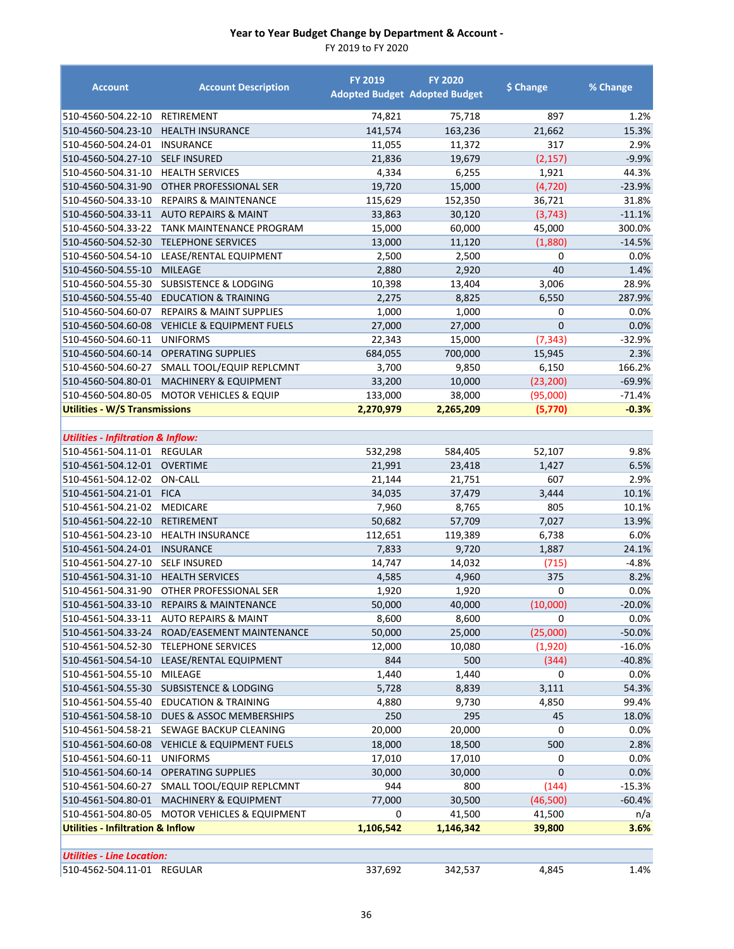| <b>Account</b>                                | <b>Account Description</b>            | <b>FY 2019</b> | <b>FY 2020</b><br><b>Adopted Budget Adopted Budget</b> | \$ Change      | % Change |
|-----------------------------------------------|---------------------------------------|----------------|--------------------------------------------------------|----------------|----------|
| 510-4560-504.22-10                            | RETIREMENT                            | 74,821         | 75,718                                                 | 897            | 1.2%     |
| 510-4560-504.23-10                            | <b>HEALTH INSURANCE</b>               | 141,574        | 163,236                                                | 21,662         | 15.3%    |
| 510-4560-504.24-01                            | <b>INSURANCE</b>                      | 11,055         | 11,372                                                 | 317            | 2.9%     |
| 510-4560-504.27-10                            | <b>SELF INSURED</b>                   | 21,836         | 19,679                                                 | (2, 157)       | $-9.9%$  |
| 510-4560-504.31-10                            | <b>HEALTH SERVICES</b>                | 4,334          | 6,255                                                  | 1,921          | 44.3%    |
| 510-4560-504.31-90                            | OTHER PROFESSIONAL SER                | 19,720         | 15,000                                                 | (4, 720)       | $-23.9%$ |
| 510-4560-504.33-10                            | <b>REPAIRS &amp; MAINTENANCE</b>      | 115,629        | 152,350                                                | 36,721         | 31.8%    |
| 510-4560-504.33-11                            | <b>AUTO REPAIRS &amp; MAINT</b>       | 33,863         | 30,120                                                 | (3, 743)       | $-11.1%$ |
| 510-4560-504.33-22                            | TANK MAINTENANCE PROGRAM              | 15,000         | 60,000                                                 | 45,000         | 300.0%   |
| 510-4560-504.52-30                            | <b>TELEPHONE SERVICES</b>             | 13,000         | 11,120                                                 | (1,880)        | $-14.5%$ |
| 510-4560-504.54-10                            | LEASE/RENTAL EQUIPMENT                | 2,500          | 2,500                                                  | 0              | 0.0%     |
| 510-4560-504.55-10                            | <b>MILEAGE</b>                        | 2,880          | 2,920                                                  | 40             | 1.4%     |
| 510-4560-504.55-30                            | SUBSISTENCE & LODGING                 | 10,398         | 13,404                                                 | 3,006          | 28.9%    |
| 510-4560-504.55-40                            | <b>EDUCATION &amp; TRAINING</b>       | 2,275          | 8,825                                                  | 6,550          | 287.9%   |
| 510-4560-504.60-07                            | <b>REPAIRS &amp; MAINT SUPPLIES</b>   | 1,000          | 1,000                                                  | 0              | 0.0%     |
| 510-4560-504.60-08                            | <b>VEHICLE &amp; EQUIPMENT FUELS</b>  | 27,000         | 27,000                                                 | $\overline{0}$ | 0.0%     |
| 510-4560-504.60-11                            | <b>UNIFORMS</b>                       | 22,343         | 15,000                                                 | (7, 343)       | $-32.9%$ |
| 510-4560-504.60-14                            | <b>OPERATING SUPPLIES</b>             | 684,055        | 700,000                                                | 15,945         | 2.3%     |
| 510-4560-504.60-27                            | SMALL TOOL/EQUIP REPLCMNT             | 3,700          | 9,850                                                  | 6,150          | 166.2%   |
| 510-4560-504.80-01                            | <b>MACHINERY &amp; EQUIPMENT</b>      | 33,200         | 10,000                                                 | (23, 200)      | $-69.9%$ |
| 510-4560-504.80-05                            | MOTOR VEHICLES & EQUIP                | 133,000        | 38,000                                                 | (95,000)       | $-71.4%$ |
| <b>Utilities - W/S Transmissions</b>          |                                       | 2,270,979      | 2,265,209                                              | (5,770)        | $-0.3%$  |
| <b>Utilities - Infiltration &amp; Inflow:</b> |                                       |                |                                                        |                |          |
| 510-4561-504.11-01                            | <b>REGULAR</b>                        | 532,298        | 584,405                                                | 52,107         | 9.8%     |
| 510-4561-504.12-01                            | <b>OVERTIME</b>                       | 21,991         | 23,418                                                 | 1,427          | 6.5%     |
| 510-4561-504.12-02                            | <b>ON-CALL</b>                        | 21,144         | 21,751                                                 | 607            | 2.9%     |
| 510-4561-504.21-01 FICA                       |                                       | 34,035         | 37,479                                                 | 3,444          | 10.1%    |
| 510-4561-504.21-02                            | <b>MEDICARE</b>                       | 7,960          | 8,765                                                  | 805            | 10.1%    |
| 510-4561-504.22-10                            | <b>RETIREMENT</b>                     | 50,682         | 57,709                                                 | 7,027          | 13.9%    |
| 510-4561-504.23-10                            | <b>HEALTH INSURANCE</b>               | 112,651        | 119,389                                                | 6,738          | 6.0%     |
| 510-4561-504.24-01                            | <b>INSURANCE</b>                      | 7,833          | 9,720                                                  | 1,887          | 24.1%    |
| 510-4561-504.27-10                            | <b>SELF INSURED</b>                   | 14,747         | 14,032                                                 | (715)          | $-4.8%$  |
| 510-4561-504.31-10                            | <b>HEALTH SERVICES</b>                | 4,585          | 4,960                                                  | 375            | 8.2%     |
| 510-4561-504.31-90                            | OTHER PROFESSIONAL SER                | 1,920          | 1,920                                                  | 0              | 0.0%     |
| 510-4561-504.33-10                            | <b>REPAIRS &amp; MAINTENANCE</b>      | 50,000         | 40,000                                                 | (10,000)       | $-20.0%$ |
| 510-4561-504.33-11                            | <b>AUTO REPAIRS &amp; MAINT</b>       | 8,600          | 8,600                                                  | 0              | 0.0%     |
| 510-4561-504.33-24                            | ROAD/EASEMENT MAINTENANCE             | 50,000         | 25,000                                                 | (25,000)       | $-50.0%$ |
| 510-4561-504.52-30                            | <b>TELEPHONE SERVICES</b>             | 12,000         | 10,080                                                 | (1,920)        | $-16.0%$ |
| 510-4561-504.54-10                            | LEASE/RENTAL EQUIPMENT                | 844            | 500                                                    | (344)          | $-40.8%$ |
| 510-4561-504.55-10                            | MILEAGE                               | 1,440          | 1,440                                                  | 0              | 0.0%     |
| 510-4561-504.55-30                            | <b>SUBSISTENCE &amp; LODGING</b>      | 5,728          | 8,839                                                  | 3,111          | 54.3%    |
| 510-4561-504.55-40                            | EDUCATION & TRAINING                  | 4,880          | 9,730                                                  | 4,850          | 99.4%    |
| 510-4561-504.58-10                            | DUES & ASSOC MEMBERSHIPS              | 250            | 295                                                    | 45             | 18.0%    |
| 510-4561-504.58-21                            | SEWAGE BACKUP CLEANING                | 20,000         | 20,000                                                 | 0              | 0.0%     |
| 510-4561-504.60-08                            | <b>VEHICLE &amp; EQUIPMENT FUELS</b>  | 18,000         | 18,500                                                 | 500            | 2.8%     |
| 510-4561-504.60-11                            | <b>UNIFORMS</b>                       | 17,010         | 17,010                                                 | 0              | 0.0%     |
| 510-4561-504.60-14                            | <b>OPERATING SUPPLIES</b>             | 30,000         | 30,000                                                 | $\mathbf 0$    | 0.0%     |
| 510-4561-504.60-27                            | SMALL TOOL/EQUIP REPLCMNT             | 944            | 800                                                    | (144)          | $-15.3%$ |
| 510-4561-504.80-01                            | MACHINERY & EQUIPMENT                 | 77,000         | 30,500                                                 | (46,500)       | $-60.4%$ |
| 510-4561-504.80-05                            | <b>MOTOR VEHICLES &amp; EQUIPMENT</b> | 0              | 41,500                                                 | 41,500         | n/a      |
| <b>Utilities - Infiltration &amp; Inflow</b>  |                                       | 1,106,542      | 1,146,342                                              | 39,800         | 3.6%     |
|                                               |                                       |                |                                                        |                |          |
| <b>Utilities - Line Location:</b>             |                                       |                |                                                        |                |          |
| 510-4562-504.11-01 REGULAR                    |                                       | 337,692        | 342,537                                                | 4,845          | 1.4%     |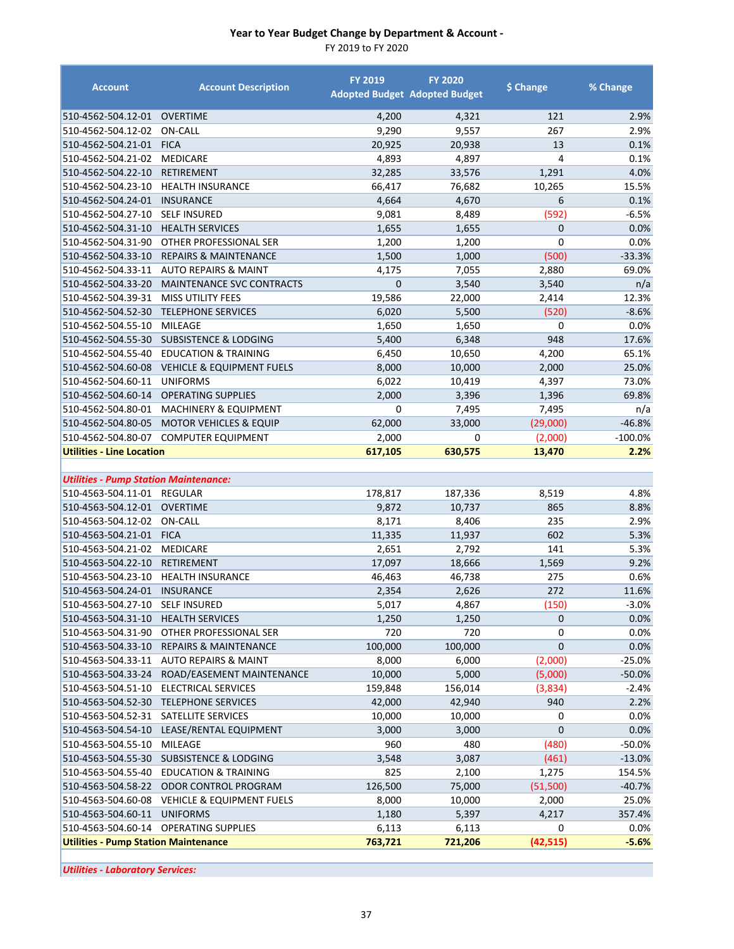FY 2019 to FY 2020

| <b>Account</b>                               | <b>Account Description</b>               | <b>FY 2019</b> | <b>FY 2020</b><br><b>Adopted Budget Adopted Budget</b> | \$ Change    | % Change  |
|----------------------------------------------|------------------------------------------|----------------|--------------------------------------------------------|--------------|-----------|
| 510-4562-504.12-01                           | <b>OVERTIME</b>                          | 4,200          | 4,321                                                  | 121          | 2.9%      |
| 510-4562-504.12-02                           | <b>ON-CALL</b>                           | 9,290          | 9,557                                                  | 267          | 2.9%      |
| 510-4562-504.21-01                           | <b>FICA</b>                              | 20,925         | 20,938                                                 | 13           | 0.1%      |
| 510-4562-504.21-02                           | <b>MEDICARE</b>                          | 4,893          | 4,897                                                  | 4            | 0.1%      |
| 510-4562-504.22-10                           | <b>RETIREMENT</b>                        | 32,285         | 33,576                                                 | 1,291        | 4.0%      |
| 510-4562-504.23-10                           | <b>HEALTH INSURANCE</b>                  | 66,417         | 76,682                                                 | 10,265       | 15.5%     |
| 510-4562-504.24-01                           | <b>INSURANCE</b>                         | 4,664          | 4,670                                                  | 6            | 0.1%      |
| 510-4562-504.27-10                           | <b>SELF INSURED</b>                      | 9,081          | 8,489                                                  | (592)        | $-6.5%$   |
| 510-4562-504.31-10                           | <b>HEALTH SERVICES</b>                   | 1,655          | 1,655                                                  | $\mathbf{0}$ | 0.0%      |
| 510-4562-504.31-90                           | OTHER PROFESSIONAL SER                   | 1,200          | 1,200                                                  | 0            | 0.0%      |
| 510-4562-504.33-10                           | <b>REPAIRS &amp; MAINTENANCE</b>         | 1,500          | 1,000                                                  | (500)        | $-33.3%$  |
| 510-4562-504.33-11                           | <b>AUTO REPAIRS &amp; MAINT</b>          | 4,175          | 7,055                                                  | 2,880        | 69.0%     |
| 510-4562-504.33-20                           | MAINTENANCE SVC CONTRACTS                | $\mathbf{0}$   | 3,540                                                  | 3,540        | n/a       |
| 510-4562-504.39-31                           | <b>MISS UTILITY FEES</b>                 | 19,586         | 22,000                                                 | 2,414        | 12.3%     |
| 510-4562-504.52-30                           | <b>TELEPHONE SERVICES</b>                | 6,020          | 5,500                                                  | (520)        | $-8.6%$   |
| 510-4562-504.55-10                           | MILEAGE                                  | 1,650          | 1,650                                                  | 0            | 0.0%      |
| 510-4562-504.55-30                           | <b>SUBSISTENCE &amp; LODGING</b>         | 5,400          | 6,348                                                  | 948          | 17.6%     |
| 510-4562-504.55-40                           | <b>EDUCATION &amp; TRAINING</b>          | 6,450          | 10,650                                                 | 4,200        | 65.1%     |
| 510-4562-504.60-08                           | <b>VEHICLE &amp; EQUIPMENT FUELS</b>     | 8,000          | 10,000                                                 | 2,000        | 25.0%     |
| 510-4562-504.60-11                           | <b>UNIFORMS</b>                          | 6,022          | 10,419                                                 | 4,397        | 73.0%     |
| 510-4562-504.60-14                           | <b>OPERATING SUPPLIES</b>                | 2,000          | 3,396                                                  | 1,396        | 69.8%     |
| 510-4562-504.80-01                           | <b>MACHINERY &amp; EQUIPMENT</b>         | 0              | 7,495                                                  | 7,495        | n/a       |
| 510-4562-504.80-05                           | <b>MOTOR VEHICLES &amp; EQUIP</b>        | 62,000         | 33,000                                                 | (29,000)     | $-46.8%$  |
| 510-4562-504.80-07                           | <b>COMPUTER EQUIPMENT</b>                | 2,000          | 0                                                      | (2,000)      | $-100.0%$ |
| <b>Utilities - Line Location</b>             |                                          | 617,105        | 630,575                                                | 13,470       | 2.2%      |
|                                              |                                          |                |                                                        |              |           |
| <b>Utilities - Pump Station Maintenance:</b> |                                          |                |                                                        |              |           |
| 510-4563-504.11-01                           | REGULAR                                  | 178,817        | 187,336                                                | 8,519        | 4.8%      |
| 510-4563-504.12-01                           | <b>OVERTIME</b>                          | 9,872          | 10,737                                                 | 865          | 8.8%      |
| 510-4563-504.12-02                           | ON-CALL                                  | 8,171          | 8,406                                                  | 235          | 2.9%      |
| 510-4563-504.21-01                           | <b>FICA</b>                              | 11,335         | 11,937                                                 | 602          | 5.3%      |
| 510-4563-504.21-02                           | <b>MEDICARE</b>                          | 2,651          | 2,792                                                  | 141          | 5.3%      |
| 510-4563-504.22-10                           | <b>RETIREMENT</b>                        | 17,097         | 18,666                                                 | 1,569        | 9.2%      |
| 510-4563-504.23-10                           | <b>HEALTH INSURANCE</b>                  | 46,463         | 46,738                                                 | 275          | 0.6%      |
| 510-4563-504.24-01                           | <b>INSURANCE</b>                         | 2,354          | 2,626                                                  | 272          | 11.6%     |
| 510-4563-504.27-10                           | <b>SELF INSURED</b>                      | 5,017          | 4,867                                                  | (150)        | $-3.0%$   |
| 510-4563-504.31-10                           | <b>HEALTH SERVICES</b>                   | 1,250          | 1,250                                                  | $\mathbf 0$  | 0.0%      |
| 510-4563-504.31-90                           | OTHER PROFESSIONAL SER                   | 720            | 720                                                    | 0            | 0.0%      |
| 510-4563-504.33-10                           | REPAIRS & MAINTENANCE                    | 100,000        | 100,000                                                | 0            | 0.0%      |
| 510-4563-504.33-11                           | <b>AUTO REPAIRS &amp; MAINT</b>          | 8,000          | 6,000                                                  | (2,000)      | $-25.0%$  |
| 510-4563-504.33-24                           | ROAD/EASEMENT MAINTENANCE                | 10,000         | 5,000                                                  | (5,000)      | $-50.0%$  |
| 510-4563-504.51-10                           | <b>ELECTRICAL SERVICES</b>               | 159,848        | 156,014                                                | (3,834)      | $-2.4%$   |
| 510-4563-504.52-30                           | <b>TELEPHONE SERVICES</b>                | 42,000         | 42,940                                                 | 940          | 2.2%      |
| 510-4563-504.52-31                           | SATELLITE SERVICES                       | 10,000         | 10,000                                                 | 0            | 0.0%      |
| 510-4563-504.54-10                           | LEASE/RENTAL EQUIPMENT                   | 3,000          | 3,000                                                  | $\pmb{0}$    | 0.0%      |
| 510-4563-504.55-10                           | MILEAGE                                  | 960            | 480                                                    | (480)        | $-50.0%$  |
|                                              | 510-4563-504.55-30 SUBSISTENCE & LODGING | 3,548          | 3,087                                                  | (461)        | $-13.0%$  |
| 510-4563-504.55-40                           | <b>EDUCATION &amp; TRAINING</b>          | 825            | 2,100                                                  | 1,275        | 154.5%    |
| 510-4563-504.58-22                           | ODOR CONTROL PROGRAM                     | 126,500        | 75,000                                                 | (51,500)     | $-40.7%$  |
| 510-4563-504.60-08                           | <b>VEHICLE &amp; EQUIPMENT FUELS</b>     | 8,000          | 10,000                                                 | 2,000        | 25.0%     |
| 510-4563-504.60-11                           | <b>UNIFORMS</b>                          | 1,180          | 5,397                                                  | 4,217        | 357.4%    |
|                                              | 510-4563-504.60-14 OPERATING SUPPLIES    | 6,113          | 6,113                                                  | 0            | $0.0\%$   |
| <b>Utilities - Pump Station Maintenance</b>  |                                          | 763,721        | 721,206                                                | (42, 515)    | $-5.6%$   |

*Utilities ‐ Laboratory Services:*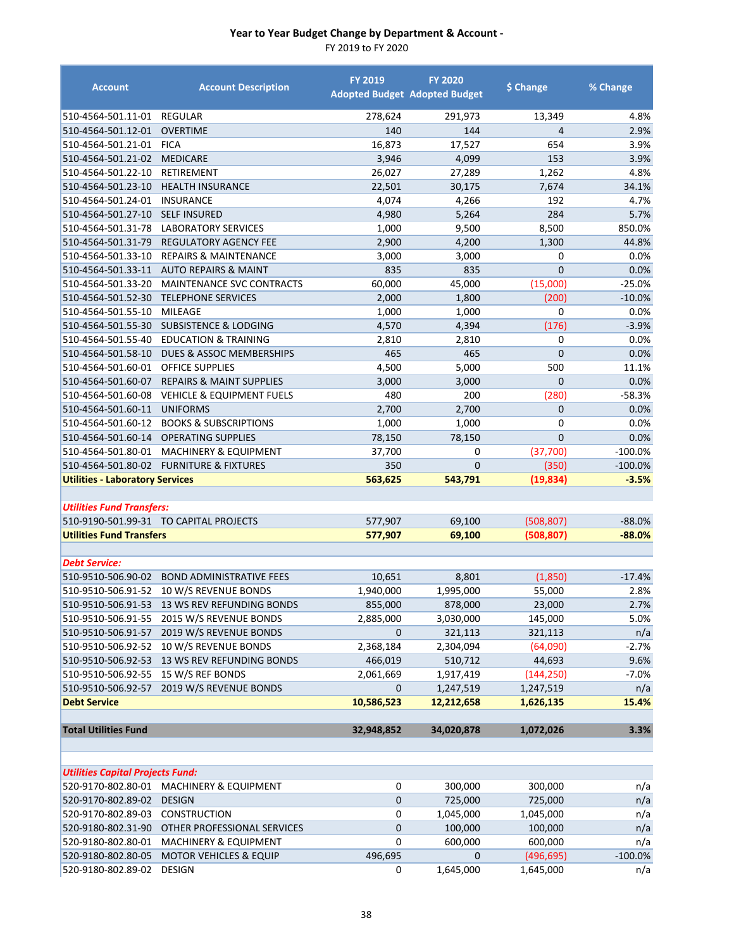| <b>Account</b>                          | <b>Account Description</b>                   | <b>FY 2019</b>       | <b>FY 2020</b><br><b>Adopted Budget Adopted Budget</b> | \$ Change    | % Change  |
|-----------------------------------------|----------------------------------------------|----------------------|--------------------------------------------------------|--------------|-----------|
| 510-4564-501.11-01 REGULAR              |                                              | 278,624              | 291,973                                                | 13,349       | 4.8%      |
| 510-4564-501.12-01                      | <b>OVERTIME</b>                              | 140                  | 144                                                    | 4            | 2.9%      |
| 510-4564-501.21-01                      | <b>FICA</b>                                  | 16,873               | 17,527                                                 | 654          | 3.9%      |
| 510-4564-501.21-02                      | <b>MEDICARE</b>                              | 3,946                | 4,099                                                  | 153          | 3.9%      |
| 510-4564-501.22-10                      | RETIREMENT                                   | 26,027               | 27,289                                                 | 1,262        | 4.8%      |
| 510-4564-501.23-10                      | <b>HEALTH INSURANCE</b>                      | 22,501               | 30,175                                                 | 7,674        | 34.1%     |
| 510-4564-501.24-01                      | <b>INSURANCE</b>                             | 4,074                | 4,266                                                  | 192          | 4.7%      |
| 510-4564-501.27-10                      | <b>SELF INSURED</b>                          | 4,980                | 5,264                                                  | 284          | 5.7%      |
| 510-4564-501.31-78                      | <b>LABORATORY SERVICES</b>                   | 1,000                | 9,500                                                  | 8,500        | 850.0%    |
| 510-4564-501.31-79                      | <b>REGULATORY AGENCY FEE</b>                 | 2,900                | 4,200                                                  | 1,300        | 44.8%     |
| 510-4564-501.33-10                      | <b>REPAIRS &amp; MAINTENANCE</b>             | 3,000                | 3,000                                                  | 0            | $0.0\%$   |
| 510-4564-501.33-11                      | <b>AUTO REPAIRS &amp; MAINT</b>              | 835                  | 835                                                    | $\mathbf{0}$ | 0.0%      |
| 510-4564-501.33-20                      | MAINTENANCE SVC CONTRACTS                    | 60,000               | 45,000                                                 | (15,000)     | $-25.0%$  |
| 510-4564-501.52-30                      | <b>TELEPHONE SERVICES</b>                    | 2,000                | 1,800                                                  | (200)        | $-10.0%$  |
| 510-4564-501.55-10                      | MILEAGE                                      | 1,000                | 1,000                                                  | 0            | 0.0%      |
| 510-4564-501.55-30                      | SUBSISTENCE & LODGING                        | 4,570                | 4,394                                                  | (176)        | $-3.9%$   |
| 510-4564-501.55-40                      | <b>EDUCATION &amp; TRAINING</b>              | 2,810                | 2,810                                                  | 0            | 0.0%      |
| 510-4564-501.58-10                      | DUES & ASSOC MEMBERSHIPS                     | 465                  | 465                                                    | $\mathbf{0}$ | 0.0%      |
| 510-4564-501.60-01                      | <b>OFFICE SUPPLIES</b>                       | 4,500                | 5,000                                                  | 500          | 11.1%     |
| 510-4564-501.60-07                      | <b>REPAIRS &amp; MAINT SUPPLIES</b>          | 3,000                | 3,000                                                  | $\mathbf{0}$ | 0.0%      |
| 510-4564-501.60-08                      | <b>VEHICLE &amp; EQUIPMENT FUELS</b>         | 480                  | 200                                                    | (280)        | $-58.3%$  |
| 510-4564-501.60-11                      | <b>UNIFORMS</b>                              | 2,700                | 2,700                                                  | $\mathbf{0}$ | 0.0%      |
| 510-4564-501.60-12                      | <b>BOOKS &amp; SUBSCRIPTIONS</b>             | 1,000                | 1,000                                                  | 0            | 0.0%      |
| 510-4564-501.60-14                      | <b>OPERATING SUPPLIES</b>                    | 78,150               | 78,150                                                 | $\mathbf{0}$ | 0.0%      |
| 510-4564-501.80-01                      | <b>MACHINERY &amp; EQUIPMENT</b>             | 37,700               | 0                                                      | (37,700)     | $-100.0%$ |
|                                         | 510-4564-501.80-02 FURNITURE & FIXTURES      | 350                  |                                                        |              | $-100.0%$ |
|                                         |                                              |                      | 0                                                      | (350)        |           |
| <b>Utilities - Laboratory Services</b>  |                                              | 563,625              | 543,791                                                | (19, 834)    | $-3.5%$   |
| <b>Utilities Fund Transfers:</b>        |                                              |                      |                                                        |              |           |
|                                         | 510-9190-501.99-31 TO CAPITAL PROJECTS       | 577,907              | 69,100                                                 | (508, 807)   | $-88.0%$  |
| <b>Utilities Fund Transfers</b>         |                                              | 577,907              | 69,100                                                 | (508, 807)   | $-88.0%$  |
|                                         |                                              |                      |                                                        |              |           |
| <b>Debt Service:</b>                    |                                              |                      |                                                        |              |           |
| 510-9510-506.90-02                      | <b>BOND ADMINISTRATIVE FEES</b>              | 10,651               | 8,801                                                  | (1,850)      | $-17.4%$  |
|                                         | 510-9510-506.91-52 10 W/S REVENUE BONDS      | 1,940,000            | 1,995,000                                              | 55,000       | 2.8%      |
|                                         | 510-9510-506.91-53 13 WS REV REFUNDING BONDS | 855,000              | 878,000                                                | 23,000       | 2.7%      |
|                                         | 510-9510-506.91-55 2015 W/S REVENUE BONDS    | 2,885,000            | 3,030,000                                              | 145,000      | 5.0%      |
| 510-9510-506.91-57                      | 2019 W/S REVENUE BONDS                       | 0                    | 321,113                                                | 321,113      | n/a       |
| 510-9510-506.92-52                      | 10 W/S REVENUE BONDS                         | 2,368,184            | 2,304,094                                              | (64,090)     | $-2.7%$   |
|                                         | 13 WS REV REFUNDING BONDS                    |                      | 510,712                                                | 44,693       | 9.6%      |
| 510-9510-506.92-53                      |                                              | 466,019<br>2,061,669 |                                                        |              |           |
| 510-9510-506.92-55                      | 15 W/S REF BONDS                             |                      | 1,917,419                                              | (144, 250)   | $-7.0%$   |
| 510-9510-506.92-57                      | 2019 W/S REVENUE BONDS                       | 0                    | 1,247,519                                              | 1,247,519    | n/a       |
| <b>Debt Service</b>                     |                                              | 10,586,523           | 12,212,658                                             | 1,626,135    | 15.4%     |
| <b>Total Utilities Fund</b>             |                                              | 32,948,852           | 34,020,878                                             | 1,072,026    | 3.3%      |
|                                         |                                              |                      |                                                        |              |           |
| <b>Utilities Capital Projects Fund:</b> |                                              |                      |                                                        |              |           |
|                                         | 520-9170-802.80-01 MACHINERY & EQUIPMENT     | 0                    | 300,000                                                | 300,000      | n/a       |
| 520-9170-802.89-02                      | <b>DESIGN</b>                                | $\overline{0}$       | 725,000                                                | 725,000      | n/a       |
|                                         |                                              |                      |                                                        |              |           |
| 520-9170-802.89-03                      | CONSTRUCTION                                 | 0                    | 1,045,000                                              | 1,045,000    | n/a       |
| 520-9180-802.31-90                      | OTHER PROFESSIONAL SERVICES                  | $\mathbf 0$          | 100,000                                                | 100,000      | n/a       |
| 520-9180-802.80-01                      | <b>MACHINERY &amp; EQUIPMENT</b>             | 0                    | 600,000                                                | 600,000      | n/a       |
| 520-9180-802.80-05                      | <b>MOTOR VEHICLES &amp; EQUIP</b>            | 496,695              | 0                                                      | (496, 695)   | $-100.0%$ |
| 520-9180-802.89-02                      | <b>DESIGN</b>                                | 0                    | 1,645,000                                              | 1,645,000    | n/a       |